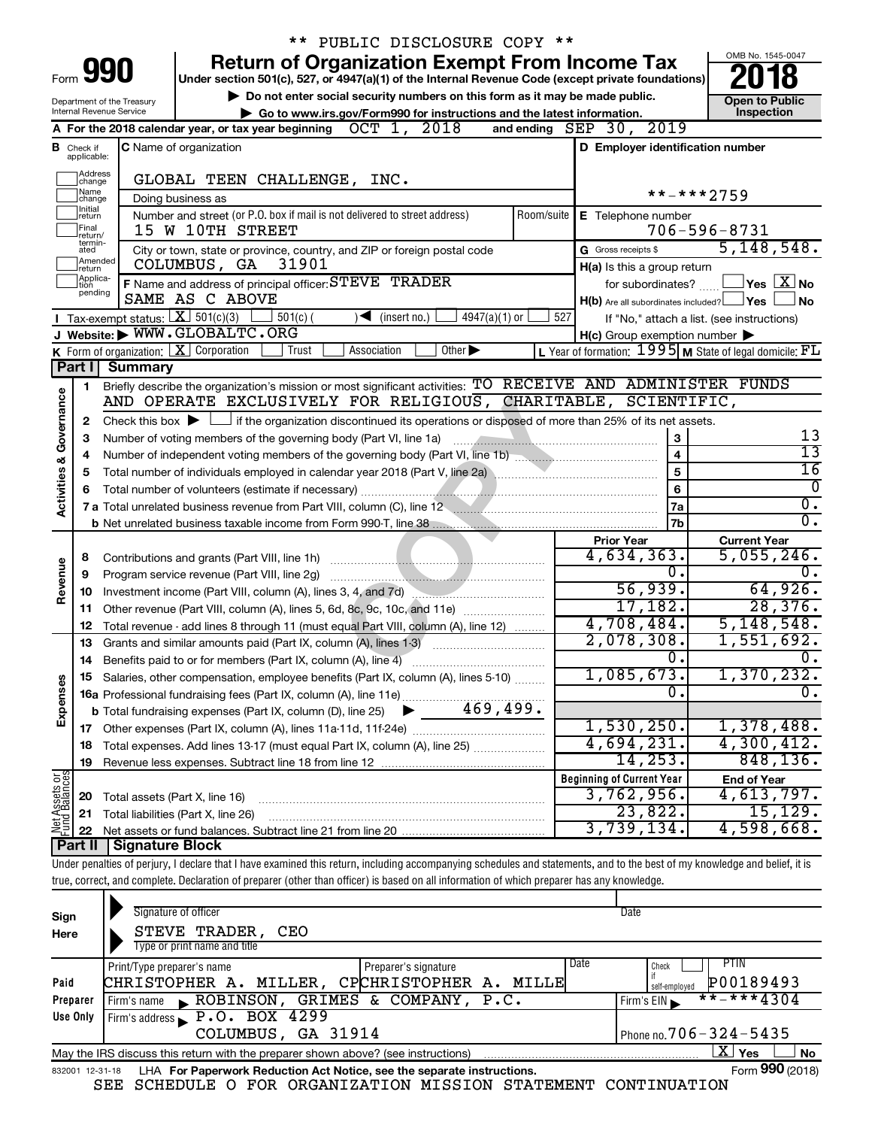|                                                      |                               |                                                            | ** PUBLIC DISCLOSURE COPY **                                                                                                                                               |                |                                                     |                                                         |
|------------------------------------------------------|-------------------------------|------------------------------------------------------------|----------------------------------------------------------------------------------------------------------------------------------------------------------------------------|----------------|-----------------------------------------------------|---------------------------------------------------------|
|                                                      |                               |                                                            | <b>Return of Organization Exempt From Income Tax</b>                                                                                                                       |                |                                                     | OMB No. 1545-0047                                       |
| Form                                                 |                               | 990                                                        | Under section 501(c), 527, or 4947(a)(1) of the Internal Revenue Code (except private foundations)                                                                         |                |                                                     |                                                         |
|                                                      |                               | Department of the Treasury                                 | Do not enter social security numbers on this form as it may be made public.                                                                                                |                |                                                     | <b>Open to Public</b>                                   |
|                                                      |                               | Internal Revenue Service                                   | Go to www.irs.gov/Form990 for instructions and the latest information.                                                                                                     |                |                                                     | Inspection                                              |
|                                                      |                               |                                                            | OCT 1, 2018<br>A For the 2018 calendar year, or tax year beginning                                                                                                         |                | and ending SEP 30, 2019                             |                                                         |
|                                                      | <b>B</b> Check if applicable: |                                                            | <b>C</b> Name of organization                                                                                                                                              |                | D Employer identification number                    |                                                         |
|                                                      | Address                       |                                                            |                                                                                                                                                                            |                |                                                     |                                                         |
|                                                      | change<br> Name<br> change    |                                                            | GLOBAL TEEN CHALLENGE, INC.                                                                                                                                                |                |                                                     | **-***2759                                              |
|                                                      | Initial                       |                                                            | Doing business as<br>Number and street (or P.O. box if mail is not delivered to street address)                                                                            | Room/suite     |                                                     |                                                         |
|                                                      | return<br>Final               |                                                            | 15 W 10TH STREET                                                                                                                                                           |                | E Telephone number                                  | $706 - 596 - 8731$                                      |
|                                                      | return/<br>termin-<br>ated    |                                                            | City or town, state or province, country, and ZIP or foreign postal code                                                                                                   |                | G Gross receipts \$                                 | 5, 148, 548.                                            |
|                                                      | Amended<br>return             |                                                            | 31901<br>COLUMBUS, GA                                                                                                                                                      |                | H(a) Is this a group return                         |                                                         |
|                                                      | Applica-<br>Ition             |                                                            | F Name and address of principal officer: STEVE TRADER                                                                                                                      |                | for subordinates?                                   | $\sqrt{}$ Yes $\sqrt{ \text{X}}$ No                     |
|                                                      | pending                       |                                                            | SAME AS C ABOVE                                                                                                                                                            |                | $H(b)$ Are all subordinates included? $\Box$ Yes    | ∣No                                                     |
|                                                      |                               | <b>I</b> Tax-exempt status: $\boxed{\mathbf{X}}$ 501(c)(3) | $501(c)$ (<br>$4947(a)(1)$ or<br>$\sqrt{\frac{1}{1}}$ (insert no.)                                                                                                         | 527            |                                                     | If "No," attach a list. (see instructions)              |
|                                                      |                               |                                                            | J Website: WWW.GLOBALTC.ORG                                                                                                                                                |                | $H(c)$ Group exemption number $\blacktriangleright$ |                                                         |
|                                                      |                               |                                                            | <b>K</b> Form of organization: $\boxed{\mathbf{X}}$ Corporation<br>Trust<br>Other $\blacktriangleright$<br>Association                                                     |                |                                                     | L Year of formation: 1995 M State of legal domicile: FL |
|                                                      | Part I                        | <b>Summary</b>                                             |                                                                                                                                                                            |                |                                                     |                                                         |
|                                                      | 1.                            |                                                            | Briefly describe the organization's mission or most significant activities: TO RECEIVE AND ADMINISTER FUNDS                                                                |                |                                                     |                                                         |
|                                                      |                               |                                                            | AND OPERATE EXCLUSIVELY FOR RELIGIOUS, CHARITABLE, SCIENTIFIC,                                                                                                             |                |                                                     |                                                         |
|                                                      | $\mathbf{2}$                  |                                                            | Check this box $\blacktriangleright \Box$ if the organization discontinued its operations or disposed of more than 25% of its net assets.                                  |                |                                                     |                                                         |
|                                                      | 3                             |                                                            | Number of voting members of the governing body (Part VI, line 1a)                                                                                                          |                | 3                                                   | 13                                                      |
| Governance<br>4<br><b>Activities &amp;</b><br>5<br>6 |                               |                                                            |                                                                                                                                                                            | $\overline{4}$ | $\overline{13}$                                     |                                                         |
|                                                      |                               |                                                            |                                                                                                                                                                            |                | $\overline{5}$                                      | $\overline{16}$                                         |
|                                                      |                               |                                                            | Total number of volunteers (estimate if necessary)                                                                                                                         |                | $\bf 6$                                             | $\overline{0}$                                          |
|                                                      |                               |                                                            | 7 a Total unrelated business revenue from Part VIII, column (C), line 12 <b>Column COVID 12</b>                                                                            |                | 7a                                                  | $\overline{0}$ .<br>$\overline{0}$ .                    |
|                                                      |                               |                                                            |                                                                                                                                                                            |                | 7 <sub>b</sub>                                      |                                                         |
|                                                      |                               |                                                            |                                                                                                                                                                            |                | <b>Prior Year</b><br>4,634,363.                     | <b>Current Year</b><br>5,055,246.                       |
|                                                      | 8                             |                                                            | Contributions and grants (Part VIII, line 1h)                                                                                                                              |                | Ο.                                                  |                                                         |
|                                                      | 10                            |                                                            | Program service revenue (Part VIII, line 2g)                                                                                                                               |                | 56,939.                                             | 64,926.                                                 |
|                                                      | 11                            |                                                            | Investment income (Part VIII, column (A), lines 3, 4, and 7d)<br>Other revenue (Part VIII, column (A), lines 5, 6d, 8c, 9c, 10c, and 11e)                                  |                | 17,182.                                             | 28,376.                                                 |
| Revenue<br>9                                         | 12                            |                                                            | Total revenue - add lines 8 through 11 (must equal Part VIII, column (A), line 12)                                                                                         |                | 4,708,484.                                          | 5,148,548.                                              |
|                                                      | 13                            |                                                            | Grants and similar amounts paid (Part IX, column (A), lines 1-3)                                                                                                           |                | 2,078,308.                                          | 1,551,692.                                              |
|                                                      |                               |                                                            | 14 Benefits paid to or for members (Part IX, column (A), line 4)                                                                                                           |                | О.                                                  | 0.                                                      |
|                                                      |                               |                                                            | Salaries, other compensation, employee benefits (Part IX, column (A), lines 5-10)                                                                                          |                | 1,085,673.                                          | 1,370,232.                                              |
| Expenses                                             |                               |                                                            |                                                                                                                                                                            |                | 0.                                                  | $\overline{0}$ .                                        |
|                                                      |                               |                                                            | 469,499.<br><b>b</b> Total fundraising expenses (Part IX, column (D), line 25)                                                                                             |                |                                                     |                                                         |
|                                                      |                               |                                                            |                                                                                                                                                                            |                | 1,530,250.                                          | 1,378,488.                                              |
|                                                      | 18                            |                                                            | Total expenses. Add lines 13-17 (must equal Part IX, column (A), line 25) <i></i>                                                                                          |                | 4,694,231.                                          | 4,300,412.                                              |
|                                                      | 19                            |                                                            |                                                                                                                                                                            |                | 14,253.                                             | 848, 136.                                               |
|                                                      |                               |                                                            |                                                                                                                                                                            |                | <b>Beginning of Current Year</b>                    | <b>End of Year</b>                                      |
|                                                      | 20                            | Total assets (Part X, line 16)                             |                                                                                                                                                                            |                | 3,762,956.                                          | 4,613,797.                                              |
| Net Assets or                                        | 21                            |                                                            | Total liabilities (Part X, line 26)                                                                                                                                        |                | 23,822.                                             | 15, 129.                                                |
|                                                      | 22                            |                                                            |                                                                                                                                                                            |                | 3,739,134.                                          | 4,598,668.                                              |
|                                                      | Part II                       | <b>Signature Block</b>                                     |                                                                                                                                                                            |                |                                                     |                                                         |
|                                                      |                               |                                                            | Under penalties of perjury, I declare that I have examined this return, including accompanying schedules and statements, and to the best of my knowledge and belief, it is |                |                                                     |                                                         |
|                                                      |                               |                                                            | true, correct, and complete. Declaration of preparer (other than officer) is based on all information of which preparer has any knowledge.                                 |                |                                                     |                                                         |
|                                                      |                               |                                                            | Signature of officer                                                                                                                                                       |                | Date                                                |                                                         |
| Sign                                                 |                               |                                                            |                                                                                                                                                                            |                |                                                     |                                                         |

| Sign            | Signature of officer                                                              | Date                             |
|-----------------|-----------------------------------------------------------------------------------|----------------------------------|
| Here            | STEVE TRADER,<br>CEO<br>Type or print name and title                              |                                  |
|                 | Print/Type preparer's name<br>Preparer's signature                                | Date<br>PTIN<br>Check            |
| Paid            | CPCHRISTOPHER A.<br>CHRISTOPHER A. MILLER,<br>MILLE                               | P00189493<br>self-employed       |
| Preparer        | ROBINSON, GRIMES & COMPANY, P.C.<br>Firm's name                                   | $***$ + * * 4304<br>Firm's $EIN$ |
| Use Only        | Firm's address $\blacktriangleright$ P.O. BOX 4299                                |                                  |
|                 | COLUMBUS, GA 31914                                                                | Phone no. $706 - 324 - 5435$     |
|                 | May the IRS discuss this return with the preparer shown above? (see instructions) | ΧI<br>Yes<br>No                  |
| 832001 12-31-18 | LHA For Paperwork Reduction Act Notice, see the separate instructions.            | Form 990 (2018)                  |

SEE SCHEDULE O FOR ORGANIZATION MISSION STATEMENT CONTINUATION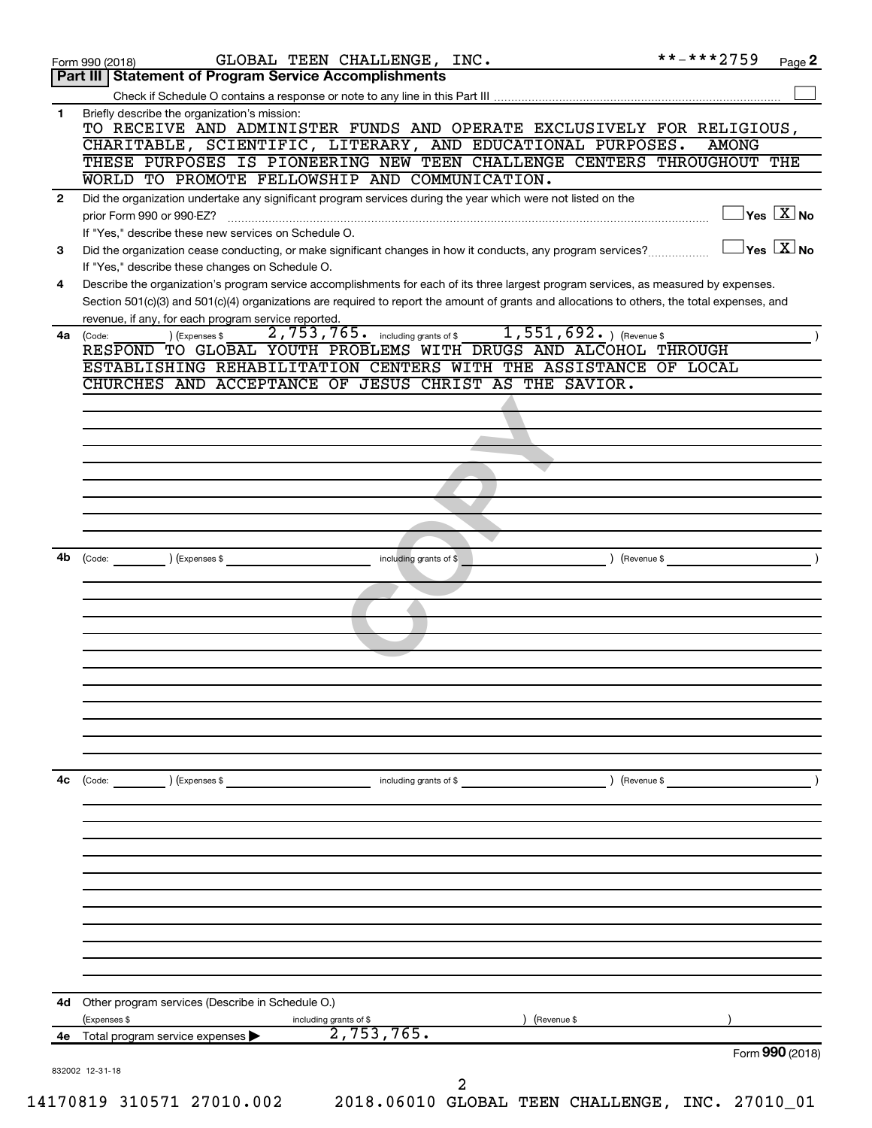|              | GLOBAL TEEN CHALLENGE, INC.<br>Form 990 (2018)                                                                                                                                                                                                                                                                                          | **-***2759                                       | Page 2 |
|--------------|-----------------------------------------------------------------------------------------------------------------------------------------------------------------------------------------------------------------------------------------------------------------------------------------------------------------------------------------|--------------------------------------------------|--------|
|              | Part III   Statement of Program Service Accomplishments                                                                                                                                                                                                                                                                                 |                                                  |        |
|              |                                                                                                                                                                                                                                                                                                                                         |                                                  |        |
| 1            | Briefly describe the organization's mission:<br>TO RECEIVE AND ADMINISTER FUNDS AND OPERATE EXCLUSIVELY FOR RELIGIOUS,<br>CHARITABLE, SCIENTIFIC, LITERARY, AND EDUCATIONAL PURPOSES.<br>THESE PURPOSES IS PIONEERING NEW TEEN CHALLENGE CENTERS THROUGHOUT THE                                                                         | <b>AMONG</b>                                     |        |
|              | WORLD TO PROMOTE FELLOWSHIP AND COMMUNICATION.                                                                                                                                                                                                                                                                                          |                                                  |        |
| $\mathbf{2}$ | Did the organization undertake any significant program services during the year which were not listed on the<br>prior Form 990 or 990-EZ?                                                                                                                                                                                               | $\exists$ Yes $\boxed{\text{X}}$ No              |        |
| 3            | If "Yes," describe these new services on Schedule O.<br>Did the organization cease conducting, or make significant changes in how it conducts, any program services?                                                                                                                                                                    | $\sqrt{}$ Yes $\sqrt{}$ $\overline{\text{X}}$ No |        |
| 4            | If "Yes," describe these changes on Schedule O.<br>Describe the organization's program service accomplishments for each of its three largest program services, as measured by expenses.<br>Section 501(c)(3) and 501(c)(4) organizations are required to report the amount of grants and allocations to others, the total expenses, and |                                                  |        |
|              | revenue, if any, for each program service reported.                                                                                                                                                                                                                                                                                     |                                                  |        |
|              | $1,551,692.$ (Revenue \$)<br>2,753,765.<br>including grants of \$<br>4a (Code:<br>(Expenses \$                                                                                                                                                                                                                                          |                                                  |        |
|              | RESPOND TO GLOBAL YOUTH PROBLEMS WITH DRUGS AND ALCOHOL THROUGH<br>ESTABLISHING REHABILITATION CENTERS WITH THE ASSISTANCE OF LOCAL                                                                                                                                                                                                     |                                                  |        |
|              | CHURCHES AND ACCEPTANCE OF JESUS CHRIST AS THE SAVIOR.                                                                                                                                                                                                                                                                                  |                                                  |        |
|              |                                                                                                                                                                                                                                                                                                                                         |                                                  |        |
|              |                                                                                                                                                                                                                                                                                                                                         |                                                  |        |
|              |                                                                                                                                                                                                                                                                                                                                         |                                                  |        |
|              |                                                                                                                                                                                                                                                                                                                                         |                                                  |        |
|              |                                                                                                                                                                                                                                                                                                                                         |                                                  |        |
|              |                                                                                                                                                                                                                                                                                                                                         |                                                  |        |
|              |                                                                                                                                                                                                                                                                                                                                         |                                                  |        |
|              |                                                                                                                                                                                                                                                                                                                                         |                                                  |        |
|              |                                                                                                                                                                                                                                                                                                                                         |                                                  |        |
| 4b           | (Expenses \$<br>) (Revenue \$<br>(Code:<br>including grants of \$                                                                                                                                                                                                                                                                       |                                                  |        |
|              |                                                                                                                                                                                                                                                                                                                                         |                                                  |        |
|              |                                                                                                                                                                                                                                                                                                                                         |                                                  |        |
|              |                                                                                                                                                                                                                                                                                                                                         |                                                  |        |
|              |                                                                                                                                                                                                                                                                                                                                         |                                                  |        |
|              |                                                                                                                                                                                                                                                                                                                                         |                                                  |        |
|              |                                                                                                                                                                                                                                                                                                                                         |                                                  |        |
|              |                                                                                                                                                                                                                                                                                                                                         |                                                  |        |
|              |                                                                                                                                                                                                                                                                                                                                         |                                                  |        |
|              |                                                                                                                                                                                                                                                                                                                                         |                                                  |        |
|              |                                                                                                                                                                                                                                                                                                                                         |                                                  |        |
|              |                                                                                                                                                                                                                                                                                                                                         |                                                  |        |
|              |                                                                                                                                                                                                                                                                                                                                         |                                                  |        |
| 4c           | (Expenses \$<br>including grants of \$<br>) (Revenue \$<br>(Code:                                                                                                                                                                                                                                                                       |                                                  |        |
|              |                                                                                                                                                                                                                                                                                                                                         |                                                  |        |
|              |                                                                                                                                                                                                                                                                                                                                         |                                                  |        |
|              |                                                                                                                                                                                                                                                                                                                                         |                                                  |        |
|              |                                                                                                                                                                                                                                                                                                                                         |                                                  |        |
|              |                                                                                                                                                                                                                                                                                                                                         |                                                  |        |
|              |                                                                                                                                                                                                                                                                                                                                         |                                                  |        |
|              |                                                                                                                                                                                                                                                                                                                                         |                                                  |        |
|              |                                                                                                                                                                                                                                                                                                                                         |                                                  |        |
|              |                                                                                                                                                                                                                                                                                                                                         |                                                  |        |
|              |                                                                                                                                                                                                                                                                                                                                         |                                                  |        |
|              |                                                                                                                                                                                                                                                                                                                                         |                                                  |        |
|              | Other program services (Describe in Schedule O.)                                                                                                                                                                                                                                                                                        |                                                  |        |
|              |                                                                                                                                                                                                                                                                                                                                         |                                                  |        |
| 4d           |                                                                                                                                                                                                                                                                                                                                         |                                                  |        |
| 4е           | (Expenses \$<br>(Revenue \$                                                                                                                                                                                                                                                                                                             |                                                  |        |
|              | $\frac{\frac{\text{including grants of $\$}}{2,753,765.}}$<br>Total program service expenses                                                                                                                                                                                                                                            | Form 990 (2018)                                  |        |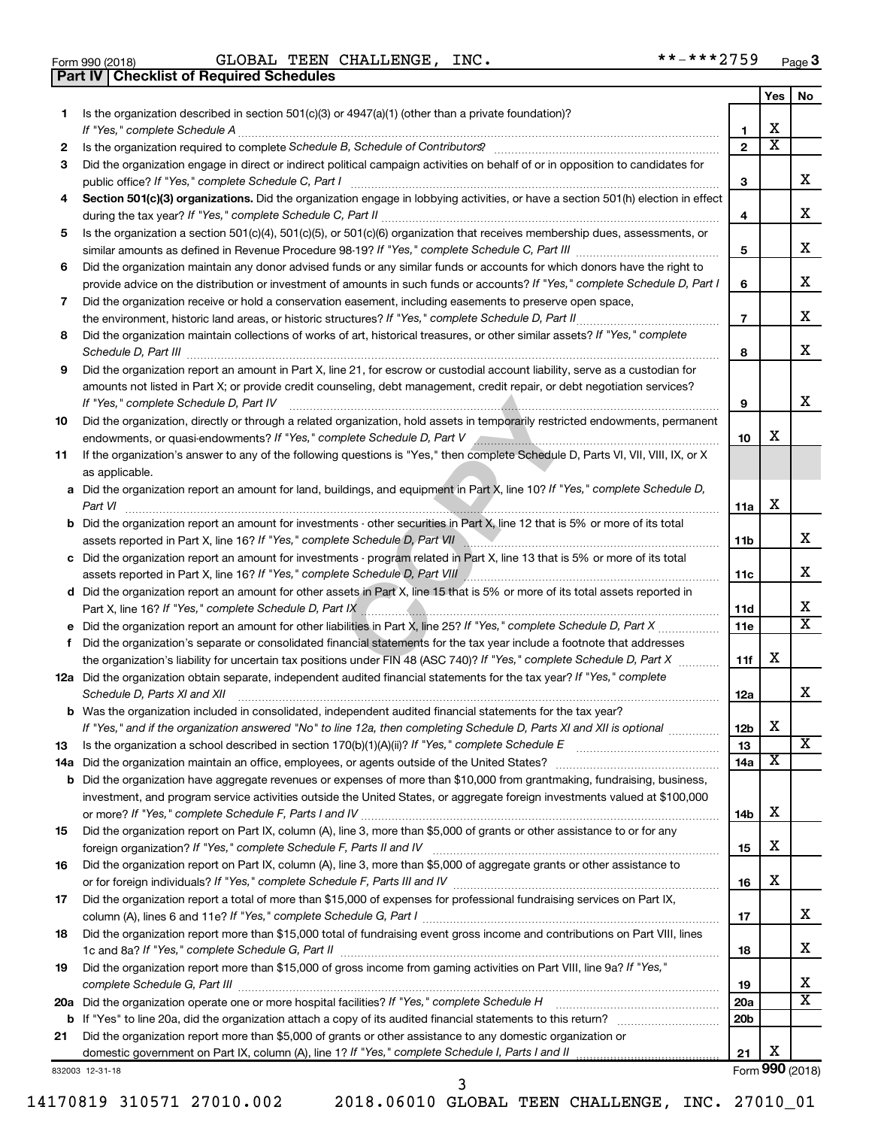| Form 990 (2018) |  |  |
|-----------------|--|--|

**Part IV Checklist of Required Schedules**

 $\blacksquare$ Form 990 (2018) GLOBAL 'I'EEN CHALLENGE, INC. Page GLOBAL TEEN CHALLENGE, INC. \*\*-\*\*\*2759

|           |                                                                                                                                                                                                                                                           |                          | Yes | No                      |
|-----------|-----------------------------------------------------------------------------------------------------------------------------------------------------------------------------------------------------------------------------------------------------------|--------------------------|-----|-------------------------|
| 1.        | Is the organization described in section 501(c)(3) or 4947(a)(1) (other than a private foundation)?                                                                                                                                                       |                          |     |                         |
|           |                                                                                                                                                                                                                                                           | 1                        | х   |                         |
| 2         |                                                                                                                                                                                                                                                           | $\mathbf{2}$             | х   |                         |
| 3         | Did the organization engage in direct or indirect political campaign activities on behalf of or in opposition to candidates for                                                                                                                           |                          |     |                         |
|           | public office? If "Yes," complete Schedule C, Part I                                                                                                                                                                                                      | 3                        |     | x.                      |
|           | Section 501(c)(3) organizations. Did the organization engage in lobbying activities, or have a section 501(h) election in effect                                                                                                                          |                          |     |                         |
|           |                                                                                                                                                                                                                                                           | 4                        |     | х                       |
| 5         | Is the organization a section 501(c)(4), 501(c)(5), or 501(c)(6) organization that receives membership dues, assessments, or                                                                                                                              |                          |     | х                       |
|           |                                                                                                                                                                                                                                                           | 5                        |     |                         |
| 6         | Did the organization maintain any donor advised funds or any similar funds or accounts for which donors have the right to<br>provide advice on the distribution or investment of amounts in such funds or accounts? If "Yes," complete Schedule D, Part I | 6                        |     | х                       |
|           |                                                                                                                                                                                                                                                           |                          |     |                         |
| 7         | Did the organization receive or hold a conservation easement, including easements to preserve open space,                                                                                                                                                 | $\overline{\phantom{a}}$ |     | x                       |
| 8         | Did the organization maintain collections of works of art, historical treasures, or other similar assets? If "Yes," complete                                                                                                                              |                          |     |                         |
|           | Schedule D, Part III <b>www.community.community.community.community.community.community.com</b>                                                                                                                                                           | 8                        |     | x                       |
| 9         | Did the organization report an amount in Part X, line 21, for escrow or custodial account liability, serve as a custodian for                                                                                                                             |                          |     |                         |
|           | amounts not listed in Part X; or provide credit counseling, debt management, credit repair, or debt negotiation services?                                                                                                                                 |                          |     |                         |
|           | If "Yes," complete Schedule D, Part IV                                                                                                                                                                                                                    | 9                        |     | x                       |
| 10        | Did the organization, directly or through a related organization, hold assets in temporarily restricted endowments, permanent                                                                                                                             |                          |     |                         |
|           |                                                                                                                                                                                                                                                           | 10                       | х   |                         |
| 11        | If the organization's answer to any of the following questions is "Yes," then complete Schedule D, Parts VI, VII, VIII, IX, or X                                                                                                                          |                          |     |                         |
|           | as applicable.                                                                                                                                                                                                                                            |                          |     |                         |
|           | a Did the organization report an amount for land, buildings, and equipment in Part X, line 10? If "Yes," complete Schedule D,                                                                                                                             |                          |     |                         |
|           | Part VI                                                                                                                                                                                                                                                   | 11a                      | X   |                         |
|           | <b>b</b> Did the organization report an amount for investments - other securities in Part X, line 12 that is 5% or more of its total                                                                                                                      |                          |     |                         |
|           | assets reported in Part X, line 16? If "Yes," complete Schedule D, Part VII Marting Communication and Dart Vil                                                                                                                                            | 11b                      |     | х                       |
|           | c Did the organization report an amount for investments - program related in Part X, line 13 that is 5% or more of its total                                                                                                                              |                          |     |                         |
|           |                                                                                                                                                                                                                                                           | 11c                      |     | х                       |
|           | d Did the organization report an amount for other assets in Part X, line 15 that is 5% or more of its total assets reported in                                                                                                                            |                          |     |                         |
|           |                                                                                                                                                                                                                                                           | 11d                      |     | х                       |
|           |                                                                                                                                                                                                                                                           | 11e                      |     | X                       |
| f         | Did the organization's separate or consolidated financial statements for the tax year include a footnote that addresses                                                                                                                                   |                          |     |                         |
|           | the organization's liability for uncertain tax positions under FIN 48 (ASC 740)? If "Yes," complete Schedule D, Part X                                                                                                                                    | 11f                      | х   |                         |
|           | 12a Did the organization obtain separate, independent audited financial statements for the tax year? If "Yes," complete                                                                                                                                   |                          |     | x                       |
|           | Schedule D, Parts XI and XII                                                                                                                                                                                                                              | 12a                      |     |                         |
|           | <b>b</b> Was the organization included in consolidated, independent audited financial statements for the tax year?                                                                                                                                        |                          | X   |                         |
|           | If "Yes," and if the organization answered "No" to line 12a, then completing Schedule D, Parts XI and XII is optional                                                                                                                                     | 12 <sub>b</sub><br>13    |     | $\overline{\mathbf{X}}$ |
| 13<br>14a |                                                                                                                                                                                                                                                           | 14a                      | х   |                         |
| b         | Did the organization have aggregate revenues or expenses of more than \$10,000 from grantmaking, fundraising, business,                                                                                                                                   |                          |     |                         |
|           | investment, and program service activities outside the United States, or aggregate foreign investments valued at \$100,000                                                                                                                                |                          |     |                         |
|           |                                                                                                                                                                                                                                                           | 14b                      | х   |                         |
| 15        | Did the organization report on Part IX, column (A), line 3, more than \$5,000 of grants or other assistance to or for any                                                                                                                                 |                          |     |                         |
|           |                                                                                                                                                                                                                                                           | 15                       | х   |                         |
| 16        | Did the organization report on Part IX, column (A), line 3, more than \$5,000 of aggregate grants or other assistance to                                                                                                                                  |                          |     |                         |
|           |                                                                                                                                                                                                                                                           | 16                       | х   |                         |
| 17        | Did the organization report a total of more than \$15,000 of expenses for professional fundraising services on Part IX,                                                                                                                                   |                          |     |                         |
|           |                                                                                                                                                                                                                                                           | 17                       |     | х                       |
| 18        | Did the organization report more than \$15,000 total of fundraising event gross income and contributions on Part VIII, lines                                                                                                                              |                          |     |                         |
|           |                                                                                                                                                                                                                                                           | 18                       |     | х                       |
| 19        | Did the organization report more than \$15,000 of gross income from gaming activities on Part VIII, line 9a? If "Yes,"                                                                                                                                    |                          |     |                         |
|           |                                                                                                                                                                                                                                                           | 19                       |     | х                       |
| 20a       | Did the organization operate one or more hospital facilities? If "Yes," complete Schedule H                                                                                                                                                               | 20a                      |     | х                       |
|           |                                                                                                                                                                                                                                                           | 20 <sub>b</sub>          |     |                         |
| 21        | Did the organization report more than \$5,000 of grants or other assistance to any domestic organization or                                                                                                                                               |                          |     |                         |
|           |                                                                                                                                                                                                                                                           | 21                       | X   |                         |
|           | 832003 12-31-18                                                                                                                                                                                                                                           |                          |     | Form 990 (2018)         |

14170819 310571 27010.002 2018.06010 GLOBAL TEEN CHALLENGE, INC. 27010\_01

3

Form (2018) **990**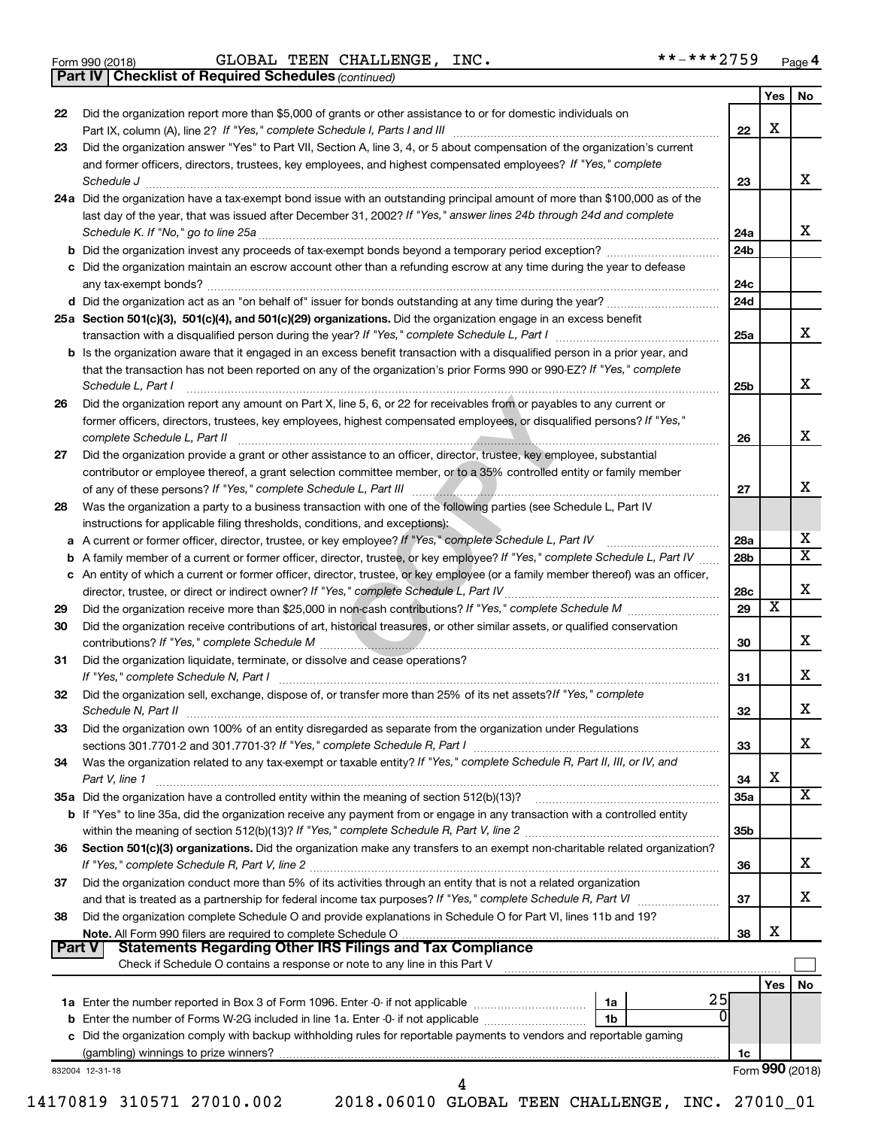|  | Form 990 (2018) |
|--|-----------------|
|  |                 |

Form 990 (2018) GLOBAL TEEN CHALLENGE, INC. \*\*-\*\*\*2759 <sub>Page</sub>

*(continued)* **Part IV Checklist of Required Schedules**

|          |                                                                                                                                     |           | Yes        | No |
|----------|-------------------------------------------------------------------------------------------------------------------------------------|-----------|------------|----|
| 22       | Did the organization report more than \$5,000 of grants or other assistance to or for domestic individuals on                       |           |            |    |
|          | Part IX, column (A), line 2? If "Yes," complete Schedule I, Parts I and III [11]] [11]] [11] [11] [11] [11] [1                      | 22        | X          |    |
| 23       | Did the organization answer "Yes" to Part VII, Section A, line 3, 4, or 5 about compensation of the organization's current          |           |            |    |
|          | and former officers, directors, trustees, key employees, and highest compensated employees? If "Yes," complete                      |           |            |    |
|          |                                                                                                                                     | 23        |            | x  |
|          | 24a Did the organization have a tax-exempt bond issue with an outstanding principal amount of more than \$100,000 as of the         |           |            |    |
|          | last day of the year, that was issued after December 31, 2002? If "Yes," answer lines 24b through 24d and complete                  |           |            |    |
|          |                                                                                                                                     | 24a       |            | x  |
|          | b Did the organization invest any proceeds of tax-exempt bonds beyond a temporary period exception?                                 | 24b       |            |    |
|          | c Did the organization maintain an escrow account other than a refunding escrow at any time during the year to defease              |           |            |    |
|          |                                                                                                                                     | 24c       |            |    |
|          |                                                                                                                                     | 24d       |            |    |
|          | 25a Section 501(c)(3), 501(c)(4), and 501(c)(29) organizations. Did the organization engage in an excess benefit                    |           |            |    |
|          |                                                                                                                                     | 25a       |            |    |
|          | <b>b</b> Is the organization aware that it engaged in an excess benefit transaction with a disqualified person in a prior year, and |           |            |    |
|          | that the transaction has not been reported on any of the organization's prior Forms 990 or 990-EZ? If "Yes," complete               |           |            |    |
|          | Schedule L, Part I                                                                                                                  | 25b       |            |    |
| 26       | Did the organization report any amount on Part X, line 5, 6, or 22 for receivables from or payables to any current or               |           |            |    |
|          | former officers, directors, trustees, key employees, highest compensated employees, or disqualified persons? If "Yes,"              |           |            |    |
|          | complete Schedule L, Part II                                                                                                        | 26        |            |    |
| 27       | Did the organization provide a grant or other assistance to an officer, director, trustee, key employee, substantial                |           |            |    |
|          | contributor or employee thereof, a grant selection committee member, or to a 35% controlled entity or family member                 |           |            |    |
|          |                                                                                                                                     | 27        |            |    |
| 28       | Was the organization a party to a business transaction with one of the following parties (see Schedule L, Part IV                   |           |            |    |
|          | instructions for applicable filing thresholds, conditions, and exceptions):                                                         |           |            |    |
|          | a A current or former officer, director, trustee, or key employee? If "Yes," complete Schedule L, Part IV                           | 28a       |            |    |
|          | b A family member of a current or former officer, director, trustee, or key employee? If "Yes," complete Schedule L, Part IV        | 28b       |            |    |
|          | c An entity of which a current or former officer, director, trustee, or key employee (or a family member thereof) was an officer,   |           |            |    |
|          |                                                                                                                                     | 28c<br>29 | х          |    |
| 29       | Did the organization receive contributions of art, historical treasures, or other similar assets, or qualified conservation         |           |            |    |
| 30       |                                                                                                                                     | 30        |            |    |
| 31       | Did the organization liquidate, terminate, or dissolve and cease operations?                                                        |           |            |    |
|          |                                                                                                                                     | 31        |            |    |
| 32       | Did the organization sell. exchange, dispose of, or transfer more than 25% of its net assets? If "Yes," complete                    |           |            |    |
|          |                                                                                                                                     | 32        |            |    |
| 33       | Did the organization own 100% of an entity disregarded as separate from the organization under Regulations                          |           |            |    |
|          |                                                                                                                                     | 33        |            |    |
| 34       | Was the organization related to any tax-exempt or taxable entity? If "Yes," complete Schedule R, Part II, III, or IV, and           |           |            |    |
|          | Part V, line 1                                                                                                                      | 34        | X          |    |
|          |                                                                                                                                     | 35a       |            |    |
|          | b If "Yes" to line 35a, did the organization receive any payment from or engage in any transaction with a controlled entity         |           |            |    |
|          |                                                                                                                                     | 35b       |            |    |
| 36       | Section 501(c)(3) organizations. Did the organization make any transfers to an exempt non-charitable related organization?          |           |            |    |
|          |                                                                                                                                     | 36        |            |    |
|          |                                                                                                                                     |           |            |    |
|          |                                                                                                                                     |           |            |    |
|          | Did the organization conduct more than 5% of its activities through an entity that is not a related organization                    | 37        |            |    |
|          | Did the organization complete Schedule O and provide explanations in Schedule O for Part VI, lines 11b and 19?                      |           |            |    |
|          |                                                                                                                                     | 38        | X          |    |
|          | <b>Statements Regarding Other IRS Filings and Tax Compliance</b><br>∣ Part V I                                                      |           |            |    |
|          | Check if Schedule O contains a response or note to any line in this Part V                                                          |           |            |    |
|          |                                                                                                                                     |           | <b>Yes</b> |    |
|          | 25                                                                                                                                  |           |            |    |
|          |                                                                                                                                     |           |            |    |
|          | c Did the organization comply with backup withholding rules for reportable payments to vendors and reportable gaming                |           |            |    |
| 37<br>38 |                                                                                                                                     | 1c        |            | No |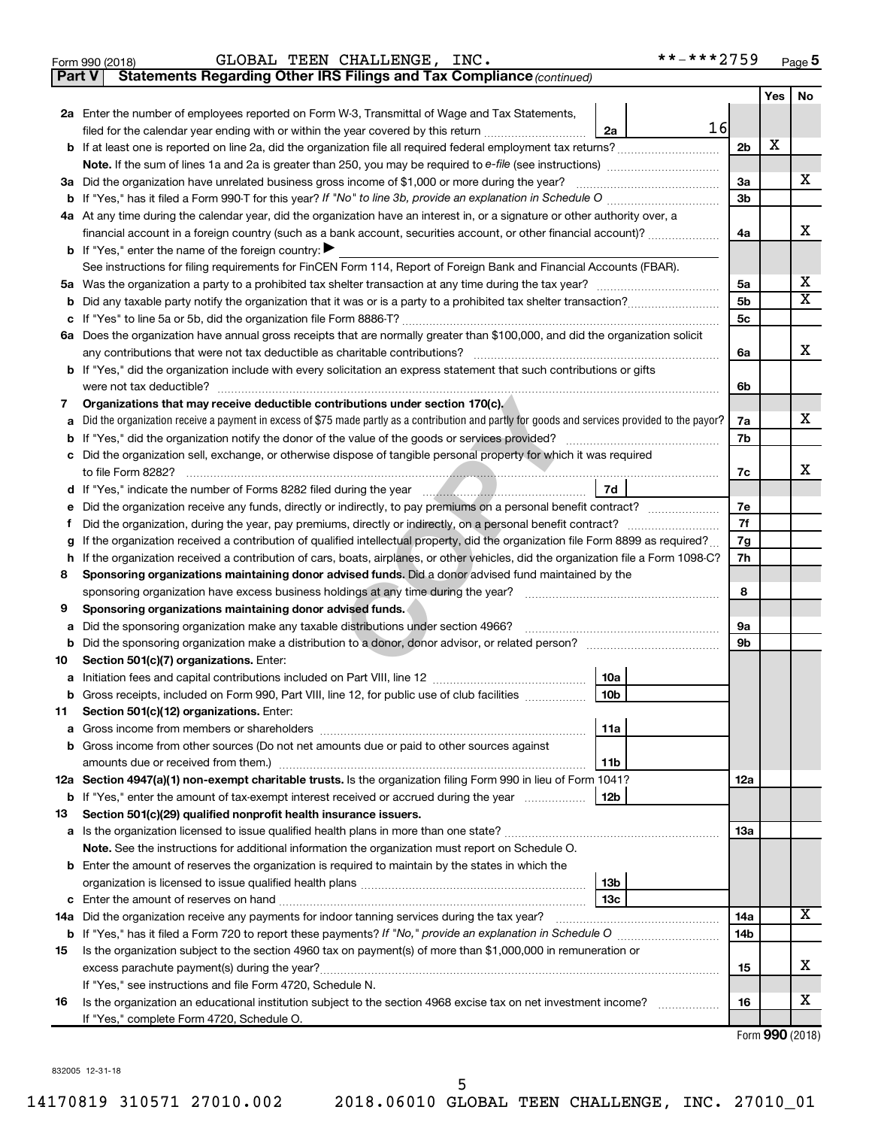|  | Form 990 (2018) |  |
|--|-----------------|--|
|  |                 |  |

**Part V** Statements Regarding Other IRS Filings and Tax Compliance (continued)

|        |                                                                                                                                                 |                | Yes | No                           |
|--------|-------------------------------------------------------------------------------------------------------------------------------------------------|----------------|-----|------------------------------|
|        | 2a Enter the number of employees reported on Form W-3, Transmittal of Wage and Tax Statements,                                                  |                |     |                              |
|        | 16<br>filed for the calendar year ending with or within the year covered by this return <i></i><br>2a                                           |                |     |                              |
|        |                                                                                                                                                 | 2 <sub>b</sub> | х   |                              |
|        |                                                                                                                                                 |                |     |                              |
|        | 3a Did the organization have unrelated business gross income of \$1,000 or more during the year?                                                | 3a             |     | x                            |
|        |                                                                                                                                                 | 3b             |     |                              |
|        | 4a At any time during the calendar year, did the organization have an interest in, or a signature or other authority over, a                    |                |     |                              |
|        | financial account in a foreign country (such as a bank account, securities account, or other financial account)?                                | 4a             |     | х                            |
|        | <b>b</b> If "Yes," enter the name of the foreign country:                                                                                       |                |     |                              |
|        | See instructions for filing requirements for FinCEN Form 114, Report of Foreign Bank and Financial Accounts (FBAR).                             |                |     |                              |
|        |                                                                                                                                                 | 5a             |     | x<br>$\overline{\mathbf{X}}$ |
| b      |                                                                                                                                                 | 5b             |     |                              |
| с      |                                                                                                                                                 | 5с             |     |                              |
|        | 6a Does the organization have annual gross receipts that are normally greater than \$100,000, and did the organization solicit                  |                |     | х                            |
|        |                                                                                                                                                 | 6a             |     |                              |
|        | <b>b</b> If "Yes," did the organization include with every solicitation an express statement that such contributions or gifts                   |                |     |                              |
|        | were not tax deductible?<br>Organizations that may receive deductible contributions under section 170(c).                                       | 6b             |     |                              |
| 7      | Did the organization receive a payment in excess of \$75 made partly as a contribution and partly for goods and services provided to the payor? | 7a             |     | х                            |
| a<br>b |                                                                                                                                                 | 7b             |     |                              |
| с      | Did the organization sell, exchange, or otherwise dispose of tangible personal property for which it was required                               |                |     |                              |
|        |                                                                                                                                                 | 7c             |     | х                            |
| d      | 7d                                                                                                                                              |                |     |                              |
| е      | Did the organization receive any funds, directly or indirectly, to pay premiums on a personal benefit contract?                                 | 7e             |     |                              |
| f      |                                                                                                                                                 | 7f             |     |                              |
| g      | If the organization received a contribution of qualified intellectual property, did the organization file Form 8899 as required?                | 7g             |     |                              |
| h      | If the organization received a contribution of cars, boats, airplanes, or other vehicles, did the organization file a Form 1098-C?              | 7h             |     |                              |
| 8      | Sponsoring organizations maintaining donor advised funds. Did a donor advised fund maintained by the                                            |                |     |                              |
|        | sponsoring organization have excess business holdings at any time during the year?                                                              | 8              |     |                              |
| 9      | Sponsoring organizations maintaining donor advised funds.                                                                                       |                |     |                              |
| а      | Did the sponsoring organization make any taxable distributions under section 4966?                                                              | 9а             |     |                              |
| b      |                                                                                                                                                 | 9b             |     |                              |
| 10     | Section 501(c)(7) organizations. Enter:                                                                                                         |                |     |                              |
| а      | 10a                                                                                                                                             |                |     |                              |
|        | 10 <sub>b</sub><br>b Gross receipts, included on Form 990, Part VIII, line 12, for public use of club facilities                                |                |     |                              |
| 11.    | Section 501(c)(12) organizations. Enter:                                                                                                        |                |     |                              |
|        | 11a<br><b>a</b> Gross income from members or shareholders                                                                                       |                |     |                              |
|        | <b>b</b> Gross income from other sources (Do not net amounts due or paid to other sources against                                               |                |     |                              |
|        | 11b                                                                                                                                             |                |     |                              |
|        | 12a Section 4947(a)(1) non-exempt charitable trusts. Is the organization filing Form 990 in lieu of Form 1041?                                  | 12a            |     |                              |
|        | 12 <sub>b</sub><br><b>b</b> If "Yes," enter the amount of tax-exempt interest received or accrued during the year                               |                |     |                              |
| 13     | Section 501(c)(29) qualified nonprofit health insurance issuers.                                                                                |                |     |                              |
|        |                                                                                                                                                 | 13a            |     |                              |
|        | Note. See the instructions for additional information the organization must report on Schedule O.                                               |                |     |                              |
|        | <b>b</b> Enter the amount of reserves the organization is required to maintain by the states in which the<br>13 <sub>b</sub>                    |                |     |                              |
|        |                                                                                                                                                 |                |     |                              |
|        | 13с<br>14a Did the organization receive any payments for indoor tanning services during the tax year?                                           | 14a            |     | x                            |
|        |                                                                                                                                                 | 14b            |     |                              |
| 15     | Is the organization subject to the section 4960 tax on payment(s) of more than \$1,000,000 in remuneration or                                   |                |     |                              |
|        |                                                                                                                                                 | 15             |     | x                            |
|        | If "Yes," see instructions and file Form 4720, Schedule N.                                                                                      |                |     |                              |
| 16     | Is the organization an educational institution subject to the section 4968 excise tax on net investment income?                                 | 16             |     | x                            |
|        | If "Yes," complete Form 4720, Schedule O.                                                                                                       |                |     |                              |
|        |                                                                                                                                                 |                |     |                              |

Form (2018) **990**

832005 12-31-18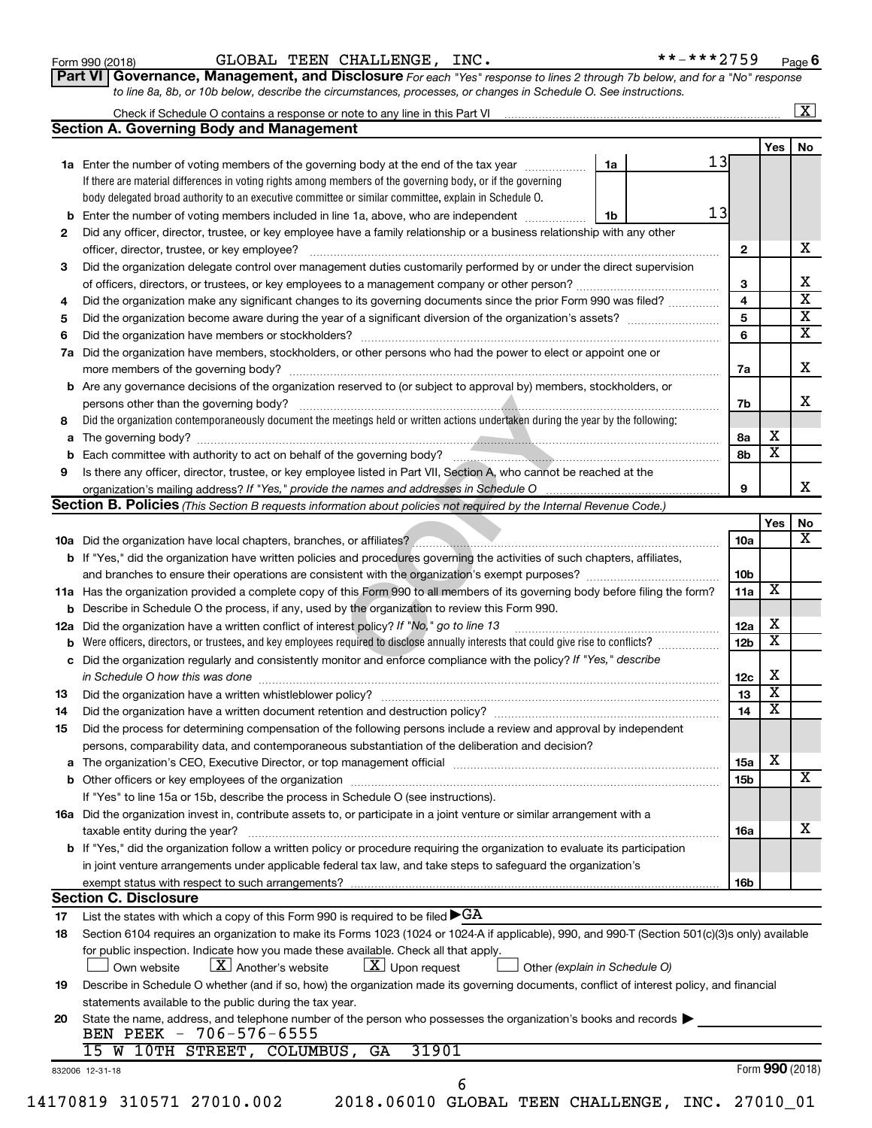| Form 990 (2018) |  |
|-----------------|--|
|-----------------|--|

Form 990 (2018) GLOBAL TEEN CHALLENGE, INC. \*\*-\*\*\*2759 <sub>Page</sub>

| Part VI   Governance, Management, and Disclosure For each "Yes" response to lines 2 through 7b below, and for a "No" response |  |
|-------------------------------------------------------------------------------------------------------------------------------|--|
| to line 8a, 8b, or 10b below, describe the circumstances, processes, or changes in Schedule O. See instructions.              |  |

| 2  | <b>Section A. Governing Body and Management</b><br>1a Enter the number of voting members of the governing body at the end of the tax year<br>If there are material differences in voting rights among members of the governing body, or if the governing | 1a | 13 |                 | Yes                     | No                           |
|----|----------------------------------------------------------------------------------------------------------------------------------------------------------------------------------------------------------------------------------------------------------|----|----|-----------------|-------------------------|------------------------------|
|    |                                                                                                                                                                                                                                                          |    |    |                 |                         |                              |
|    |                                                                                                                                                                                                                                                          |    |    |                 |                         |                              |
|    |                                                                                                                                                                                                                                                          |    |    |                 |                         |                              |
|    |                                                                                                                                                                                                                                                          |    |    |                 |                         |                              |
|    | body delegated broad authority to an executive committee or similar committee, explain in Schedule O.                                                                                                                                                    |    | 13 |                 |                         |                              |
|    | <b>b</b> Enter the number of voting members included in line 1a, above, who are independent <i>manumum</i>                                                                                                                                               | 1b |    |                 |                         |                              |
|    | Did any officer, director, trustee, or key employee have a family relationship or a business relationship with any other                                                                                                                                 |    |    |                 |                         |                              |
|    |                                                                                                                                                                                                                                                          |    |    | $\mathbf{2}$    |                         | x                            |
| 3  | Did the organization delegate control over management duties customarily performed by or under the direct supervision                                                                                                                                    |    |    |                 |                         |                              |
|    |                                                                                                                                                                                                                                                          |    |    | 3               |                         | х<br>$\overline{\texttt{x}}$ |
| 4  | Did the organization make any significant changes to its governing documents since the prior Form 990 was filed?                                                                                                                                         |    |    | 4               |                         |                              |
| 5  |                                                                                                                                                                                                                                                          |    |    | 5               |                         | $\overline{\mathbf{X}}$      |
| 6  |                                                                                                                                                                                                                                                          |    |    | 6               |                         | $\overline{\textbf{X}}$      |
| 7a | Did the organization have members, stockholders, or other persons who had the power to elect or appoint one or                                                                                                                                           |    |    |                 |                         |                              |
|    |                                                                                                                                                                                                                                                          |    |    | 7a              |                         | X                            |
|    | <b>b</b> Are any governance decisions of the organization reserved to (or subject to approval by) members, stockholders, or                                                                                                                              |    |    |                 |                         |                              |
|    |                                                                                                                                                                                                                                                          |    |    | 7b              |                         | X                            |
| 8  | Did the organization contemporaneously document the meetings held or written actions undertaken during the year by the following:                                                                                                                        |    |    |                 |                         |                              |
|    |                                                                                                                                                                                                                                                          |    |    | 8а              | х                       |                              |
|    |                                                                                                                                                                                                                                                          |    |    | 8b              | $\overline{\mathbf{x}}$ |                              |
| 9  | Is there any officer, director, trustee, or key employee listed in Part VII, Section A, who cannot be reached at the                                                                                                                                     |    |    |                 |                         | x                            |
|    |                                                                                                                                                                                                                                                          |    |    | 9               |                         |                              |
|    | <b>Section B. Policies</b> (This Section B requests information about policies not required by the Internal Revenue Code.)                                                                                                                               |    |    |                 |                         |                              |
|    |                                                                                                                                                                                                                                                          |    |    |                 | Yes                     | No                           |
|    |                                                                                                                                                                                                                                                          |    |    | 10a             |                         | x                            |
|    | b If "Yes," did the organization have written policies and procedures governing the activities of such chapters, affiliates,                                                                                                                             |    |    |                 |                         |                              |
|    |                                                                                                                                                                                                                                                          |    |    | 10b             |                         |                              |
|    | 11a Has the organization provided a complete copy of this Form 990 to all members of its governing body before filing the form?                                                                                                                          |    |    | 11a             | X                       |                              |
|    | <b>b</b> Describe in Schedule O the process, if any, used by the organization to review this Form 990.                                                                                                                                                   |    |    |                 |                         |                              |
|    | 12a Did the organization have a written conflict of interest policy? If "No," go to line 13                                                                                                                                                              |    |    | 12a             | х                       |                              |
|    | <b>b</b> Were officers, directors, or trustees, and key employees required to disclose annually interests that could give rise to conflicts?                                                                                                             |    |    | 12 <sub>b</sub> | х                       |                              |
|    | c Did the organization regularly and consistently monitor and enforce compliance with the policy? If "Yes," describe                                                                                                                                     |    |    |                 |                         |                              |
|    | in Schedule O how this was done <i>manufacture contract to the set of the set of the set of the set of the set of t</i>                                                                                                                                  |    |    | 12c             | X                       |                              |
| 13 |                                                                                                                                                                                                                                                          |    |    | 13              | $\overline{\textbf{x}}$ |                              |
| 14 |                                                                                                                                                                                                                                                          |    |    | 14              | $\overline{\mathbf{X}}$ |                              |
| 15 | Did the process for determining compensation of the following persons include a review and approval by independent                                                                                                                                       |    |    |                 |                         |                              |
|    | persons, comparability data, and contemporaneous substantiation of the deliberation and decision?                                                                                                                                                        |    |    |                 |                         |                              |
|    |                                                                                                                                                                                                                                                          |    |    | <b>15a</b>      | х                       |                              |
|    |                                                                                                                                                                                                                                                          |    |    | 15b             |                         | х                            |
|    | If "Yes" to line 15a or 15b, describe the process in Schedule O (see instructions).                                                                                                                                                                      |    |    |                 |                         |                              |
|    | 16a Did the organization invest in, contribute assets to, or participate in a joint venture or similar arrangement with a                                                                                                                                |    |    |                 |                         |                              |
|    | taxable entity during the year?                                                                                                                                                                                                                          |    |    | <b>16a</b>      |                         | х                            |
|    | <b>b</b> If "Yes," did the organization follow a written policy or procedure requiring the organization to evaluate its participation                                                                                                                    |    |    |                 |                         |                              |
|    | in joint venture arrangements under applicable federal tax law, and take steps to safeguard the organization's                                                                                                                                           |    |    |                 |                         |                              |
|    | exempt status with respect to such arrangements?                                                                                                                                                                                                         |    |    | 16b             |                         |                              |
|    | <b>Section C. Disclosure</b>                                                                                                                                                                                                                             |    |    |                 |                         |                              |
| 17 | List the states with which a copy of this Form 990 is required to be filed $\blacktriangleright$ GA                                                                                                                                                      |    |    |                 |                         |                              |
| 18 | Section 6104 requires an organization to make its Forms 1023 (1024 or 1024 A if applicable), 990, and 990 T (Section 501(c)(3)s only) available                                                                                                          |    |    |                 |                         |                              |
|    | for public inspection. Indicate how you made these available. Check all that apply.<br>$\lfloor x \rfloor$ Upon request<br>$ \mathbf{X} $ Another's website<br>Other (explain in Schedule O)<br>Own website                                              |    |    |                 |                         |                              |
|    |                                                                                                                                                                                                                                                          |    |    |                 |                         |                              |
| 19 | Describe in Schedule O whether (and if so, how) the organization made its governing documents, conflict of interest policy, and financial                                                                                                                |    |    |                 |                         |                              |
|    | statements available to the public during the tax year.                                                                                                                                                                                                  |    |    |                 |                         |                              |
| 20 | State the name, address, and telephone number of the person who possesses the organization's books and records<br>BEN PEEK - 706-576-6555                                                                                                                |    |    |                 |                         |                              |
|    | 31901<br>15 W 10TH STREET, COLUMBUS, GA                                                                                                                                                                                                                  |    |    |                 | Form 990 (2018)         |                              |
|    |                                                                                                                                                                                                                                                          |    |    |                 |                         |                              |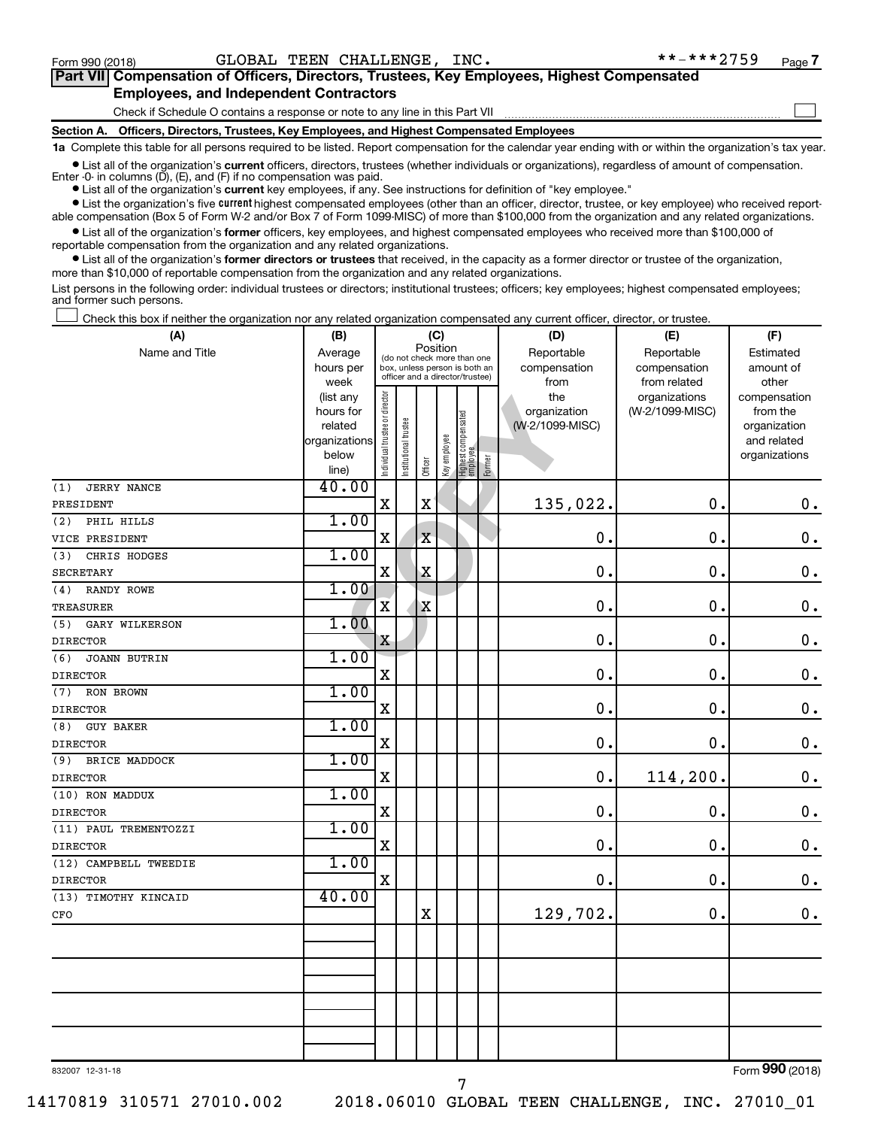$\Box$ 

| Part VII Compensation of Officers, Directors, Trustees, Key Employees, Highest Compensated |  |
|--------------------------------------------------------------------------------------------|--|
| <b>Employees, and Independent Contractors</b>                                              |  |

#### Check if Schedule O contains a response or note to any line in this Part VII

**Section A. Officers, Directors, Trustees, Key Employees, and Highest Compensated Employees**

**1a**  Complete this table for all persons required to be listed. Report compensation for the calendar year ending with or within the organization's tax year.

**•** List all of the organization's current officers, directors, trustees (whether individuals or organizations), regardless of amount of compensation.

**•** List all of the organization's **current** key employees, if any. See instructions for definition of "key employee." Enter -0- in columns  $(D)$ ,  $(E)$ , and  $(F)$  if no compensation was paid.

**•** List the organization's five current highest compensated employees (other than an officer, director, trustee, or key employee) who received report-

**•** List all of the organization's former officers, key employees, and highest compensated employees who received more than \$100,000 of able compensation (Box 5 of Form W-2 and/or Box 7 of Form 1099-MISC) of more than \$100,000 from the organization and any related organizations.

reportable compensation from the organization and any related organizations.

**•** List all of the organization's former directors or trustees that received, in the capacity as a former director or trustee of the organization, more than \$10,000 of reportable compensation from the organization and any related organizations.

List persons in the following order: individual trustees or directors; institutional trustees; officers; key employees; highest compensated employees; and former such persons.

Check this box if neither the organization nor any related organization compensated any current officer, director, or trustee.  $\Box$ 

| (A)                        | (B)                    | (C)                            |                                         |                                                                  |              |                                 |        | (D)             | (E)                              | (F)                      |  |  |
|----------------------------|------------------------|--------------------------------|-----------------------------------------|------------------------------------------------------------------|--------------|---------------------------------|--------|-----------------|----------------------------------|--------------------------|--|--|
| Name and Title             | Average                |                                | Position<br>(do not check more than one |                                                                  |              |                                 |        | Reportable      | Reportable                       | Estimated                |  |  |
|                            | hours per              |                                |                                         | box, unless person is both an<br>officer and a director/trustee) |              |                                 |        | compensation    | compensation                     | amount of                |  |  |
|                            | week                   |                                |                                         |                                                                  |              |                                 |        | from<br>the     | from related                     | other                    |  |  |
|                            | (list any<br>hours for |                                |                                         |                                                                  |              |                                 |        | organization    | organizations<br>(W-2/1099-MISC) | compensation<br>from the |  |  |
|                            | related                |                                |                                         |                                                                  |              |                                 |        | (W-2/1099-MISC) |                                  | organization             |  |  |
|                            | organizations          |                                |                                         |                                                                  |              |                                 |        |                 |                                  | and related              |  |  |
|                            | below                  | Individual trustee or director | Institutional trustee                   |                                                                  | Key employee | Highest compensated<br>employee |        |                 |                                  | organizations            |  |  |
|                            | line)                  |                                |                                         | Officer                                                          |              |                                 | Former |                 |                                  |                          |  |  |
| <b>JERRY NANCE</b><br>(1)  | 40.00                  |                                |                                         |                                                                  |              |                                 |        |                 |                                  |                          |  |  |
| PRESIDENT                  |                        | $\mathbf X$                    |                                         | $\mathbf x$                                                      |              |                                 |        | 135,022.        | 0.                               | $\mathbf 0$ .            |  |  |
| PHIL HILLS<br>(2)          | 1.00                   |                                |                                         |                                                                  |              |                                 |        |                 |                                  |                          |  |  |
| VICE PRESIDENT             |                        | X                              |                                         | $\mathbf X$                                                      |              |                                 |        | 0.              | $\mathbf 0$ .                    | $\mathbf 0$ .            |  |  |
| (3)<br>CHRIS HODGES        | 1.00                   |                                |                                         |                                                                  |              |                                 |        |                 |                                  |                          |  |  |
| <b>SECRETARY</b>           |                        | $\mathbf X$                    |                                         | $\mathbf X$                                                      |              |                                 |        | $\mathbf 0$ .   | $\mathbf 0$ .                    | $\mathbf 0$ .            |  |  |
| RANDY ROWE<br>(4)          | 1.00                   |                                |                                         |                                                                  |              |                                 |        |                 |                                  |                          |  |  |
| <b>TREASURER</b>           |                        | $\overline{\mathbf{X}}$        |                                         | $\mathbf X$                                                      |              |                                 |        | $\mathbf 0$ .   | 0.                               | $\mathbf 0$ .            |  |  |
| GARY WILKERSON<br>(5)      | 1.00                   |                                |                                         |                                                                  |              |                                 |        |                 |                                  |                          |  |  |
| <b>DIRECTOR</b>            |                        | X                              |                                         |                                                                  |              |                                 |        | $\mathbf 0$ .   | $\mathbf 0$ .                    | $\mathbf 0$ .            |  |  |
| (6)<br><b>JOANN BUTRIN</b> | 1.00                   |                                |                                         |                                                                  |              |                                 |        |                 |                                  |                          |  |  |
| <b>DIRECTOR</b>            |                        | $\rm X$                        |                                         |                                                                  |              |                                 |        | $\mathbf 0$     | $\mathbf 0$ .                    | $\mathbf 0$ .            |  |  |
| RON BROWN<br>(7)           | 1.00                   |                                |                                         |                                                                  |              |                                 |        |                 |                                  |                          |  |  |
| <b>DIRECTOR</b>            |                        | $\mathbf X$                    |                                         |                                                                  |              |                                 |        | 0.              | 0.                               | $\mathbf 0$ .            |  |  |
| (8)<br><b>GUY BAKER</b>    | 1.00                   |                                |                                         |                                                                  |              |                                 |        |                 |                                  |                          |  |  |
| <b>DIRECTOR</b>            |                        | $\mathbf X$                    |                                         |                                                                  |              |                                 |        | 0.              | $\mathbf 0$ .                    | $\mathbf 0$ .            |  |  |
| (9)<br>BRICE MADDOCK       | 1.00                   |                                |                                         |                                                                  |              |                                 |        |                 |                                  |                          |  |  |
| <b>DIRECTOR</b>            |                        | $\mathbf X$                    |                                         |                                                                  |              |                                 |        | $\mathbf 0$ .   | 114,200.                         | $\mathbf 0$ .            |  |  |
| (10) RON MADDUX            | 1.00                   |                                |                                         |                                                                  |              |                                 |        |                 |                                  |                          |  |  |
| <b>DIRECTOR</b>            |                        | $\mathbf X$                    |                                         |                                                                  |              |                                 |        | $\mathbf 0$     | 0.                               | $\mathbf 0$ .            |  |  |
| (11) PAUL TREMENTOZZI      | 1.00                   |                                |                                         |                                                                  |              |                                 |        |                 |                                  |                          |  |  |
| <b>DIRECTOR</b>            |                        | $\mathbf X$                    |                                         |                                                                  |              |                                 |        | $\mathbf 0$     | $\mathbf 0$ .                    | $\mathbf 0$ .            |  |  |
| (12) CAMPBELL TWEEDIE      | 1.00                   |                                |                                         |                                                                  |              |                                 |        |                 |                                  |                          |  |  |
| <b>DIRECTOR</b>            |                        | $\mathbf X$                    |                                         |                                                                  |              |                                 |        | $\mathbf 0$     | $\mathbf 0$ .                    | $0$ .                    |  |  |
| (13) TIMOTHY KINCAID       | 40.00                  |                                |                                         |                                                                  |              |                                 |        |                 |                                  |                          |  |  |
| CFO                        |                        |                                |                                         | $\mathbf X$                                                      |              |                                 |        | 129,702.        | 0.                               | $\mathbf 0$ .            |  |  |
|                            |                        |                                |                                         |                                                                  |              |                                 |        |                 |                                  |                          |  |  |
|                            |                        |                                |                                         |                                                                  |              |                                 |        |                 |                                  |                          |  |  |
|                            |                        |                                |                                         |                                                                  |              |                                 |        |                 |                                  |                          |  |  |
|                            |                        |                                |                                         |                                                                  |              |                                 |        |                 |                                  |                          |  |  |
|                            |                        |                                |                                         |                                                                  |              |                                 |        |                 |                                  |                          |  |  |
|                            |                        |                                |                                         |                                                                  |              |                                 |        |                 |                                  |                          |  |  |
|                            |                        |                                |                                         |                                                                  |              |                                 |        |                 |                                  |                          |  |  |
|                            |                        |                                |                                         |                                                                  |              |                                 |        |                 |                                  |                          |  |  |

832007 12-31-18

14170819 310571 27010.002 2018.06010 GLOBAL TEEN CHALLENGE, INC. 27010\_01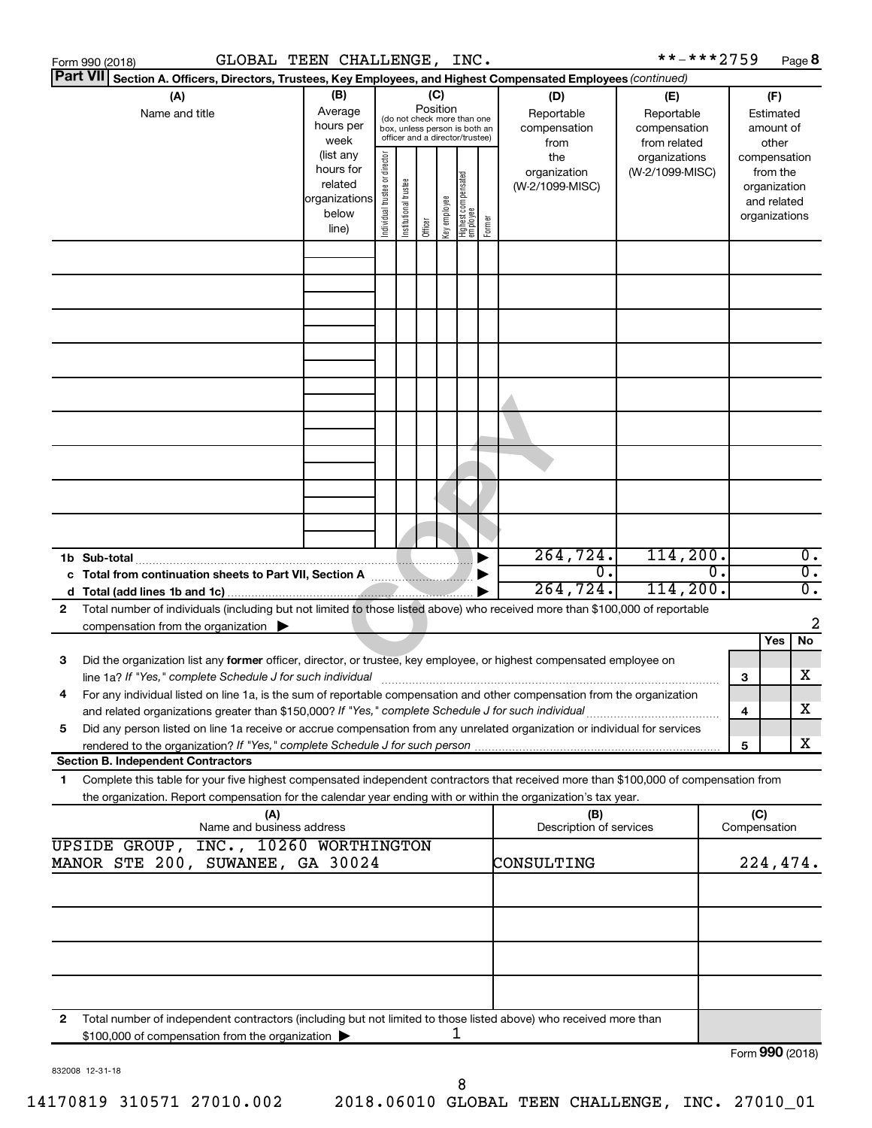|   | GLOBAL TEEN CHALLENGE, INC.<br>Form 990 (2018)                                                                                                                                                                                                                                                                                                                |                                                                                                                                                                                                                                                       |  |                                                                                                 |                 |   |                                                                          | **-***2759                                        |                  |                     | Page 8                                 |                                      |
|---|---------------------------------------------------------------------------------------------------------------------------------------------------------------------------------------------------------------------------------------------------------------------------------------------------------------------------------------------------------------|-------------------------------------------------------------------------------------------------------------------------------------------------------------------------------------------------------------------------------------------------------|--|-------------------------------------------------------------------------------------------------|-----------------|---|--------------------------------------------------------------------------|---------------------------------------------------|------------------|---------------------|----------------------------------------|--------------------------------------|
|   | <b>Part VII</b><br>Section A. Officers, Directors, Trustees, Key Employees, and Highest Compensated Employees (continued)                                                                                                                                                                                                                                     |                                                                                                                                                                                                                                                       |  |                                                                                                 |                 |   |                                                                          |                                                   |                  |                     |                                        |                                      |
|   | (A)<br>Name and title                                                                                                                                                                                                                                                                                                                                         | (B)<br>Average<br>hours per<br>week                                                                                                                                                                                                                   |  | (do not check more than one<br>box, unless person is both an<br>officer and a director/trustee) | (C)<br>Position |   | (D)<br>Reportable<br>compensation<br>from                                | (E)<br>Reportable<br>compensation<br>from related |                  |                     | (F)<br>Estimated<br>amount of<br>other |                                      |
|   |                                                                                                                                                                                                                                                                                                                                                               | (list any<br>Individual trustee or director<br>the<br>hours for<br>organization<br>  Highest compensated<br>  employee<br>Institutional trustee<br>related<br>(W-2/1099-MISC)<br>organizations<br>Key employee<br>below<br>Former<br>Officer<br>line) |  | organizations<br>(W-2/1099-MISC)                                                                |                 |   | compensation<br>from the<br>organization<br>and related<br>organizations |                                                   |                  |                     |                                        |                                      |
|   |                                                                                                                                                                                                                                                                                                                                                               |                                                                                                                                                                                                                                                       |  |                                                                                                 |                 |   |                                                                          |                                                   |                  |                     |                                        |                                      |
|   |                                                                                                                                                                                                                                                                                                                                                               |                                                                                                                                                                                                                                                       |  |                                                                                                 |                 |   |                                                                          |                                                   |                  |                     |                                        |                                      |
|   |                                                                                                                                                                                                                                                                                                                                                               |                                                                                                                                                                                                                                                       |  |                                                                                                 |                 |   |                                                                          |                                                   |                  |                     |                                        |                                      |
|   |                                                                                                                                                                                                                                                                                                                                                               |                                                                                                                                                                                                                                                       |  |                                                                                                 |                 |   |                                                                          |                                                   |                  |                     |                                        |                                      |
|   |                                                                                                                                                                                                                                                                                                                                                               |                                                                                                                                                                                                                                                       |  |                                                                                                 |                 |   |                                                                          |                                                   |                  |                     |                                        |                                      |
|   |                                                                                                                                                                                                                                                                                                                                                               |                                                                                                                                                                                                                                                       |  |                                                                                                 |                 |   |                                                                          |                                                   |                  |                     |                                        |                                      |
|   | 1b Sub-total                                                                                                                                                                                                                                                                                                                                                  |                                                                                                                                                                                                                                                       |  |                                                                                                 |                 |   | 264, 724.                                                                | 114, 200.                                         |                  |                     |                                        | $\overline{0}$ .                     |
| 2 | Total number of individuals (including but not limited to those listed above) who received more than \$100,000 of reportable                                                                                                                                                                                                                                  |                                                                                                                                                                                                                                                       |  |                                                                                                 |                 |   | $\overline{0}$ .<br>264, 724.                                            | 114, 200.                                         | $\overline{0}$ . |                     |                                        | $\overline{0}$ .<br>$\overline{0}$ . |
|   | compensation from the organization $\blacktriangleright$                                                                                                                                                                                                                                                                                                      |                                                                                                                                                                                                                                                       |  |                                                                                                 |                 |   |                                                                          |                                                   |                  |                     | Yes                                    | 2<br>No                              |
| 3 | Did the organization list any former officer, director, or trustee, key employee, or highest compensated employee on<br>line 1a? If "Yes," complete Schedule J for such individual [11] manufacture manufacture in the set of the set o                                                                                                                       |                                                                                                                                                                                                                                                       |  |                                                                                                 |                 |   |                                                                          |                                                   |                  | 3                   |                                        | х                                    |
| 5 | For any individual listed on line 1a, is the sum of reportable compensation and other compensation from the organization<br>and related organizations greater than \$150,000? If "Yes," complete Schedule J for such individual<br>Did any person listed on line 1a receive or accrue compensation from any unrelated organization or individual for services |                                                                                                                                                                                                                                                       |  |                                                                                                 |                 |   |                                                                          |                                                   |                  | 4                   |                                        | х                                    |
|   |                                                                                                                                                                                                                                                                                                                                                               |                                                                                                                                                                                                                                                       |  |                                                                                                 |                 |   |                                                                          |                                                   |                  | 5                   |                                        | х                                    |
| 1 | <b>Section B. Independent Contractors</b><br>Complete this table for your five highest compensated independent contractors that received more than \$100,000 of compensation from<br>the organization. Report compensation for the calendar year ending with or within the organization's tax year.                                                           |                                                                                                                                                                                                                                                       |  |                                                                                                 |                 |   |                                                                          |                                                   |                  |                     |                                        |                                      |
|   | (A)<br>Name and business address                                                                                                                                                                                                                                                                                                                              |                                                                                                                                                                                                                                                       |  |                                                                                                 |                 |   | (B)<br>Description of services                                           |                                                   |                  | (C)<br>Compensation |                                        |                                      |
|   | UPSIDE GROUP, INC., 10260 WORTHINGTON<br>MANOR STE 200, SUWANEE, GA 30024                                                                                                                                                                                                                                                                                     |                                                                                                                                                                                                                                                       |  |                                                                                                 |                 |   | CONSULTING                                                               |                                                   |                  |                     | 224,474.                               |                                      |
|   |                                                                                                                                                                                                                                                                                                                                                               |                                                                                                                                                                                                                                                       |  |                                                                                                 |                 |   |                                                                          |                                                   |                  |                     |                                        |                                      |
|   |                                                                                                                                                                                                                                                                                                                                                               |                                                                                                                                                                                                                                                       |  |                                                                                                 |                 |   |                                                                          |                                                   |                  |                     |                                        |                                      |
| 2 | Total number of independent contractors (including but not limited to those listed above) who received more than                                                                                                                                                                                                                                              |                                                                                                                                                                                                                                                       |  |                                                                                                 |                 |   |                                                                          |                                                   |                  |                     |                                        |                                      |
|   | \$100,000 of compensation from the organization                                                                                                                                                                                                                                                                                                               |                                                                                                                                                                                                                                                       |  |                                                                                                 |                 | 1 |                                                                          |                                                   |                  |                     | Form 990 (2018)                        |                                      |

832008 12-31-18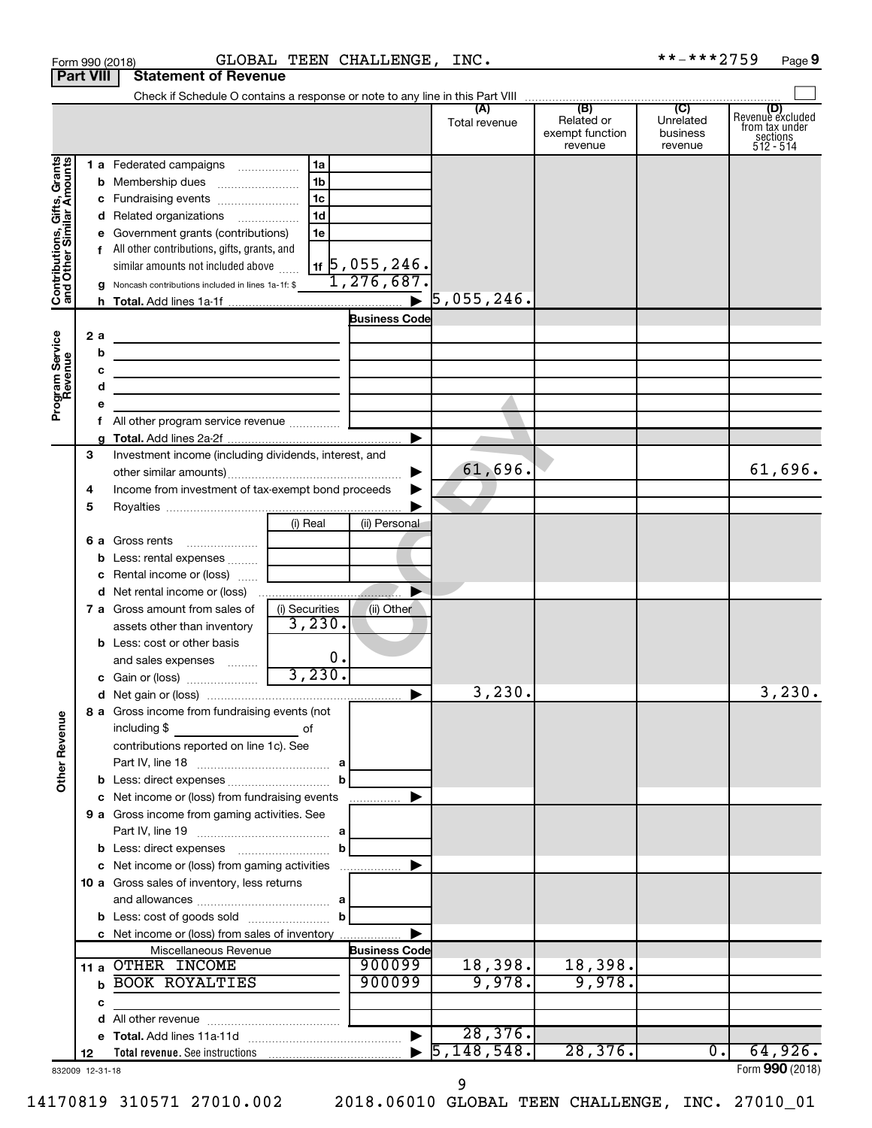|                                                                     |                  | Form 990 (2018)                                                                                | GLOBAL TEEN CHALLENGE, INC. |                                       |                                  |                                                 | **-***2759                              | Page 9                                                      |
|---------------------------------------------------------------------|------------------|------------------------------------------------------------------------------------------------|-----------------------------|---------------------------------------|----------------------------------|-------------------------------------------------|-----------------------------------------|-------------------------------------------------------------|
|                                                                     | <b>Part VIII</b> | <b>Statement of Revenue</b>                                                                    |                             |                                       |                                  |                                                 |                                         |                                                             |
|                                                                     |                  |                                                                                                |                             |                                       |                                  |                                                 |                                         |                                                             |
|                                                                     |                  |                                                                                                |                             |                                       | (A)<br>Total revenue             | (B)<br>Related or<br>exempt function<br>revenue | (C)<br>Unrelated<br>business<br>revenue | Revenue excluded<br>from tax under<br>sections<br>512 - 514 |
|                                                                     |                  | 1 a Federated campaigns                                                                        | 1a                          |                                       |                                  |                                                 |                                         |                                                             |
| Grants<br>Contributions, Gifts, Grants<br>and Other Similar Amounts |                  |                                                                                                | 1b                          |                                       |                                  |                                                 |                                         |                                                             |
|                                                                     |                  |                                                                                                | 1c                          |                                       |                                  |                                                 |                                         |                                                             |
|                                                                     |                  |                                                                                                | 1 <sub>d</sub>              |                                       |                                  |                                                 |                                         |                                                             |
|                                                                     |                  | d Related organizations                                                                        |                             |                                       |                                  |                                                 |                                         |                                                             |
|                                                                     |                  | e Government grants (contributions)                                                            | 1e                          |                                       |                                  |                                                 |                                         |                                                             |
|                                                                     |                  | f All other contributions, gifts, grants, and                                                  |                             |                                       |                                  |                                                 |                                         |                                                             |
|                                                                     |                  | similar amounts not included above                                                             |                             | $1$ if $5$ , 055 , 246.<br>1,276,687. |                                  |                                                 |                                         |                                                             |
|                                                                     |                  | <b>g</b> Noncash contributions included in lines 1a-1f: \$                                     |                             |                                       |                                  |                                                 |                                         |                                                             |
|                                                                     |                  |                                                                                                |                             |                                       | $\blacktriangleright$ 5,055,246. |                                                 |                                         |                                                             |
|                                                                     |                  |                                                                                                |                             | <b>Business Code</b>                  |                                  |                                                 |                                         |                                                             |
| Program Service<br>Revenue                                          | 2 a              |                                                                                                |                             |                                       |                                  |                                                 |                                         |                                                             |
|                                                                     |                  | b<br>the control of the control of the control of the control of the control of the control of |                             |                                       |                                  |                                                 |                                         |                                                             |
|                                                                     |                  | с<br><u> 1989 - Johann Barn, amerikansk politiker (</u>                                        |                             |                                       |                                  |                                                 |                                         |                                                             |
|                                                                     |                  | d<br>the control of the control of the control of the control of the control of                |                             |                                       |                                  |                                                 |                                         |                                                             |
|                                                                     |                  | е                                                                                              |                             |                                       |                                  |                                                 |                                         |                                                             |
|                                                                     |                  | All other program service revenue<br>f.                                                        |                             |                                       |                                  |                                                 |                                         |                                                             |
|                                                                     |                  |                                                                                                |                             |                                       |                                  |                                                 |                                         |                                                             |
|                                                                     | 3                | Investment income (including dividends, interest, and                                          |                             |                                       |                                  |                                                 |                                         |                                                             |
|                                                                     |                  |                                                                                                |                             | ▶                                     | 61,696.                          |                                                 |                                         | 61,696.                                                     |
|                                                                     | 4                | Income from investment of tax-exempt bond proceeds                                             |                             | ▶                                     |                                  |                                                 |                                         |                                                             |
|                                                                     | 5                |                                                                                                |                             |                                       |                                  |                                                 |                                         |                                                             |
|                                                                     |                  |                                                                                                | (i) Real                    | (ii) Personal                         |                                  |                                                 |                                         |                                                             |
|                                                                     |                  | 6 a Gross rents<br>$\ldots \ldots \ldots \ldots \ldots$                                        |                             |                                       |                                  |                                                 |                                         |                                                             |
|                                                                     |                  | <b>b</b> Less: rental expenses                                                                 |                             |                                       |                                  |                                                 |                                         |                                                             |
|                                                                     |                  | <b>c</b> Rental income or (loss)                                                               |                             |                                       |                                  |                                                 |                                         |                                                             |
|                                                                     |                  | d Net rental income or (loss)                                                                  |                             |                                       |                                  |                                                 |                                         |                                                             |
|                                                                     |                  | 7 a Gross amount from sales of                                                                 | (i) Securities              | (ii) Other                            |                                  |                                                 |                                         |                                                             |
|                                                                     |                  | assets other than inventory                                                                    | 3,230.                      |                                       |                                  |                                                 |                                         |                                                             |
|                                                                     |                  | <b>b</b> Less: cost or other basis                                                             |                             |                                       |                                  |                                                 |                                         |                                                             |
|                                                                     |                  | and sales expenses                                                                             | 0.                          |                                       |                                  |                                                 |                                         |                                                             |
|                                                                     |                  | c Gain or (loss)                                                                               | 3,230.                      |                                       |                                  |                                                 |                                         |                                                             |
|                                                                     |                  |                                                                                                |                             |                                       | 3,230.                           |                                                 |                                         | 3,230.                                                      |
|                                                                     |                  | 8 a Gross income from fundraising events (not                                                  |                             |                                       |                                  |                                                 |                                         |                                                             |
|                                                                     |                  | including \$ __________________________________ of                                             |                             |                                       |                                  |                                                 |                                         |                                                             |
|                                                                     |                  | contributions reported on line 1c). See                                                        |                             |                                       |                                  |                                                 |                                         |                                                             |
| <b>Other Revenue</b>                                                |                  |                                                                                                |                             |                                       |                                  |                                                 |                                         |                                                             |
|                                                                     |                  |                                                                                                | b                           |                                       |                                  |                                                 |                                         |                                                             |
|                                                                     |                  | c Net income or (loss) from fundraising events                                                 |                             |                                       |                                  |                                                 |                                         |                                                             |
|                                                                     |                  | 9 a Gross income from gaming activities. See                                                   |                             |                                       |                                  |                                                 |                                         |                                                             |
|                                                                     |                  |                                                                                                | a                           |                                       |                                  |                                                 |                                         |                                                             |
|                                                                     |                  |                                                                                                | b                           |                                       |                                  |                                                 |                                         |                                                             |
|                                                                     |                  | c Net income or (loss) from gaming activities                                                  |                             |                                       |                                  |                                                 |                                         |                                                             |
|                                                                     |                  | 10 a Gross sales of inventory, less returns                                                    |                             |                                       |                                  |                                                 |                                         |                                                             |
|                                                                     |                  |                                                                                                |                             |                                       |                                  |                                                 |                                         |                                                             |
|                                                                     |                  |                                                                                                | b                           |                                       |                                  |                                                 |                                         |                                                             |
|                                                                     |                  | c Net income or (loss) from sales of inventory                                                 |                             |                                       |                                  |                                                 |                                         |                                                             |
|                                                                     |                  | Miscellaneous Revenue                                                                          |                             | <b>Business Code</b>                  |                                  |                                                 |                                         |                                                             |
|                                                                     | 11 a             | OTHER INCOME                                                                                   |                             | 900099                                | 18,398.                          | 18,398.                                         |                                         |                                                             |
|                                                                     |                  | BOOK ROYALTIES<br>b                                                                            |                             | 900099                                | 9,978.                           | 9,978.                                          |                                         |                                                             |
|                                                                     |                  | с                                                                                              |                             |                                       |                                  |                                                 |                                         |                                                             |
|                                                                     |                  | d                                                                                              |                             |                                       |                                  |                                                 |                                         |                                                             |
|                                                                     |                  |                                                                                                |                             | $\blacktriangleright$                 | 28,376.                          |                                                 |                                         |                                                             |
|                                                                     | 12               |                                                                                                |                             |                                       | 5, 148, 548.                     | 28,376.                                         | $\overline{0}$ .                        | 64,926.                                                     |
| 832009 12-31-18                                                     |                  |                                                                                                |                             |                                       |                                  |                                                 |                                         | Form 990 (2018)                                             |

9

14170819 310571 27010.002 2018.06010 GLOBAL TEEN CHALLENGE, INC. 27010\_01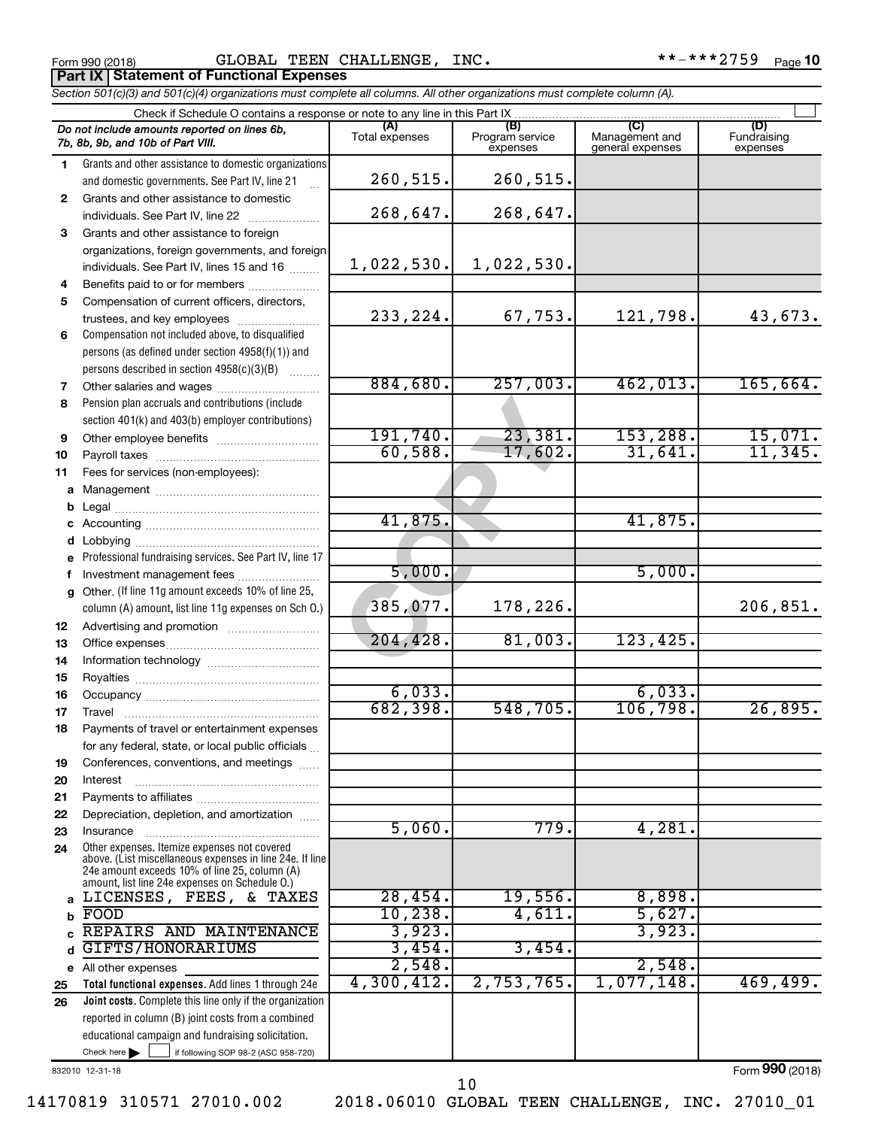Form 990 (2018) GLOBAL TEEN CHALLENGE,INC. \*\*-\*\*\*2759 <sub>Page</sub> **Part IX Statement of Functional Expenses**

|                  | Section 501(c)(3) and 501(c)(4) organizations must complete all columns. All other organizations must complete column (A).                                                             |                              |                                    |                                    |                                |  |  |  |  |  |
|------------------|----------------------------------------------------------------------------------------------------------------------------------------------------------------------------------------|------------------------------|------------------------------------|------------------------------------|--------------------------------|--|--|--|--|--|
|                  | Check if Schedule O contains a response or note to any line in this Part IX                                                                                                            |                              |                                    |                                    |                                |  |  |  |  |  |
|                  | Do not include amounts reported on lines 6b,<br>7b, 8b, 9b, and 10b of Part VIII.                                                                                                      | (A)<br>Total expenses        | (B)<br>Program service<br>expenses | Management and<br>general expenses | (D)<br>Fundraising<br>expenses |  |  |  |  |  |
| 1.               | Grants and other assistance to domestic organizations<br>and domestic governments. See Part IV, line 21                                                                                | 260,515.                     | 260,515.                           |                                    |                                |  |  |  |  |  |
| $\mathbf{2}$     | Grants and other assistance to domestic<br>individuals. See Part IV, line 22                                                                                                           | 268,647.                     | 268,647.                           |                                    |                                |  |  |  |  |  |
| 3<br>4           | Grants and other assistance to foreign<br>organizations, foreign governments, and foreign<br>individuals. See Part IV, lines 15 and 16<br>Benefits paid to or for members              | 1,022,530.                   | 1,022,530.                         |                                    |                                |  |  |  |  |  |
| 5<br>6           | Compensation of current officers, directors,<br>trustees, and key employees<br>Compensation not included above, to disqualified                                                        | 233, 224.                    | 67,753.                            | 121,798.                           | 43,673.                        |  |  |  |  |  |
| 7                | persons (as defined under section 4958(f)(1)) and<br>persons described in section 4958(c)(3)(B)                                                                                        | 884,680.                     | 257,003.                           | 462,013.                           | 165,664.                       |  |  |  |  |  |
| 8<br>9           | Pension plan accruals and contributions (include<br>section 401(k) and 403(b) employer contributions)                                                                                  | 191,740.                     | 23,381.                            | 153, 288.                          | 15,071.                        |  |  |  |  |  |
| 10<br>11         | Fees for services (non-employees):                                                                                                                                                     | 60,588                       | $17,602$ .                         | 31,641.                            | 11,345.                        |  |  |  |  |  |
| а<br>b<br>с<br>d |                                                                                                                                                                                        | 41,875.                      |                                    | 41,875.                            |                                |  |  |  |  |  |
| e<br>f<br>g      | Professional fundraising services. See Part IV, line 17<br>Investment management fees<br>Other. (If line 11g amount exceeds 10% of line 25,                                            | 5,000.                       |                                    | 5,000.                             |                                |  |  |  |  |  |
| 12<br>13         | column (A) amount, list line 11g expenses on Sch O.)                                                                                                                                   | 385,077.<br>204, 428.        | 178,226.<br>81,003.                | 123, 425.                          | 206,851.                       |  |  |  |  |  |
| 14<br>15<br>16   |                                                                                                                                                                                        | 6,033                        |                                    | 6,033                              |                                |  |  |  |  |  |
| 17<br>18         | Payments of travel or entertainment expenses<br>for any federal, state, or local public officials                                                                                      | 682,398.                     | 548,705.                           | 106,798.                           | 26,895.                        |  |  |  |  |  |
| 19<br>20<br>21   | Conferences, conventions, and meetings<br>Interest                                                                                                                                     |                              |                                    |                                    |                                |  |  |  |  |  |
| 22<br>23<br>24   | Depreciation, depletion, and amortization<br>Insurance<br>Other expenses. Itemize expenses not covered                                                                                 | 5,060.                       | 779.                               | 4,281.                             |                                |  |  |  |  |  |
| a                | above. (List miscellaneous expenses in line 24e. If line<br>24e amount exceeds 10% of line 25, column (A)<br>amount, list line 24e expenses on Schedule O.)<br>LICENSES, FEES, & TAXES | 28,454.                      | 19,556.                            | 8,898.                             |                                |  |  |  |  |  |
| b<br>C<br>d      | FOOD<br>REPAIRS AND MAINTENANCE<br>GIFTS/HONORARIUMS                                                                                                                                   | 10, 238.<br>3,923.<br>3,454. | 4,611.<br>3,454.                   | 5,627.<br>3,923.                   |                                |  |  |  |  |  |
| е<br>25          | All other expenses<br>Total functional expenses. Add lines 1 through 24e                                                                                                               | 2,548.<br>4,300,412.         | 2,753,765.                         | 2,548<br>1,077,148.                | 469,499.                       |  |  |  |  |  |
| 26               | Joint costs. Complete this line only if the organization<br>reported in column (B) joint costs from a combined<br>educational campaign and fundraising solicitation.                   |                              |                                    |                                    |                                |  |  |  |  |  |

832010 12-31-18

Check here  $\blacktriangleright$ 

Form (2018) **990**

Check here  $\begin{array}{c} \begin{array}{|c} \hline \end{array} \end{array}$  if following SOP 98-2 (ASC 958-720)

10

14170819 310571 27010.002 2018.06010 GLOBAL TEEN CHALLENGE, INC. 27010\_01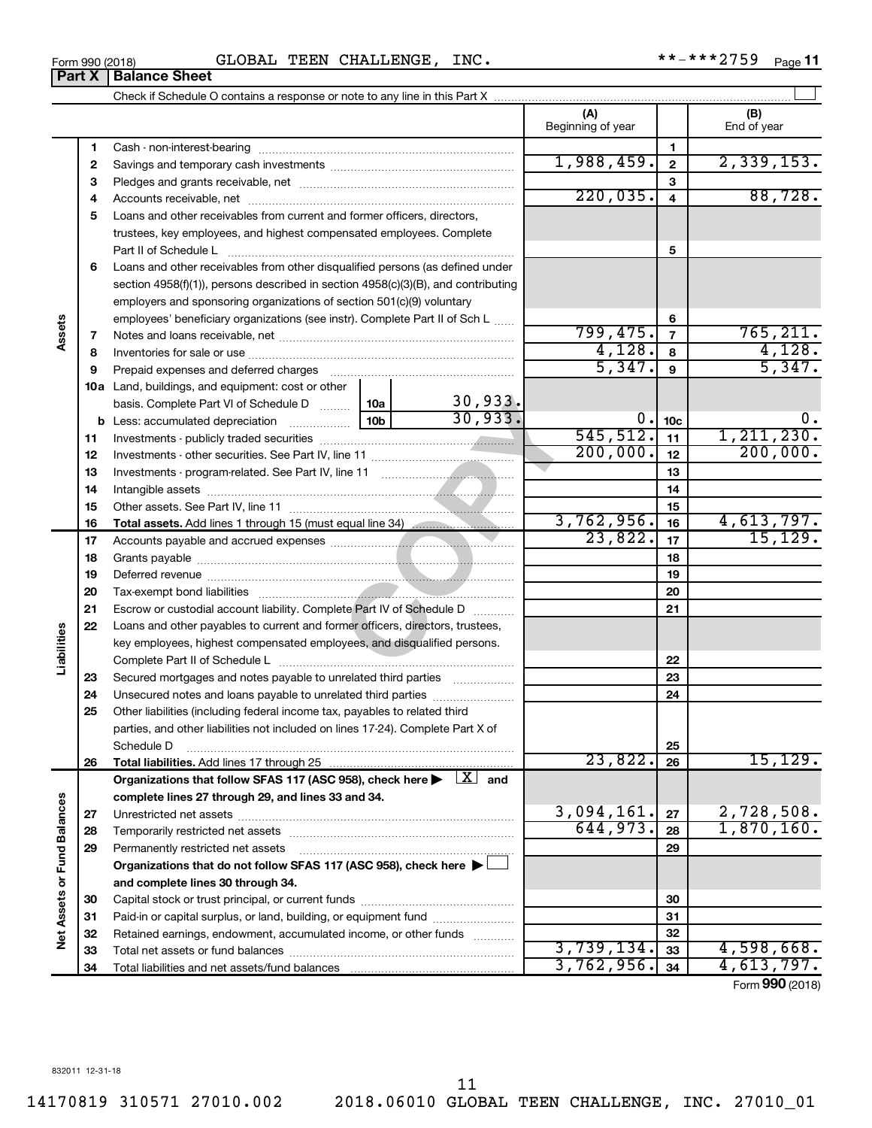**Part X** | Balance Sheet

|                             |          |                                                                                                                           |                    | (A)<br>Beginning of year |                 | (B)<br>End of year       |
|-----------------------------|----------|---------------------------------------------------------------------------------------------------------------------------|--------------------|--------------------------|-----------------|--------------------------|
|                             | 1        |                                                                                                                           |                    |                          | 1               |                          |
|                             | 2        |                                                                                                                           | 1,988,459.         | $\overline{2}$           | 2,339,153.      |                          |
|                             | З        |                                                                                                                           |                    | 3                        |                 |                          |
|                             | 4        |                                                                                                                           |                    | 220,035.                 | $\overline{4}$  | 88,728.                  |
|                             | 5        | Loans and other receivables from current and former officers, directors,                                                  |                    |                          |                 |                          |
|                             |          | trustees, key employees, and highest compensated employees. Complete                                                      |                    |                          |                 |                          |
|                             |          | Part II of Schedule Latin and Communication of Schedule Latin and Communication of Schedule Latin and Schedule            |                    | 5                        |                 |                          |
|                             | 6        | Loans and other receivables from other disqualified persons (as defined under                                             |                    |                          |                 |                          |
|                             |          | section 4958(f)(1)), persons described in section 4958(c)(3)(B), and contributing                                         |                    |                          |                 |                          |
|                             |          | employers and sponsoring organizations of section 501(c)(9) voluntary                                                     |                    |                          |                 |                          |
|                             |          | employees' beneficiary organizations (see instr). Complete Part II of Sch L                                               |                    |                          | 6               |                          |
| Assets                      | 7        |                                                                                                                           |                    | 799,475.                 | $\overline{7}$  | 765, 211.                |
|                             | 8        |                                                                                                                           |                    | 4,128.                   | 8               | 4,128.                   |
|                             | 9        | Prepaid expenses and deferred charges                                                                                     |                    | 5,347.                   | 9               | 5,347.                   |
|                             |          | 10a Land, buildings, and equipment: cost or other                                                                         |                    |                          |                 |                          |
|                             |          | basis. Complete Part VI of Schedule D  [10a]                                                                              | 30,933.<br>30,933. |                          |                 |                          |
|                             |          | 10 <sub>b</sub><br><b>b</b> Less: accumulated depreciation                                                                |                    | 0.                       | 10 <sub>c</sub> | 0.                       |
|                             | 11       |                                                                                                                           |                    | 545, 512.<br>200,000.    | 11              | 1, 211, 230.<br>200,000. |
|                             | 12       |                                                                                                                           |                    |                          | 12              |                          |
|                             | 13       |                                                                                                                           |                    |                          | 13              |                          |
|                             | 14       |                                                                                                                           |                    | 14                       |                 |                          |
|                             | 15       |                                                                                                                           |                    | 3,762,956.               | 15              | 4,613,797.               |
|                             | 16       | Total assets. Add lines 1 through 15 (must equal line 34)                                                                 |                    | 23,822.                  | 16<br>17        | 15, 129.                 |
|                             | 17       |                                                                                                                           |                    | 18                       |                 |                          |
|                             | 18<br>19 |                                                                                                                           |                    |                          | 19              |                          |
|                             | 20       |                                                                                                                           |                    |                          | 20              |                          |
|                             | 21       | Escrow or custodial account liability. Complete Part IV of Schedule D                                                     |                    |                          | 21              |                          |
|                             | 22       | Loans and other payables to current and former officers, directors, trustees,                                             |                    |                          |                 |                          |
| Liabilities                 |          | key employees, highest compensated employees, and disqualified persons.                                                   |                    |                          |                 |                          |
|                             |          |                                                                                                                           |                    |                          | 22              |                          |
|                             | 23       | Secured mortgages and notes payable to unrelated third parties                                                            |                    |                          | 23              |                          |
|                             | 24       | Unsecured notes and loans payable to unrelated third parties                                                              |                    |                          | 24              |                          |
|                             | 25       | Other liabilities (including federal income tax, payables to related third                                                |                    |                          |                 |                          |
|                             |          | parties, and other liabilities not included on lines 17-24). Complete Part X of                                           |                    |                          |                 |                          |
|                             |          | Schedule D                                                                                                                |                    |                          | 25              |                          |
|                             | 26       |                                                                                                                           |                    | 23,822.                  | 26              | 15, 129.                 |
|                             |          | Organizations that follow SFAS 117 (ASC 958), check here $\blacktriangleright \begin{array}{c} \boxed{X} \end{array}$ and |                    |                          |                 |                          |
|                             |          | complete lines 27 through 29, and lines 33 and 34.                                                                        |                    |                          |                 |                          |
|                             | 27       |                                                                                                                           |                    | 3,094,161.               | 27              | 2,728,508.               |
|                             | 28       |                                                                                                                           | 644,973.           | 28                       | 1,870,160.      |                          |
|                             | 29       | Permanently restricted net assets                                                                                         |                    |                          | 29              |                          |
| Net Assets or Fund Balances |          | Organizations that do not follow SFAS 117 (ASC 958), check here ▶                                                         |                    |                          |                 |                          |
|                             |          | and complete lines 30 through 34.                                                                                         |                    |                          |                 |                          |
|                             | 30       |                                                                                                                           |                    |                          | 30              |                          |
|                             | 31       | Paid-in or capital surplus, or land, building, or equipment fund                                                          |                    |                          | 31              |                          |
|                             | 32       | Retained earnings, endowment, accumulated income, or other funds                                                          |                    |                          | 32              |                          |
|                             | 33       |                                                                                                                           |                    | 3,739,134.               | 33              | 4,598,668.               |
|                             | 34       |                                                                                                                           | 3,762,956.         | 34                       | 4,613,797.      |                          |

Form (2018) **990**

 $***$  -\*\*\* 2759 Page 11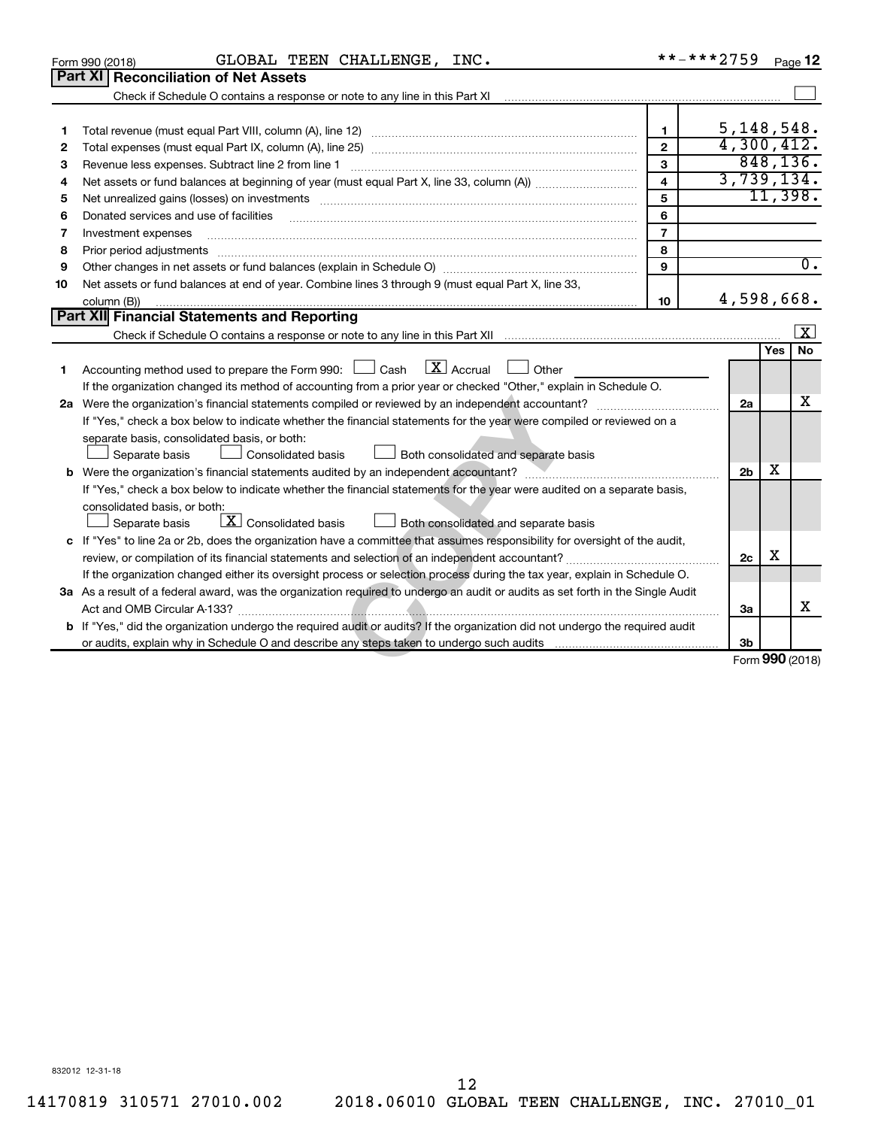|    | GLOBAL TEEN CHALLENGE, INC.<br>Form 990 (2018)                                                                                                                                                                                 | **-***2759     |                |            | Page 12          |
|----|--------------------------------------------------------------------------------------------------------------------------------------------------------------------------------------------------------------------------------|----------------|----------------|------------|------------------|
|    | <b>Part XI Reconciliation of Net Assets</b>                                                                                                                                                                                    |                |                |            |                  |
|    | Check if Schedule O contains a response or note to any line in this Part XI                                                                                                                                                    |                |                |            |                  |
|    |                                                                                                                                                                                                                                |                |                |            |                  |
| 1  |                                                                                                                                                                                                                                | $\mathbf{1}$   | 5, 148, 548.   |            |                  |
| 2  |                                                                                                                                                                                                                                | $\mathbf{2}$   | 4,300,412.     |            |                  |
| З  |                                                                                                                                                                                                                                | 3              |                |            | 848, 136.        |
| 4  |                                                                                                                                                                                                                                | $\overline{4}$ | 3,739,134.     |            |                  |
| 5  | Net unrealized gains (losses) on investments [11] matter than the control of the state of the state of the state of the state of the state of the state of the state of the state of the state of the state of the state of th | 5              |                |            | 11,398.          |
| 6  | Donated services and use of facilities                                                                                                                                                                                         | 6              |                |            |                  |
| 7  | Investment expenses                                                                                                                                                                                                            | $\overline{7}$ |                |            |                  |
| 8  | Prior period adjustments material contents and content and content and content and content and content and content and content and content and content and content and content and content and content and content and content | 8              |                |            |                  |
| 9  | Other changes in net assets or fund balances (explain in Schedule O) manufactured controller than growth of the                                                                                                                | $\mathbf{Q}$   |                |            | $\overline{0}$ . |
| 10 | Net assets or fund balances at end of year. Combine lines 3 through 9 (must equal Part X, line 33,                                                                                                                             |                |                |            |                  |
|    | column (B))                                                                                                                                                                                                                    | 10             | 4,598,668.     |            |                  |
|    | Part XII Financial Statements and Reporting                                                                                                                                                                                    |                |                |            |                  |
|    |                                                                                                                                                                                                                                |                |                |            | $\vert x \vert$  |
|    |                                                                                                                                                                                                                                |                |                | <b>Yes</b> | No               |
| 1  | $X$ Accrual<br>Accounting method used to prepare the Form 990: $\Box$ Cash<br>Other                                                                                                                                            |                |                |            |                  |
|    | If the organization changed its method of accounting from a prior year or checked "Other," explain in Schedule O.                                                                                                              |                |                |            |                  |
|    |                                                                                                                                                                                                                                |                | 2a             |            | х                |
|    | If "Yes," check a box below to indicate whether the financial statements for the year were compiled or reviewed on a                                                                                                           |                |                |            |                  |
|    | separate basis, consolidated basis, or both:                                                                                                                                                                                   |                |                |            |                  |
|    | Separate basis<br><b>Consolidated basis</b><br>Both consolidated and separate basis                                                                                                                                            |                |                |            |                  |
|    |                                                                                                                                                                                                                                |                | 2 <sub>b</sub> | x          |                  |
|    | If "Yes," check a box below to indicate whether the financial statements for the year were audited on a separate basis,                                                                                                        |                |                |            |                  |
|    | consolidated basis, or both:                                                                                                                                                                                                   |                |                |            |                  |
|    | $\boxed{\textbf{X}}$ Consolidated basis<br>Separate basis<br>Both consolidated and separate basis                                                                                                                              |                |                |            |                  |
|    | c If "Yes" to line 2a or 2b, does the organization have a committee that assumes responsibility for oversight of the audit,                                                                                                    |                |                |            |                  |
|    | review, or compilation of its financial statements and selection of an independent accountant?                                                                                                                                 |                | 2c             | х          |                  |
|    | If the organization changed either its oversight process or selection process during the tax year, explain in Schedule O.                                                                                                      |                |                |            |                  |
|    | 3a As a result of a federal award, was the organization required to undergo an audit or audits as set forth in the Single Audit                                                                                                |                |                |            |                  |
|    |                                                                                                                                                                                                                                |                | За             |            | х                |
|    | b If "Yes," did the organization undergo the required audit or audits? If the organization did not undergo the required audit                                                                                                  |                |                |            |                  |
|    |                                                                                                                                                                                                                                |                | 3 <sub>b</sub> |            |                  |
|    |                                                                                                                                                                                                                                |                |                |            | Form 990 (2018)  |

832012 12-31-18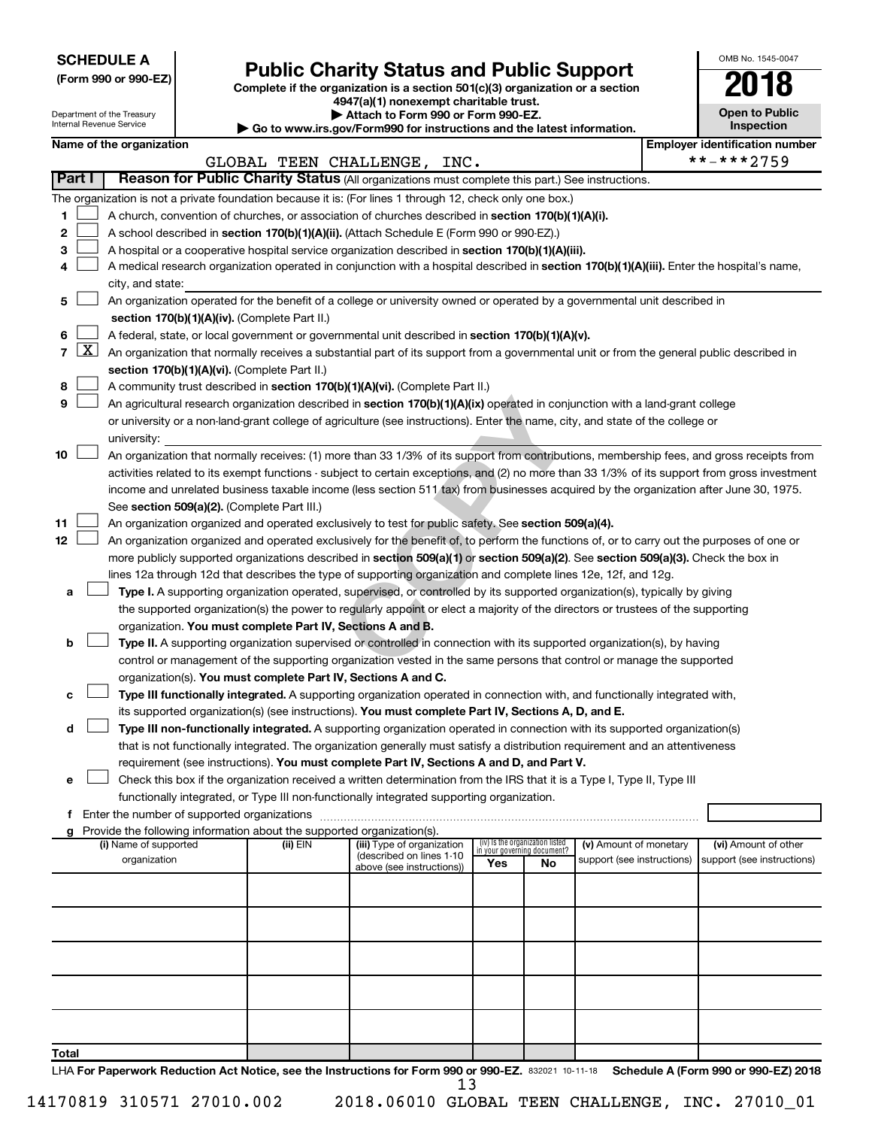| <b>SCHEDULE A</b> |  |
|-------------------|--|
|-------------------|--|

## **Public Charity Status and Public Support**

Complete if the organization is a section 501(c)(3) organization or a section

**4947(a)(1) nonexempt charitable trust. | Attach to Form 990 or Form 990-EZ.** 

| $\blacksquare$                                                  |  |
|-----------------------------------------------------------------|--|
| o www.irs.gov/Eorm990 for instructions and the latest informati |  |

| <b>Open to Public</b><br>Inspection |
|-------------------------------------|
|                                     |

OMB No. 1545-0047

| Department of the Treasury<br>Internal Revenue Service |            |                          |  | Attach to Form 990 or Form 990-EZ.<br>Go to www.irs.gov/Form990 for instructions and the latest information. |                                                                                                                                               | <b>Open to Public</b><br><b>Inspection</b>                     |    |                            |  |                                       |
|--------------------------------------------------------|------------|--------------------------|--|--------------------------------------------------------------------------------------------------------------|-----------------------------------------------------------------------------------------------------------------------------------------------|----------------------------------------------------------------|----|----------------------------|--|---------------------------------------|
|                                                        |            | Name of the organization |  |                                                                                                              |                                                                                                                                               |                                                                |    |                            |  | <b>Employer identification number</b> |
|                                                        |            |                          |  |                                                                                                              | GLOBAL TEEN CHALLENGE, INC.                                                                                                                   |                                                                |    |                            |  | **-***2759                            |
| Part I                                                 |            |                          |  |                                                                                                              | Reason for Public Charity Status (All organizations must complete this part.) See instructions.                                               |                                                                |    |                            |  |                                       |
|                                                        |            |                          |  |                                                                                                              | The organization is not a private foundation because it is: (For lines 1 through 12, check only one box.)                                     |                                                                |    |                            |  |                                       |
| 1                                                      |            |                          |  |                                                                                                              | A church, convention of churches, or association of churches described in section 170(b)(1)(A)(i).                                            |                                                                |    |                            |  |                                       |
| 2                                                      |            |                          |  |                                                                                                              | A school described in section 170(b)(1)(A)(ii). (Attach Schedule E (Form 990 or 990-EZ).)                                                     |                                                                |    |                            |  |                                       |
| 3                                                      |            |                          |  |                                                                                                              | A hospital or a cooperative hospital service organization described in section 170(b)(1)(A)(iii).                                             |                                                                |    |                            |  |                                       |
| 4                                                      |            |                          |  |                                                                                                              | A medical research organization operated in conjunction with a hospital described in section 170(b)(1)(A)(iii). Enter the hospital's name,    |                                                                |    |                            |  |                                       |
|                                                        |            | city, and state:         |  |                                                                                                              |                                                                                                                                               |                                                                |    |                            |  |                                       |
| 5                                                      |            |                          |  |                                                                                                              | An organization operated for the benefit of a college or university owned or operated by a governmental unit described in                     |                                                                |    |                            |  |                                       |
|                                                        |            |                          |  | section 170(b)(1)(A)(iv). (Complete Part II.)                                                                |                                                                                                                                               |                                                                |    |                            |  |                                       |
| 6                                                      |            |                          |  |                                                                                                              | A federal, state, or local government or governmental unit described in section 170(b)(1)(A)(v).                                              |                                                                |    |                            |  |                                       |
| 7                                                      | <u>X  </u> |                          |  |                                                                                                              | An organization that normally receives a substantial part of its support from a governmental unit or from the general public described in     |                                                                |    |                            |  |                                       |
|                                                        |            |                          |  | section 170(b)(1)(A)(vi). (Complete Part II.)                                                                |                                                                                                                                               |                                                                |    |                            |  |                                       |
| 8                                                      |            |                          |  |                                                                                                              | A community trust described in section 170(b)(1)(A)(vi). (Complete Part II.)                                                                  |                                                                |    |                            |  |                                       |
| 9                                                      |            |                          |  |                                                                                                              | An agricultural research organization described in section 170(b)(1)(A)(ix) operated in conjunction with a land-grant college                 |                                                                |    |                            |  |                                       |
|                                                        |            |                          |  |                                                                                                              | or university or a non-land-grant college of agriculture (see instructions). Enter the name, city, and state of the college or                |                                                                |    |                            |  |                                       |
|                                                        |            | university:              |  |                                                                                                              |                                                                                                                                               |                                                                |    |                            |  |                                       |
| 10                                                     |            |                          |  |                                                                                                              | An organization that normally receives: (1) more than 33 1/3% of its support from contributions, membership fees, and gross receipts from     |                                                                |    |                            |  |                                       |
|                                                        |            |                          |  |                                                                                                              | activities related to its exempt functions - subject to certain exceptions, and (2) no more than 33 1/3% of its support from gross investment |                                                                |    |                            |  |                                       |
|                                                        |            |                          |  |                                                                                                              | income and unrelated business taxable income (less section 511 tax) from businesses acquired by the organization after June 30, 1975.         |                                                                |    |                            |  |                                       |
|                                                        |            |                          |  | See section 509(a)(2). (Complete Part III.)                                                                  |                                                                                                                                               |                                                                |    |                            |  |                                       |
| 11                                                     |            |                          |  |                                                                                                              | An organization organized and operated exclusively to test for public safety. See section 509(a)(4).                                          |                                                                |    |                            |  |                                       |
| 12                                                     |            |                          |  |                                                                                                              | An organization organized and operated exclusively for the benefit of, to perform the functions of, or to carry out the purposes of one or    |                                                                |    |                            |  |                                       |
|                                                        |            |                          |  |                                                                                                              | more publicly supported organizations described in section 509(a)(1) or section 509(a)(2). See section 509(a)(3). Check the box in            |                                                                |    |                            |  |                                       |
|                                                        |            |                          |  |                                                                                                              | lines 12a through 12d that describes the type of supporting organization and complete lines 12e, 12f, and 12g.                                |                                                                |    |                            |  |                                       |
| а                                                      |            |                          |  |                                                                                                              | Type I. A supporting organization operated, supervised, or controlled by its supported organization(s), typically by giving                   |                                                                |    |                            |  |                                       |
|                                                        |            |                          |  |                                                                                                              | the supported organization(s) the power to regularly appoint or elect a majority of the directors or trustees of the supporting               |                                                                |    |                            |  |                                       |
|                                                        |            |                          |  | organization. You must complete Part IV, Sections A and B.                                                   |                                                                                                                                               |                                                                |    |                            |  |                                       |
| b                                                      |            |                          |  |                                                                                                              | Type II. A supporting organization supervised or controlled in connection with its supported organization(s), by having                       |                                                                |    |                            |  |                                       |
|                                                        |            |                          |  |                                                                                                              | control or management of the supporting organization vested in the same persons that control or manage the supported                          |                                                                |    |                            |  |                                       |
|                                                        |            |                          |  | organization(s). You must complete Part IV, Sections A and C.                                                |                                                                                                                                               |                                                                |    |                            |  |                                       |
| с                                                      |            |                          |  |                                                                                                              | Type III functionally integrated. A supporting organization operated in connection with, and functionally integrated with,                    |                                                                |    |                            |  |                                       |
|                                                        |            |                          |  |                                                                                                              | its supported organization(s) (see instructions). You must complete Part IV, Sections A, D, and E.                                            |                                                                |    |                            |  |                                       |
| d                                                      |            |                          |  |                                                                                                              | Type III non-functionally integrated. A supporting organization operated in connection with its supported organization(s)                     |                                                                |    |                            |  |                                       |
|                                                        |            |                          |  |                                                                                                              | that is not functionally integrated. The organization generally must satisfy a distribution requirement and an attentiveness                  |                                                                |    |                            |  |                                       |
|                                                        |            |                          |  |                                                                                                              | requirement (see instructions). You must complete Part IV, Sections A and D, and Part V.                                                      |                                                                |    |                            |  |                                       |
| е                                                      |            |                          |  |                                                                                                              | Check this box if the organization received a written determination from the IRS that it is a Type I, Type II, Type III                       |                                                                |    |                            |  |                                       |
|                                                        |            |                          |  |                                                                                                              | functionally integrated, or Type III non-functionally integrated supporting organization.                                                     |                                                                |    |                            |  |                                       |
|                                                        |            |                          |  |                                                                                                              |                                                                                                                                               |                                                                |    |                            |  |                                       |
| g                                                      |            |                          |  | Provide the following information about the supported organization(s).                                       |                                                                                                                                               |                                                                |    |                            |  |                                       |
|                                                        |            | (i) Name of supported    |  | (ii) EIN                                                                                                     | (iii) Type of organization<br>(described on lines 1-10                                                                                        | (iv) Is the organization listed<br>in your governing document? |    | (v) Amount of monetary     |  | (vi) Amount of other                  |
|                                                        |            | organization             |  |                                                                                                              | above (see instructions))                                                                                                                     | Yes                                                            | No | support (see instructions) |  | support (see instructions)            |
|                                                        |            |                          |  |                                                                                                              |                                                                                                                                               |                                                                |    |                            |  |                                       |
|                                                        |            |                          |  |                                                                                                              |                                                                                                                                               |                                                                |    |                            |  |                                       |
|                                                        |            |                          |  |                                                                                                              |                                                                                                                                               |                                                                |    |                            |  |                                       |
|                                                        |            |                          |  |                                                                                                              |                                                                                                                                               |                                                                |    |                            |  |                                       |
|                                                        |            |                          |  |                                                                                                              |                                                                                                                                               |                                                                |    |                            |  |                                       |
|                                                        |            |                          |  |                                                                                                              |                                                                                                                                               |                                                                |    |                            |  |                                       |
|                                                        |            |                          |  |                                                                                                              |                                                                                                                                               |                                                                |    |                            |  |                                       |
|                                                        |            |                          |  |                                                                                                              |                                                                                                                                               |                                                                |    |                            |  |                                       |
|                                                        |            |                          |  |                                                                                                              |                                                                                                                                               |                                                                |    |                            |  |                                       |
|                                                        |            |                          |  |                                                                                                              |                                                                                                                                               |                                                                |    |                            |  |                                       |

**Total**

LHA For Paperwork Reduction Act Notice, see the Instructions for Form 990 or 990-EZ. 832021 10-11-18 Schedule A (Form 990 or 990-EZ) 2018 13

14170819 310571 27010.002 2018.06010 GLOBAL TEEN CHALLENGE, INC. 27010\_01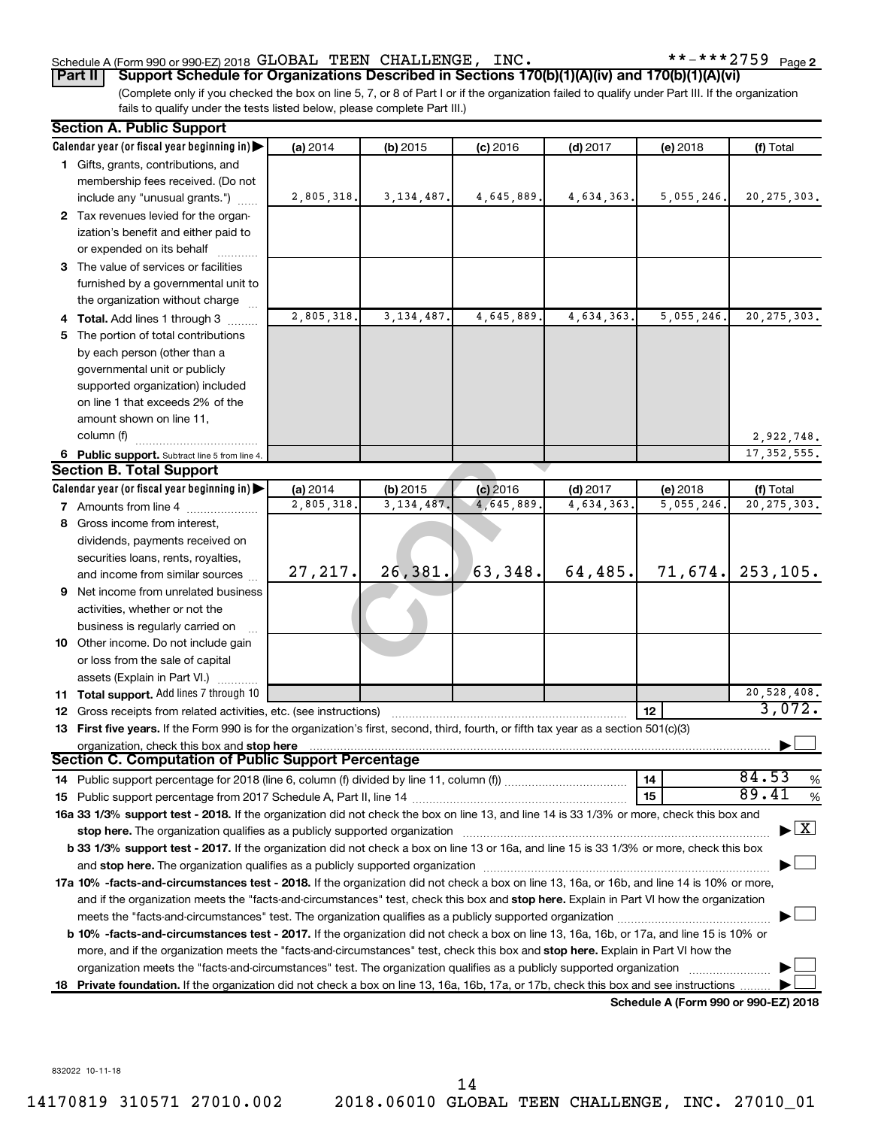(Complete only if you checked the box on line 5, 7, or 8 of Part I or if the organization failed to qualify under Part III. If the organization fails to qualify under the tests listed below, please complete Part III.) **Part II Support Schedule for Organizations Described in Sections 170(b)(1)(A)(iv) and 170(b)(1)(A)(vi)**

| <b>Section A. Public Support</b>                                                                                                                                                                                                                                                   |            |              |            |            |                                      |                                         |
|------------------------------------------------------------------------------------------------------------------------------------------------------------------------------------------------------------------------------------------------------------------------------------|------------|--------------|------------|------------|--------------------------------------|-----------------------------------------|
| Calendar year (or fiscal year beginning in)                                                                                                                                                                                                                                        | (a) 2014   | (b) 2015     | $(c)$ 2016 | $(d)$ 2017 | (e) 2018                             | (f) Total                               |
| 1 Gifts, grants, contributions, and                                                                                                                                                                                                                                                |            |              |            |            |                                      |                                         |
| membership fees received. (Do not                                                                                                                                                                                                                                                  |            |              |            |            |                                      |                                         |
| include any "unusual grants.")                                                                                                                                                                                                                                                     | 2,805,318. | 3,134,487.   | 4,645,889. | 4,634,363. | 5,055,246.                           | 20, 275, 303.                           |
| 2 Tax revenues levied for the organ-                                                                                                                                                                                                                                               |            |              |            |            |                                      |                                         |
| ization's benefit and either paid to                                                                                                                                                                                                                                               |            |              |            |            |                                      |                                         |
| or expended on its behalf                                                                                                                                                                                                                                                          |            |              |            |            |                                      |                                         |
| 3 The value of services or facilities                                                                                                                                                                                                                                              |            |              |            |            |                                      |                                         |
| furnished by a governmental unit to                                                                                                                                                                                                                                                |            |              |            |            |                                      |                                         |
| the organization without charge                                                                                                                                                                                                                                                    |            |              |            |            |                                      |                                         |
| 4 Total. Add lines 1 through 3                                                                                                                                                                                                                                                     | 2,805,318. | 3, 134, 487. | 4,645,889. | 4,634,363. | 5,055,246.                           | 20, 275, 303.                           |
| 5 The portion of total contributions                                                                                                                                                                                                                                               |            |              |            |            |                                      |                                         |
| by each person (other than a                                                                                                                                                                                                                                                       |            |              |            |            |                                      |                                         |
| governmental unit or publicly                                                                                                                                                                                                                                                      |            |              |            |            |                                      |                                         |
| supported organization) included                                                                                                                                                                                                                                                   |            |              |            |            |                                      |                                         |
| on line 1 that exceeds 2% of the                                                                                                                                                                                                                                                   |            |              |            |            |                                      |                                         |
| amount shown on line 11,                                                                                                                                                                                                                                                           |            |              |            |            |                                      |                                         |
| column (f)                                                                                                                                                                                                                                                                         |            |              |            |            |                                      | 2,922,748.                              |
| 6 Public support. Subtract line 5 from line 4.                                                                                                                                                                                                                                     |            |              |            |            |                                      | 17, 352, 555.                           |
| <b>Section B. Total Support</b>                                                                                                                                                                                                                                                    |            |              |            |            |                                      |                                         |
| Calendar year (or fiscal year beginning in)                                                                                                                                                                                                                                        | (a) 2014   | (b) 2015     | $(c)$ 2016 | $(d)$ 2017 | (e) 2018                             | (f) Total                               |
| <b>7</b> Amounts from line 4                                                                                                                                                                                                                                                       | 2,805,318  | 3, 134, 487. | 4,645,889  | 4,634,363  | 5,055,246.                           | 20, 275, 303.                           |
| 8 Gross income from interest,                                                                                                                                                                                                                                                      |            |              |            |            |                                      |                                         |
| dividends, payments received on                                                                                                                                                                                                                                                    |            |              |            |            |                                      |                                         |
| securities loans, rents, royalties,                                                                                                                                                                                                                                                |            |              |            |            |                                      |                                         |
| and income from similar sources                                                                                                                                                                                                                                                    | 27,217.    | 26,381.      | 63,348.    | 64,485.    |                                      | $71,674.$ 253,105.                      |
| <b>9</b> Net income from unrelated business                                                                                                                                                                                                                                        |            |              |            |            |                                      |                                         |
| activities, whether or not the                                                                                                                                                                                                                                                     |            |              |            |            |                                      |                                         |
| business is regularly carried on                                                                                                                                                                                                                                                   |            |              |            |            |                                      |                                         |
| 10 Other income. Do not include gain                                                                                                                                                                                                                                               |            |              |            |            |                                      |                                         |
| or loss from the sale of capital                                                                                                                                                                                                                                                   |            |              |            |            |                                      |                                         |
| assets (Explain in Part VI.)                                                                                                                                                                                                                                                       |            |              |            |            |                                      |                                         |
| 11 Total support. Add lines 7 through 10                                                                                                                                                                                                                                           |            |              |            |            |                                      | 20,528,408.                             |
| 12 Gross receipts from related activities, etc. (see instructions)                                                                                                                                                                                                                 |            |              |            |            | 12                                   | 3,072.                                  |
| 13 First five years. If the Form 990 is for the organization's first, second, third, fourth, or fifth tax year as a section 501(c)(3)                                                                                                                                              |            |              |            |            |                                      |                                         |
| organization, check this box and stop here<br><u>organization, crieck this box and stop nere entimely recommended and control of Public Support Percentage Section C. Computation of Public Support Percentage entity of the state of the state of the state of the state of t</u> |            |              |            |            |                                      |                                         |
|                                                                                                                                                                                                                                                                                    |            |              |            |            |                                      |                                         |
|                                                                                                                                                                                                                                                                                    |            |              |            |            | 14                                   | 84.53<br>%                              |
|                                                                                                                                                                                                                                                                                    |            |              |            |            | 15                                   | 89.41<br>%                              |
| 16a 33 1/3% support test - 2018. If the organization did not check the box on line 13, and line 14 is 33 1/3% or more, check this box and                                                                                                                                          |            |              |            |            |                                      |                                         |
| stop here. The organization qualifies as a publicly supported organization manufaction manufacture or the organization                                                                                                                                                             |            |              |            |            |                                      | $\blacktriangleright$ $\vert$ X $\vert$ |
| b 33 1/3% support test - 2017. If the organization did not check a box on line 13 or 16a, and line 15 is 33 1/3% or more, check this box                                                                                                                                           |            |              |            |            |                                      |                                         |
|                                                                                                                                                                                                                                                                                    |            |              |            |            |                                      |                                         |
| 17a 10% -facts-and-circumstances test - 2018. If the organization did not check a box on line 13, 16a, or 16b, and line 14 is 10% or more,                                                                                                                                         |            |              |            |            |                                      |                                         |
| and if the organization meets the "facts-and-circumstances" test, check this box and stop here. Explain in Part VI how the organization                                                                                                                                            |            |              |            |            |                                      |                                         |
| meets the "facts-and-circumstances" test. The organization qualifies as a publicly supported organization <i>managrammanness</i>                                                                                                                                                   |            |              |            |            |                                      |                                         |
| b 10% -facts-and-circumstances test - 2017. If the organization did not check a box on line 13, 16a, 16b, or 17a, and line 15 is 10% or                                                                                                                                            |            |              |            |            |                                      |                                         |
| more, and if the organization meets the "facts-and-circumstances" test, check this box and stop here. Explain in Part VI how the                                                                                                                                                   |            |              |            |            |                                      |                                         |
| organization meets the "facts-and-circumstances" test. The organization qualifies as a publicly supported organization                                                                                                                                                             |            |              |            |            |                                      |                                         |
| 18 Private foundation. If the organization did not check a box on line 13, 16a, 16b, 17a, or 17b, check this box and see instructions                                                                                                                                              |            |              |            |            |                                      |                                         |
|                                                                                                                                                                                                                                                                                    |            |              |            |            | Schedule A (Form 990 or 990-EZ) 2018 |                                         |

832022 10-11-18

14170819 310571 27010.002 2018.06010 GLOBAL TEEN CHALLENGE, INC. 27010\_01 14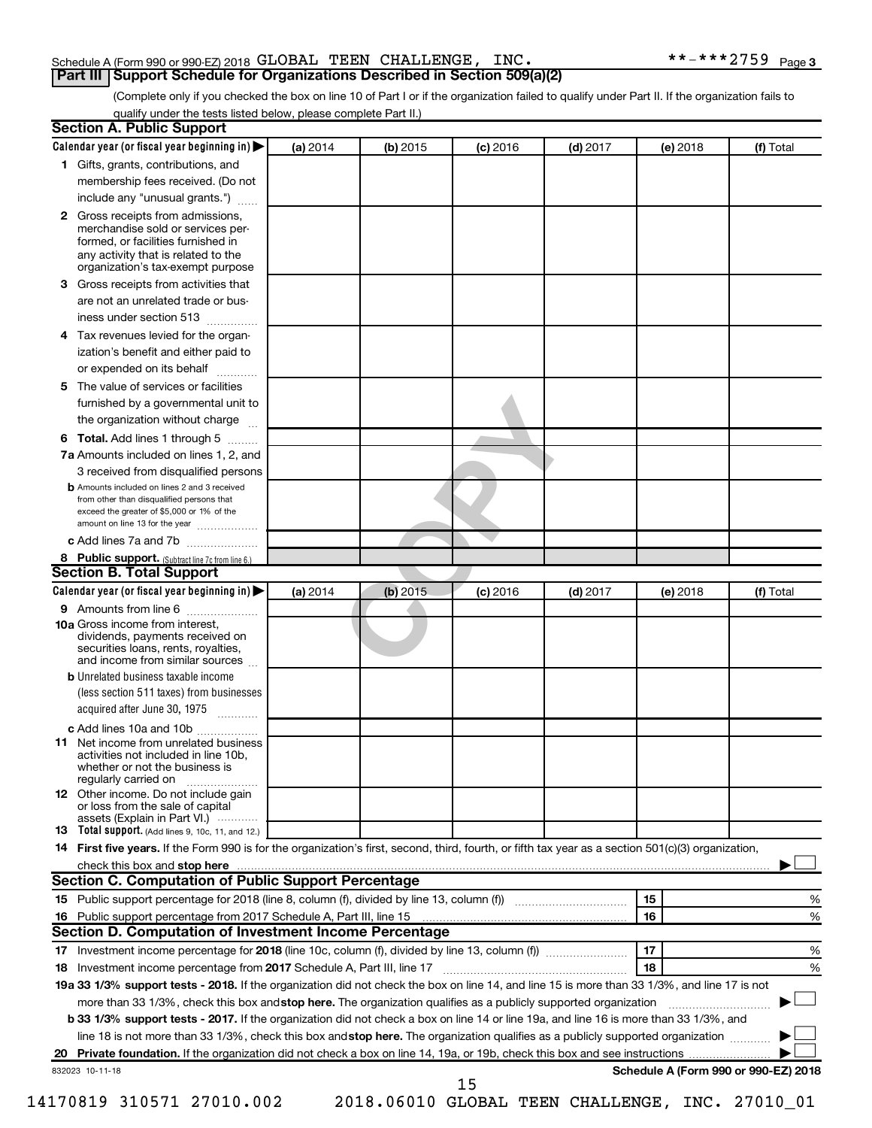#### Schedule A (Form 990 or 990-EZ) 2018 Page GLOBAL TEEN CHALLENGE, INC. \*\*-\*\*\*2759 **Part III Support Schedule for Organizations Described in Section 509(a)(2)**

(Complete only if you checked the box on line 10 of Part I or if the organization failed to qualify under Part II. If the organization fails to qualify under the tests listed below, please complete Part II.)

|              | Calendar year (or fiscal year beginning in)                                                                                                                                                                                                               | (a) 2014 | (b) 2015   | $(c)$ 2016 | <b>(d)</b> 2017 |    | (e) 2018 | (f) Total                            |
|--------------|-----------------------------------------------------------------------------------------------------------------------------------------------------------------------------------------------------------------------------------------------------------|----------|------------|------------|-----------------|----|----------|--------------------------------------|
|              | 1 Gifts, grants, contributions, and                                                                                                                                                                                                                       |          |            |            |                 |    |          |                                      |
|              | membership fees received. (Do not                                                                                                                                                                                                                         |          |            |            |                 |    |          |                                      |
|              | include any "unusual grants.")                                                                                                                                                                                                                            |          |            |            |                 |    |          |                                      |
|              |                                                                                                                                                                                                                                                           |          |            |            |                 |    |          |                                      |
| $\mathbf{2}$ | Gross receipts from admissions,<br>merchandise sold or services per-<br>formed, or facilities furnished in<br>any activity that is related to the                                                                                                         |          |            |            |                 |    |          |                                      |
|              | organization's tax-exempt purpose                                                                                                                                                                                                                         |          |            |            |                 |    |          |                                      |
| З.           | Gross receipts from activities that<br>are not an unrelated trade or bus-                                                                                                                                                                                 |          |            |            |                 |    |          |                                      |
|              | iness under section 513                                                                                                                                                                                                                                   |          |            |            |                 |    |          |                                      |
| 4            | Tax revenues levied for the organ-                                                                                                                                                                                                                        |          |            |            |                 |    |          |                                      |
|              | ization's benefit and either paid to                                                                                                                                                                                                                      |          |            |            |                 |    |          |                                      |
|              | or expended on its behalf                                                                                                                                                                                                                                 |          |            |            |                 |    |          |                                      |
| 5            | The value of services or facilities                                                                                                                                                                                                                       |          |            |            |                 |    |          |                                      |
|              | furnished by a governmental unit to                                                                                                                                                                                                                       |          |            |            |                 |    |          |                                      |
|              | the organization without charge                                                                                                                                                                                                                           |          |            |            |                 |    |          |                                      |
| 6            | Total. Add lines 1 through 5                                                                                                                                                                                                                              |          |            |            |                 |    |          |                                      |
|              | 7a Amounts included on lines 1, 2, and                                                                                                                                                                                                                    |          |            |            |                 |    |          |                                      |
|              | 3 received from disqualified persons                                                                                                                                                                                                                      |          |            |            |                 |    |          |                                      |
|              | <b>b</b> Amounts included on lines 2 and 3 received                                                                                                                                                                                                       |          |            |            |                 |    |          |                                      |
|              | from other than disqualified persons that<br>exceed the greater of \$5,000 or 1% of the<br>amount on line 13 for the year                                                                                                                                 |          |            |            |                 |    |          |                                      |
|              | c Add lines 7a and 7b                                                                                                                                                                                                                                     |          |            |            |                 |    |          |                                      |
|              | 8 Public support. (Subtract line 7c from line 6.)                                                                                                                                                                                                         |          |            |            |                 |    |          |                                      |
|              | <b>Section B. Total Support</b>                                                                                                                                                                                                                           |          |            |            |                 |    |          |                                      |
|              | Calendar year (or fiscal year beginning in)                                                                                                                                                                                                               | (a) 2014 | $(b)$ 2015 | $(c)$ 2016 | <b>(d)</b> 2017 |    | (e) 2018 | (f) Total                            |
|              | <b>9</b> Amounts from line 6                                                                                                                                                                                                                              |          |            |            |                 |    |          |                                      |
|              | <b>10a</b> Gross income from interest,<br>dividends, payments received on<br>securities loans, rents, royalties,<br>and income from similar sources                                                                                                       |          |            |            |                 |    |          |                                      |
|              | <b>b</b> Unrelated business taxable income<br>(less section 511 taxes) from businesses                                                                                                                                                                    |          |            |            |                 |    |          |                                      |
|              | acquired after June 30, 1975                                                                                                                                                                                                                              |          |            |            |                 |    |          |                                      |
|              | c Add lines 10a and 10b                                                                                                                                                                                                                                   |          |            |            |                 |    |          |                                      |
| 11           | Net income from unrelated business<br>activities not included in line 10b,<br>whether or not the business is<br>regularly carried on                                                                                                                      |          |            |            |                 |    |          |                                      |
|              | <b>12</b> Other income. Do not include gain<br>or loss from the sale of capital<br>assets (Explain in Part VI.)                                                                                                                                           |          |            |            |                 |    |          |                                      |
|              | <b>13</b> Total support. (Add lines 9, 10c, 11, and 12.)                                                                                                                                                                                                  |          |            |            |                 |    |          |                                      |
|              | 14 First five years. If the Form 990 is for the organization's first, second, third, fourth, or fifth tax year as a section 501(c)(3) organization,                                                                                                       |          |            |            |                 |    |          |                                      |
|              | check this box and stop here                                                                                                                                                                                                                              |          |            |            |                 |    |          |                                      |
|              | Section C. Computation of Public Support Percentage                                                                                                                                                                                                       |          |            |            |                 |    |          |                                      |
|              |                                                                                                                                                                                                                                                           |          |            |            |                 | 15 |          | %                                    |
|              |                                                                                                                                                                                                                                                           |          |            |            |                 | 16 |          | %                                    |
|              |                                                                                                                                                                                                                                                           |          |            |            |                 |    |          |                                      |
|              | Section D. Computation of Investment Income Percentage                                                                                                                                                                                                    |          |            |            |                 |    |          |                                      |
|              |                                                                                                                                                                                                                                                           |          |            |            |                 | 17 |          | %                                    |
|              |                                                                                                                                                                                                                                                           |          |            |            |                 | 18 |          | %                                    |
|              |                                                                                                                                                                                                                                                           |          |            |            |                 |    |          |                                      |
|              | 19a 33 1/3% support tests - 2018. If the organization did not check the box on line 14, and line 15 is more than 33 1/3%, and line 17 is not                                                                                                              |          |            |            |                 |    |          |                                      |
|              | more than 33 1/3%, check this box and stop here. The organization qualifies as a publicly supported organization<br>b 33 1/3% support tests - 2017. If the organization did not check a box on line 14 or line 19a, and line 16 is more than 33 1/3%, and |          |            |            |                 |    |          |                                      |
|              | line 18 is not more than 33 1/3%, check this box and stop here. The organization qualifies as a publicly supported organization                                                                                                                           |          |            |            |                 |    |          |                                      |
| 18           | 832023 10-11-18                                                                                                                                                                                                                                           |          |            |            |                 |    |          | Schedule A (Form 990 or 990-EZ) 2018 |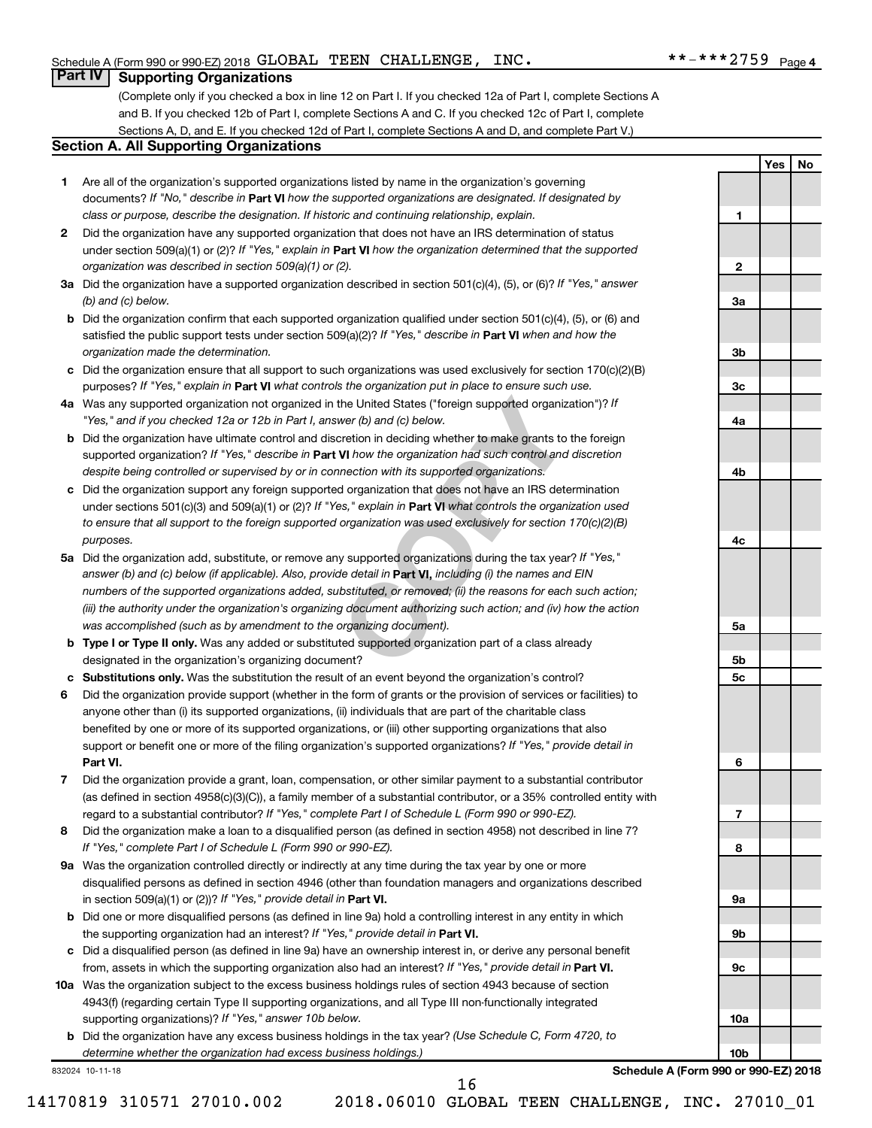**1**

**2**

**3a**

**3b**

**3c**

**4a**

**4b**

**4c**

**5a**

**5b 5c**

**6**

**7**

**8**

**9a**

**9b**

**9c**

**10a**

**10b**

**Yes No**

#### **Part IV Supporting Organizations**

(Complete only if you checked a box in line 12 on Part I. If you checked 12a of Part I, complete Sections A and B. If you checked 12b of Part I, complete Sections A and C. If you checked 12c of Part I, complete Sections A, D, and E. If you checked 12d of Part I, complete Sections A and D, and complete Part V.)

#### **Section A. All Supporting Organizations**

- **1** Are all of the organization's supported organizations listed by name in the organization's governing documents? If "No," describe in Part VI how the supported organizations are designated. If designated by *class or purpose, describe the designation. If historic and continuing relationship, explain.*
- **2** Did the organization have any supported organization that does not have an IRS determination of status under section 509(a)(1) or (2)? If "Yes," explain in Part **VI** how the organization determined that the supported *organization was described in section 509(a)(1) or (2).*
- **3a** Did the organization have a supported organization described in section 501(c)(4), (5), or (6)? If "Yes," answer *(b) and (c) below.*
- **b** Did the organization confirm that each supported organization qualified under section 501(c)(4), (5), or (6) and satisfied the public support tests under section 509(a)(2)? If "Yes," describe in Part VI when and how the *organization made the determination.*
- **c** Did the organization ensure that all support to such organizations was used exclusively for section 170(c)(2)(B) purposes? If "Yes," explain in Part VI what controls the organization put in place to ensure such use.
- **4 a** *If* Was any supported organization not organized in the United States ("foreign supported organization")? *"Yes," and if you checked 12a or 12b in Part I, answer (b) and (c) below.*
- **b** Did the organization have ultimate control and discretion in deciding whether to make grants to the foreign supported organization? If "Yes," describe in Part VI how the organization had such control and discretion *despite being controlled or supervised by or in connection with its supported organizations.*
- **c** Did the organization support any foreign supported organization that does not have an IRS determination under sections 501(c)(3) and 509(a)(1) or (2)? If "Yes," explain in Part VI what controls the organization used *to ensure that all support to the foreign supported organization was used exclusively for section 170(c)(2)(B) purposes.*
- the United States ("foreign supported organization")? *I*<br>wer (b) and (c) below.<br>Correction in deciding whether to make grants to the foreignal to the foreign whether to make grants to the foreign<br>**VI** how the organization **5a** Did the organization add, substitute, or remove any supported organizations during the tax year? If "Yes," answer (b) and (c) below (if applicable). Also, provide detail in **Part VI,** including (i) the names and EIN *numbers of the supported organizations added, substituted, or removed; (ii) the reasons for each such action; (iii) the authority under the organization's organizing document authorizing such action; and (iv) how the action was accomplished (such as by amendment to the organizing document).*
- **b** Type I or Type II only. Was any added or substituted supported organization part of a class already designated in the organization's organizing document?
- **c Substitutions only.**  Was the substitution the result of an event beyond the organization's control?
- **6** Did the organization provide support (whether in the form of grants or the provision of services or facilities) to **Part VI.** support or benefit one or more of the filing organization's supported organizations? If "Yes," provide detail in anyone other than (i) its supported organizations, (ii) individuals that are part of the charitable class benefited by one or more of its supported organizations, or (iii) other supporting organizations that also
- **7** Did the organization provide a grant, loan, compensation, or other similar payment to a substantial contributor regard to a substantial contributor? If "Yes," complete Part I of Schedule L (Form 990 or 990-EZ). (as defined in section 4958(c)(3)(C)), a family member of a substantial contributor, or a 35% controlled entity with
- **8** Did the organization make a loan to a disqualified person (as defined in section 4958) not described in line 7? *If "Yes," complete Part I of Schedule L (Form 990 or 990-EZ).*
- **9 a** Was the organization controlled directly or indirectly at any time during the tax year by one or more in section 509(a)(1) or (2))? If "Yes," provide detail in **Part VI.** disqualified persons as defined in section 4946 (other than foundation managers and organizations described
- **b** Did one or more disqualified persons (as defined in line 9a) hold a controlling interest in any entity in which the supporting organization had an interest? If "Yes," provide detail in Part VI.
- **c** Did a disqualified person (as defined in line 9a) have an ownership interest in, or derive any personal benefit from, assets in which the supporting organization also had an interest? If "Yes," provide detail in Part VI.
- **10 a** Was the organization subject to the excess business holdings rules of section 4943 because of section supporting organizations)? If "Yes," answer 10b below. 4943(f) (regarding certain Type II supporting organizations, and all Type III non-functionally integrated
	- **b** Did the organization have any excess business holdings in the tax year? (Use Schedule C, Form 4720, to *determine whether the organization had excess business holdings.)*

832024 10-11-18

**Schedule A (Form 990 or 990-EZ) 2018**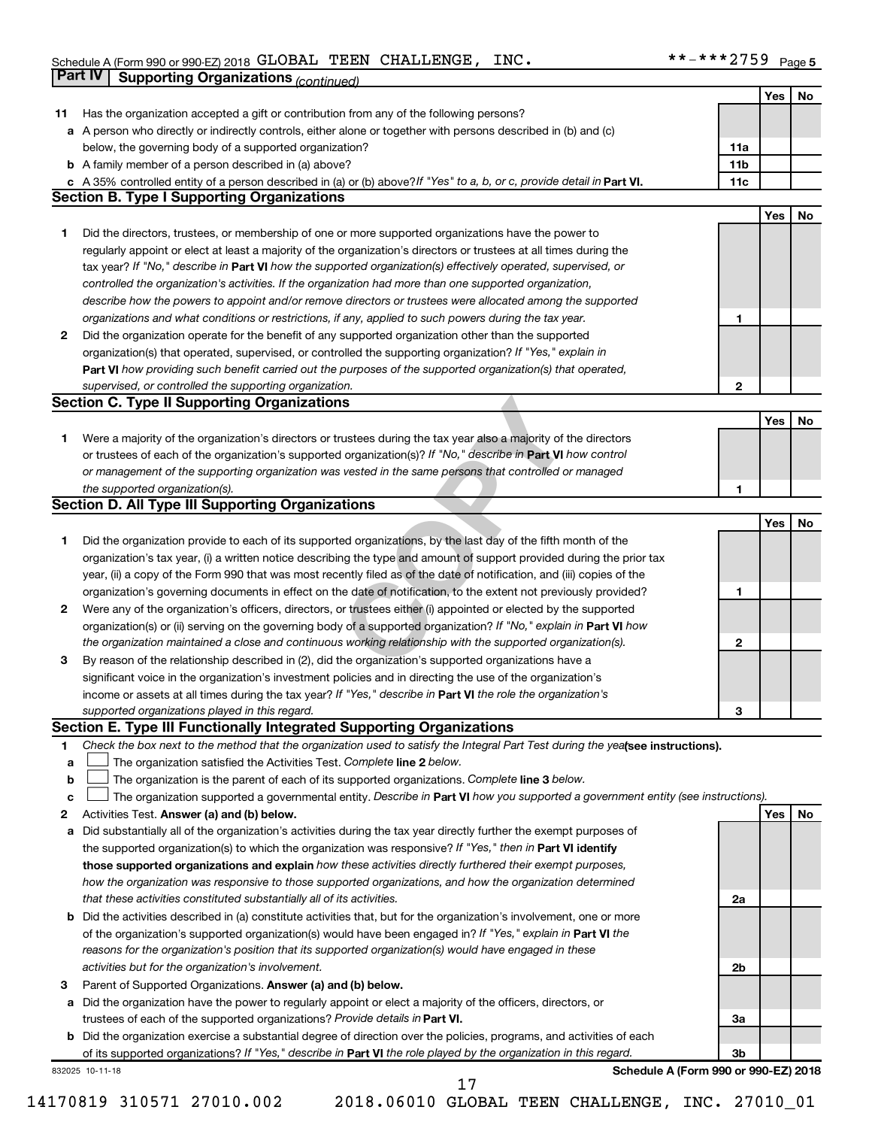|              | <b>Part IV</b>  | <b>Supporting Organizations (continued)</b>                                                                                     |                 |     |    |
|--------------|-----------------|---------------------------------------------------------------------------------------------------------------------------------|-----------------|-----|----|
|              |                 |                                                                                                                                 |                 | Yes | No |
| 11           |                 | Has the organization accepted a gift or contribution from any of the following persons?                                         |                 |     |    |
| а            |                 | A person who directly or indirectly controls, either alone or together with persons described in (b) and (c)                    |                 |     |    |
|              |                 | below, the governing body of a supported organization?                                                                          | 11a             |     |    |
|              |                 | <b>b</b> A family member of a person described in (a) above?                                                                    | 11 <sub>b</sub> |     |    |
|              |                 | c A 35% controlled entity of a person described in (a) or (b) above? If "Yes" to a, b, or c, provide detail in Part VI.         | 11c             |     |    |
|              |                 | <b>Section B. Type I Supporting Organizations</b>                                                                               |                 |     |    |
|              |                 |                                                                                                                                 |                 | Yes | No |
| 1.           |                 | Did the directors, trustees, or membership of one or more supported organizations have the power to                             |                 |     |    |
|              |                 | regularly appoint or elect at least a majority of the organization's directors or trustees at all times during the              |                 |     |    |
|              |                 | tax year? If "No," describe in Part VI how the supported organization(s) effectively operated, supervised, or                   |                 |     |    |
|              |                 | controlled the organization's activities. If the organization had more than one supported organization,                         |                 |     |    |
|              |                 | describe how the powers to appoint and/or remove directors or trustees were allocated among the supported                       |                 |     |    |
|              |                 | organizations and what conditions or restrictions, if any, applied to such powers during the tax year.                          | 1               |     |    |
| 2            |                 | Did the organization operate for the benefit of any supported organization other than the supported                             |                 |     |    |
|              |                 | organization(s) that operated, supervised, or controlled the supporting organization? If "Yes," explain in                      |                 |     |    |
|              |                 |                                                                                                                                 |                 |     |    |
|              |                 | Part VI how providing such benefit carried out the purposes of the supported organization(s) that operated,                     |                 |     |    |
|              |                 | supervised, or controlled the supporting organization.<br><b>Section C. Type II Supporting Organizations</b>                    | $\mathbf{2}$    |     |    |
|              |                 |                                                                                                                                 |                 |     |    |
|              |                 |                                                                                                                                 |                 | Yes | No |
| 1.           |                 | Were a majority of the organization's directors or trustees during the tax year also a majority of the directors                |                 |     |    |
|              |                 | or trustees of each of the organization's supported organization(s)? If "No," describe in Part VI how control                   |                 |     |    |
|              |                 | or management of the supporting organization was vested in the same persons that controlled or managed                          |                 |     |    |
|              |                 | the supported organization(s).                                                                                                  | 1               |     |    |
|              |                 | <b>Section D. All Type III Supporting Organizations</b>                                                                         |                 |     |    |
|              |                 |                                                                                                                                 |                 | Yes | No |
| 1.           |                 | Did the organization provide to each of its supported organizations, by the last day of the fifth month of the                  |                 |     |    |
|              |                 | organization's tax year, (i) a written notice describing the type and amount of support provided during the prior tax           |                 |     |    |
|              |                 | year, (ii) a copy of the Form 990 that was most recently filed as of the date of notification, and (iii) copies of the          |                 |     |    |
|              |                 | organization's governing documents in effect on the date of notification, to the extent not previously provided?                | 1               |     |    |
| $\mathbf{2}$ |                 | Were any of the organization's officers, directors, or trustees either (i) appointed or elected by the supported                |                 |     |    |
|              |                 | organization(s) or (ii) serving on the governing body of a supported organization? If "No," explain in Part VI how              |                 |     |    |
|              |                 | the organization maintained a close and continuous working relationship with the supported organization(s).                     | $\mathbf{2}$    |     |    |
| 3            |                 | By reason of the relationship described in (2), did the organization's supported organizations have a                           |                 |     |    |
|              |                 | significant voice in the organization's investment policies and in directing the use of the organization's                      |                 |     |    |
|              |                 | income or assets at all times during the tax year? If "Yes," describe in Part VI the role the organization's                    |                 |     |    |
|              |                 | supported organizations played in this regard.                                                                                  | з               |     |    |
|              |                 | <b>Section E. Type III Functionally Integrated Supporting Organizations</b>                                                     |                 |     |    |
| 1.           |                 | Check the box next to the method that the organization used to satisfy the Integral Part Test during the yealsee instructions). |                 |     |    |
| а            |                 | The organization satisfied the Activities Test. Complete line 2 below.                                                          |                 |     |    |
| $\mathbf b$  |                 | The organization is the parent of each of its supported organizations. Complete line 3 below.                                   |                 |     |    |
| c            |                 | The organization supported a governmental entity. Describe in Part VI how you supported a government entity (see instructions). |                 |     |    |
| 2            |                 | Activities Test. Answer (a) and (b) below.                                                                                      |                 | Yes | No |
| а            |                 | Did substantially all of the organization's activities during the tax year directly further the exempt purposes of              |                 |     |    |
|              |                 | the supported organization(s) to which the organization was responsive? If "Yes," then in Part VI identify                      |                 |     |    |
|              |                 | those supported organizations and explain how these activities directly furthered their exempt purposes,                        |                 |     |    |
|              |                 | how the organization was responsive to those supported organizations, and how the organization determined                       |                 |     |    |
|              |                 | that these activities constituted substantially all of its activities.                                                          | 2a              |     |    |
| b            |                 | Did the activities described in (a) constitute activities that, but for the organization's involvement, one or more             |                 |     |    |
|              |                 | of the organization's supported organization(s) would have been engaged in? If "Yes," explain in Part VI the                    |                 |     |    |
|              |                 | reasons for the organization's position that its supported organization(s) would have engaged in these                          |                 |     |    |
|              |                 | activities but for the organization's involvement.                                                                              | 2 <sub>b</sub>  |     |    |
| 3            |                 | Parent of Supported Organizations. Answer (a) and (b) below.                                                                    |                 |     |    |
| а            |                 | Did the organization have the power to regularly appoint or elect a majority of the officers, directors, or                     |                 |     |    |
|              |                 | trustees of each of the supported organizations? Provide details in Part VI.                                                    | За              |     |    |
|              |                 | <b>b</b> Did the organization exercise a substantial degree of direction over the policies, programs, and activities of each    |                 |     |    |
|              |                 | of its supported organizations? If "Yes," describe in Part VI the role played by the organization in this regard.               | 3b              |     |    |
|              | 832025 10-11-18 | Schedule A (Form 990 or 990-EZ) 2018                                                                                            |                 |     |    |
|              |                 | 17                                                                                                                              |                 |     |    |

<sup>14170819 310571 27010.002 2018.06010</sup> GLOBAL TEEN CHALLENGE, INC. 27010\_01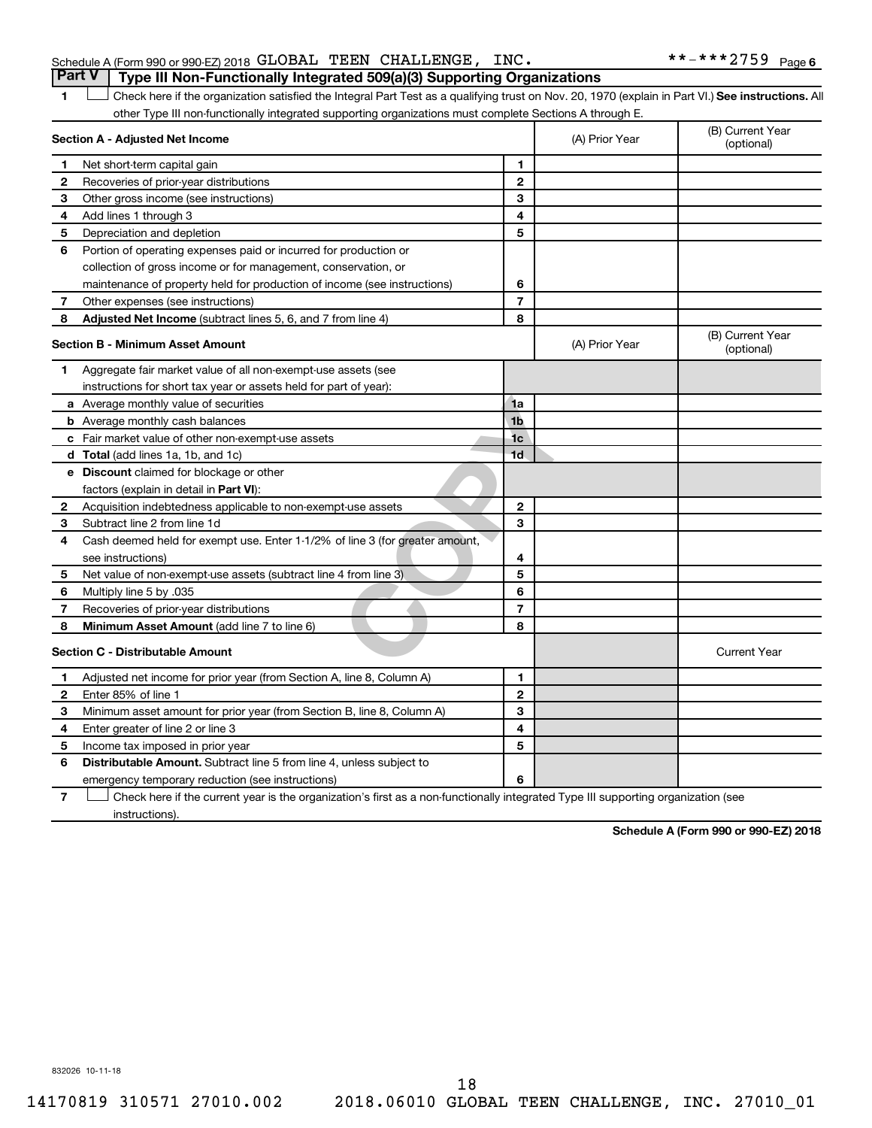|  | Schedule A (Form 990 or 990-EZ) 2018 GLOBAL TEEN CHALLENGE, INC.                        |  |  | **-***2759 <sub>Page 6</sub> |  |
|--|-----------------------------------------------------------------------------------------|--|--|------------------------------|--|
|  | <b>Part V</b>   Type III Non-Functionally Integrated 509(a)(3) Supporting Organizations |  |  |                              |  |

1 **Letter See instructions.** All Check here if the organization satisfied the Integral Part Test as a qualifying trust on Nov. 20, 1970 (explain in Part VI.) See instructions. All other Type III non-functionally integrated supporting organizations must complete Sections A through E.

|   | Section A - Adjusted Net Income                                                                                                   |                | (A) Prior Year | (B) Current Year<br>(optional) |
|---|-----------------------------------------------------------------------------------------------------------------------------------|----------------|----------------|--------------------------------|
| 1 | Net short-term capital gain                                                                                                       | 1              |                |                                |
| 2 | Recoveries of prior-year distributions                                                                                            | $\mathbf{2}$   |                |                                |
| 3 | Other gross income (see instructions)                                                                                             | 3              |                |                                |
| 4 | Add lines 1 through 3                                                                                                             | 4              |                |                                |
| 5 | Depreciation and depletion                                                                                                        | 5              |                |                                |
| 6 | Portion of operating expenses paid or incurred for production or                                                                  |                |                |                                |
|   | collection of gross income or for management, conservation, or                                                                    |                |                |                                |
|   | maintenance of property held for production of income (see instructions)                                                          | 6              |                |                                |
| 7 | Other expenses (see instructions)                                                                                                 | $\overline{7}$ |                |                                |
| 8 | Adjusted Net Income (subtract lines 5, 6, and 7 from line 4)                                                                      | 8              |                |                                |
|   | <b>Section B - Minimum Asset Amount</b>                                                                                           |                | (A) Prior Year | (B) Current Year<br>(optional) |
| 1 | Aggregate fair market value of all non-exempt-use assets (see                                                                     |                |                |                                |
|   | instructions for short tax year or assets held for part of year):                                                                 |                |                |                                |
|   | a Average monthly value of securities                                                                                             | 1a             |                |                                |
|   | <b>b</b> Average monthly cash balances                                                                                            | 1 <sub>b</sub> |                |                                |
|   | c Fair market value of other non-exempt-use assets                                                                                | 1 <sub>c</sub> |                |                                |
|   | d Total (add lines 1a, 1b, and 1c)                                                                                                | 1 <sub>d</sub> |                |                                |
|   | <b>e</b> Discount claimed for blockage or other                                                                                   |                |                |                                |
|   | factors (explain in detail in Part VI):                                                                                           |                |                |                                |
| 2 | Acquisition indebtedness applicable to non-exempt-use assets                                                                      | $\mathbf{2}$   |                |                                |
| З | Subtract line 2 from line 1d                                                                                                      | 3              |                |                                |
| 4 | Cash deemed held for exempt use. Enter 1-1/2% of line 3 (for greater amount,                                                      |                |                |                                |
|   | see instructions)                                                                                                                 | 4              |                |                                |
| 5 | Net value of non-exempt-use assets (subtract line 4 from line 3)                                                                  | 5              |                |                                |
| 6 | Multiply line 5 by .035                                                                                                           | 6              |                |                                |
| 7 | Recoveries of prior-year distributions                                                                                            | $\overline{7}$ |                |                                |
| 8 | <b>Minimum Asset Amount (add line 7 to line 6)</b>                                                                                | 8              |                |                                |
|   | <b>Section C - Distributable Amount</b>                                                                                           |                |                | <b>Current Year</b>            |
| 1 | Adjusted net income for prior year (from Section A, line 8, Column A)                                                             | 1              |                |                                |
| 2 | Enter 85% of line 1                                                                                                               | $\mathbf{2}$   |                |                                |
| з | Minimum asset amount for prior year (from Section B, line 8, Column A)                                                            | 3              |                |                                |
| 4 | Enter greater of line 2 or line 3                                                                                                 | 4              |                |                                |
| 5 | Income tax imposed in prior year                                                                                                  | 5              |                |                                |
| 6 | <b>Distributable Amount.</b> Subtract line 5 from line 4, unless subject to                                                       |                |                |                                |
|   | emergency temporary reduction (see instructions)                                                                                  | 6              |                |                                |
| 7 | Check here if the current year is the organization's first as a non-functionally integrated Type III supporting organization (see |                |                |                                |

instructions).

**Schedule A (Form 990 or 990-EZ) 2018**

832026 10-11-18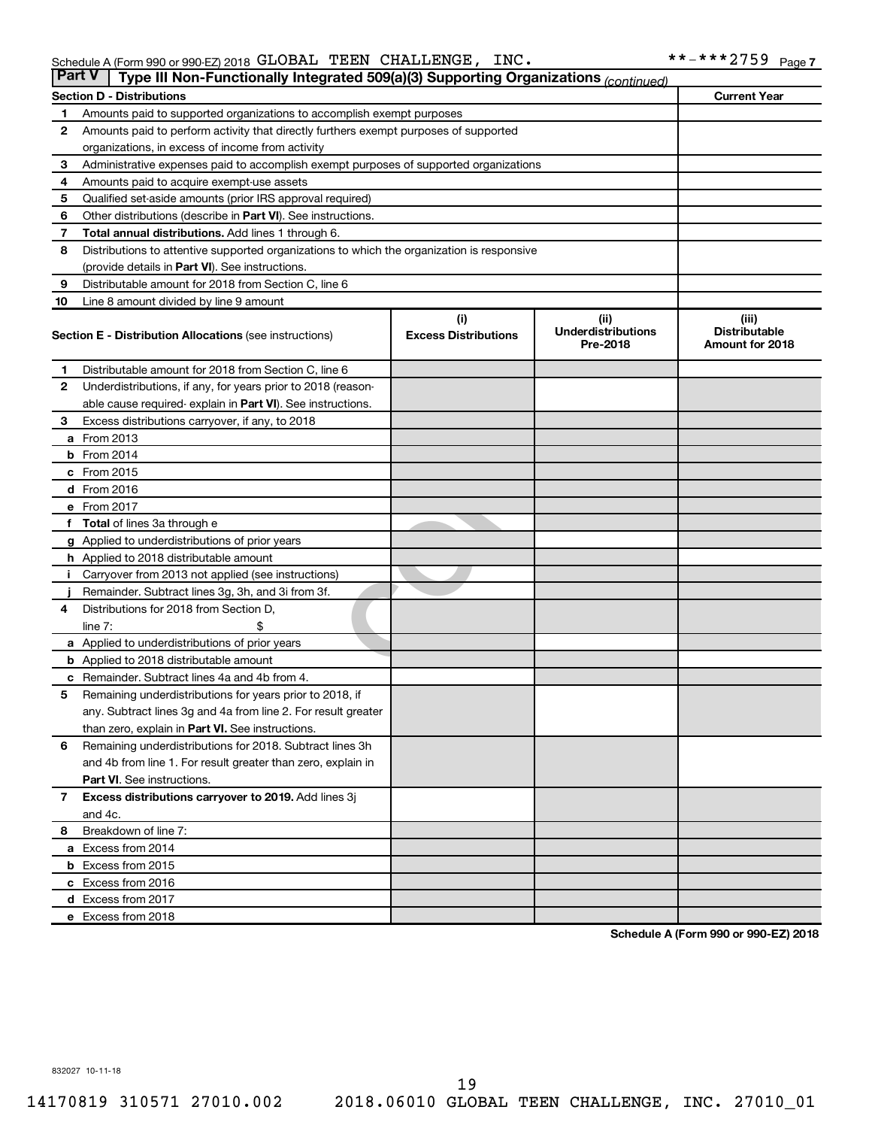|              | <b>Part V</b><br>Type III Non-Functionally Integrated 509(a)(3) Supporting Organizations (continued) |                                    |                                               |                                                  |  |  |  |  |
|--------------|------------------------------------------------------------------------------------------------------|------------------------------------|-----------------------------------------------|--------------------------------------------------|--|--|--|--|
|              | <b>Section D - Distributions</b>                                                                     |                                    |                                               | <b>Current Year</b>                              |  |  |  |  |
| 1            | Amounts paid to supported organizations to accomplish exempt purposes                                |                                    |                                               |                                                  |  |  |  |  |
| 2            | Amounts paid to perform activity that directly furthers exempt purposes of supported                 |                                    |                                               |                                                  |  |  |  |  |
|              | organizations, in excess of income from activity                                                     |                                    |                                               |                                                  |  |  |  |  |
| 3            | Administrative expenses paid to accomplish exempt purposes of supported organizations                |                                    |                                               |                                                  |  |  |  |  |
| 4            | Amounts paid to acquire exempt-use assets                                                            |                                    |                                               |                                                  |  |  |  |  |
| 5            | Qualified set-aside amounts (prior IRS approval required)                                            |                                    |                                               |                                                  |  |  |  |  |
| 6            | Other distributions (describe in Part VI). See instructions.                                         |                                    |                                               |                                                  |  |  |  |  |
| 7            | <b>Total annual distributions.</b> Add lines 1 through 6.                                            |                                    |                                               |                                                  |  |  |  |  |
| 8            | Distributions to attentive supported organizations to which the organization is responsive           |                                    |                                               |                                                  |  |  |  |  |
|              | (provide details in Part VI). See instructions.                                                      |                                    |                                               |                                                  |  |  |  |  |
| 9            | Distributable amount for 2018 from Section C, line 6                                                 |                                    |                                               |                                                  |  |  |  |  |
| 10           | Line 8 amount divided by line 9 amount                                                               |                                    |                                               |                                                  |  |  |  |  |
|              | <b>Section E - Distribution Allocations (see instructions)</b>                                       | (i)<br><b>Excess Distributions</b> | (ii)<br><b>Underdistributions</b><br>Pre-2018 | (iii)<br><b>Distributable</b><br>Amount for 2018 |  |  |  |  |
| 1.           | Distributable amount for 2018 from Section C, line 6                                                 |                                    |                                               |                                                  |  |  |  |  |
| $\mathbf{2}$ | Underdistributions, if any, for years prior to 2018 (reason-                                         |                                    |                                               |                                                  |  |  |  |  |
|              | able cause required- explain in Part VI). See instructions.                                          |                                    |                                               |                                                  |  |  |  |  |
| 3            | Excess distributions carryover, if any, to 2018                                                      |                                    |                                               |                                                  |  |  |  |  |
|              | <b>a</b> From 2013                                                                                   |                                    |                                               |                                                  |  |  |  |  |
|              | <b>b</b> From 2014                                                                                   |                                    |                                               |                                                  |  |  |  |  |
|              | c From 2015                                                                                          |                                    |                                               |                                                  |  |  |  |  |
|              | d From 2016                                                                                          |                                    |                                               |                                                  |  |  |  |  |
|              | e From 2017                                                                                          |                                    |                                               |                                                  |  |  |  |  |
|              | f Total of lines 3a through e                                                                        |                                    |                                               |                                                  |  |  |  |  |
|              | g Applied to underdistributions of prior years                                                       |                                    |                                               |                                                  |  |  |  |  |
|              | <b>h</b> Applied to 2018 distributable amount                                                        |                                    |                                               |                                                  |  |  |  |  |
|              | Carryover from 2013 not applied (see instructions)                                                   |                                    |                                               |                                                  |  |  |  |  |
|              | Remainder. Subtract lines 3g, 3h, and 3i from 3f.                                                    |                                    |                                               |                                                  |  |  |  |  |
| 4            | Distributions for 2018 from Section D,                                                               |                                    |                                               |                                                  |  |  |  |  |
|              | $line 7$ :                                                                                           |                                    |                                               |                                                  |  |  |  |  |
|              | a Applied to underdistributions of prior years                                                       |                                    |                                               |                                                  |  |  |  |  |
|              | <b>b</b> Applied to 2018 distributable amount                                                        |                                    |                                               |                                                  |  |  |  |  |
| с            | Remainder. Subtract lines 4a and 4b from 4.                                                          |                                    |                                               |                                                  |  |  |  |  |
| 5            | Remaining underdistributions for years prior to 2018, if                                             |                                    |                                               |                                                  |  |  |  |  |
|              | any. Subtract lines 3g and 4a from line 2. For result greater                                        |                                    |                                               |                                                  |  |  |  |  |
|              | than zero, explain in Part VI. See instructions.                                                     |                                    |                                               |                                                  |  |  |  |  |
| 6            | Remaining underdistributions for 2018. Subtract lines 3h                                             |                                    |                                               |                                                  |  |  |  |  |
|              | and 4b from line 1. For result greater than zero, explain in                                         |                                    |                                               |                                                  |  |  |  |  |
|              | <b>Part VI.</b> See instructions.                                                                    |                                    |                                               |                                                  |  |  |  |  |
| $\mathbf{7}$ | Excess distributions carryover to 2019. Add lines 3j                                                 |                                    |                                               |                                                  |  |  |  |  |
|              | and 4c.                                                                                              |                                    |                                               |                                                  |  |  |  |  |
| 8            | Breakdown of line 7:                                                                                 |                                    |                                               |                                                  |  |  |  |  |
|              | a Excess from 2014                                                                                   |                                    |                                               |                                                  |  |  |  |  |
|              | <b>b</b> Excess from 2015                                                                            |                                    |                                               |                                                  |  |  |  |  |
|              | c Excess from 2016                                                                                   |                                    |                                               |                                                  |  |  |  |  |
|              | d Excess from 2017                                                                                   |                                    |                                               |                                                  |  |  |  |  |
|              | e Excess from 2018                                                                                   |                                    |                                               |                                                  |  |  |  |  |

**Schedule A (Form 990 or 990-EZ) 2018**

832027 10-11-18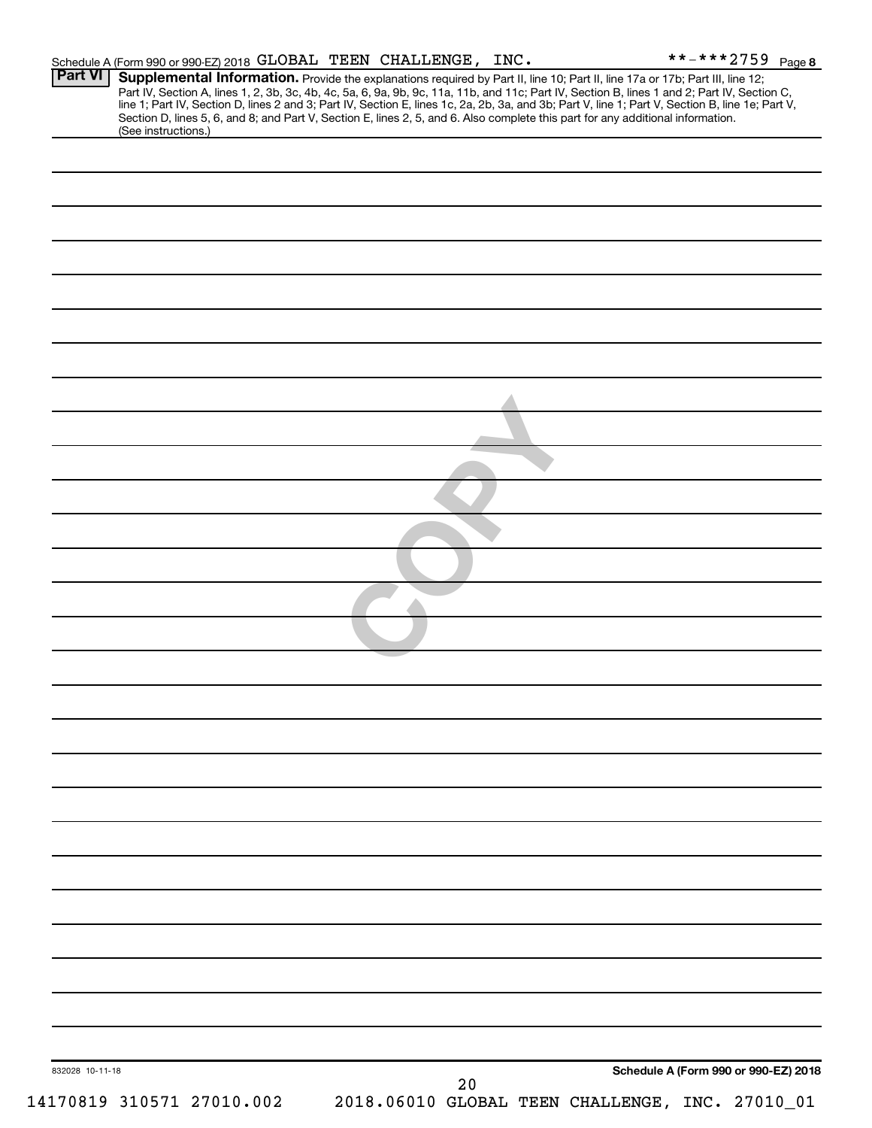|                 | Schedule A (Form 990 or 990-EZ) 2018 GLOBAL TEEN CHALLENGE, INC.                                                                                                                                                                                                                                                                                                                                                                                                                                                                                                     |  |    |                                                 | **-***2759 $Page 8$                  |
|-----------------|----------------------------------------------------------------------------------------------------------------------------------------------------------------------------------------------------------------------------------------------------------------------------------------------------------------------------------------------------------------------------------------------------------------------------------------------------------------------------------------------------------------------------------------------------------------------|--|----|-------------------------------------------------|--------------------------------------|
| <b>Part VI</b>  | Supplemental Information. Provide the explanations required by Part II, line 10; Part II, line 17a or 17b; Part III, line 12;<br>Part IV, Section A, lines 1, 2, 3b, 3c, 4b, 4c, 5a, 6, 9a, 9b, 9c, 11a, 11b, and 11c; Part IV, Section B, lines 1 and 2; Part IV, Section C,<br>line 1; Part IV, Section D, lines 2 and 3; Part IV, Section E, lines 1c, 2a, 2b, 3a, and 3b; Part V, line 1; Part V, Section B, line 1e; Part V,<br>Section D, lines 5, 6, and 8; and Part V, Section E, lines 2, 5, and 6. Also complete this part for any additional information. |  |    |                                                 |                                      |
|                 | (See instructions.)                                                                                                                                                                                                                                                                                                                                                                                                                                                                                                                                                  |  |    |                                                 |                                      |
|                 |                                                                                                                                                                                                                                                                                                                                                                                                                                                                                                                                                                      |  |    |                                                 |                                      |
|                 |                                                                                                                                                                                                                                                                                                                                                                                                                                                                                                                                                                      |  |    |                                                 |                                      |
|                 |                                                                                                                                                                                                                                                                                                                                                                                                                                                                                                                                                                      |  |    |                                                 |                                      |
|                 |                                                                                                                                                                                                                                                                                                                                                                                                                                                                                                                                                                      |  |    |                                                 |                                      |
|                 |                                                                                                                                                                                                                                                                                                                                                                                                                                                                                                                                                                      |  |    |                                                 |                                      |
|                 |                                                                                                                                                                                                                                                                                                                                                                                                                                                                                                                                                                      |  |    |                                                 |                                      |
|                 |                                                                                                                                                                                                                                                                                                                                                                                                                                                                                                                                                                      |  |    |                                                 |                                      |
|                 |                                                                                                                                                                                                                                                                                                                                                                                                                                                                                                                                                                      |  |    |                                                 |                                      |
|                 |                                                                                                                                                                                                                                                                                                                                                                                                                                                                                                                                                                      |  |    |                                                 |                                      |
|                 |                                                                                                                                                                                                                                                                                                                                                                                                                                                                                                                                                                      |  |    |                                                 |                                      |
|                 |                                                                                                                                                                                                                                                                                                                                                                                                                                                                                                                                                                      |  |    |                                                 |                                      |
|                 |                                                                                                                                                                                                                                                                                                                                                                                                                                                                                                                                                                      |  |    |                                                 |                                      |
|                 |                                                                                                                                                                                                                                                                                                                                                                                                                                                                                                                                                                      |  |    |                                                 |                                      |
|                 |                                                                                                                                                                                                                                                                                                                                                                                                                                                                                                                                                                      |  |    |                                                 |                                      |
|                 |                                                                                                                                                                                                                                                                                                                                                                                                                                                                                                                                                                      |  |    |                                                 |                                      |
|                 |                                                                                                                                                                                                                                                                                                                                                                                                                                                                                                                                                                      |  |    |                                                 |                                      |
|                 |                                                                                                                                                                                                                                                                                                                                                                                                                                                                                                                                                                      |  |    |                                                 |                                      |
|                 |                                                                                                                                                                                                                                                                                                                                                                                                                                                                                                                                                                      |  |    |                                                 |                                      |
|                 |                                                                                                                                                                                                                                                                                                                                                                                                                                                                                                                                                                      |  |    |                                                 |                                      |
|                 |                                                                                                                                                                                                                                                                                                                                                                                                                                                                                                                                                                      |  |    |                                                 |                                      |
|                 |                                                                                                                                                                                                                                                                                                                                                                                                                                                                                                                                                                      |  |    |                                                 |                                      |
|                 |                                                                                                                                                                                                                                                                                                                                                                                                                                                                                                                                                                      |  |    |                                                 |                                      |
|                 |                                                                                                                                                                                                                                                                                                                                                                                                                                                                                                                                                                      |  |    |                                                 |                                      |
|                 |                                                                                                                                                                                                                                                                                                                                                                                                                                                                                                                                                                      |  |    |                                                 |                                      |
|                 |                                                                                                                                                                                                                                                                                                                                                                                                                                                                                                                                                                      |  |    |                                                 |                                      |
|                 |                                                                                                                                                                                                                                                                                                                                                                                                                                                                                                                                                                      |  |    |                                                 |                                      |
|                 |                                                                                                                                                                                                                                                                                                                                                                                                                                                                                                                                                                      |  |    |                                                 |                                      |
|                 |                                                                                                                                                                                                                                                                                                                                                                                                                                                                                                                                                                      |  |    |                                                 |                                      |
|                 |                                                                                                                                                                                                                                                                                                                                                                                                                                                                                                                                                                      |  |    |                                                 |                                      |
|                 |                                                                                                                                                                                                                                                                                                                                                                                                                                                                                                                                                                      |  |    |                                                 |                                      |
|                 |                                                                                                                                                                                                                                                                                                                                                                                                                                                                                                                                                                      |  |    |                                                 |                                      |
|                 |                                                                                                                                                                                                                                                                                                                                                                                                                                                                                                                                                                      |  |    |                                                 |                                      |
|                 |                                                                                                                                                                                                                                                                                                                                                                                                                                                                                                                                                                      |  |    |                                                 |                                      |
|                 |                                                                                                                                                                                                                                                                                                                                                                                                                                                                                                                                                                      |  |    |                                                 |                                      |
| 832028 10-11-18 |                                                                                                                                                                                                                                                                                                                                                                                                                                                                                                                                                                      |  |    |                                                 | Schedule A (Form 990 or 990-EZ) 2018 |
|                 | 14170819 310571 27010.002                                                                                                                                                                                                                                                                                                                                                                                                                                                                                                                                            |  | 20 | 2018.06010 GLOBAL TEEN CHALLENGE, INC. 27010_01 |                                      |
|                 |                                                                                                                                                                                                                                                                                                                                                                                                                                                                                                                                                                      |  |    |                                                 |                                      |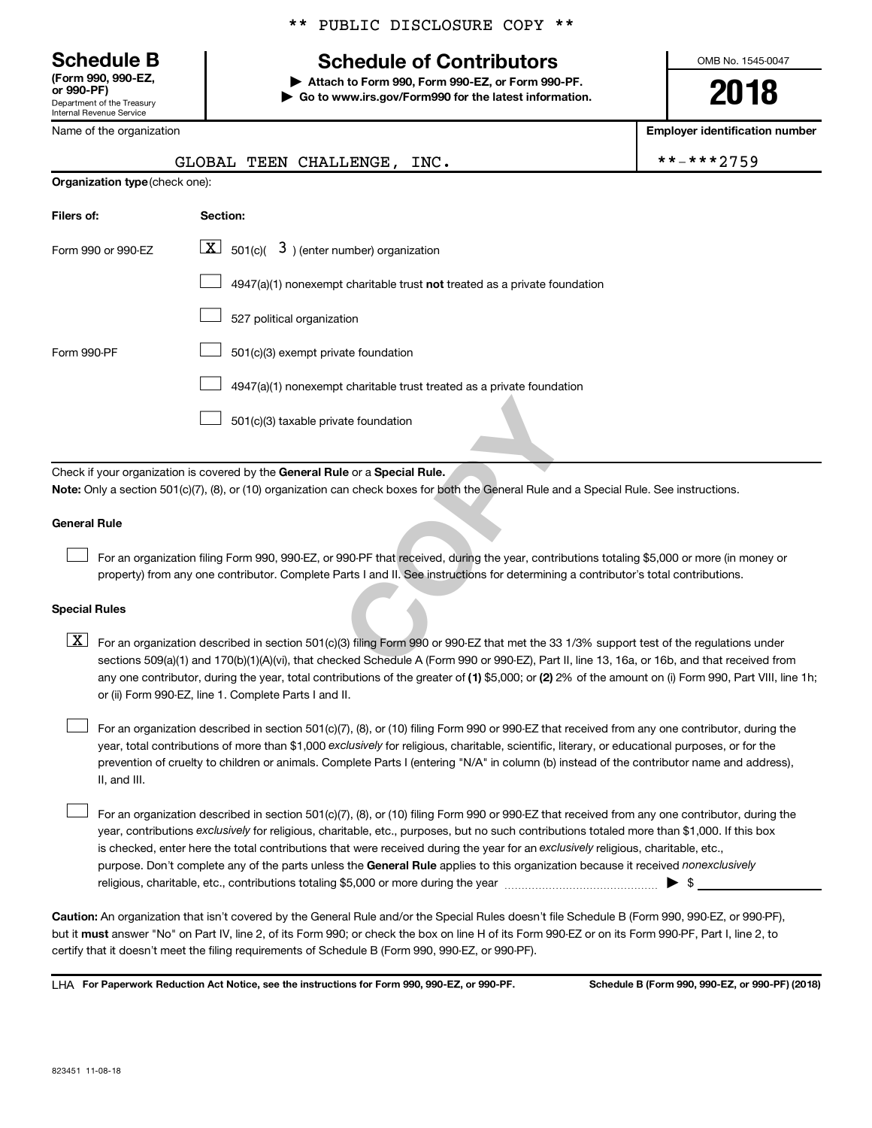Department of the Treasury Internal Revenue Service **(Form 990, 990-EZ,**

#### \*\* PUBLIC DISCLOSURE COPY \*\*

# **Schedule B Schedule of Contributors**

**or 990-PF) | Attach to Form 990, Form 990-EZ, or Form 990-PF. | Go to www.irs.gov/Form990 for the latest information.** OMB No. 1545-0047

**2018**

| Name of the organization       |                                                                                                                                                                                                                                                                                                                                                                                                                                                                                                           | <b>Employer identification number</b> |
|--------------------------------|-----------------------------------------------------------------------------------------------------------------------------------------------------------------------------------------------------------------------------------------------------------------------------------------------------------------------------------------------------------------------------------------------------------------------------------------------------------------------------------------------------------|---------------------------------------|
|                                | GLOBAL TEEN CHALLENGE,<br>INC.                                                                                                                                                                                                                                                                                                                                                                                                                                                                            | **-***2759                            |
| Organization type (check one): |                                                                                                                                                                                                                                                                                                                                                                                                                                                                                                           |                                       |
| Filers of:                     | Section:                                                                                                                                                                                                                                                                                                                                                                                                                                                                                                  |                                       |
| Form 990 or 990-EZ             | $\lfloor x \rfloor$ 501(c)( 3) (enter number) organization                                                                                                                                                                                                                                                                                                                                                                                                                                                |                                       |
|                                | $4947(a)(1)$ nonexempt charitable trust not treated as a private foundation                                                                                                                                                                                                                                                                                                                                                                                                                               |                                       |
|                                | 527 political organization                                                                                                                                                                                                                                                                                                                                                                                                                                                                                |                                       |
| Form 990-PF                    | 501(c)(3) exempt private foundation                                                                                                                                                                                                                                                                                                                                                                                                                                                                       |                                       |
|                                | 4947(a)(1) nonexempt charitable trust treated as a private foundation                                                                                                                                                                                                                                                                                                                                                                                                                                     |                                       |
|                                | 501(c)(3) taxable private foundation                                                                                                                                                                                                                                                                                                                                                                                                                                                                      |                                       |
|                                | Check if your organization is covered by the General Rule or a Special Rule.<br>Note: Only a section 501(c)(7), (8), or (10) organization can check boxes for both the General Rule and a Special Rule. See instructions.                                                                                                                                                                                                                                                                                 |                                       |
| <b>General Rule</b>            |                                                                                                                                                                                                                                                                                                                                                                                                                                                                                                           |                                       |
|                                | For an organization filing Form 990, 990-EZ, or 990-PF that received, during the year, contributions totaling \$5,000 or more (in money or<br>property) from any one contributor. Complete Parts I and II. See instructions for determining a contributor's total contributions.                                                                                                                                                                                                                          |                                       |
| <b>Special Rules</b>           |                                                                                                                                                                                                                                                                                                                                                                                                                                                                                                           |                                       |
| $\lfloor x \rfloor$            | For an organization described in section 501(c)(3) filing Form 990 or 990-EZ that met the 33 1/3% support test of the regulations under<br>sections 509(a)(1) and 170(b)(1)(A)(vi), that checked Schedule A (Form 990 or 990-EZ), Part II, line 13, 16a, or 16b, and that received from<br>any one contributor, during the year, total contributions of the greater of (1) \$5,000; or (2) 2% of the amount on (i) Form 990, Part VIII, line 1h;<br>or (ii) Form 990-EZ, line 1. Complete Parts I and II. |                                       |
|                                |                                                                                                                                                                                                                                                                                                                                                                                                                                                                                                           |                                       |

year, total contributions of more than \$1,000 *exclusively* for religious, charitable, scientific, literary, or educational purposes, or for the For an organization described in section 501(c)(7), (8), or (10) filing Form 990 or 990-EZ that received from any one contributor, during the prevention of cruelty to children or animals. Complete Parts I (entering "N/A" in column (b) instead of the contributor name and address), II, and III.

purpose. Don't complete any of the parts unless the General Rule applies to this organization because it received nonexclusively year, contributions exclusively for religious, charitable, etc., purposes, but no such contributions totaled more than \$1,000. If this box is checked, enter here the total contributions that were received during the year for an exclusively religious, charitable, etc., For an organization described in section 501(c)(7), (8), or (10) filing Form 990 or 990-EZ that received from any one contributor, during the religious, charitable, etc., contributions totaling \$5,000 or more during the year  $\ldots$  $\ldots$  $\ldots$  $\ldots$  $\ldots$  $\ldots$  $\Box$ 

**Caution:**  An organization that isn't covered by the General Rule and/or the Special Rules doesn't file Schedule B (Form 990, 990-EZ, or 990-PF),  **must** but it answer "No" on Part IV, line 2, of its Form 990; or check the box on line H of its Form 990-EZ or on its Form 990-PF, Part I, line 2, to certify that it doesn't meet the filing requirements of Schedule B (Form 990, 990-EZ, or 990-PF).

**For Paperwork Reduction Act Notice, see the instructions for Form 990, 990-EZ, or 990-PF. Schedule B (Form 990, 990-EZ, or 990-PF) (2018)** LHA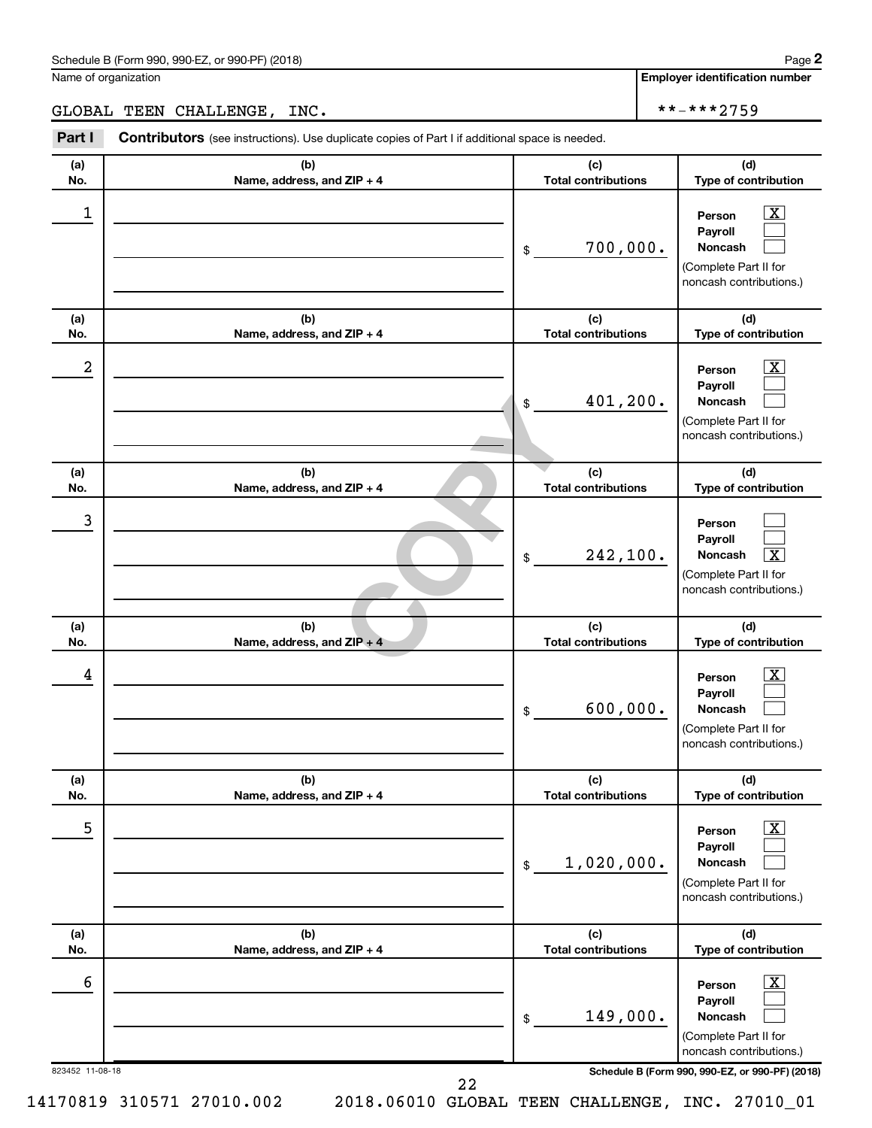#### Schedule B (Form 990, 990-EZ, or 990-PF) (2018)

Name of organization

**Employer identification number**

GLOBAL TEEN CHALLENGE, INC.  $\vert$  \*\*-\*\*\*2759

12IP + 4<br>
12IP + 4<br>
12IP + 4<br>
12IP + 4<br>
Total contribution<br>
Total contribution<br>
Total contribution 823452 11-08-18 **Schedule B (Form 990, 990-EZ, or 990-PF) (2018) (a) No. (b) Name, address, and ZIP + 4 (c) Total contributions (d) Type of contribution Person Payroll Noncash (a) No. (b) Name, address, and ZIP + 4 (c) Total contributions (d) Type of contribution Person Payroll Noncash (a) No. (b) Name, address, and ZIP + 4 (c) Total contributions (d) Type of contribution Person Payroll Noncash (a) No. (b) Name, address, and ZIP + 4 (c) Total contributions (d) Type of contribution Person Payroll Noncash (a) No. (b) Name, address, and ZIP + 4 (c) Total contributions (d) Type of contribution Person Payroll Noncash (a) No. (b) Name, address, and ZIP + 4 (c) Total contributions (d) Type of contribution Person Payroll Noncash Part I** Contributors (see instructions). Use duplicate copies of Part I if additional space is needed. \$ (Complete Part II for noncash contributions.) \$ (Complete Part II for noncash contributions.) \$ (Complete Part II for noncash contributions.) \$ (Complete Part II for noncash contributions.) \$ (Complete Part II for noncash contributions.) \$ (Complete Part II for noncash contributions.)  $\lfloor x \rfloor$  $\Box$  $\Box$  $\overline{\mathbf{X}}$  $\Box$  $\Box$  $\Box$  $\Box$  $\boxed{\textbf{X}}$  $\boxed{\textbf{X}}$  $\Box$  $\Box$  $\boxed{\text{X}}$  $\Box$  $\Box$  $\boxed{\text{X}}$  $\Box$  $\Box$  $\begin{array}{|c|c|c|c|c|}\hline \ \text{1} & \text{Person} & \text{X} \ \hline \end{array}$ 700,000.  $2$  Person  $\overline{\text{X}}$ 401,200. 3 242,100. X  $\begin{array}{|c|c|c|c|c|}\hline \text{4} & \text{Person} & \text{\textbf{X}}\ \hline \end{array}$ 600,000. 5 X 1,020,000.  $\overline{6}$  Person  $\overline{X}$ 149,000. 22

14170819 310571 27010.002 2018.06010 GLOBAL TEEN CHALLENGE, INC. 27010\_01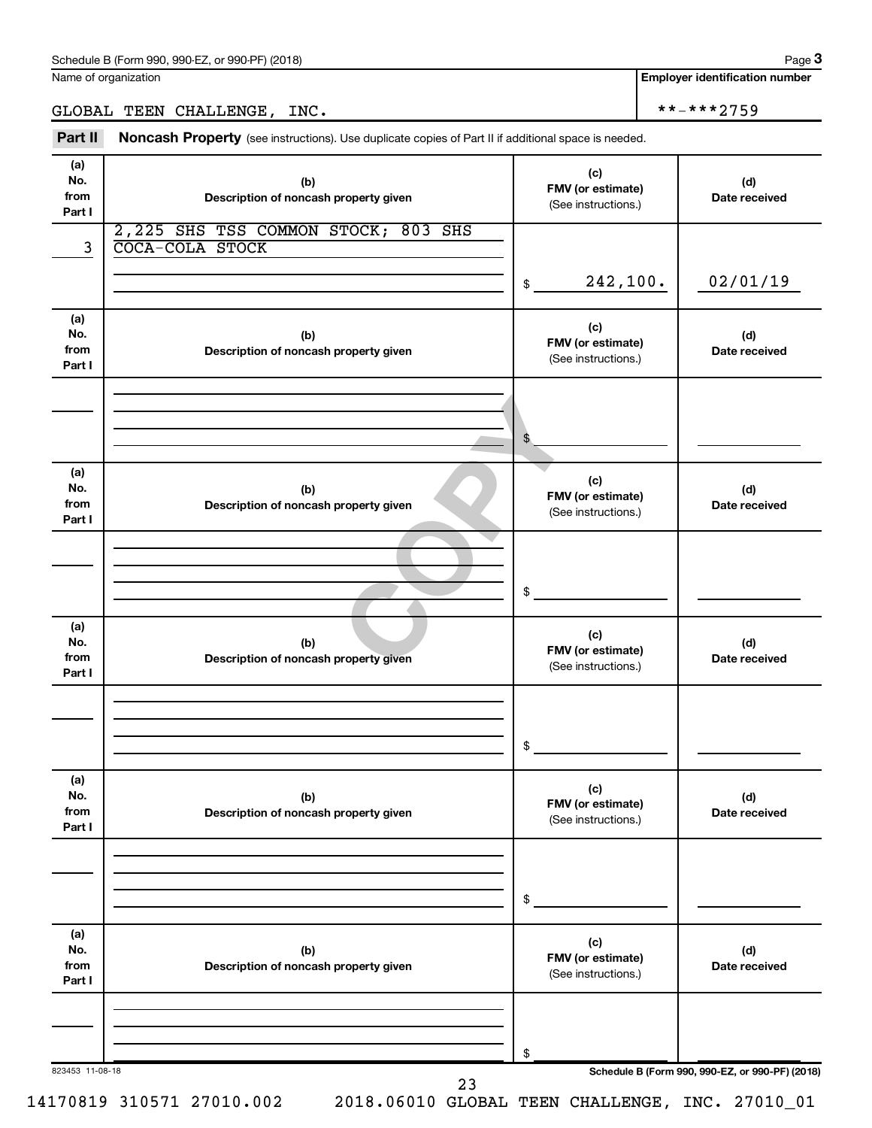Name of organization

**Employer identification number**

### GLOBAL TEEN CHALLENGE, INC.  $\begin{array}{ccc} & & \ast \ast_- \ast \ast \ast_2 \rightarrow 9 \end{array}$

Part II Noncash Property (see instructions). Use duplicate copies of Part II if additional space is needed.

| (a)<br>No.<br>from<br>Part I | (b)<br>Description of noncash property given                  | (c)<br>FMV (or estimate)<br>(See instructions.) | (d)<br>Date received                            |
|------------------------------|---------------------------------------------------------------|-------------------------------------------------|-------------------------------------------------|
| 3                            | 2,225 SHS TSS COMMON STOCK; 803 SHS<br><b>COCA-COLA STOCK</b> |                                                 |                                                 |
|                              |                                                               | 242,100.<br>\$                                  | 02/01/19                                        |
| (a)<br>No.<br>from<br>Part I | (b)<br>Description of noncash property given                  | (c)<br>FMV (or estimate)<br>(See instructions.) | (d)<br>Date received                            |
|                              |                                                               | \$                                              |                                                 |
| (a)<br>No.<br>from<br>Part I | (b)<br>Description of noncash property given                  | (c)<br>FMV (or estimate)<br>(See instructions.) | (d)<br>Date received                            |
|                              |                                                               | \$                                              |                                                 |
| (a)<br>No.<br>from<br>Part I | (b)<br>Description of noncash property given                  | (c)<br>FMV (or estimate)<br>(See instructions.) | (d)<br>Date received                            |
|                              |                                                               | \$                                              |                                                 |
| (a)<br>No.<br>from<br>Part I | (b)<br>Description of noncash property given                  | (c)<br>FMV (or estimate)<br>(See instructions.) | (d)<br>Date received                            |
|                              |                                                               | \$                                              |                                                 |
| (a)<br>No.<br>from<br>Part I | (b)<br>Description of noncash property given                  | (c)<br>FMV (or estimate)<br>(See instructions.) | (d)<br>Date received                            |
|                              |                                                               | \$                                              |                                                 |
| 823453 11-08-18              | 23                                                            |                                                 | Schedule B (Form 990, 990-EZ, or 990-PF) (2018) |

14170819 310571 27010.002 2018.06010 GLOBAL TEEN CHALLENGE, INC. 27010\_01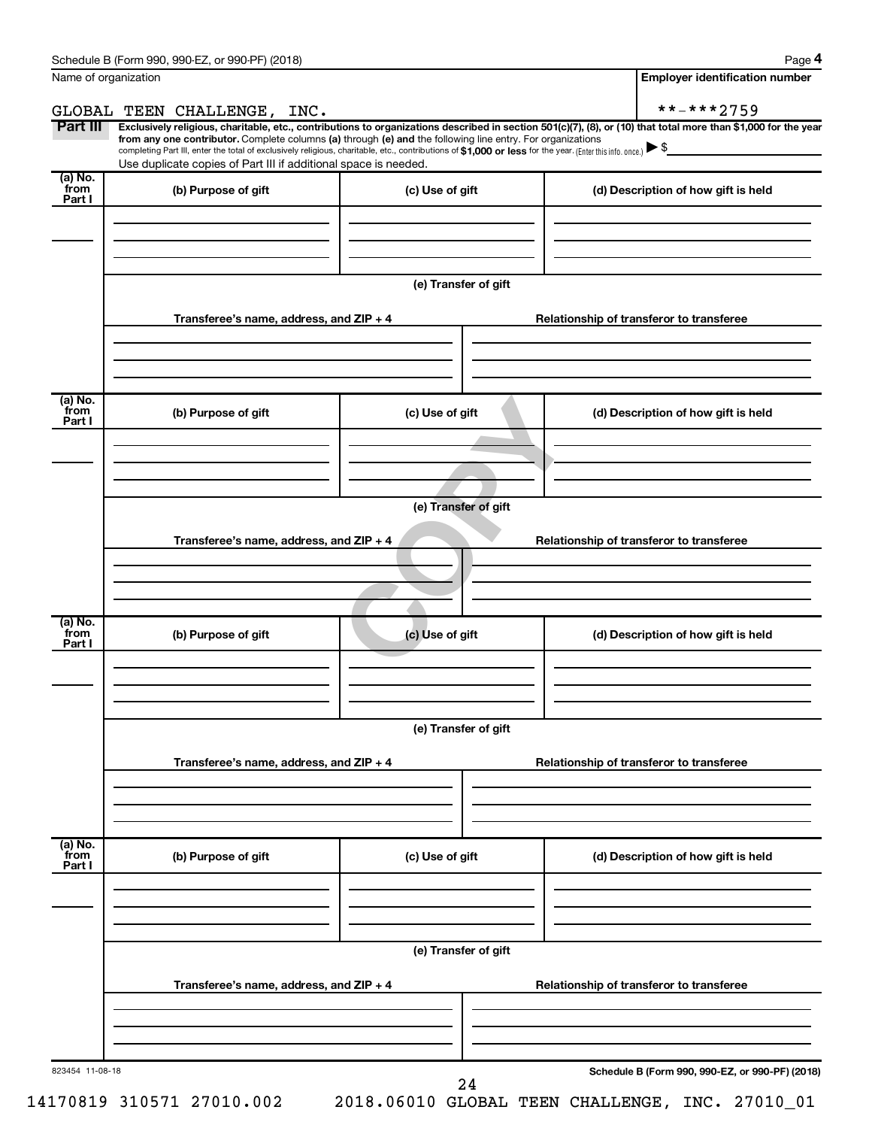|                           | GLOBAL TEEN CHALLENGE, INC.                                                                                                                                                                                                                          |                      | **-***2759<br>Exclusively religious, charitable, etc., contributions to organizations described in section 501(c)(7), (8), or (10) that total more than \$1,000 for the year |
|---------------------------|------------------------------------------------------------------------------------------------------------------------------------------------------------------------------------------------------------------------------------------------------|----------------------|------------------------------------------------------------------------------------------------------------------------------------------------------------------------------|
| Part III                  | from any one contributor. Complete columns (a) through (e) and the following line entry. For organizations                                                                                                                                           |                      |                                                                                                                                                                              |
|                           | completing Part III, enter the total of exclusively religious, charitable, etc., contributions of \$1,000 or less for the year. (Enter this info. once.) $\blacktriangleright$ \$<br>Use duplicate copies of Part III if additional space is needed. |                      |                                                                                                                                                                              |
| (a) No.                   |                                                                                                                                                                                                                                                      |                      |                                                                                                                                                                              |
| from<br>Part I            | (b) Purpose of gift                                                                                                                                                                                                                                  | (c) Use of gift      | (d) Description of how gift is held                                                                                                                                          |
|                           |                                                                                                                                                                                                                                                      |                      |                                                                                                                                                                              |
|                           |                                                                                                                                                                                                                                                      |                      |                                                                                                                                                                              |
|                           |                                                                                                                                                                                                                                                      |                      |                                                                                                                                                                              |
|                           |                                                                                                                                                                                                                                                      |                      |                                                                                                                                                                              |
|                           |                                                                                                                                                                                                                                                      | (e) Transfer of gift |                                                                                                                                                                              |
|                           |                                                                                                                                                                                                                                                      |                      |                                                                                                                                                                              |
|                           | Transferee's name, address, and ZIP + 4                                                                                                                                                                                                              |                      | Relationship of transferor to transferee                                                                                                                                     |
|                           |                                                                                                                                                                                                                                                      |                      |                                                                                                                                                                              |
|                           |                                                                                                                                                                                                                                                      |                      |                                                                                                                                                                              |
|                           |                                                                                                                                                                                                                                                      |                      |                                                                                                                                                                              |
| (a) No.<br>from           | (b) Purpose of gift                                                                                                                                                                                                                                  | (c) Use of gift      | (d) Description of how gift is held                                                                                                                                          |
| Part I                    |                                                                                                                                                                                                                                                      |                      |                                                                                                                                                                              |
|                           |                                                                                                                                                                                                                                                      |                      |                                                                                                                                                                              |
|                           |                                                                                                                                                                                                                                                      |                      |                                                                                                                                                                              |
|                           |                                                                                                                                                                                                                                                      |                      |                                                                                                                                                                              |
|                           |                                                                                                                                                                                                                                                      | (e) Transfer of gift |                                                                                                                                                                              |
|                           |                                                                                                                                                                                                                                                      |                      |                                                                                                                                                                              |
|                           | Transferee's name, address, and ZIP + 4                                                                                                                                                                                                              |                      | Relationship of transferor to transferee                                                                                                                                     |
|                           |                                                                                                                                                                                                                                                      |                      |                                                                                                                                                                              |
|                           |                                                                                                                                                                                                                                                      |                      |                                                                                                                                                                              |
|                           |                                                                                                                                                                                                                                                      |                      |                                                                                                                                                                              |
| (a) No.                   |                                                                                                                                                                                                                                                      |                      |                                                                                                                                                                              |
| from<br>Part I            | (b) Purpose of gift                                                                                                                                                                                                                                  | (c) Use of gift      | (d) Description of how gift is held                                                                                                                                          |
|                           |                                                                                                                                                                                                                                                      |                      |                                                                                                                                                                              |
|                           |                                                                                                                                                                                                                                                      |                      |                                                                                                                                                                              |
|                           |                                                                                                                                                                                                                                                      |                      |                                                                                                                                                                              |
|                           |                                                                                                                                                                                                                                                      |                      |                                                                                                                                                                              |
|                           |                                                                                                                                                                                                                                                      | (e) Transfer of gift |                                                                                                                                                                              |
|                           |                                                                                                                                                                                                                                                      |                      |                                                                                                                                                                              |
|                           | Transferee's name, address, and ZIP + 4                                                                                                                                                                                                              |                      | Relationship of transferor to transferee                                                                                                                                     |
|                           |                                                                                                                                                                                                                                                      |                      |                                                                                                                                                                              |
|                           |                                                                                                                                                                                                                                                      |                      |                                                                                                                                                                              |
|                           |                                                                                                                                                                                                                                                      |                      |                                                                                                                                                                              |
|                           | (b) Purpose of gift                                                                                                                                                                                                                                  | (c) Use of gift      | (d) Description of how gift is held                                                                                                                                          |
|                           |                                                                                                                                                                                                                                                      |                      |                                                                                                                                                                              |
|                           |                                                                                                                                                                                                                                                      |                      |                                                                                                                                                                              |
|                           |                                                                                                                                                                                                                                                      |                      |                                                                                                                                                                              |
|                           |                                                                                                                                                                                                                                                      |                      |                                                                                                                                                                              |
|                           |                                                                                                                                                                                                                                                      |                      |                                                                                                                                                                              |
|                           |                                                                                                                                                                                                                                                      |                      |                                                                                                                                                                              |
|                           |                                                                                                                                                                                                                                                      | (e) Transfer of gift |                                                                                                                                                                              |
| (a) No.<br>from<br>Part I | Transferee's name, address, and ZIP + 4                                                                                                                                                                                                              |                      | Relationship of transferor to transferee                                                                                                                                     |
|                           |                                                                                                                                                                                                                                                      |                      |                                                                                                                                                                              |
|                           |                                                                                                                                                                                                                                                      |                      |                                                                                                                                                                              |
|                           |                                                                                                                                                                                                                                                      |                      |                                                                                                                                                                              |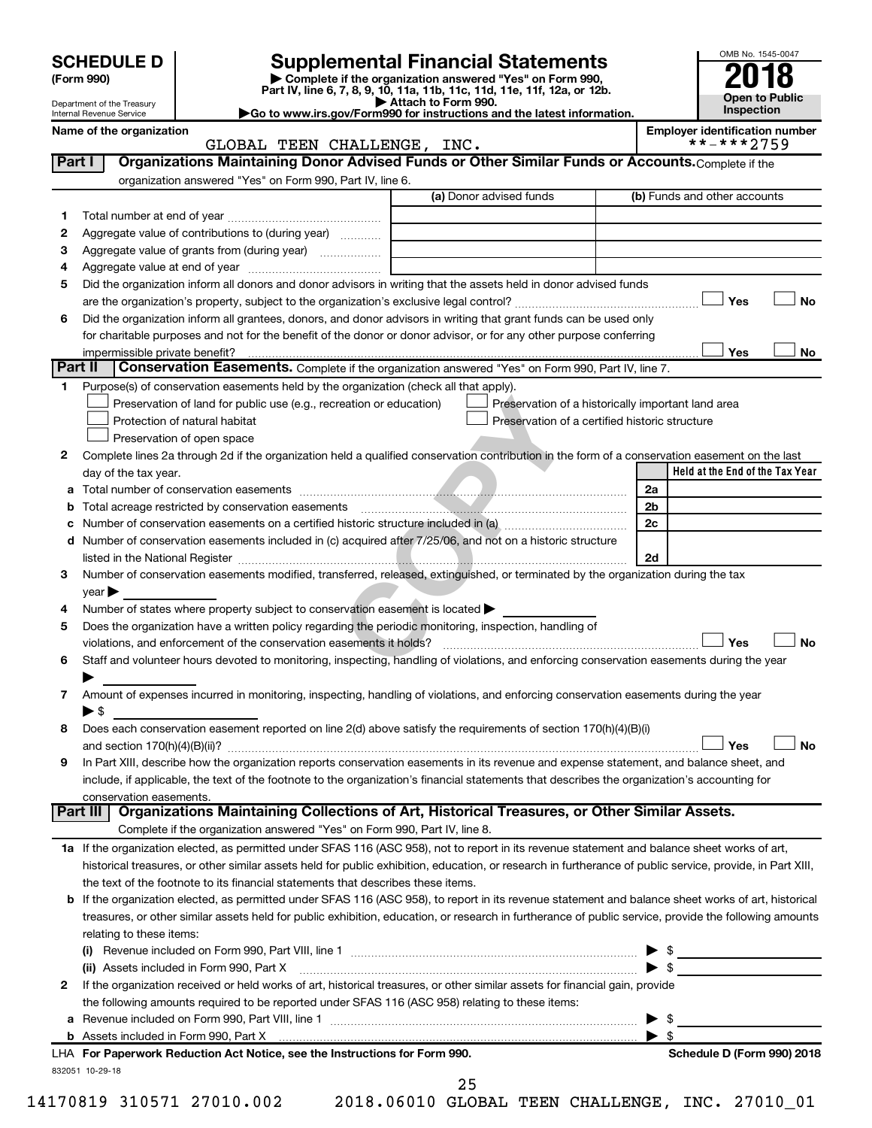| (Form 990) |  |
|------------|--|
|------------|--|

# **SCHEDULE D Supplemental Financial Statements**<br> **Form 990 2018**<br> **Part IV** line 6.7.8.9.10, 11a, 11b, 11d, 11d, 11d, 11d, 11d, 12a, 0r, 12b

**(Form 990) | Complete if the organization answered "Yes" on Form 990, Part IV, line 6, 7, 8, 9, 10, 11a, 11b, 11c, 11d, 11e, 11f, 12a, or 12b.**

**| Attach to Form 990. |Go to www.irs.gov/Form990 for instructions and the latest information.**



Department of the Treasury Internal Revenue Service

Name of the organization<br> **GLOBAL TEEN CHALLENGE, INC.**<br> **Employer identification number**<br>
\*\*-\*\*\*2759 GLOBAL TEEN CHALLENGE, INC.

| Part I       | Organizations Maintaining Donor Advised Funds or Other Similar Funds or Accounts. Complete if the<br>organization answered "Yes" on Form 990, Part IV, line 6. |                                                |                                                    |
|--------------|----------------------------------------------------------------------------------------------------------------------------------------------------------------|------------------------------------------------|----------------------------------------------------|
|              |                                                                                                                                                                | (a) Donor advised funds                        | (b) Funds and other accounts                       |
| 1.           |                                                                                                                                                                |                                                |                                                    |
| 2            | Aggregate value of contributions to (during year)                                                                                                              |                                                |                                                    |
| з            | Aggregate value of grants from (during year)                                                                                                                   |                                                |                                                    |
| 4            |                                                                                                                                                                |                                                |                                                    |
| 5            | Did the organization inform all donors and donor advisors in writing that the assets held in donor advised funds                                               |                                                |                                                    |
|              |                                                                                                                                                                |                                                | Yes<br>No                                          |
| 6            | Did the organization inform all grantees, donors, and donor advisors in writing that grant funds can be used only                                              |                                                |                                                    |
|              | for charitable purposes and not for the benefit of the donor or donor advisor, or for any other purpose conferring                                             |                                                |                                                    |
|              |                                                                                                                                                                |                                                | Yes<br>No                                          |
| Part II      | Conservation Easements. Complete if the organization answered "Yes" on Form 990, Part IV, line 7.                                                              |                                                |                                                    |
| 1            | Purpose(s) of conservation easements held by the organization (check all that apply).                                                                          |                                                |                                                    |
|              | Preservation of land for public use (e.g., recreation or education)                                                                                            |                                                | Preservation of a historically important land area |
|              | Protection of natural habitat                                                                                                                                  | Preservation of a certified historic structure |                                                    |
|              | Preservation of open space                                                                                                                                     |                                                |                                                    |
| 2            | Complete lines 2a through 2d if the organization held a qualified conservation contribution in the form of a conservation easement on the last                 |                                                |                                                    |
|              | day of the tax year.                                                                                                                                           |                                                | Held at the End of the Tax Year                    |
| а            |                                                                                                                                                                |                                                | 2a                                                 |
| b            |                                                                                                                                                                |                                                | 2b                                                 |
| с            |                                                                                                                                                                |                                                | 2c                                                 |
| d            | Number of conservation easements included in (c) acquired after 7/25/06, and not on a historic structure                                                       |                                                |                                                    |
|              | listed in the National Register [111] [12] The Materian Material Contract in the National Register [11] [12] Ma                                                |                                                | 2d                                                 |
| 3            | Number of conservation easements modified, transferred, released, extinguished, or terminated by the organization during the tax                               |                                                |                                                    |
|              | $year \triangleright$                                                                                                                                          |                                                |                                                    |
| 4            | Number of states where property subject to conservation easement is located >                                                                                  |                                                |                                                    |
| 5            | Does the organization have a written policy regarding the periodic monitoring, inspection, handling of                                                         |                                                |                                                    |
|              | violations, and enforcement of the conservation easements it holds?                                                                                            |                                                | Yes<br><b>No</b>                                   |
| 6            | Staff and volunteer hours devoted to monitoring, inspecting, handling of violations, and enforcing conservation easements during the year                      |                                                |                                                    |
|              |                                                                                                                                                                |                                                |                                                    |
| 7            | Amount of expenses incurred in monitoring, inspecting, handling of violations, and enforcing conservation easements during the year                            |                                                |                                                    |
|              | $\blacktriangleright$ s                                                                                                                                        |                                                |                                                    |
| 8            | Does each conservation easement reported on line 2(d) above satisfy the requirements of section 170(h)(4)(B)(i)                                                |                                                |                                                    |
|              |                                                                                                                                                                |                                                | Yes<br><b>No</b>                                   |
| 9            | In Part XIII, describe how the organization reports conservation easements in its revenue and expense statement, and balance sheet, and                        |                                                |                                                    |
|              | include, if applicable, the text of the footnote to the organization's financial statements that describes the organization's accounting for                   |                                                |                                                    |
|              | conservation easements.                                                                                                                                        |                                                |                                                    |
|              | Organizations Maintaining Collections of Art, Historical Treasures, or Other Similar Assets.<br>Part III                                                       |                                                |                                                    |
|              | Complete if the organization answered "Yes" on Form 990, Part IV, line 8.                                                                                      |                                                |                                                    |
|              | 1a If the organization elected, as permitted under SFAS 116 (ASC 958), not to report in its revenue statement and balance sheet works of art,                  |                                                |                                                    |
|              | historical treasures, or other similar assets held for public exhibition, education, or research in furtherance of public service, provide, in Part XIII,      |                                                |                                                    |
|              | the text of the footnote to its financial statements that describes these items.                                                                               |                                                |                                                    |
|              | <b>b</b> If the organization elected, as permitted under SFAS 116 (ASC 958), to report in its revenue statement and balance sheet works of art, historical     |                                                |                                                    |
|              | treasures, or other similar assets held for public exhibition, education, or research in furtherance of public service, provide the following amounts          |                                                |                                                    |
|              | relating to these items:                                                                                                                                       |                                                |                                                    |
|              |                                                                                                                                                                |                                                | $\triangleright$ \$                                |
|              | (ii) Assets included in Form 990, Part X                                                                                                                       |                                                | $\triangleright$ \$                                |
| $\mathbf{2}$ | If the organization received or held works of art, historical treasures, or other similar assets for financial gain, provide                                   |                                                |                                                    |
|              | the following amounts required to be reported under SFAS 116 (ASC 958) relating to these items:                                                                |                                                |                                                    |
| а            |                                                                                                                                                                |                                                | \$<br>▶<br>$\blacktriangleright$ s                 |
|              | LHA For Paperwork Reduction Act Notice, see the Instructions for Form 990.                                                                                     |                                                | Schedule D (Form 990) 2018                         |
|              | 832051 10-29-18                                                                                                                                                |                                                |                                                    |
|              |                                                                                                                                                                | 25                                             |                                                    |

14170819 310571 27010.002 2018.06010 GLOBAL TEEN CHALLENGE, INC. 27010\_01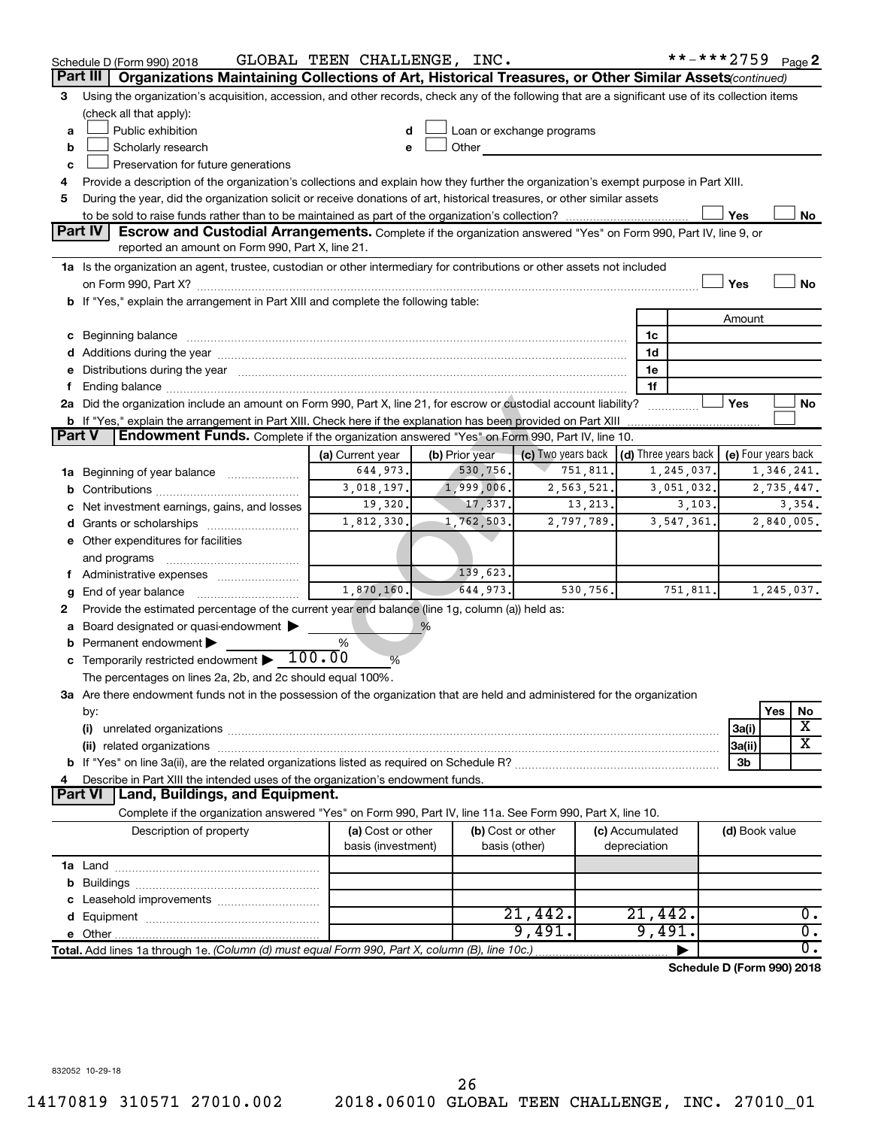|   | Schedule D (Form 990) 2018                                                                                                                                                                                                          | GLOBAL TEEN CHALLENGE, INC. |                |                                    |                                 | **-***2759 $Page 2$        |                     |            |                  |  |  |
|---|-------------------------------------------------------------------------------------------------------------------------------------------------------------------------------------------------------------------------------------|-----------------------------|----------------|------------------------------------|---------------------------------|----------------------------|---------------------|------------|------------------|--|--|
|   | Part III<br>Organizations Maintaining Collections of Art, Historical Treasures, or Other Similar Assets (continued)                                                                                                                 |                             |                |                                    |                                 |                            |                     |            |                  |  |  |
| 3 | Using the organization's acquisition, accession, and other records, check any of the following that are a significant use of its collection items                                                                                   |                             |                |                                    |                                 |                            |                     |            |                  |  |  |
|   | (check all that apply):                                                                                                                                                                                                             |                             |                |                                    |                                 |                            |                     |            |                  |  |  |
| a | Public exhibition<br>Loan or exchange programs<br>d                                                                                                                                                                                 |                             |                |                                    |                                 |                            |                     |            |                  |  |  |
| b | Scholarly research<br>Other<br>е                                                                                                                                                                                                    |                             |                |                                    |                                 |                            |                     |            |                  |  |  |
| c | Preservation for future generations                                                                                                                                                                                                 |                             |                |                                    |                                 |                            |                     |            |                  |  |  |
| 4 | Provide a description of the organization's collections and explain how they further the organization's exempt purpose in Part XIII.                                                                                                |                             |                |                                    |                                 |                            |                     |            |                  |  |  |
| 5 | During the year, did the organization solicit or receive donations of art, historical treasures, or other similar assets                                                                                                            |                             |                |                                    |                                 |                            |                     |            |                  |  |  |
|   |                                                                                                                                                                                                                                     |                             |                |                                    |                                 |                            | Yes                 |            | No               |  |  |
|   | <b>Part IV</b><br>Escrow and Custodial Arrangements. Complete if the organization answered "Yes" on Form 990, Part IV, line 9, or<br>reported an amount on Form 990, Part X, line 21.                                               |                             |                |                                    |                                 |                            |                     |            |                  |  |  |
|   |                                                                                                                                                                                                                                     |                             |                |                                    |                                 |                            |                     |            |                  |  |  |
|   | 1a Is the organization an agent, trustee, custodian or other intermediary for contributions or other assets not included                                                                                                            |                             |                |                                    |                                 |                            |                     |            |                  |  |  |
|   | b If "Yes," explain the arrangement in Part XIII and complete the following table:                                                                                                                                                  |                             |                |                                    |                                 |                            | Yes                 |            | No               |  |  |
|   |                                                                                                                                                                                                                                     |                             |                |                                    |                                 |                            | Amount              |            |                  |  |  |
|   |                                                                                                                                                                                                                                     |                             |                |                                    | 1c                              |                            |                     |            |                  |  |  |
|   | c Beginning balance <b>communications</b> and a construction of the construction of the construction of the construction of the construction of the construction of the construction of the construction of the construction of the |                             |                |                                    | 1d                              |                            |                     |            |                  |  |  |
|   | e Distributions during the year manufactured and content to the year manufactured and the year manufactured and the year manufactured and the year manufactured and the year manufactured and the year manufactured and the ye      |                             |                |                                    | 1e                              |                            |                     |            |                  |  |  |
| f |                                                                                                                                                                                                                                     |                             |                |                                    | 1f                              |                            |                     |            |                  |  |  |
|   | 2a Did the organization include an amount on Form 990, Part X, line 21, for escrow or custodial account liability?                                                                                                                  |                             |                |                                    |                                 |                            | Yes                 |            | No               |  |  |
|   | b If "Yes," explain the arrangement in Part XIII. Check here if the explanation has been provided on Part XIII                                                                                                                      |                             |                |                                    |                                 |                            |                     |            |                  |  |  |
|   | <b>Part V</b><br>Endowment Funds. Complete if the organization answered "Yes" on Form 990, Part IV, line 10.                                                                                                                        |                             |                |                                    |                                 |                            |                     |            |                  |  |  |
|   |                                                                                                                                                                                                                                     | (a) Current year            | (b) Prior year | (c) Two years back                 | (d) Three years back            |                            | (e) Four years back |            |                  |  |  |
|   | 1a Beginning of year balance                                                                                                                                                                                                        | 644,973.                    | 530,756.       | 751,811.                           |                                 | 1,245,037.                 |                     | 1,346,241. |                  |  |  |
| b | 3,018,197.<br>1,999,006.<br>2,563,521.<br>3,051,032.                                                                                                                                                                                |                             |                |                                    |                                 |                            |                     | 2,735,447. |                  |  |  |
| С | Net investment earnings, gains, and losses                                                                                                                                                                                          | 19,320.                     | 17,337.        | 13,213.                            |                                 | 3,103.                     |                     |            | 3,354.           |  |  |
|   |                                                                                                                                                                                                                                     | 1,812,330.                  | 1,762,503.     | 2,797,789.                         |                                 | 3, 547, 361.               |                     | 2,840,005. |                  |  |  |
|   | e Other expenditures for facilities                                                                                                                                                                                                 |                             |                |                                    |                                 |                            |                     |            |                  |  |  |
|   | and programs                                                                                                                                                                                                                        |                             |                |                                    |                                 |                            |                     |            |                  |  |  |
|   | f Administrative expenses                                                                                                                                                                                                           |                             | 139,623.       |                                    |                                 |                            |                     |            |                  |  |  |
| g |                                                                                                                                                                                                                                     | 1,870,160.                  | 644,973.       | 530,756.                           |                                 | 751,811.                   |                     | 1,245,037. |                  |  |  |
| 2 | Provide the estimated percentage of the current year end balance (line 1g, column (a)) held as:                                                                                                                                     |                             |                |                                    |                                 |                            |                     |            |                  |  |  |
| a | Board designated or quasi-endowment                                                                                                                                                                                                 |                             | %              |                                    |                                 |                            |                     |            |                  |  |  |
| b | Permanent endowment                                                                                                                                                                                                                 | $\%$                        |                |                                    |                                 |                            |                     |            |                  |  |  |
| c | Temporarily restricted endowment $\blacktriangleright 1\overline{00.0}0$                                                                                                                                                            | %                           |                |                                    |                                 |                            |                     |            |                  |  |  |
|   | The percentages on lines 2a, 2b, and 2c should equal 100%.                                                                                                                                                                          |                             |                |                                    |                                 |                            |                     |            |                  |  |  |
|   | 3a Are there endowment funds not in the possession of the organization that are held and administered for the organization                                                                                                          |                             |                |                                    |                                 |                            |                     |            |                  |  |  |
|   | by:                                                                                                                                                                                                                                 |                             |                |                                    |                                 |                            |                     | Yes        | No               |  |  |
|   | (i)                                                                                                                                                                                                                                 |                             |                |                                    |                                 |                            | 3a(i)               |            | х<br>X           |  |  |
|   |                                                                                                                                                                                                                                     |                             |                |                                    |                                 |                            | 3a(ii)              |            |                  |  |  |
|   |                                                                                                                                                                                                                                     |                             |                |                                    |                                 |                            | 3b                  |            |                  |  |  |
| 4 | Describe in Part XIII the intended uses of the organization's endowment funds.<br>Part VI   Land, Buildings, and Equipment.                                                                                                         |                             |                |                                    |                                 |                            |                     |            |                  |  |  |
|   | Complete if the organization answered "Yes" on Form 990, Part IV, line 11a. See Form 990, Part X, line 10.                                                                                                                          |                             |                |                                    |                                 |                            |                     |            |                  |  |  |
|   |                                                                                                                                                                                                                                     | (a) Cost or other           |                |                                    |                                 |                            |                     |            |                  |  |  |
|   | Description of property                                                                                                                                                                                                             | basis (investment)          |                | (b) Cost or other<br>basis (other) | (c) Accumulated<br>depreciation |                            | (d) Book value      |            |                  |  |  |
|   |                                                                                                                                                                                                                                     |                             |                |                                    |                                 |                            |                     |            |                  |  |  |
| b |                                                                                                                                                                                                                                     |                             |                |                                    |                                 |                            |                     |            |                  |  |  |
| c |                                                                                                                                                                                                                                     |                             |                |                                    |                                 |                            |                     |            |                  |  |  |
|   |                                                                                                                                                                                                                                     |                             |                | 21,442.                            | 21,442.                         |                            |                     |            | 0.               |  |  |
|   |                                                                                                                                                                                                                                     |                             |                | 9,491.                             | 9,491.                          |                            |                     |            | $\overline{0}$ . |  |  |
|   |                                                                                                                                                                                                                                     |                             |                |                                    |                                 |                            |                     |            | $\overline{0}$ . |  |  |
|   |                                                                                                                                                                                                                                     |                             |                |                                    |                                 | Schedule D (Form 990) 2018 |                     |            |                  |  |  |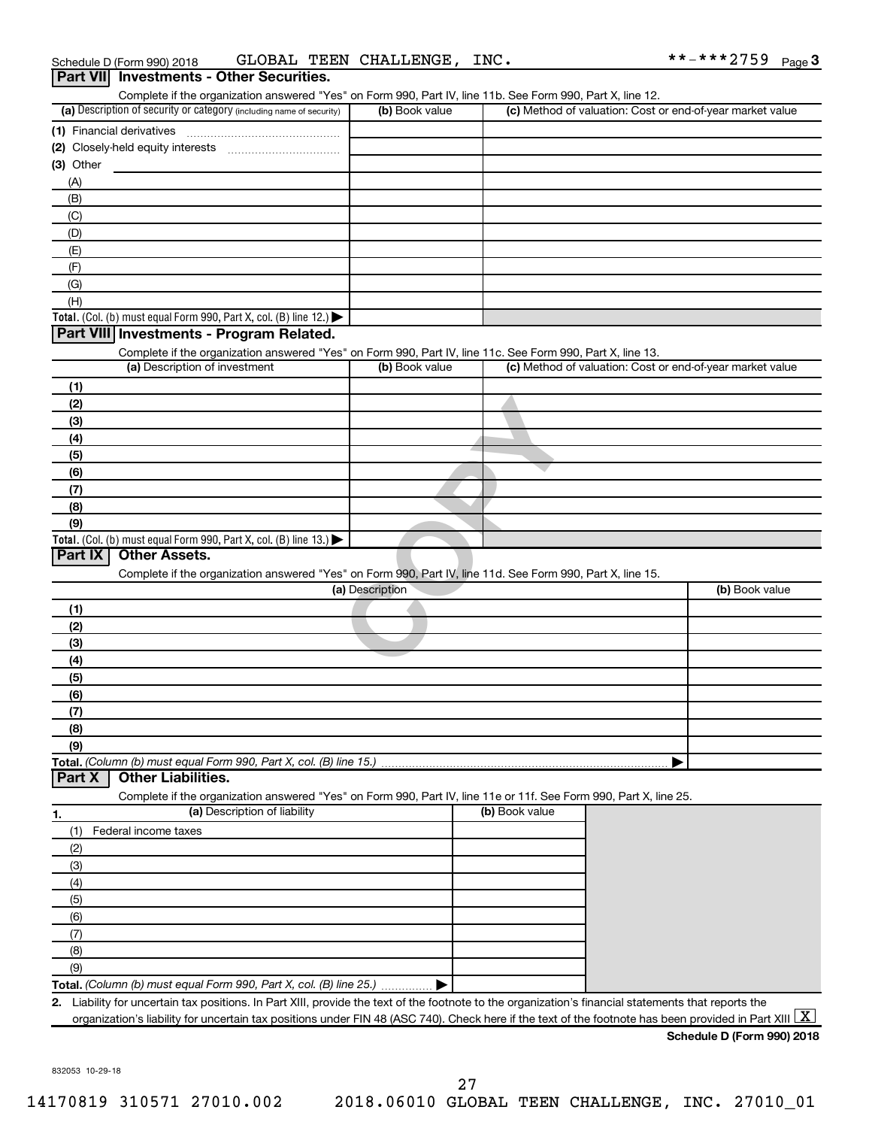| Part VII Investments - Other Securities.<br>Complete if the organization answered "Yes" on Form 990, Part IV, line 11b. See Form 990, Part X, line 12.   |                 |                                                           |                |
|----------------------------------------------------------------------------------------------------------------------------------------------------------|-----------------|-----------------------------------------------------------|----------------|
| (a) Description of security or category (including name of security)                                                                                     | (b) Book value  | (c) Method of valuation: Cost or end-of-year market value |                |
| (1) Financial derivatives                                                                                                                                |                 |                                                           |                |
|                                                                                                                                                          |                 |                                                           |                |
| $(3)$ Other                                                                                                                                              |                 |                                                           |                |
| (A)                                                                                                                                                      |                 |                                                           |                |
| (B)                                                                                                                                                      |                 |                                                           |                |
| (C)                                                                                                                                                      |                 |                                                           |                |
| (D)                                                                                                                                                      |                 |                                                           |                |
| (E)                                                                                                                                                      |                 |                                                           |                |
| (F)                                                                                                                                                      |                 |                                                           |                |
| (G)                                                                                                                                                      |                 |                                                           |                |
| (H)                                                                                                                                                      |                 |                                                           |                |
| Total. (Col. (b) must equal Form 990, Part X, col. (B) line 12.)                                                                                         |                 |                                                           |                |
| Part VIII Investments - Program Related.                                                                                                                 |                 |                                                           |                |
| Complete if the organization answered "Yes" on Form 990, Part IV, line 11c. See Form 990, Part X, line 13.                                               |                 |                                                           |                |
| (a) Description of investment                                                                                                                            | (b) Book value  | (c) Method of valuation: Cost or end-of-year market value |                |
| (1)                                                                                                                                                      |                 |                                                           |                |
| (2)                                                                                                                                                      |                 |                                                           |                |
| (3)                                                                                                                                                      |                 |                                                           |                |
| (4)                                                                                                                                                      |                 |                                                           |                |
| (5)                                                                                                                                                      |                 |                                                           |                |
| (6)                                                                                                                                                      |                 |                                                           |                |
| (7)                                                                                                                                                      |                 |                                                           |                |
| (8)                                                                                                                                                      |                 |                                                           |                |
| (9)                                                                                                                                                      |                 |                                                           |                |
| Total. (Col. (b) must equal Form 990, Part X, col. (B) line 13.) $\blacktriangleright$                                                                   |                 |                                                           |                |
| Part IX<br><b>Other Assets.</b>                                                                                                                          |                 |                                                           |                |
| Complete if the organization answered "Yes" on Form 990, Part IV, line 11d. See Form 990, Part X, line 15.                                               |                 |                                                           |                |
|                                                                                                                                                          | (a) Description |                                                           | (b) Book value |
| (1)                                                                                                                                                      |                 |                                                           |                |
| (2)                                                                                                                                                      |                 |                                                           |                |
| (3)                                                                                                                                                      |                 |                                                           |                |
| (4)                                                                                                                                                      |                 |                                                           |                |
| (5)                                                                                                                                                      |                 |                                                           |                |
| (6)                                                                                                                                                      |                 |                                                           |                |
| (7)                                                                                                                                                      |                 |                                                           |                |
| (8)                                                                                                                                                      |                 |                                                           |                |
| (9)                                                                                                                                                      |                 |                                                           |                |
| Total. (Column (b) must equal Form 990, Part X, col. (B) line 15.)                                                                                       |                 |                                                           |                |
| <b>Other Liabilities.</b><br>Part X                                                                                                                      |                 |                                                           |                |
| Complete if the organization answered "Yes" on Form 990, Part IV, line 11e or 11f. See Form 990, Part X, line 25.                                        |                 |                                                           |                |
| (a) Description of liability<br>1.                                                                                                                       |                 | (b) Book value                                            |                |
| Federal income taxes<br>(1)                                                                                                                              |                 |                                                           |                |
| (2)                                                                                                                                                      |                 |                                                           |                |
| (3)                                                                                                                                                      |                 |                                                           |                |
| (4)                                                                                                                                                      |                 |                                                           |                |
| (5)                                                                                                                                                      |                 |                                                           |                |
| (6)                                                                                                                                                      |                 |                                                           |                |
| (7)                                                                                                                                                      |                 |                                                           |                |
| (8)                                                                                                                                                      |                 |                                                           |                |
| (9)                                                                                                                                                      |                 |                                                           |                |
| Total. (Column (b) must equal Form 990, Part X, col. (B) line 25.)                                                                                       |                 |                                                           |                |
| 2. Liability for uncertain tax positions. In Part XIII, provide the text of the footnote to the organization's financial statements that reports the     |                 |                                                           |                |
| organization's liability for uncertain tax positions under FIN 48 (ASC 740). Check here if the text of the footnote has been provided in Part XIII $ X $ |                 |                                                           |                |

832053 10-29-18

**Schedule D (Form 990) 2018**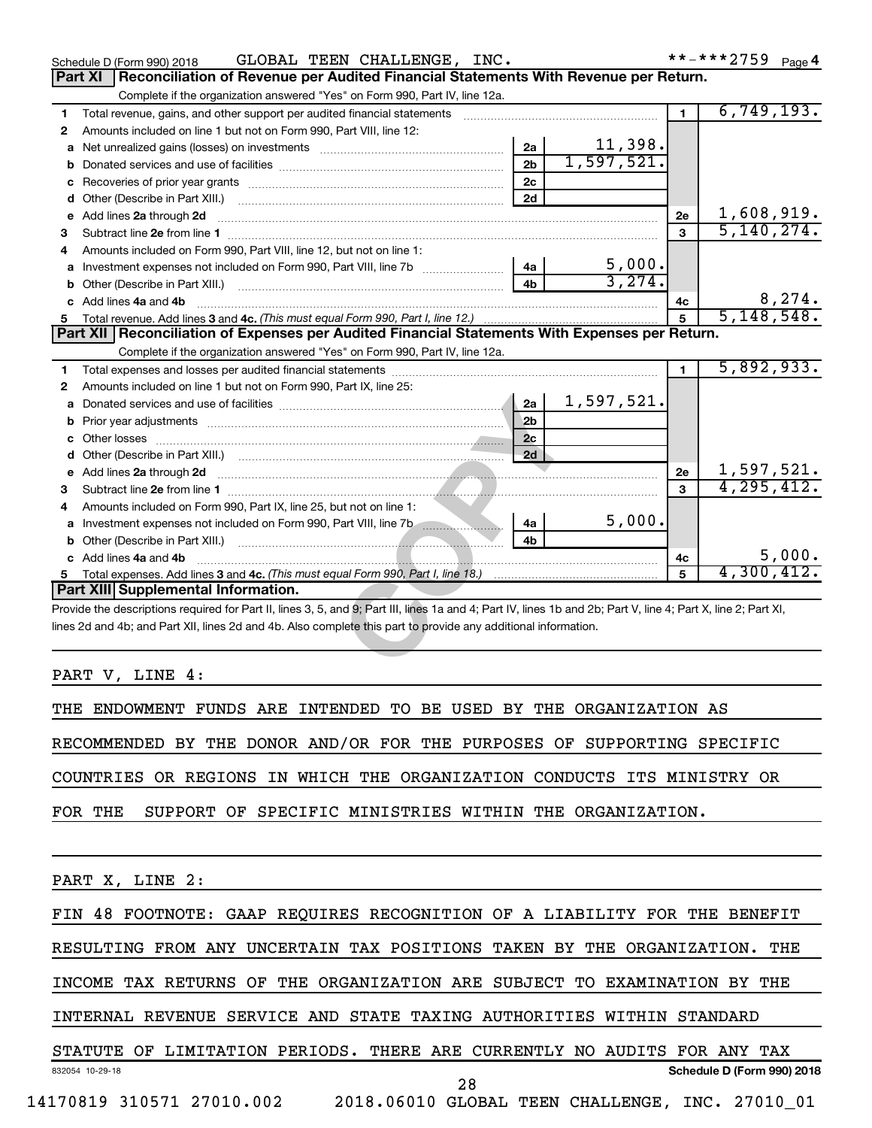|    | GLOBAL TEEN CHALLENGE, INC.<br>Schedule D (Form 990) 2018                                                                                                                                                                            |                |            |                | **-***2759<br>Page 4        |
|----|--------------------------------------------------------------------------------------------------------------------------------------------------------------------------------------------------------------------------------------|----------------|------------|----------------|-----------------------------|
|    | Reconciliation of Revenue per Audited Financial Statements With Revenue per Return.<br>Part XI                                                                                                                                       |                |            |                |                             |
|    | Complete if the organization answered "Yes" on Form 990, Part IV, line 12a.                                                                                                                                                          |                |            |                |                             |
| 1  | Total revenue, gains, and other support per audited financial statements                                                                                                                                                             |                |            | $\blacksquare$ | 6,749,193.                  |
| 2  | Amounts included on line 1 but not on Form 990, Part VIII, line 12:                                                                                                                                                                  |                |            |                |                             |
| a  |                                                                                                                                                                                                                                      | 2a             | 11,398.    |                |                             |
|    |                                                                                                                                                                                                                                      | 2 <sub>b</sub> | 1,597,521. |                |                             |
|    |                                                                                                                                                                                                                                      | 2c             |            |                |                             |
| d  | Other (Describe in Part XIII.)                                                                                                                                                                                                       | 2d             |            |                |                             |
| е  | Add lines 2a through 2d                                                                                                                                                                                                              |                |            | 2е             | 1,608,919.                  |
| 3  | Subtract line 2e from line 1                                                                                                                                                                                                         |                |            | 3              | 5, 140, 274.                |
| 4  | Amounts included on Form 990, Part VIII, line 12, but not on line 1:                                                                                                                                                                 |                |            |                |                             |
| a  | Investment expenses not included on Form 990, Part VIII, line 7b                                                                                                                                                                     | 4a             | 5,000.     |                |                             |
| b  |                                                                                                                                                                                                                                      | 4b             | 3,274.     |                |                             |
| c. | Add lines 4a and 4b                                                                                                                                                                                                                  |                |            | 4c             | $\frac{8,274}{5,148,548}$ . |
|    |                                                                                                                                                                                                                                      |                |            | 5              |                             |
|    | Part XII   Reconciliation of Expenses per Audited Financial Statements With Expenses per Return.                                                                                                                                     |                |            |                |                             |
|    | Complete if the organization answered "Yes" on Form 990, Part IV, line 12a.                                                                                                                                                          |                |            |                |                             |
| 1  |                                                                                                                                                                                                                                      |                |            | $\blacksquare$ | 5,892,933.                  |
| 2  | Amounts included on line 1 but not on Form 990, Part IX, line 25:                                                                                                                                                                    |                |            |                |                             |
| a  |                                                                                                                                                                                                                                      | 2a             | 1,597,521. |                |                             |
| b  |                                                                                                                                                                                                                                      | 2 <sub>b</sub> |            |                |                             |
| c  |                                                                                                                                                                                                                                      | 2 <sub>c</sub> |            |                |                             |
| d  |                                                                                                                                                                                                                                      | 2d             |            |                |                             |
| е  | Add lines 2a through 2d <b>contained a contained a contained a contained a contained a contained a contained a contained a contact a contact a contact a contact a contact a contact a contact a contact a contact a contact a c</b> |                |            | 2e             | 1,597,521.                  |
| З  |                                                                                                                                                                                                                                      |                |            | 3              | 4, 295, 412.                |
| 4  | Amounts included on Form 990, Part IX, line 25, but not on line 1:                                                                                                                                                                   |                |            |                |                             |
| a  |                                                                                                                                                                                                                                      | 4a             | 5,000.     |                |                             |
| b  |                                                                                                                                                                                                                                      | 4 <sub>h</sub> |            |                |                             |
|    | c Add lines 4a and 4b                                                                                                                                                                                                                |                |            | 4c             | 5,000.                      |
|    |                                                                                                                                                                                                                                      |                |            | 5              | 4,300,412.                  |
|    | Part XIII Supplemental Information.                                                                                                                                                                                                  |                |            |                |                             |
|    | Provide the descriptions required for Part II, lines 3, 5, and 9; Part III, lines 1a and 4; Part IV, lines 1b and 2b; Part V, line 4; Part X, line 2; Part XI,                                                                       |                |            |                |                             |
|    | lines 2d and 4b; and Part XII, lines 2d and 4b. Also complete this part to provide any additional information.                                                                                                                       |                |            |                |                             |
|    |                                                                                                                                                                                                                                      |                |            |                |                             |
|    |                                                                                                                                                                                                                                      |                |            |                |                             |

PART V, LINE 4:

THE ENDOWMENT FUNDS ARE INTENDED TO BE USED BY THE ORGANIZATION AS

RECOMMENDED BY THE DONOR AND/OR FOR THE PURPOSES OF SUPPORTING SPECIFIC

COUNTRIES OR REGIONS IN WHICH THE ORGANIZATION CONDUCTS ITS MINISTRY OR

FOR THE SUPPORT OF SPECIFIC MINISTRIES WITHIN THE ORGANIZATION.

PART X, LINE 2:

FIN 48 FOOTNOTE: GAAP REQUIRES RECOGNITION OF A LIABILITY FOR THE BENEFIT

RESULTING FROM ANY UNCERTAIN TAX POSITIONS TAKEN BY THE ORGANIZATION. THE

INCOME TAX RETURNS OF THE ORGANIZATION ARE SUBJECT TO EXAMINATION BY THE

INTERNAL REVENUE SERVICE AND STATE TAXING AUTHORITIES WITHIN STANDARD

832054 10-29-18 **Schedule D (Form 990) 2018** STATUTE OF LIMITATION PERIODS. THERE ARE CURRENTLY NO AUDITS FOR ANY TAX 14170819 310571 27010.002 2018.06010 GLOBAL TEEN CHALLENGE, INC. 27010\_01 28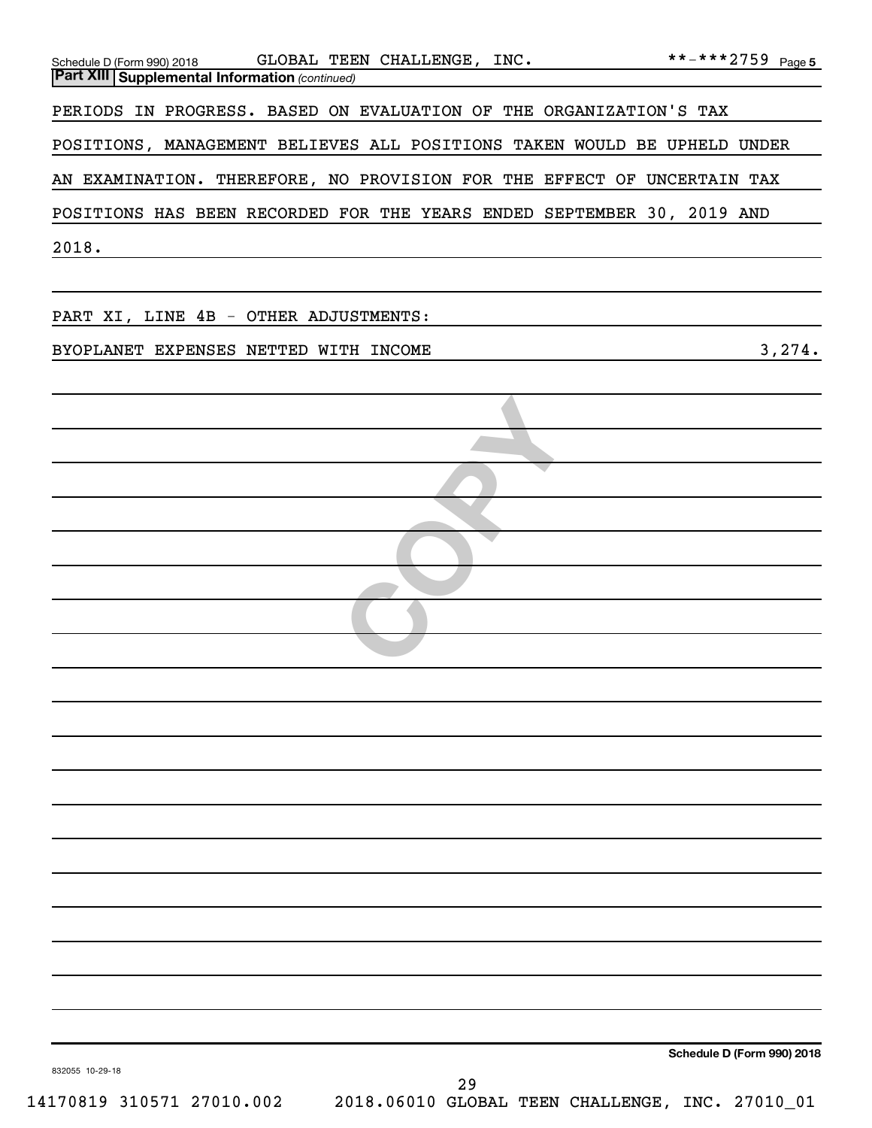| Schedule D (Form 990) 2018 GLOBAL TEEN CHALLENGE, INC. $***-**2759$ Page 5<br><b>Part XIII Supplemental Information (continued)</b> |                                                       |                            |
|-------------------------------------------------------------------------------------------------------------------------------------|-------------------------------------------------------|----------------------------|
| PERIODS IN PROGRESS. BASED ON EVALUATION OF THE ORGANIZATION'S TAX                                                                  |                                                       |                            |
| POSITIONS, MANAGEMENT BELIEVES ALL POSITIONS TAKEN WOULD BE UPHELD UNDER                                                            |                                                       |                            |
|                                                                                                                                     |                                                       |                            |
| AN EXAMINATION. THEREFORE, NO PROVISION FOR THE EFFECT OF UNCERTAIN TAX                                                             |                                                       |                            |
| POSITIONS HAS BEEN RECORDED FOR THE YEARS ENDED SEPTEMBER 30, 2019 AND                                                              |                                                       |                            |
| 2018.                                                                                                                               |                                                       |                            |
| PART XI, LINE 4B - OTHER ADJUSTMENTS:                                                                                               |                                                       |                            |
| BYOPLANET EXPENSES NETTED WITH INCOME                                                                                               |                                                       | 3,274.                     |
|                                                                                                                                     |                                                       |                            |
|                                                                                                                                     |                                                       |                            |
|                                                                                                                                     |                                                       |                            |
|                                                                                                                                     |                                                       |                            |
|                                                                                                                                     |                                                       |                            |
|                                                                                                                                     |                                                       |                            |
|                                                                                                                                     |                                                       |                            |
|                                                                                                                                     |                                                       |                            |
|                                                                                                                                     |                                                       |                            |
|                                                                                                                                     |                                                       |                            |
|                                                                                                                                     |                                                       |                            |
|                                                                                                                                     |                                                       |                            |
|                                                                                                                                     |                                                       |                            |
|                                                                                                                                     |                                                       |                            |
|                                                                                                                                     |                                                       |                            |
|                                                                                                                                     |                                                       |                            |
|                                                                                                                                     |                                                       |                            |
|                                                                                                                                     |                                                       |                            |
|                                                                                                                                     |                                                       |                            |
|                                                                                                                                     |                                                       |                            |
|                                                                                                                                     |                                                       |                            |
| 832055 10-29-18                                                                                                                     |                                                       | Schedule D (Form 990) 2018 |
| 14170819 310571 27010.002                                                                                                           | 29<br>2018.06010 GLOBAL TEEN CHALLENGE, INC. 27010_01 |                            |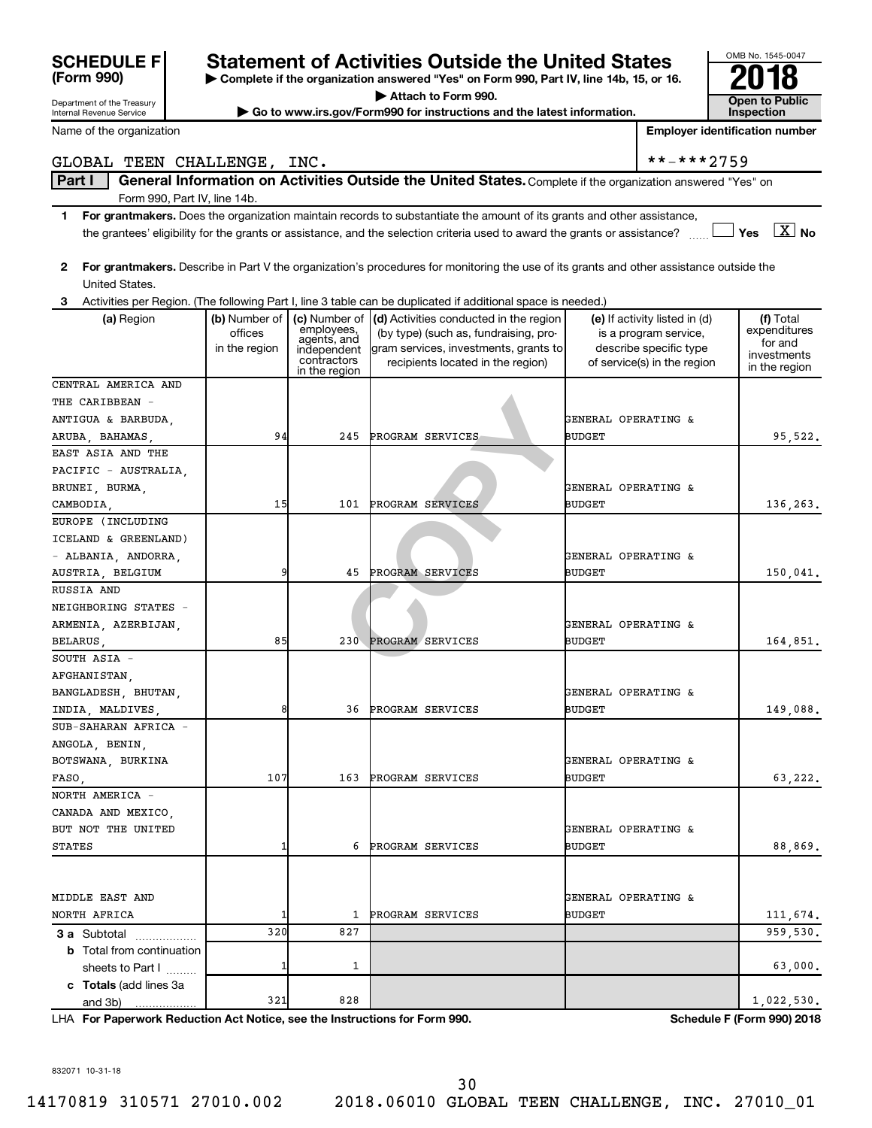| <b>SCHEDULE F</b>                                      |               |                            | <b>Statement of Activities Outside the United States</b>                                                                                |                                |                                                       | OMB No. 1545-0047                          |
|--------------------------------------------------------|---------------|----------------------------|-----------------------------------------------------------------------------------------------------------------------------------------|--------------------------------|-------------------------------------------------------|--------------------------------------------|
| (Form 990)                                             |               |                            | Complete if the organization answered "Yes" on Form 990, Part IV, line 14b, 15, or 16.                                                  |                                |                                                       | 18                                         |
|                                                        |               |                            | Attach to Form 990.                                                                                                                     |                                |                                                       |                                            |
| Department of the Treasury<br>Internal Revenue Service |               |                            | Go to www.irs.gov/Form990 for instructions and the latest information.                                                                  |                                |                                                       | <b>Open to Public</b><br><b>Inspection</b> |
| Name of the organization                               |               |                            |                                                                                                                                         |                                |                                                       | <b>Employer identification number</b>      |
| GLOBAL TEEN CHALLENGE, INC.                            |               |                            |                                                                                                                                         |                                | **-***2759                                            |                                            |
| Part I                                                 |               |                            | General Information on Activities Outside the United States. Complete if the organization answered "Yes" on                             |                                |                                                       |                                            |
| Form 990, Part IV, line 14b.                           |               |                            |                                                                                                                                         |                                |                                                       |                                            |
| 1                                                      |               |                            | For grantmakers. Does the organization maintain records to substantiate the amount of its grants and other assistance,                  |                                |                                                       |                                            |
|                                                        |               |                            | the grantees' eligibility for the grants or assistance, and the selection criteria used to award the grants or assistance?              |                                |                                                       | $\boxed{\text{X}}$ No<br>Yes               |
|                                                        |               |                            |                                                                                                                                         |                                |                                                       |                                            |
| $\mathbf{2}$                                           |               |                            | For grantmakers. Describe in Part V the organization's procedures for monitoring the use of its grants and other assistance outside the |                                |                                                       |                                            |
| United States.                                         |               |                            |                                                                                                                                         |                                |                                                       |                                            |
|                                                        |               |                            | Activities per Region. (The following Part I, line 3 table can be duplicated if additional space is needed.)                            |                                |                                                       |                                            |
| (a) Region                                             | (b) Number of |                            | (c) Number of $\vert$ (d) Activities conducted in the region                                                                            |                                | (e) If activity listed in (d)                         | (f) Total                                  |
|                                                        | offices       | employees,<br>agents, and  | (by type) (such as, fundraising, pro-                                                                                                   |                                | is a program service,                                 | expenditures<br>for and                    |
|                                                        | in the region | independent<br>contractors | gram services, investments, grants to<br>recipients located in the region)                                                              |                                | describe specific type<br>of service(s) in the region | investments                                |
|                                                        |               | in the region              |                                                                                                                                         |                                |                                                       | in the region                              |
| CENTRAL AMERICA AND                                    |               |                            |                                                                                                                                         |                                |                                                       |                                            |
| THE CARIBBEAN -                                        |               |                            |                                                                                                                                         |                                |                                                       |                                            |
| ANTIGUA & BARBUDA,                                     |               |                            |                                                                                                                                         | <b>GENERAL OPERATING &amp;</b> |                                                       |                                            |
| ARUBA, BAHAMAS,                                        | 94            | 245                        | PROGRAM SERVICES                                                                                                                        | <b>BUDGET</b>                  |                                                       | 95,522.                                    |
| EAST ASIA AND THE                                      |               |                            |                                                                                                                                         |                                |                                                       |                                            |
| PACIFIC - AUSTRALIA,                                   |               |                            |                                                                                                                                         |                                |                                                       |                                            |
| BRUNEI, BURMA,                                         |               |                            |                                                                                                                                         | GENERAL OPERATING &            |                                                       |                                            |
| CAMBODIA,<br>EUROPE (INCLUDING                         | 15            | 101                        | PROGRAM SERVICES                                                                                                                        | <b>BUDGET</b>                  |                                                       | 136,263.                                   |
| ICELAND & GREENLAND)                                   |               |                            |                                                                                                                                         |                                |                                                       |                                            |
| - ALBANIA, ANDORRA,                                    |               |                            |                                                                                                                                         | GENERAL OPERATING &            |                                                       |                                            |
| AUSTRIA, BELGIUM                                       |               | 45                         | PROGRAM SERVICES                                                                                                                        | <b>BUDGET</b>                  |                                                       | 150,041.                                   |
| RUSSIA AND                                             |               |                            |                                                                                                                                         |                                |                                                       |                                            |
| NEIGHBORING STATES -                                   |               |                            |                                                                                                                                         |                                |                                                       |                                            |
| ARMENIA, AZERBIJAN,                                    |               |                            |                                                                                                                                         | GENERAL OPERATING &            |                                                       |                                            |
| BELARUS,                                               | 85            |                            | 230 PROGRAM SERVICES                                                                                                                    | <b>BUDGET</b>                  |                                                       | 164,851.                                   |
| SOUTH ASIA -                                           |               |                            |                                                                                                                                         |                                |                                                       |                                            |
| AFGHANISTAN,                                           |               |                            |                                                                                                                                         |                                |                                                       |                                            |
| BANGLADESH, BHUTAN,                                    |               |                            |                                                                                                                                         | GENERAL OPERATING &            |                                                       |                                            |
| INDIA, MALDIVES,                                       |               | 36                         | PROGRAM SERVICES                                                                                                                        | <b>BUDGET</b>                  |                                                       | 149,088.                                   |
| SUB-SAHARAN AFRICA -                                   |               |                            |                                                                                                                                         |                                |                                                       |                                            |
| ANGOLA, BENIN,                                         |               |                            |                                                                                                                                         |                                |                                                       |                                            |
| BOTSWANA, BURKINA                                      |               |                            |                                                                                                                                         | GENERAL OPERATING &            |                                                       |                                            |
| FASO,                                                  | 107           | 163                        | PROGRAM SERVICES                                                                                                                        | <b>BUDGET</b>                  |                                                       | 63,222.                                    |
| NORTH AMERICA -                                        |               |                            |                                                                                                                                         |                                |                                                       |                                            |
| CANADA AND MEXICO,                                     |               |                            |                                                                                                                                         |                                |                                                       |                                            |
| BUT NOT THE UNITED                                     |               |                            |                                                                                                                                         | GENERAL OPERATING &            |                                                       |                                            |
| STATES                                                 |               | 6                          | PROGRAM SERVICES                                                                                                                        | <b>BUDGET</b>                  |                                                       | 88,869.                                    |
|                                                        |               |                            |                                                                                                                                         |                                |                                                       |                                            |
|                                                        |               |                            |                                                                                                                                         |                                |                                                       |                                            |
| MIDDLE EAST AND                                        |               |                            |                                                                                                                                         | GENERAL OPERATING &            |                                                       |                                            |

**3 a** Subtotal .................. **b** Total from continuation **c Totals**  (add lines 3a sheets to Part  $1$   $\ldots$ ... and 3b) 1 1 63,000.  $321$  828  $1,022,530$ .

**For Paperwork Reduction Act Notice, see the Instructions for Form 990. Schedule F (Form 990) 2018** LHA

OMB No. 1545-0047

832071 10-31-18

30

NORTH AFRICA 1 1 11,674.

320 827 959,530**.** 959,530.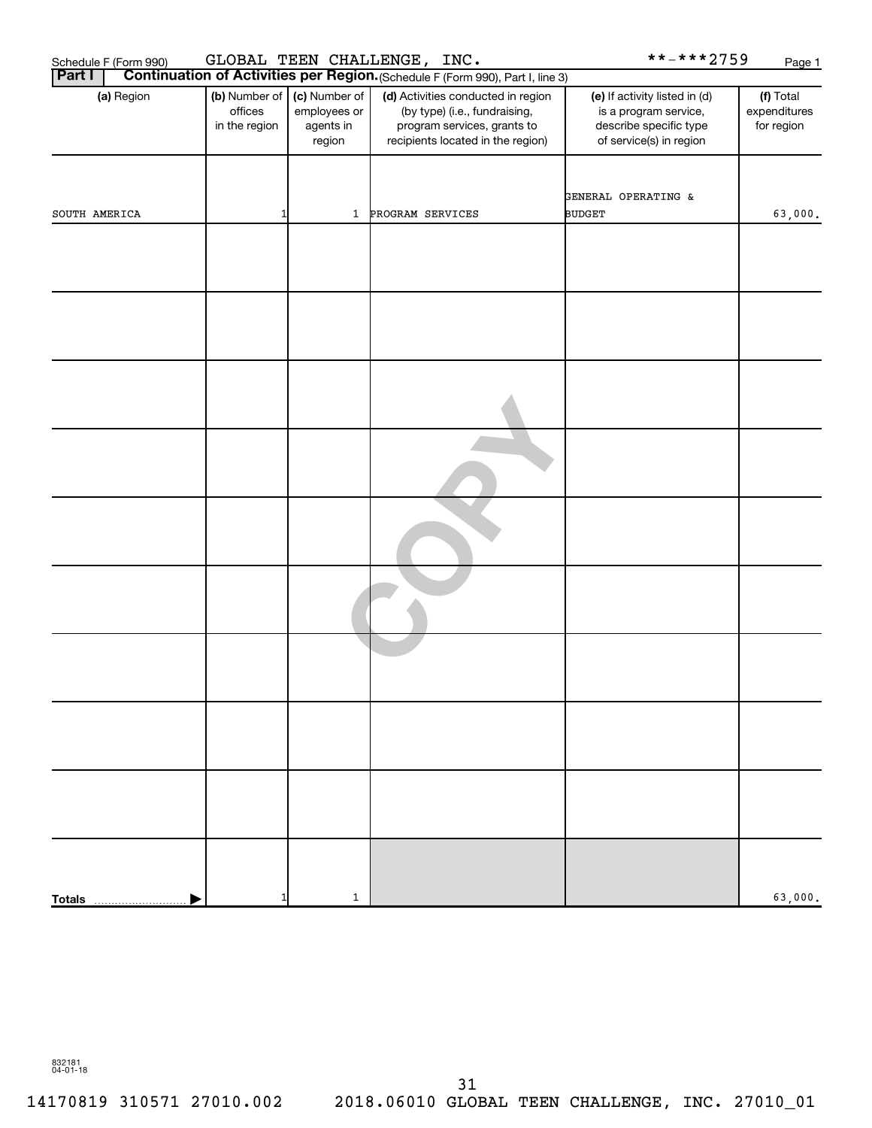| **-***2759<br>GLOBAL TEEN CHALLENGE, INC.<br>Schedule F (Form 990)                              |                                           |                                                      |                                                                                                                                         |                                                                                                             |                                         |  |  |  |  |
|-------------------------------------------------------------------------------------------------|-------------------------------------------|------------------------------------------------------|-----------------------------------------------------------------------------------------------------------------------------------------|-------------------------------------------------------------------------------------------------------------|-----------------------------------------|--|--|--|--|
| Continuation of Activities per Region. (Schedule F (Form 990), Part I, line 3)<br><b>Part I</b> |                                           |                                                      |                                                                                                                                         |                                                                                                             |                                         |  |  |  |  |
| (a) Region                                                                                      | (b) Number of<br>offices<br>in the region | (c) Number of<br>employees or<br>agents in<br>region | (d) Activities conducted in region<br>(by type) (i.e., fundraising,<br>program services, grants to<br>recipients located in the region) | (e) If activity listed in (d)<br>is a program service,<br>describe specific type<br>of service(s) in region | (f) Total<br>expenditures<br>for region |  |  |  |  |
| SOUTH AMERICA                                                                                   |                                           | $\mathbf{1}$                                         | PROGRAM SERVICES                                                                                                                        | GENERAL OPERATING &<br><b>BUDGET</b>                                                                        | 63,000.                                 |  |  |  |  |
|                                                                                                 |                                           |                                                      |                                                                                                                                         |                                                                                                             |                                         |  |  |  |  |
|                                                                                                 |                                           |                                                      |                                                                                                                                         |                                                                                                             |                                         |  |  |  |  |
|                                                                                                 |                                           |                                                      |                                                                                                                                         |                                                                                                             |                                         |  |  |  |  |
|                                                                                                 |                                           |                                                      |                                                                                                                                         |                                                                                                             |                                         |  |  |  |  |
|                                                                                                 |                                           |                                                      |                                                                                                                                         |                                                                                                             |                                         |  |  |  |  |
|                                                                                                 |                                           |                                                      |                                                                                                                                         |                                                                                                             |                                         |  |  |  |  |
|                                                                                                 |                                           |                                                      |                                                                                                                                         |                                                                                                             |                                         |  |  |  |  |
|                                                                                                 |                                           |                                                      |                                                                                                                                         |                                                                                                             |                                         |  |  |  |  |
|                                                                                                 |                                           |                                                      |                                                                                                                                         |                                                                                                             |                                         |  |  |  |  |
|                                                                                                 |                                           | 1                                                    |                                                                                                                                         |                                                                                                             | 63,000.                                 |  |  |  |  |
| <b>Totals</b>                                                                                   |                                           |                                                      |                                                                                                                                         |                                                                                                             |                                         |  |  |  |  |

832181 04-01-18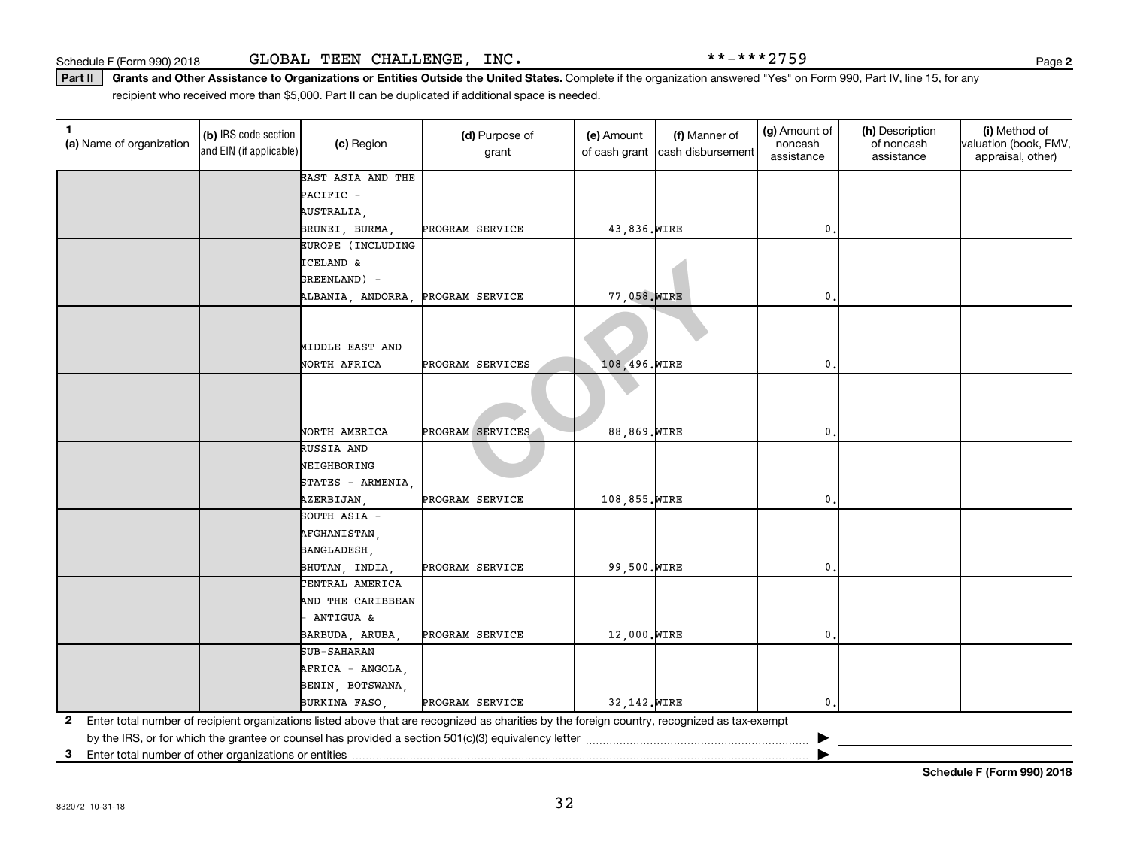Part II | Grants and Other Assistance to Organizations or Entities Outside the United States. Complete if the organization answered "Yes" on Form 990, Part IV, line 15, for any recipient who received more than \$5,000. Part II can be duplicated if additional space is needed.

| (a) Name of organization | (b) IRS code section<br>and EIN (if applicable) | (c) Region                        | (d) Purpose of<br>grant                                                                                                                      | (e) Amount<br>of cash grant | (f) Manner of<br>cash disbursement | (g) Amount of<br>noncash<br>assistance | (h) Description<br>of noncash<br>assistance | (i) Method of<br>valuation (book, FMV,<br>appraisal, other) |
|--------------------------|-------------------------------------------------|-----------------------------------|----------------------------------------------------------------------------------------------------------------------------------------------|-----------------------------|------------------------------------|----------------------------------------|---------------------------------------------|-------------------------------------------------------------|
|                          |                                                 | EAST ASIA AND THE                 |                                                                                                                                              |                             |                                    |                                        |                                             |                                                             |
|                          |                                                 | PACIFIC -                         |                                                                                                                                              |                             |                                    |                                        |                                             |                                                             |
|                          |                                                 | AUSTRALIA,                        |                                                                                                                                              |                             |                                    |                                        |                                             |                                                             |
|                          |                                                 | BRUNEI, BURMA                     | PROGRAM SERVICE                                                                                                                              | 43,836. WIRE                |                                    | 0                                      |                                             |                                                             |
|                          |                                                 | EUROPE (INCLUDING                 |                                                                                                                                              |                             |                                    |                                        |                                             |                                                             |
|                          |                                                 | ICELAND &                         |                                                                                                                                              |                             |                                    |                                        |                                             |                                                             |
|                          |                                                 | GREENLAND) -                      |                                                                                                                                              |                             |                                    |                                        |                                             |                                                             |
|                          |                                                 | ALBANIA, ANDORRA, PROGRAM SERVICE |                                                                                                                                              | 77,058. WIRE                |                                    | 0                                      |                                             |                                                             |
|                          |                                                 | MIDDLE EAST AND                   |                                                                                                                                              |                             |                                    |                                        |                                             |                                                             |
|                          |                                                 | NORTH AFRICA                      | PROGRAM SERVICES                                                                                                                             | 108,496. WIRE               |                                    | $\mathbf{0}$                           |                                             |                                                             |
|                          |                                                 | NORTH AMERICA                     | PROGRAM SERVICES                                                                                                                             | 88,869. WIRE                |                                    | $\mathbf{0}$                           |                                             |                                                             |
|                          |                                                 | RUSSIA AND                        |                                                                                                                                              |                             |                                    |                                        |                                             |                                                             |
|                          |                                                 | NEIGHBORING                       |                                                                                                                                              |                             |                                    |                                        |                                             |                                                             |
|                          |                                                 | STATES - ARMENIA                  |                                                                                                                                              |                             |                                    |                                        |                                             |                                                             |
|                          |                                                 | AZERBIJAN,                        | PROGRAM SERVICE                                                                                                                              | 108,855. WIRE               |                                    | $\mathbf{0}$                           |                                             |                                                             |
|                          |                                                 | SOUTH ASIA -                      |                                                                                                                                              |                             |                                    |                                        |                                             |                                                             |
|                          |                                                 | AFGHANISTAN,                      |                                                                                                                                              |                             |                                    |                                        |                                             |                                                             |
|                          |                                                 | BANGLADESH,                       |                                                                                                                                              |                             |                                    |                                        |                                             |                                                             |
|                          |                                                 | BHUTAN, INDIA,                    | PROGRAM SERVICE                                                                                                                              | 99,500. WIRE                |                                    | $\mathbf{0}$                           |                                             |                                                             |
|                          |                                                 | CENTRAL AMERICA                   |                                                                                                                                              |                             |                                    |                                        |                                             |                                                             |
|                          |                                                 | AND THE CARIBBEAN                 |                                                                                                                                              |                             |                                    |                                        |                                             |                                                             |
|                          |                                                 | ANTIGUA &                         |                                                                                                                                              |                             |                                    |                                        |                                             |                                                             |
|                          |                                                 | BARBUDA, ARUBA,                   | PROGRAM SERVICE                                                                                                                              | 12,000. WIRE                |                                    | 0.                                     |                                             |                                                             |
|                          |                                                 | <b>SUB-SAHARAN</b>                |                                                                                                                                              |                             |                                    |                                        |                                             |                                                             |
|                          |                                                 | AFRICA - ANGOLA,                  |                                                                                                                                              |                             |                                    |                                        |                                             |                                                             |
|                          |                                                 | BENIN, BOTSWANA,                  |                                                                                                                                              |                             |                                    |                                        |                                             |                                                             |
|                          |                                                 | BURKINA FASO,                     | PROGRAM SERVICE                                                                                                                              | 32,142. WIRE                |                                    | 0.                                     |                                             |                                                             |
| $\mathbf{2}$             |                                                 |                                   | Enter total number of recipient organizations listed above that are recognized as charities by the foreign country, recognized as tax-exempt |                             |                                    |                                        |                                             |                                                             |

**3** Enter total number of other organizations or entities |

**Schedule F (Form 990) 2018**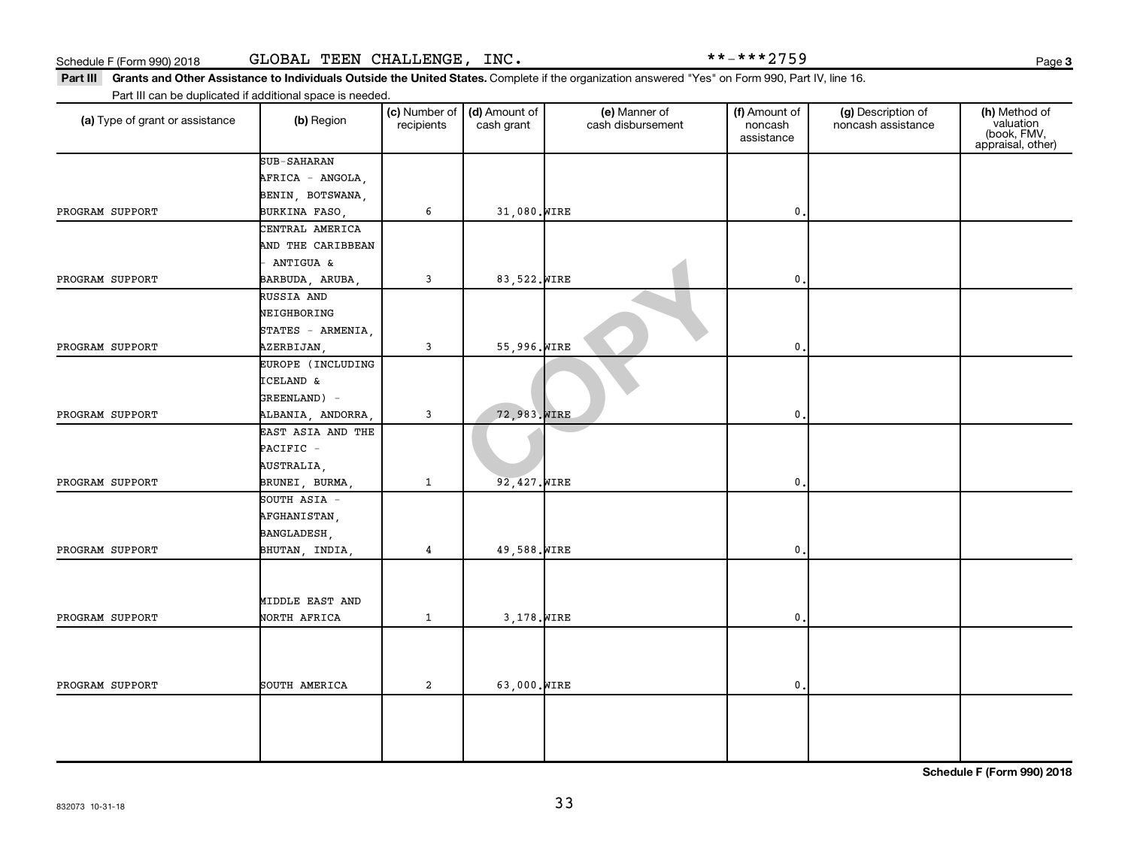Part III Grants and Other Assistance to Individuals Outside the United States. Complete if the organization answered "Yes" on Form 990, Part IV, line 16. Part III can be duplicated if additional space is needed.

| . a ca. . so aspicatos  asa.<br>(a) Type of grant or assistance | (b) Region        | (c) Number of<br>recipients | (d) Amount of<br>cash grant | (e) Manner of<br>cash disbursement | (f) Amount of<br>noncash<br>assistance | (g) Description of<br>noncash assistance | (h) Method of<br>valuation<br>(book, FMV,<br>appraisal, other) |
|-----------------------------------------------------------------|-------------------|-----------------------------|-----------------------------|------------------------------------|----------------------------------------|------------------------------------------|----------------------------------------------------------------|
|                                                                 | SUB-SAHARAN       |                             |                             |                                    |                                        |                                          |                                                                |
|                                                                 | AFRICA - ANGOLA,  |                             |                             |                                    |                                        |                                          |                                                                |
|                                                                 | BENIN, BOTSWANA,  |                             |                             |                                    |                                        |                                          |                                                                |
| PROGRAM SUPPORT                                                 | BURKINA FASO,     | 6                           | 31,080. WIRE                |                                    | $\mathbf 0$                            |                                          |                                                                |
|                                                                 | CENTRAL AMERICA   |                             |                             |                                    |                                        |                                          |                                                                |
|                                                                 | AND THE CARIBBEAN |                             |                             |                                    |                                        |                                          |                                                                |
|                                                                 | ANTIGUA &         |                             |                             |                                    |                                        |                                          |                                                                |
| PROGRAM SUPPORT                                                 | BARBUDA, ARUBA,   | 3                           | 83,522. WIRE                |                                    | $\mathbf 0$                            |                                          |                                                                |
|                                                                 | RUSSIA AND        |                             |                             |                                    |                                        |                                          |                                                                |
|                                                                 | NEIGHBORING       |                             |                             |                                    |                                        |                                          |                                                                |
|                                                                 | STATES - ARMENIA, |                             |                             |                                    |                                        |                                          |                                                                |
| PROGRAM SUPPORT                                                 | AZERBIJAN,        | 3                           | 55,996. WIRE                |                                    | $\mathbf 0$                            |                                          |                                                                |
|                                                                 | EUROPE (INCLUDING |                             |                             |                                    |                                        |                                          |                                                                |
|                                                                 | ICELAND &         |                             |                             |                                    |                                        |                                          |                                                                |
|                                                                 | GREENLAND) -      |                             |                             |                                    |                                        |                                          |                                                                |
| PROGRAM SUPPORT                                                 | ALBANIA, ANDORRA, | 3                           | 72,983. WIRE                |                                    | $\mathbf 0$                            |                                          |                                                                |
|                                                                 | EAST ASIA AND THE |                             |                             |                                    |                                        |                                          |                                                                |
|                                                                 | PACIFIC -         |                             |                             |                                    |                                        |                                          |                                                                |
|                                                                 | AUSTRALIA,        |                             |                             |                                    |                                        |                                          |                                                                |
| PROGRAM SUPPORT                                                 | BRUNEI, BURMA,    | $\mathbf{1}$                | 92,427. WIRE                |                                    | $\mathbf 0$                            |                                          |                                                                |
|                                                                 | SOUTH ASIA -      |                             |                             |                                    |                                        |                                          |                                                                |
|                                                                 | AFGHANISTAN,      |                             |                             |                                    |                                        |                                          |                                                                |
|                                                                 | BANGLADESH,       |                             |                             |                                    |                                        |                                          |                                                                |
| PROGRAM SUPPORT                                                 | BHUTAN, INDIA,    | 4                           | 49,588. WIRE                |                                    | $\mathbf 0$                            |                                          |                                                                |
|                                                                 |                   |                             |                             |                                    |                                        |                                          |                                                                |
|                                                                 |                   |                             |                             |                                    |                                        |                                          |                                                                |
|                                                                 | MIDDLE EAST AND   |                             |                             |                                    |                                        |                                          |                                                                |
| PROGRAM SUPPORT                                                 | NORTH AFRICA      | $\mathbf{1}$                | 3,178. WIRE                 |                                    | $\mathbf 0$                            |                                          |                                                                |
|                                                                 |                   |                             |                             |                                    |                                        |                                          |                                                                |
|                                                                 |                   |                             |                             |                                    |                                        |                                          |                                                                |
|                                                                 |                   |                             |                             |                                    |                                        |                                          |                                                                |
| PROGRAM SUPPORT                                                 | SOUTH AMERICA     | $\mathbf{2}$                | 63,000. WIRE                |                                    | $\mathbf{0}$                           |                                          |                                                                |
|                                                                 |                   |                             |                             |                                    |                                        |                                          |                                                                |
|                                                                 |                   |                             |                             |                                    |                                        |                                          |                                                                |
|                                                                 |                   |                             |                             |                                    |                                        |                                          |                                                                |
|                                                                 |                   |                             |                             |                                    |                                        |                                          |                                                                |

**Schedule F (Form 990) 2018**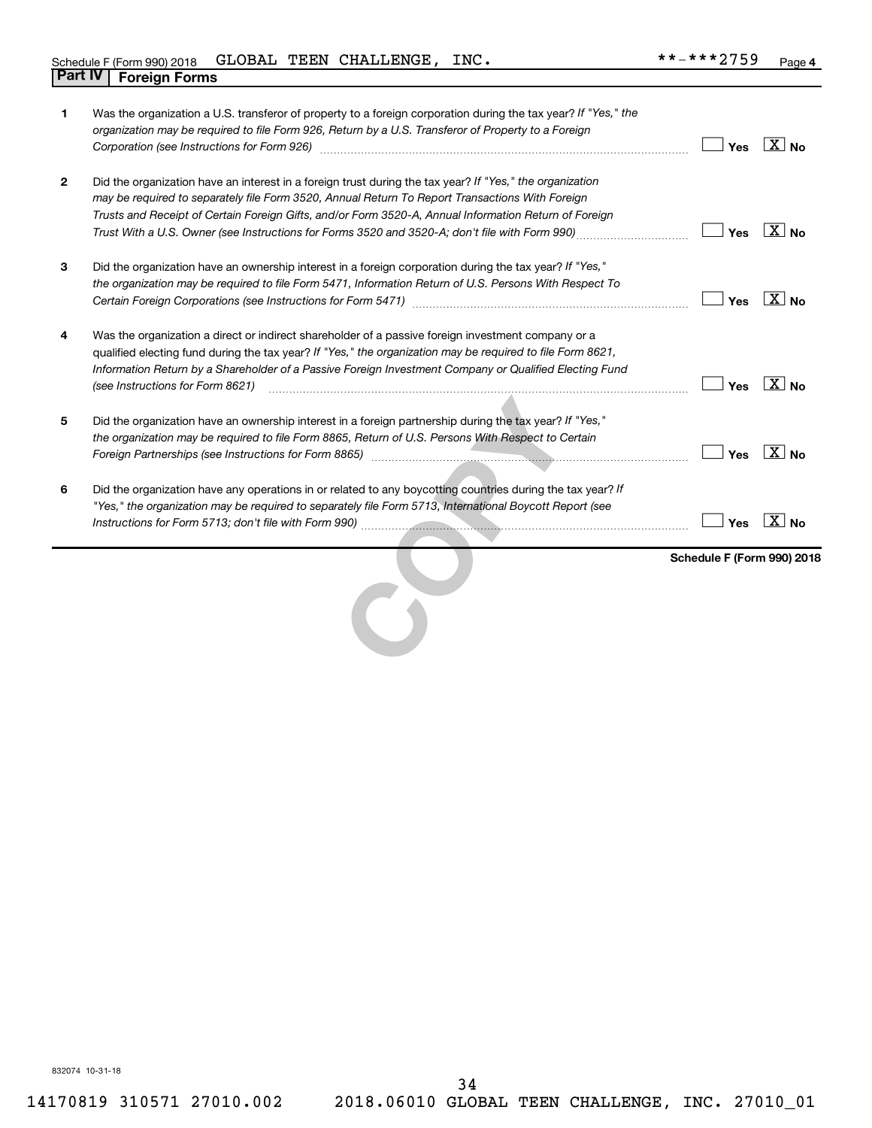| 1              | Was the organization a U.S. transferor of property to a foreign corporation during the tax year? If "Yes," the<br>organization may be required to file Form 926, Return by a U.S. Transferor of Property to a Foreign                                                                                                                                          |                            |                    |
|----------------|----------------------------------------------------------------------------------------------------------------------------------------------------------------------------------------------------------------------------------------------------------------------------------------------------------------------------------------------------------------|----------------------------|--------------------|
|                |                                                                                                                                                                                                                                                                                                                                                                | Yes                        | $X _{\mathsf{No}}$ |
| $\overline{2}$ | Did the organization have an interest in a foreign trust during the tax year? If "Yes," the organization<br>may be required to separately file Form 3520, Annual Return To Report Transactions With Foreign<br>Trusts and Receipt of Certain Foreign Gifts, and/or Form 3520-A, Annual Information Return of Foreign                                           | Yes                        | $\overline{X}$ No  |
|                |                                                                                                                                                                                                                                                                                                                                                                |                            |                    |
| 3              | Did the organization have an ownership interest in a foreign corporation during the tax year? If "Yes,"<br>the organization may be required to file Form 5471, Information Return of U.S. Persons With Respect To                                                                                                                                              | Yes                        | $\overline{X}$ No  |
| 4              | Was the organization a direct or indirect shareholder of a passive foreign investment company or a<br>qualified electing fund during the tax year? If "Yes," the organization may be required to file Form 8621,<br>Information Return by a Shareholder of a Passive Foreign Investment Company or Qualified Electing Fund<br>(see Instructions for Form 8621) | Yes                        | $\overline{X}$ No  |
| 5              | Did the organization have an ownership interest in a foreign partnership during the tax year? If "Yes,"<br>the organization may be required to file Form 8865, Return of U.S. Persons With Respect to Certain<br>Foreign Partnerships (see Instructions for Form 8865) [1996] [1996] [1996] [1996] [1996] [1996] [1996] [1996] [                               | Yes                        | $\overline{X}$ No  |
| 6              | Did the organization have any operations in or related to any boycotting countries during the tax year? If<br>"Yes," the organization may be required to separately file Form 5713, International Boycott Report (see                                                                                                                                          | Yes                        | $\overline{X}$ No  |
|                |                                                                                                                                                                                                                                                                                                                                                                | Schedule F (Form 990) 2018 |                    |
|                |                                                                                                                                                                                                                                                                                                                                                                |                            |                    |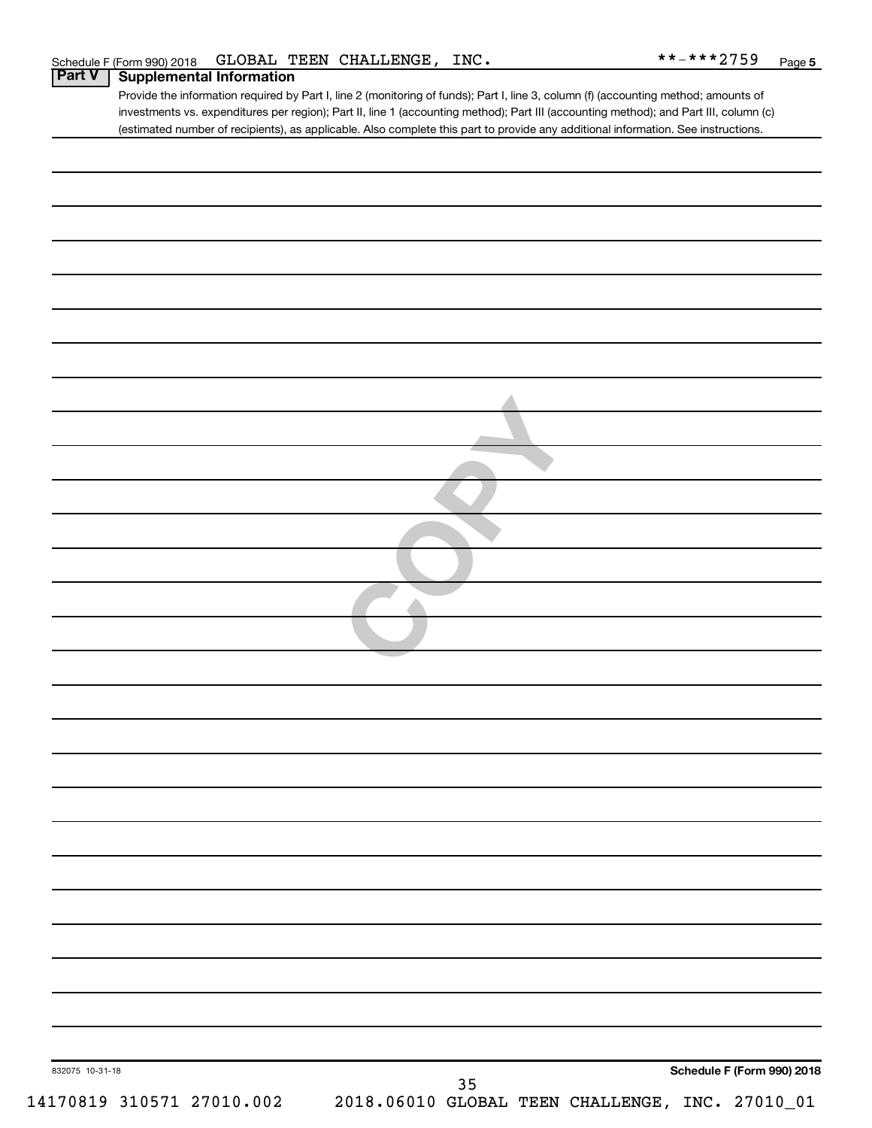| Schedule F (Form 990) 2018 GLOBAL TEEN CHALLENGE, INC. |  | **-***2759<br>Page |
|--------------------------------------------------------|--|--------------------|
|--------------------------------------------------------|--|--------------------|

Provide the information required by Part I, line 2 (monitoring of funds); Part I, line 3, column (f) (accounting method; amounts of investments vs. expenditures per region); Part II, line 1 (accounting method); Part III (accounting method); and Part III, column (c) (estimated number of recipients), as applicable. Also complete this part to provide any additional information. See instructions. **Part V Supplemental Information**

| 832075 10-31-18           | Schedule F (Form 990) 2018                      |
|---------------------------|-------------------------------------------------|
|                           | $35\,$                                          |
| 14170819 310571 27010.002 | 2018.06010 GLOBAL TEEN CHALLENGE, INC. 27010_01 |
|                           |                                                 |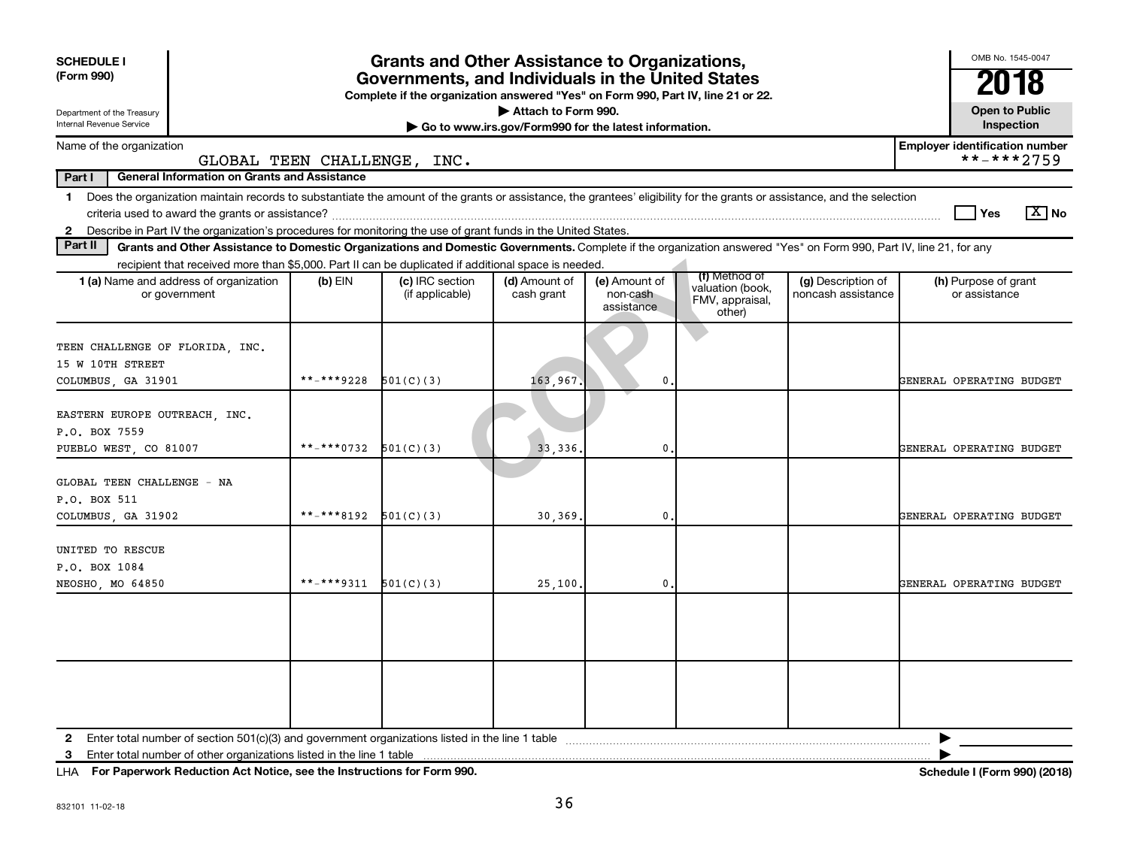| <b>SCHEDULE I</b><br>(Form 990)<br>Department of the Treasury<br>Internal Revenue Service                                                                                                                                                                                                     | <b>Grants and Other Assistance to Organizations,</b><br>Governments, and Individuals in the United States<br>Complete if the organization answered "Yes" on Form 990, Part IV, line 21 or 22.<br>Attach to Form 990. |                                    |                             |                                         |                                                                |                                          |                                       |  |  |  |
|-----------------------------------------------------------------------------------------------------------------------------------------------------------------------------------------------------------------------------------------------------------------------------------------------|----------------------------------------------------------------------------------------------------------------------------------------------------------------------------------------------------------------------|------------------------------------|-----------------------------|-----------------------------------------|----------------------------------------------------------------|------------------------------------------|---------------------------------------|--|--|--|
| Inspection<br>Go to www.irs.gov/Form990 for the latest information.<br>Name of the organization<br><b>Employer identification number</b>                                                                                                                                                      |                                                                                                                                                                                                                      |                                    |                             |                                         |                                                                |                                          |                                       |  |  |  |
| GLOBAL TEEN CHALLENGE, INC.                                                                                                                                                                                                                                                                   |                                                                                                                                                                                                                      |                                    |                             |                                         |                                                                |                                          | **-***2759                            |  |  |  |
| <b>General Information on Grants and Assistance</b><br>Part I                                                                                                                                                                                                                                 |                                                                                                                                                                                                                      |                                    |                             |                                         |                                                                |                                          |                                       |  |  |  |
| 1 Does the organization maintain records to substantiate the amount of the grants or assistance, the grantees' eligibility for the grants or assistance, and the selection<br>2 Describe in Part IV the organization's procedures for monitoring the use of grant funds in the United States. |                                                                                                                                                                                                                      |                                    |                             |                                         |                                                                |                                          | $\boxed{\text{X}}$ No<br>Yes          |  |  |  |
| Part II<br>Grants and Other Assistance to Domestic Organizations and Domestic Governments. Complete if the organization answered "Yes" on Form 990, Part IV, line 21, for any                                                                                                                 |                                                                                                                                                                                                                      |                                    |                             |                                         |                                                                |                                          |                                       |  |  |  |
| recipient that received more than \$5,000. Part II can be duplicated if additional space is needed.                                                                                                                                                                                           |                                                                                                                                                                                                                      |                                    |                             |                                         |                                                                |                                          |                                       |  |  |  |
| 1 (a) Name and address of organization<br>or government                                                                                                                                                                                                                                       | $(b)$ EIN                                                                                                                                                                                                            | (c) IRC section<br>(if applicable) | (d) Amount of<br>cash grant | (e) Amount of<br>non-cash<br>assistance | (f) Method of<br>valuation (book,<br>FMV, appraisal,<br>other) | (g) Description of<br>noncash assistance | (h) Purpose of grant<br>or assistance |  |  |  |
| TEEN CHALLENGE OF FLORIDA, INC.<br>15 W 10TH STREET<br>COLUMBUS, GA 31901                                                                                                                                                                                                                     | **_****9228                                                                                                                                                                                                          | 501(C)(3)                          | 163,967                     | $\mathbf{0}$                            |                                                                |                                          | GENERAL OPERATING BUDGET              |  |  |  |
| EASTERN EUROPE OUTREACH, INC.<br>P.O. BOX 7559<br>PUEBLO WEST, CO 81007                                                                                                                                                                                                                       | **-***0732                                                                                                                                                                                                           | 501(C)(3)                          | 33, 336                     | 0                                       |                                                                |                                          | GENERAL OPERATING BUDGET              |  |  |  |
| GLOBAL TEEN CHALLENGE - NA<br>P.O. BOX 511<br>COLUMBUS, GA 31902                                                                                                                                                                                                                              | **-***8192 $501(C)(3)$                                                                                                                                                                                               |                                    | 30, 369.                    | 0.                                      |                                                                |                                          | GENERAL OPERATING BUDGET              |  |  |  |
| UNITED TO RESCUE<br>P.O. BOX 1084<br>NEOSHO, MO 64850                                                                                                                                                                                                                                         | **-***9311                                                                                                                                                                                                           | 501(C)(3)                          | 25,100                      | $\mathbf{0}$                            |                                                                |                                          | GENERAL OPERATING BUDGET              |  |  |  |
|                                                                                                                                                                                                                                                                                               |                                                                                                                                                                                                                      |                                    |                             |                                         |                                                                |                                          |                                       |  |  |  |
|                                                                                                                                                                                                                                                                                               |                                                                                                                                                                                                                      |                                    |                             |                                         |                                                                |                                          |                                       |  |  |  |
| Enter total number of other organizations listed in the line 1 table<br>3                                                                                                                                                                                                                     |                                                                                                                                                                                                                      |                                    |                             |                                         |                                                                |                                          |                                       |  |  |  |

**For Paperwork Reduction Act Notice, see the Instructions for Form 990. Schedule I (Form 990) (2018)** LHA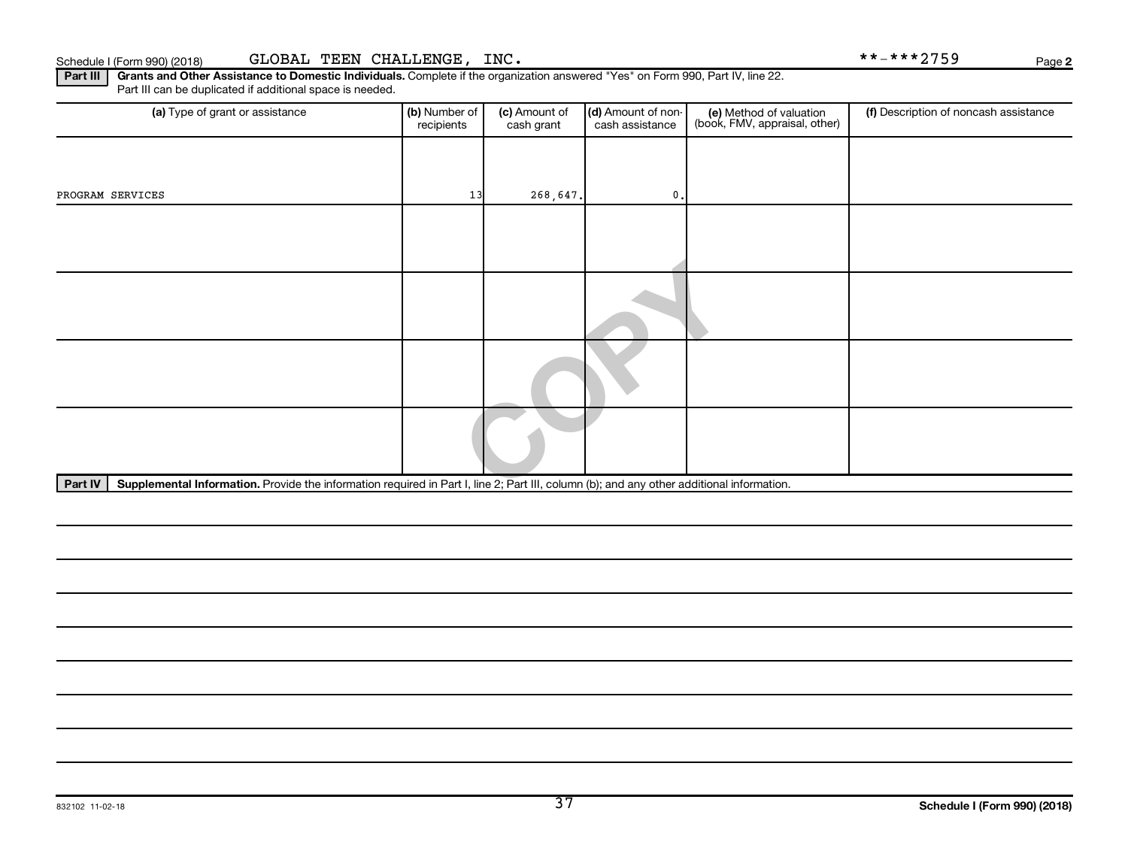**2**

Part III | Grants and Other Assistance to Domestic Individuals. Complete if the organization answered "Yes" on Form 990, Part IV, line 22. Part III can be duplicated if additional space is needed.

| (a) Type of grant or assistance                                                                                                                      | (b) Number of<br>recipients | (c) Amount of<br>cash grant | (d) Amount of non-<br>cash assistance | (e) Method of valuation<br>(book, FMV, appraisal, other) | (f) Description of noncash assistance |  |  |  |  |
|------------------------------------------------------------------------------------------------------------------------------------------------------|-----------------------------|-----------------------------|---------------------------------------|----------------------------------------------------------|---------------------------------------|--|--|--|--|
|                                                                                                                                                      |                             |                             |                                       |                                                          |                                       |  |  |  |  |
| PROGRAM SERVICES                                                                                                                                     | 13                          | 268,647.                    | $\mathbf{0}$ .                        |                                                          |                                       |  |  |  |  |
|                                                                                                                                                      |                             |                             |                                       |                                                          |                                       |  |  |  |  |
|                                                                                                                                                      |                             |                             |                                       |                                                          |                                       |  |  |  |  |
|                                                                                                                                                      |                             |                             |                                       |                                                          |                                       |  |  |  |  |
|                                                                                                                                                      |                             |                             |                                       |                                                          |                                       |  |  |  |  |
|                                                                                                                                                      |                             |                             |                                       |                                                          |                                       |  |  |  |  |
|                                                                                                                                                      |                             |                             |                                       |                                                          |                                       |  |  |  |  |
| Supplemental Information. Provide the information required in Part I, line 2; Part III, column (b); and any other additional information.<br>Part IV |                             |                             |                                       |                                                          |                                       |  |  |  |  |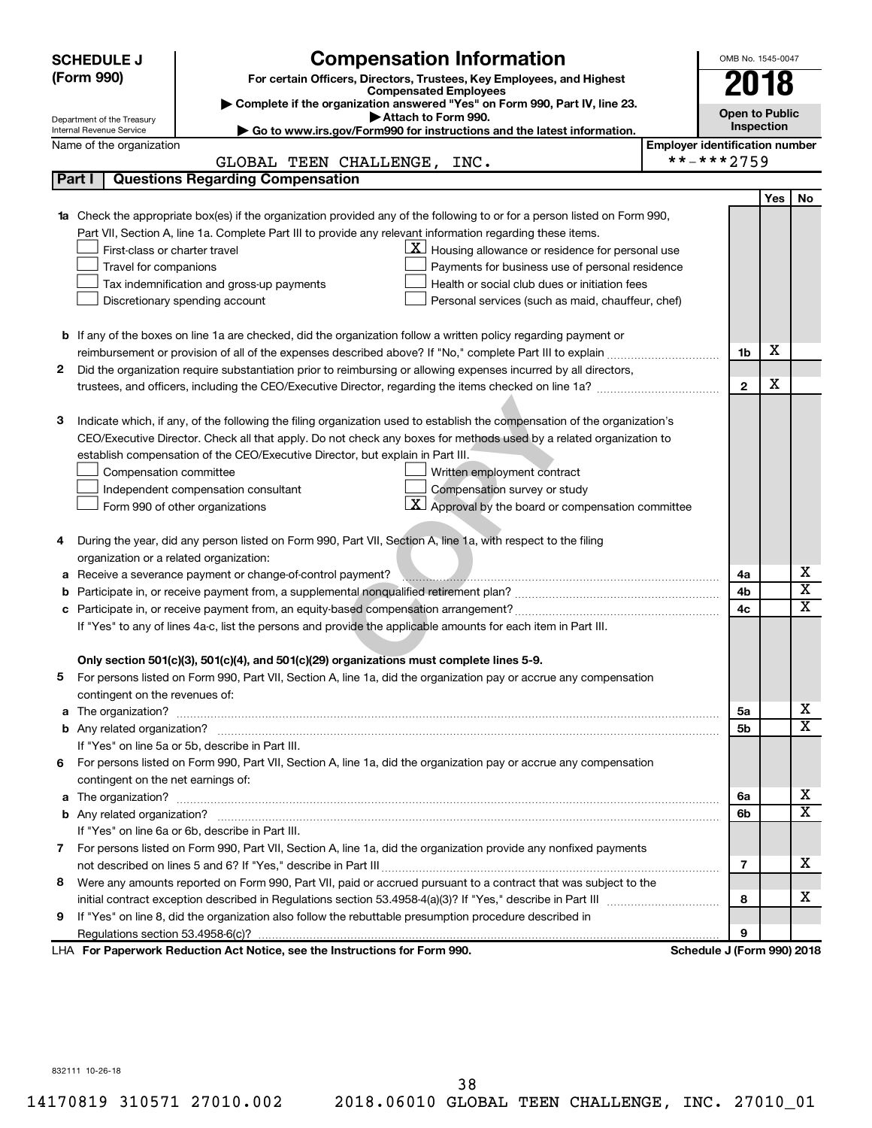|   | <b>SCHEDULE J</b>                       | <b>Compensation Information</b>                                                                                                                                                                                                                 |                                       | OMB No. 1545-0047          |     |                         |
|---|-----------------------------------------|-------------------------------------------------------------------------------------------------------------------------------------------------------------------------------------------------------------------------------------------------|---------------------------------------|----------------------------|-----|-------------------------|
|   | (Form 990)                              | For certain Officers, Directors, Trustees, Key Employees, and Highest                                                                                                                                                                           |                                       | 2018                       |     |                         |
|   |                                         | <b>Compensated Employees</b>                                                                                                                                                                                                                    |                                       |                            |     |                         |
|   | Department of the Treasury              | Complete if the organization answered "Yes" on Form 990, Part IV, line 23.<br>Attach to Form 990.                                                                                                                                               |                                       | <b>Open to Public</b>      |     |                         |
|   | Internal Revenue Service                | ► Go to www.irs.gov/Form990 for instructions and the latest information.                                                                                                                                                                        |                                       | <b>Inspection</b>          |     |                         |
|   | Name of the organization                |                                                                                                                                                                                                                                                 | <b>Employer identification number</b> |                            |     |                         |
|   |                                         | GLOBAL TEEN CHALLENGE, INC.                                                                                                                                                                                                                     |                                       | **-***2759                 |     |                         |
|   | Part I                                  | <b>Questions Regarding Compensation</b>                                                                                                                                                                                                         |                                       |                            |     |                         |
|   |                                         |                                                                                                                                                                                                                                                 |                                       |                            | Yes | No.                     |
|   |                                         | Check the appropriate box(es) if the organization provided any of the following to or for a person listed on Form 990,                                                                                                                          |                                       |                            |     |                         |
|   |                                         | Part VII, Section A, line 1a. Complete Part III to provide any relevant information regarding these items.                                                                                                                                      |                                       |                            |     |                         |
|   | First-class or charter travel           | $\mathbf{X}$ Housing allowance or residence for personal use                                                                                                                                                                                    |                                       |                            |     |                         |
|   | Travel for companions                   | Payments for business use of personal residence                                                                                                                                                                                                 |                                       |                            |     |                         |
|   |                                         | Health or social club dues or initiation fees<br>Tax indemnification and gross-up payments                                                                                                                                                      |                                       |                            |     |                         |
|   |                                         | Discretionary spending account<br>Personal services (such as maid, chauffeur, chef)                                                                                                                                                             |                                       |                            |     |                         |
|   |                                         |                                                                                                                                                                                                                                                 |                                       |                            |     |                         |
|   |                                         | <b>b</b> If any of the boxes on line 1a are checked, did the organization follow a written policy regarding payment or                                                                                                                          |                                       |                            | X   |                         |
|   |                                         |                                                                                                                                                                                                                                                 |                                       | 1b                         |     |                         |
| 2 |                                         | Did the organization require substantiation prior to reimbursing or allowing expenses incurred by all directors,                                                                                                                                |                                       |                            | X   |                         |
|   |                                         |                                                                                                                                                                                                                                                 |                                       | $\mathbf{2}$               |     |                         |
| З |                                         |                                                                                                                                                                                                                                                 |                                       |                            |     |                         |
|   |                                         | Indicate which, if any, of the following the filing organization used to establish the compensation of the organization's<br>CEO/Executive Director. Check all that apply. Do not check any boxes for methods used by a related organization to |                                       |                            |     |                         |
|   |                                         | establish compensation of the CEO/Executive Director, but explain in Part III.                                                                                                                                                                  |                                       |                            |     |                         |
|   | Compensation committee                  | Written employment contract                                                                                                                                                                                                                     |                                       |                            |     |                         |
|   |                                         | Compensation survey or study<br>Independent compensation consultant                                                                                                                                                                             |                                       |                            |     |                         |
|   |                                         | $\mathbf{X}$ Approval by the board or compensation committee<br>Form 990 of other organizations                                                                                                                                                 |                                       |                            |     |                         |
|   |                                         |                                                                                                                                                                                                                                                 |                                       |                            |     |                         |
| 4 |                                         | During the year, did any person listed on Form 990, Part VII, Section A, line 1a, with respect to the filing                                                                                                                                    |                                       |                            |     |                         |
|   | organization or a related organization: |                                                                                                                                                                                                                                                 |                                       |                            |     |                         |
| а |                                         | Receive a severance payment or change-of-control payment?                                                                                                                                                                                       |                                       | 4a                         |     | х                       |
| b |                                         |                                                                                                                                                                                                                                                 |                                       | 4b                         |     | $\overline{\textbf{x}}$ |
|   |                                         |                                                                                                                                                                                                                                                 |                                       | 4c                         |     | $\mathbf x$             |
|   |                                         | If "Yes" to any of lines 4a-c, list the persons and provide the applicable amounts for each item in Part III.                                                                                                                                   |                                       |                            |     |                         |
|   |                                         |                                                                                                                                                                                                                                                 |                                       |                            |     |                         |
|   |                                         | Only section 501(c)(3), 501(c)(4), and 501(c)(29) organizations must complete lines 5-9.                                                                                                                                                        |                                       |                            |     |                         |
|   |                                         | For persons listed on Form 990, Part VII, Section A, line 1a, did the organization pay or accrue any compensation                                                                                                                               |                                       |                            |     |                         |
|   | contingent on the revenues of:          |                                                                                                                                                                                                                                                 |                                       |                            |     |                         |
| a |                                         |                                                                                                                                                                                                                                                 |                                       | 5a                         |     | x                       |
|   |                                         |                                                                                                                                                                                                                                                 |                                       | 5b                         |     | X                       |
|   |                                         | If "Yes" on line 5a or 5b, describe in Part III.                                                                                                                                                                                                |                                       |                            |     |                         |
|   |                                         | 6 For persons listed on Form 990, Part VII, Section A, line 1a, did the organization pay or accrue any compensation                                                                                                                             |                                       |                            |     |                         |
|   | contingent on the net earnings of:      |                                                                                                                                                                                                                                                 |                                       |                            |     |                         |
| a |                                         |                                                                                                                                                                                                                                                 |                                       | 6a                         |     | x                       |
|   |                                         |                                                                                                                                                                                                                                                 |                                       | 6b                         |     | $\overline{\mathbf{X}}$ |
|   |                                         | If "Yes" on line 6a or 6b, describe in Part III.                                                                                                                                                                                                |                                       |                            |     |                         |
|   |                                         | 7 For persons listed on Form 990, Part VII, Section A, line 1a, did the organization provide any nonfixed payments                                                                                                                              |                                       |                            |     |                         |
|   |                                         |                                                                                                                                                                                                                                                 |                                       | 7                          |     | x                       |
| 8 |                                         | Were any amounts reported on Form 990, Part VII, paid or accrued pursuant to a contract that was subject to the                                                                                                                                 |                                       |                            |     |                         |
|   |                                         |                                                                                                                                                                                                                                                 |                                       | 8                          |     | x                       |
| 9 |                                         | If "Yes" on line 8, did the organization also follow the rebuttable presumption procedure described in                                                                                                                                          |                                       |                            |     |                         |
|   |                                         |                                                                                                                                                                                                                                                 |                                       | 9                          |     |                         |
|   |                                         | LHA For Paperwork Reduction Act Notice, see the Instructions for Form 990.                                                                                                                                                                      |                                       | Schedule J (Form 990) 2018 |     |                         |

832111 10-26-18

14170819 310571 27010.002 2018.06010 GLOBAL TEEN CHALLENGE, INC. 27010\_01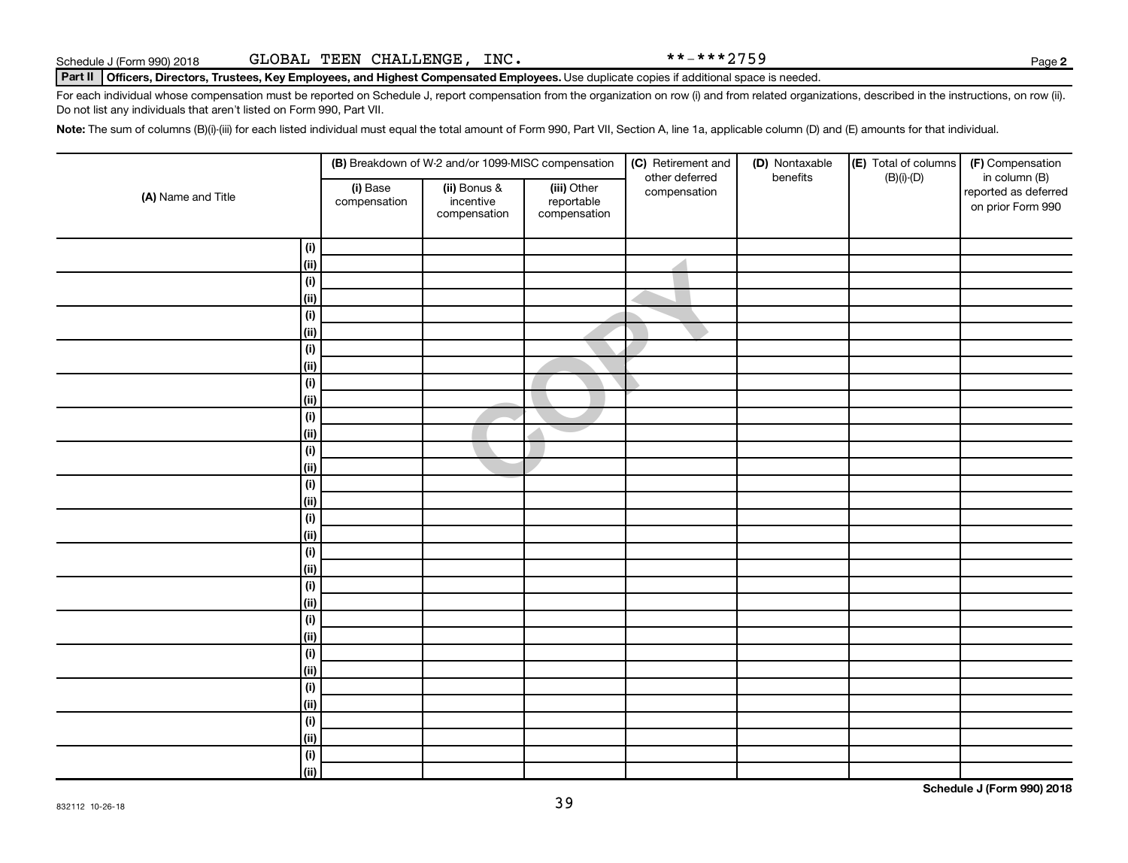|                              |                          | (B) Breakdown of W-2 and/or 1099-MISC compensation |                                           | (C) Retirement and<br>other deferred | (D) Nontaxable<br>benefits | (E) Total of columns | (F) Compensation                                           |
|------------------------------|--------------------------|----------------------------------------------------|-------------------------------------------|--------------------------------------|----------------------------|----------------------|------------------------------------------------------------|
| (A) Name and Title           | (i) Base<br>compensation | (ii) Bonus &<br>incentive<br>compensation          | (iii) Other<br>reportable<br>compensation | compensation                         |                            | $(B)(i)-(D)$         | in column (B)<br>reported as deferred<br>on prior Form 990 |
| (i)                          |                          |                                                    |                                           |                                      |                            |                      |                                                            |
| $\vert$ (ii)                 |                          |                                                    |                                           |                                      |                            |                      |                                                            |
| $(\mathsf{i})$               |                          |                                                    |                                           |                                      |                            |                      |                                                            |
| (ii)                         |                          |                                                    |                                           |                                      |                            |                      |                                                            |
| (i)                          |                          |                                                    |                                           |                                      |                            |                      |                                                            |
| (ii)                         |                          |                                                    |                                           |                                      |                            |                      |                                                            |
| (i)                          |                          |                                                    |                                           |                                      |                            |                      |                                                            |
| (ii)                         |                          |                                                    |                                           |                                      |                            |                      |                                                            |
| (i)                          |                          |                                                    |                                           |                                      |                            |                      |                                                            |
| $\vert$ (ii)                 |                          |                                                    |                                           |                                      |                            |                      |                                                            |
| (i)                          |                          |                                                    |                                           |                                      |                            |                      |                                                            |
| (ii)                         |                          |                                                    |                                           |                                      |                            |                      |                                                            |
| (i)                          |                          |                                                    |                                           |                                      |                            |                      |                                                            |
| (ii)                         |                          |                                                    |                                           |                                      |                            |                      |                                                            |
| (i)                          |                          |                                                    |                                           |                                      |                            |                      |                                                            |
| (ii)                         |                          |                                                    |                                           |                                      |                            |                      |                                                            |
| (i)                          |                          |                                                    |                                           |                                      |                            |                      |                                                            |
| (ii)                         |                          |                                                    |                                           |                                      |                            |                      |                                                            |
| $\overline{(\mathsf{i})}$    |                          |                                                    |                                           |                                      |                            |                      |                                                            |
| (ii)                         |                          |                                                    |                                           |                                      |                            |                      |                                                            |
| $(\mathsf{i})$               |                          |                                                    |                                           |                                      |                            |                      |                                                            |
| (ii)                         |                          |                                                    |                                           |                                      |                            |                      |                                                            |
| $(\mathsf{i})$               |                          |                                                    |                                           |                                      |                            |                      |                                                            |
| (ii)                         |                          |                                                    |                                           |                                      |                            |                      |                                                            |
| $(\mathsf{i})$               |                          |                                                    |                                           |                                      |                            |                      |                                                            |
| (ii)                         |                          |                                                    |                                           |                                      |                            |                      |                                                            |
| (i)                          |                          |                                                    |                                           |                                      |                            |                      |                                                            |
| (ii)                         |                          |                                                    |                                           |                                      |                            |                      |                                                            |
| $\overline{(\mathsf{i})}$    |                          |                                                    |                                           |                                      |                            |                      |                                                            |
| (ii)                         |                          |                                                    |                                           |                                      |                            |                      |                                                            |
| $\qquad \qquad \textbf{(i)}$ |                          |                                                    |                                           |                                      |                            |                      |                                                            |
| (ii)                         |                          |                                                    |                                           |                                      |                            |                      |                                                            |

39

Schedule J (Form 990) 2018 GLOBAL TEEN CHALLENGE,INC.  $***-***2759$ 

Part II | Officers, Directors, Trustees, Key Employees, and Highest Compensated Employees. Use duplicate copies if additional space is needed.

For each individual whose compensation must be reported on Schedule J, report compensation from the organization on row (i) and from related organizations, described in the instructions, on row (ii). Do not list any individuals that aren't listed on Form 990, Part VII.

Note: The sum of columns (B)(i)-(iii) for each listed individual must equal the total amount of Form 990, Part VII, Section A, line 1a, applicable column (D) and (E) amounts for that individual.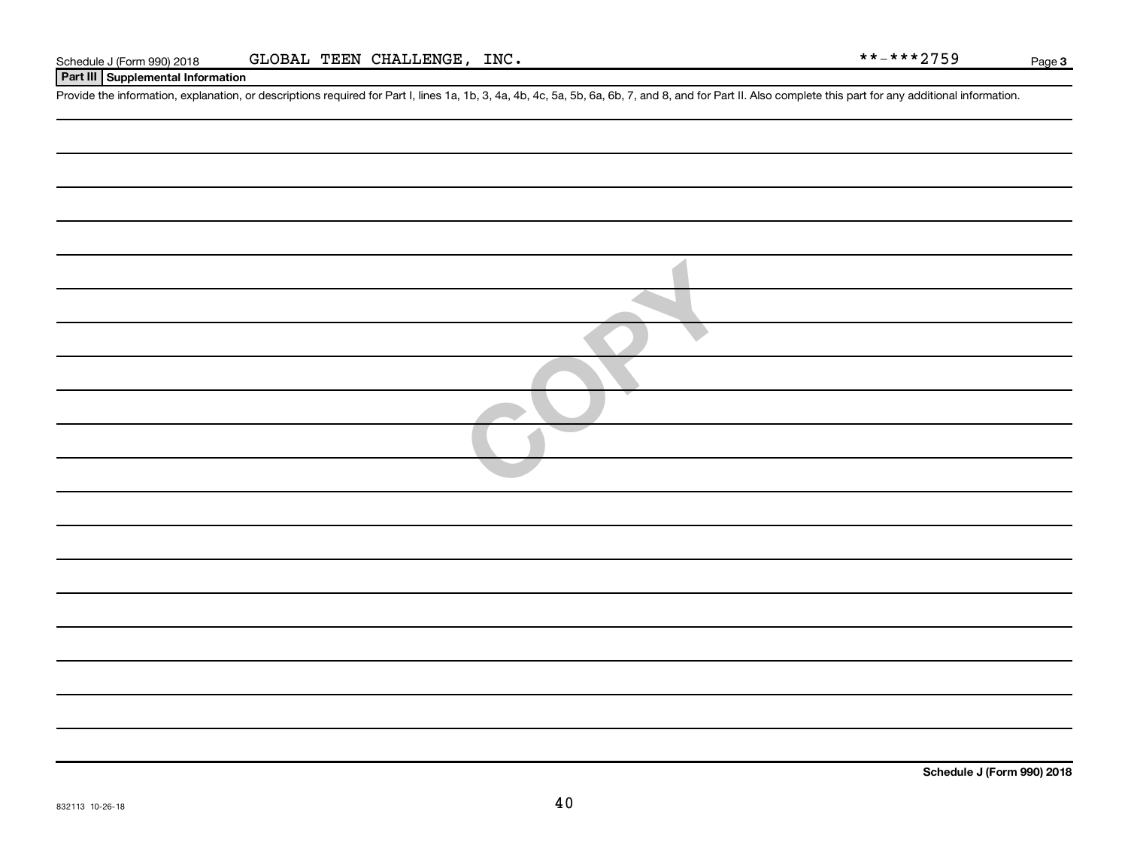#### **Part III Supplemental Information**

Provide the information, explanation, or descriptions required for Part I, lines 1a, 1b, 3, 4a, 4b, 4c, 5a, 5b, 6a, 6b, 7, and 8, and for Part II. Also complete this part for any additional information.

| <b>ANTI</b> |
|-------------|
|             |
|             |
|             |
|             |
|             |
|             |
|             |
|             |
|             |
|             |
|             |
|             |
|             |
|             |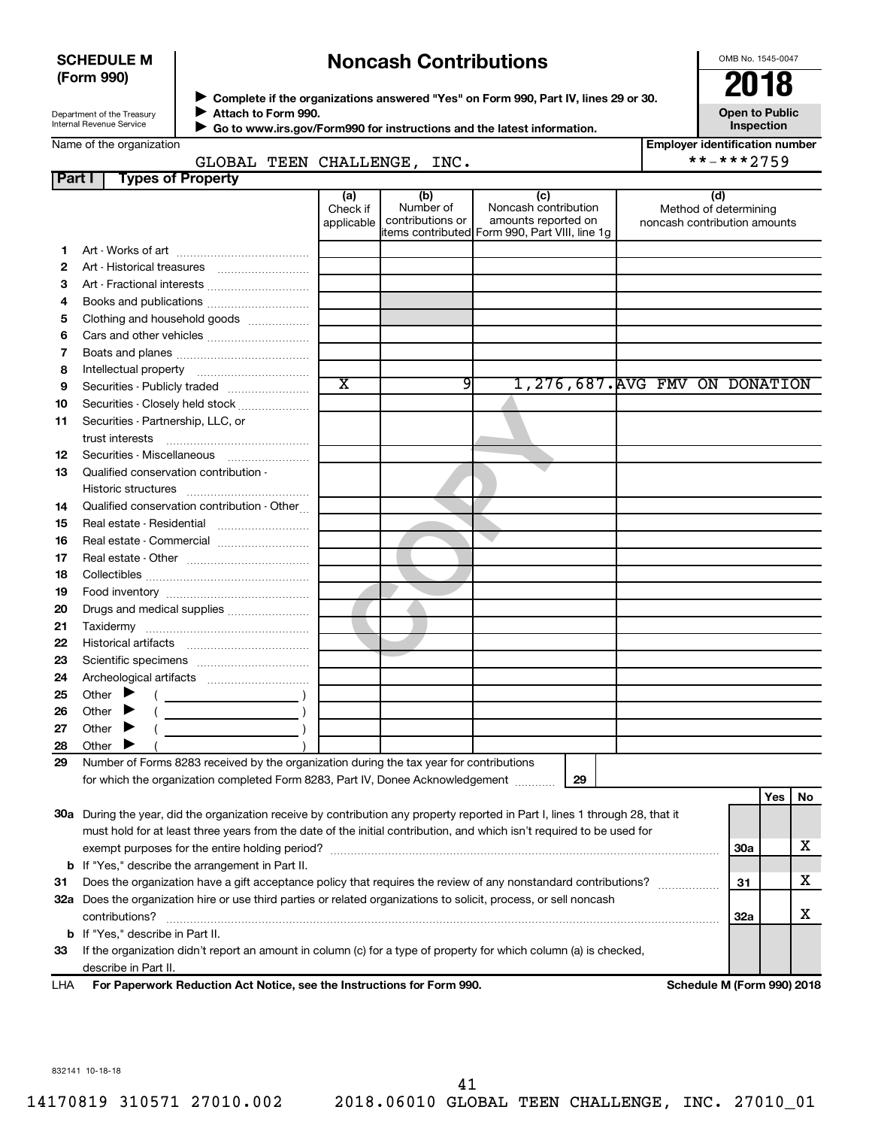#### **SCHEDULE M (Form 990)**

# **Noncash Contributions**

OMB No. 1545-0047

Department of the Treasury Internal Revenue Service

◆ Complete if the organizations answered "Yes" on Form 990, Part IV, lines 29 or 30.<br>▶ Complete if the organizations answered "Yes" on Form 990, Part IV, lines 29 or 30. **Attach to Form 990.**  $\blacktriangleright$ 

**Open to Public Inspection**

| 71114911 19 1 91 111 9991                                              |  |
|------------------------------------------------------------------------|--|
| Go to www.irs.gov/Form990 for instructions and the latest information. |  |

| Name of the organization |  |
|--------------------------|--|
|--------------------------|--|

 $\blacktriangleright$ 

**Employer identification number**

|        | GLOBAL TEEN CHALLENGE, INC.                                                                                                    |                               |                                      |                                                                                                      | **-***2759                                                   |            |     |    |
|--------|--------------------------------------------------------------------------------------------------------------------------------|-------------------------------|--------------------------------------|------------------------------------------------------------------------------------------------------|--------------------------------------------------------------|------------|-----|----|
| Part I | <b>Types of Property</b>                                                                                                       |                               |                                      |                                                                                                      |                                                              |            |     |    |
|        |                                                                                                                                | (a)<br>Check if<br>applicable | (b)<br>Number of<br>contributions or | (c)<br>Noncash contribution<br>amounts reported on<br>items contributed Form 990, Part VIII, line 1g | (d)<br>Method of determining<br>noncash contribution amounts |            |     |    |
| 1.     |                                                                                                                                |                               |                                      |                                                                                                      |                                                              |            |     |    |
| 2      |                                                                                                                                |                               |                                      |                                                                                                      |                                                              |            |     |    |
| З      | Art - Fractional interests                                                                                                     |                               |                                      |                                                                                                      |                                                              |            |     |    |
| 4      |                                                                                                                                |                               |                                      |                                                                                                      |                                                              |            |     |    |
| 5      | Clothing and household goods                                                                                                   |                               |                                      |                                                                                                      |                                                              |            |     |    |
| 6      |                                                                                                                                |                               |                                      |                                                                                                      |                                                              |            |     |    |
| 7      |                                                                                                                                |                               |                                      |                                                                                                      |                                                              |            |     |    |
| 8      |                                                                                                                                |                               |                                      |                                                                                                      |                                                              |            |     |    |
| 9      | Securities - Publicly traded                                                                                                   | $\overline{\text{x}}$         | 91                                   | 1,276,687. AVG FMV ON DONATION                                                                       |                                                              |            |     |    |
| 10     | Securities - Closely held stock                                                                                                |                               |                                      |                                                                                                      |                                                              |            |     |    |
| 11     | Securities - Partnership, LLC, or                                                                                              |                               |                                      |                                                                                                      |                                                              |            |     |    |
|        | trust interests                                                                                                                |                               |                                      |                                                                                                      |                                                              |            |     |    |
| 12     |                                                                                                                                |                               |                                      |                                                                                                      |                                                              |            |     |    |
| 13     | Qualified conservation contribution -                                                                                          |                               |                                      |                                                                                                      |                                                              |            |     |    |
|        |                                                                                                                                |                               |                                      |                                                                                                      |                                                              |            |     |    |
| 14     | Qualified conservation contribution - Other                                                                                    |                               |                                      |                                                                                                      |                                                              |            |     |    |
| 15     | Real estate - Residential                                                                                                      |                               |                                      |                                                                                                      |                                                              |            |     |    |
| 16     | Real estate - Commercial                                                                                                       |                               |                                      |                                                                                                      |                                                              |            |     |    |
| 17     |                                                                                                                                |                               |                                      |                                                                                                      |                                                              |            |     |    |
| 18     |                                                                                                                                |                               |                                      |                                                                                                      |                                                              |            |     |    |
| 19     |                                                                                                                                |                               |                                      |                                                                                                      |                                                              |            |     |    |
| 20     | Drugs and medical supplies                                                                                                     |                               |                                      |                                                                                                      |                                                              |            |     |    |
| 21     |                                                                                                                                |                               |                                      |                                                                                                      |                                                              |            |     |    |
| 22     |                                                                                                                                |                               |                                      |                                                                                                      |                                                              |            |     |    |
| 23     |                                                                                                                                |                               |                                      |                                                                                                      |                                                              |            |     |    |
| 24     |                                                                                                                                |                               |                                      |                                                                                                      |                                                              |            |     |    |
| 25     | Other $\blacktriangleright$                                                                                                    |                               |                                      |                                                                                                      |                                                              |            |     |    |
| 26     | Other $\blacktriangleright$                                                                                                    |                               |                                      |                                                                                                      |                                                              |            |     |    |
| 27     | Other $\blacktriangleright$                                                                                                    |                               |                                      |                                                                                                      |                                                              |            |     |    |
| 28     | Other <b>F</b>                                                                                                                 |                               |                                      |                                                                                                      |                                                              |            |     |    |
| 29     | Number of Forms 8283 received by the organization during the tax year for contributions                                        |                               |                                      |                                                                                                      |                                                              |            |     |    |
|        | for which the organization completed Form 8283, Part IV, Donee Acknowledgement                                                 |                               |                                      | 29                                                                                                   |                                                              |            |     |    |
|        |                                                                                                                                |                               |                                      |                                                                                                      |                                                              |            | Yes | No |
|        | 30a During the year, did the organization receive by contribution any property reported in Part I, lines 1 through 28, that it |                               |                                      |                                                                                                      |                                                              |            |     |    |
|        | must hold for at least three years from the date of the initial contribution, and which isn't required to be used for          |                               |                                      |                                                                                                      |                                                              |            |     |    |
|        |                                                                                                                                |                               |                                      |                                                                                                      |                                                              | 30a        |     | х  |
|        | <b>b</b> If "Yes," describe the arrangement in Part II.                                                                        |                               |                                      |                                                                                                      |                                                              |            |     |    |
| 31     | Does the organization have a gift acceptance policy that requires the review of any nonstandard contributions?                 |                               |                                      |                                                                                                      |                                                              | 31         |     | х  |
|        | 32a Does the organization hire or use third parties or related organizations to solicit, process, or sell noncash              |                               |                                      |                                                                                                      |                                                              |            |     |    |
|        | contributions?                                                                                                                 |                               |                                      |                                                                                                      |                                                              | <b>32a</b> |     | х  |
|        | b If "Yes," describe in Part II.                                                                                               |                               |                                      |                                                                                                      |                                                              |            |     |    |
| 33     | If the organization didn't report an amount in column (c) for a type of property for which column (a) is checked,              |                               |                                      |                                                                                                      |                                                              |            |     |    |
|        | describe in Part II.                                                                                                           |                               |                                      |                                                                                                      |                                                              |            |     |    |
| 1 LJ A | For Departuark Poduction Act Notice, see the Instructions for Form 000                                                         |                               |                                      |                                                                                                      | Cohodulo M (Earm 000) 2010                                   |            |     |    |

**For Paperwork Reduction Act Notice, see the Instructions for Form 990. Schedule M (Form 990) 2018** LHA

832141 10-18-18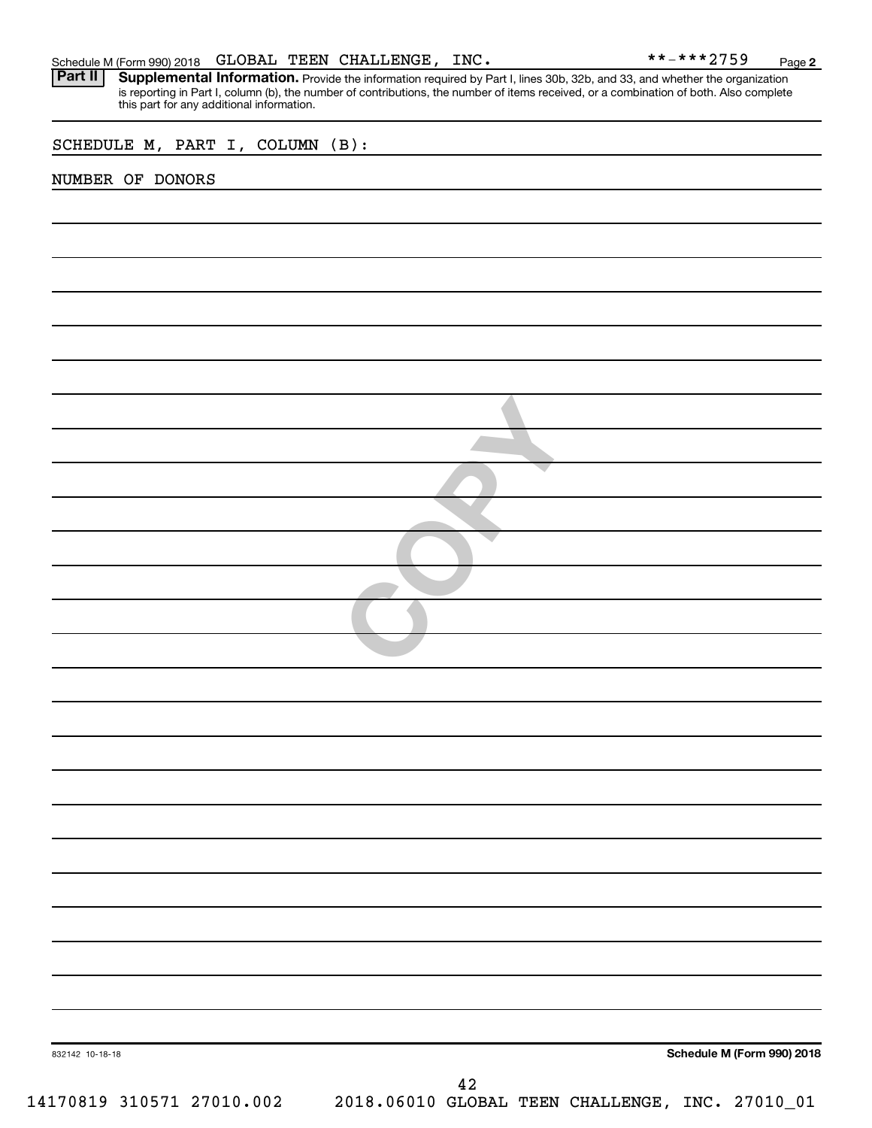Part II | Supplemental Information. Provide the information required by Part I, lines 30b, 32b, and 33, and whether the organization is reporting in Part I, column (b), the number of contributions, the number of items received, or a combination of both. Also complete this part for any additional information.

**COPY** 

SCHEDULE M, PART I, COLUMN (B):

#### NUMBER OF DONORS

**Schedule M (Form 990) 2018**

832142 10-18-18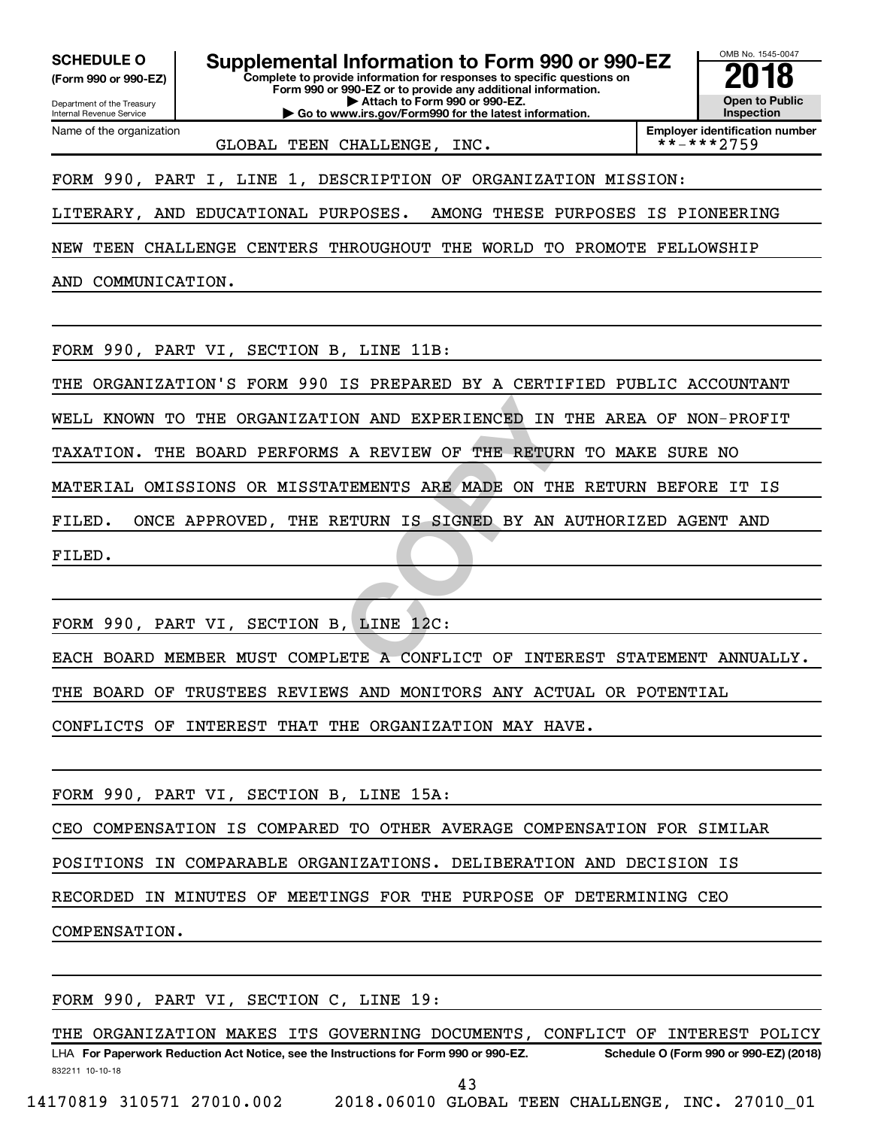**(Form 990 or 990-EZ)**

Department of the Treasury Internal Revenue Service Name of the organization

**Complete to provide information for responses to specific questions on Form 990 or 990-EZ or to provide any additional information. | Attach to Form 990 or 990-EZ. | Go to www.irs.gov/Form990 for the latest information.** SCHEDULE O **Supplemental Information to Form 990 or 990-EZ 2018**<br>(Form 990 or 990-EZ) Complete to provide information for responses to specific questions on



GLOBAL TEEN CHALLENGE, INC.

FORM 990, PART I, LINE 1, DESCRIPTION OF ORGANIZATION MISSION:

LITERARY, AND EDUCATIONAL PURPOSES. AMONG THESE PURPOSES IS PIONEERING

NEW TEEN CHALLENGE CENTERS THROUGHOUT THE WORLD TO PROMOTE FELLOWSHIP

AND COMMUNICATION.

FORM 990, PART VI, SECTION B, LINE 11B:

THE ORGANIZATION'S FORM 990 IS PREPARED BY A CERTIFIED PUBLIC ACCOUNTANT

WELL KNOWN TO THE ORGANIZATION AND EXPERIENCED IN THE AREA OF NON-PROFIT

TAXATION. THE BOARD PERFORMS A REVIEW OF THE RETURN TO MAKE SURE NO

MATERIAL OMISSIONS OR MISSTATEMENTS ARE MADE ON THE RETURN BEFORE IT IS

FILED. ONCE APPROVED, THE RETURN IS SIGNED BY AN AUTHORIZED AGENT AND

FILED.

FORM 990, PART VI, SECTION B, LINE 12C:

ON AND EXPERIENCED IN THE A<br>
A REVIEW OF THE RETURN TO<br>
TEMENTS ARE MADE ON THE RET<br>
ETURN IS SIGNED BY AN AUTHO<br>
...<br>
...<br>
...<br>
LINE 12C:<br>
ETE A CONFLICT OF INTEREST EACH BOARD MEMBER MUST COMPLETE A CONFLICT OF INTEREST STATEMENT ANNUALLY.

THE BOARD OF TRUSTEES REVIEWS AND MONITORS ANY ACTUAL OR POTENTIAL

CONFLICTS OF INTEREST THAT THE ORGANIZATION MAY HAVE.

FORM 990, PART VI, SECTION B, LINE 15A:

CEO COMPENSATION IS COMPARED TO OTHER AVERAGE COMPENSATION FOR SIMILAR

POSITIONS IN COMPARABLE ORGANIZATIONS. DELIBERATION AND DECISION IS

RECORDED IN MINUTES OF MEETINGS FOR THE PURPOSE OF DETERMINING CEO

COMPENSATION.

FORM 990, PART VI, SECTION C, LINE 19:

832211 10-10-18 LHA For Paperwork Reduction Act Notice, see the Instructions for Form 990 or 990-EZ. Schedule O (Form 990 or 990-EZ) (2018) THE ORGANIZATION MAKES ITS GOVERNING DOCUMENTS, CONFLICT OF INTEREST POLICY

43

14170819 310571 27010.002 2018.06010 GLOBAL TEEN CHALLENGE, INC. 27010\_01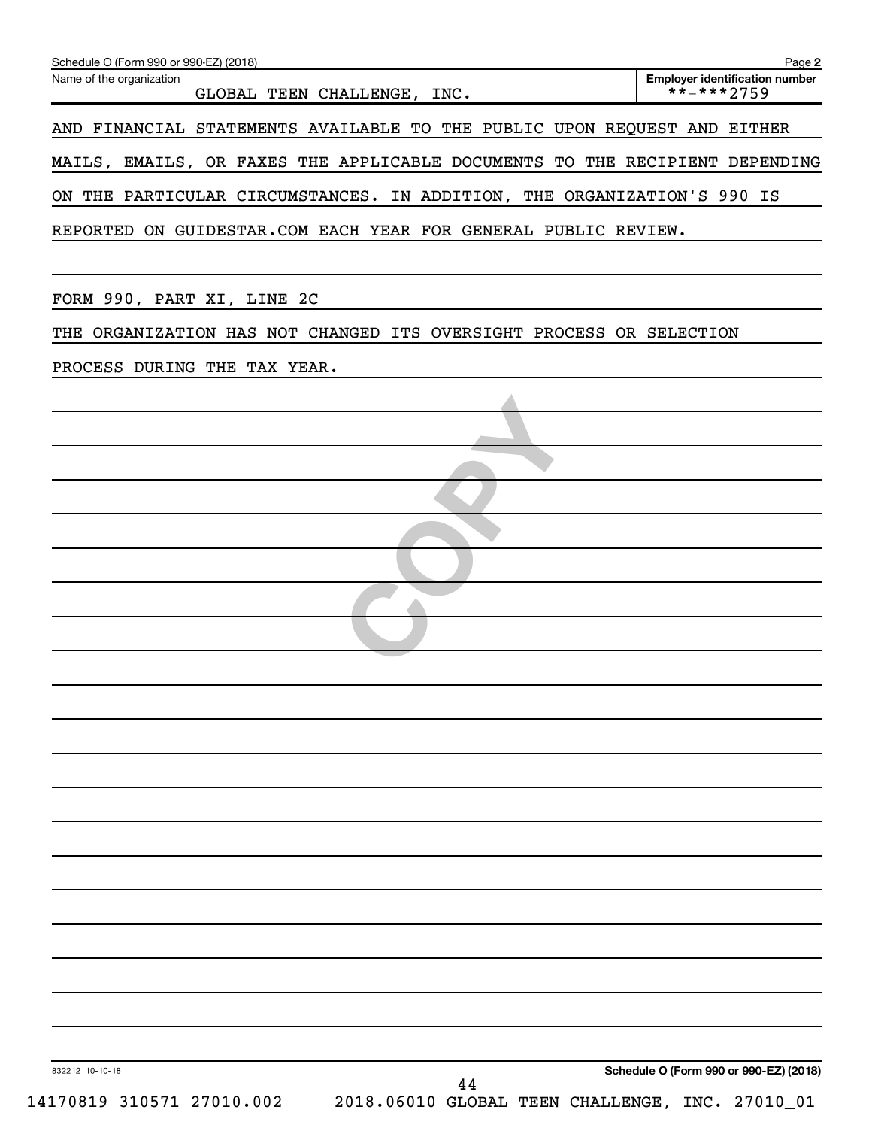| GLOBAL TEEN CHALLENGE, INC.<br>AND FINANCIAL STATEMENTS AVAILABLE TO THE PUBLIC UPON REQUEST AND EITHER<br>MAILS, EMAILS, OR FAXES THE APPLICABLE DOCUMENTS TO THE RECIPIENT DEPENDING<br>ON THE PARTICULAR CIRCUMSTANCES. IN ADDITION, THE ORGANIZATION'S 990 IS<br>REPORTED ON GUIDESTAR.COM EACH YEAR FOR GENERAL PUBLIC REVIEW.<br>FORM 990, PART XI, LINE 2C<br>THE ORGANIZATION HAS NOT CHANGED ITS OVERSIGHT PROCESS OR SELECTION<br>PROCESS DURING THE TAX YEAR. |                                        |
|--------------------------------------------------------------------------------------------------------------------------------------------------------------------------------------------------------------------------------------------------------------------------------------------------------------------------------------------------------------------------------------------------------------------------------------------------------------------------|----------------------------------------|
|                                                                                                                                                                                                                                                                                                                                                                                                                                                                          |                                        |
|                                                                                                                                                                                                                                                                                                                                                                                                                                                                          |                                        |
|                                                                                                                                                                                                                                                                                                                                                                                                                                                                          |                                        |
|                                                                                                                                                                                                                                                                                                                                                                                                                                                                          |                                        |
|                                                                                                                                                                                                                                                                                                                                                                                                                                                                          |                                        |
|                                                                                                                                                                                                                                                                                                                                                                                                                                                                          |                                        |
|                                                                                                                                                                                                                                                                                                                                                                                                                                                                          |                                        |
|                                                                                                                                                                                                                                                                                                                                                                                                                                                                          |                                        |
|                                                                                                                                                                                                                                                                                                                                                                                                                                                                          |                                        |
|                                                                                                                                                                                                                                                                                                                                                                                                                                                                          |                                        |
|                                                                                                                                                                                                                                                                                                                                                                                                                                                                          |                                        |
|                                                                                                                                                                                                                                                                                                                                                                                                                                                                          |                                        |
|                                                                                                                                                                                                                                                                                                                                                                                                                                                                          |                                        |
|                                                                                                                                                                                                                                                                                                                                                                                                                                                                          |                                        |
|                                                                                                                                                                                                                                                                                                                                                                                                                                                                          |                                        |
|                                                                                                                                                                                                                                                                                                                                                                                                                                                                          |                                        |
|                                                                                                                                                                                                                                                                                                                                                                                                                                                                          |                                        |
|                                                                                                                                                                                                                                                                                                                                                                                                                                                                          |                                        |
|                                                                                                                                                                                                                                                                                                                                                                                                                                                                          |                                        |
|                                                                                                                                                                                                                                                                                                                                                                                                                                                                          |                                        |
|                                                                                                                                                                                                                                                                                                                                                                                                                                                                          |                                        |
|                                                                                                                                                                                                                                                                                                                                                                                                                                                                          |                                        |
|                                                                                                                                                                                                                                                                                                                                                                                                                                                                          |                                        |
|                                                                                                                                                                                                                                                                                                                                                                                                                                                                          |                                        |
|                                                                                                                                                                                                                                                                                                                                                                                                                                                                          |                                        |
|                                                                                                                                                                                                                                                                                                                                                                                                                                                                          |                                        |
|                                                                                                                                                                                                                                                                                                                                                                                                                                                                          |                                        |
| 832212 10-10-18<br>44                                                                                                                                                                                                                                                                                                                                                                                                                                                    | Schedule O (Form 990 or 990-EZ) (2018) |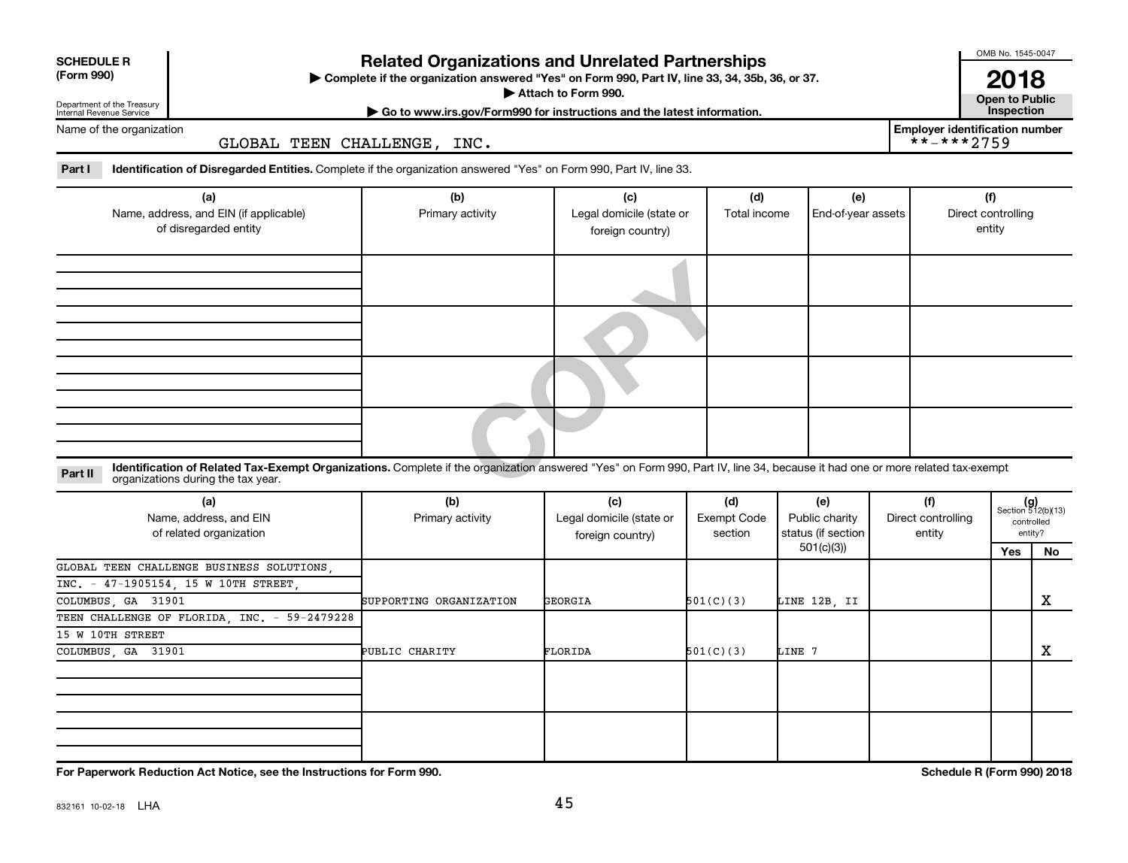| <b>SCHEDULE R</b><br>(Form 990)                        |                                                                                                                    | <b>Related Organizations and Unrelated Partnerships</b><br>Complete if the organization answered "Yes" on Form 990, Part IV, line 33, 34, 35b,<br>Attach to Form 990. |         |              |  |  |  |
|--------------------------------------------------------|--------------------------------------------------------------------------------------------------------------------|-----------------------------------------------------------------------------------------------------------------------------------------------------------------------|---------|--------------|--|--|--|
| Department of the Treasury<br>Internal Revenue Service |                                                                                                                    | $\triangleright$ Go to www.irs.gov/Form990 for instructions and the latest information.                                                                               |         |              |  |  |  |
| Name of the organization                               | GLOBAL TEEN CHALLENGE,                                                                                             | INC.                                                                                                                                                                  |         |              |  |  |  |
| Part I                                                 | Identification of Disregarded Entities. Complete if the organization answered "Yes" on Form 990, Part IV, line 33. |                                                                                                                                                                       |         |              |  |  |  |
|                                                        | $I - I$                                                                                                            | $\mathbf{L}$                                                                                                                                                          | $I - I$ | $\mathbf{L}$ |  |  |  |

| (a)                                                                                                                                                                                     | (b)              | (c)                      | (d)          | (e)                | (f)                |
|-----------------------------------------------------------------------------------------------------------------------------------------------------------------------------------------|------------------|--------------------------|--------------|--------------------|--------------------|
| Name, address, and EIN (if applicable)                                                                                                                                                  | Primary activity | Legal domicile (state or | Total income | End-of-year assets | Direct controlling |
| of disregarded entity                                                                                                                                                                   |                  | foreign country)         |              |                    | entity             |
|                                                                                                                                                                                         |                  |                          |              |                    |                    |
|                                                                                                                                                                                         |                  |                          |              |                    |                    |
|                                                                                                                                                                                         |                  |                          |              |                    |                    |
|                                                                                                                                                                                         |                  |                          |              |                    |                    |
|                                                                                                                                                                                         |                  |                          |              |                    |                    |
|                                                                                                                                                                                         |                  |                          |              |                    |                    |
|                                                                                                                                                                                         |                  |                          |              |                    |                    |
|                                                                                                                                                                                         |                  |                          |              |                    |                    |
|                                                                                                                                                                                         |                  |                          |              |                    |                    |
|                                                                                                                                                                                         |                  |                          |              |                    |                    |
|                                                                                                                                                                                         |                  |                          |              |                    |                    |
|                                                                                                                                                                                         |                  |                          |              |                    |                    |
|                                                                                                                                                                                         |                  |                          |              |                    |                    |
| Identification of Related Tax-Exempt Organizations. Complete if the organization answered "Yes" on Form 990, Part IV, line 34, because it had one or more related tax-exempt<br>Part II |                  |                          |              |                    |                    |
| organizations during the tax year.                                                                                                                                                      |                  |                          |              |                    |                    |

#### **Part II** Identification of Related Tax-Exempt Organizations. Complete if the organization answered "Yes" on Form 990, Part IV, line 34, because it had one or more related tax-exempt<br>Part II acconizations during the tax ye organizations during the tax year.

| (a)<br>Name, address, and EIN<br>of related organization | (b)<br>Primary activity | (c)<br>Legal domicile (state or<br>foreign country) | (d)<br><b>Exempt Code</b><br>section | (e)<br>Public charity<br>status (if section | (f)<br>Direct controlling<br>entity |     | $(g)$<br>Section 512(b)(13)<br>controlled<br>entity? |
|----------------------------------------------------------|-------------------------|-----------------------------------------------------|--------------------------------------|---------------------------------------------|-------------------------------------|-----|------------------------------------------------------|
|                                                          |                         |                                                     |                                      | 501(c)(3))                                  |                                     | Yes | No.                                                  |
| GLOBAL TEEN CHALLENGE BUSINESS SOLUTIONS,                |                         |                                                     |                                      |                                             |                                     |     |                                                      |
| INC. - 47-1905154, 15 W 10TH STREET,                     |                         |                                                     |                                      |                                             |                                     |     |                                                      |
| COLUMBUS, GA 31901                                       | SUPPORTING ORGANIZATION | GEORGIA                                             | 501(C)(3)                            | LINE 12B, II                                |                                     |     | х                                                    |
| TEEN CHALLENGE OF FLORIDA, INC. - 59-2479228             |                         |                                                     |                                      |                                             |                                     |     |                                                      |
| 15 W 10TH STREET                                         |                         |                                                     |                                      |                                             |                                     |     |                                                      |
| COLUMBUS, GA 31901                                       | PUBLIC CHARITY          | FLORIDA                                             | 501(C)(3)                            | LINE 7                                      |                                     |     | х                                                    |
|                                                          |                         |                                                     |                                      |                                             |                                     |     |                                                      |
|                                                          |                         |                                                     |                                      |                                             |                                     |     |                                                      |

**For Paperwork Reduction Act Notice, see the Instructions for Form 990. Schedule R (Form 990) 2018**

**SCHEDULE R**

 $\blacksquare$ 

OMB No. 1545-0047

**Attach to Public<br>Inspection 2018**

**Employer identification number**

 $**-***2759$ 

| ► Complete if the organization answered "Yes" on Form 990, Part IV, line 33, 34, 35b, 36, or 37. |  |  |
|--------------------------------------------------------------------------------------------------|--|--|
|                                                                                                  |  |  |
|                                                                                                  |  |  |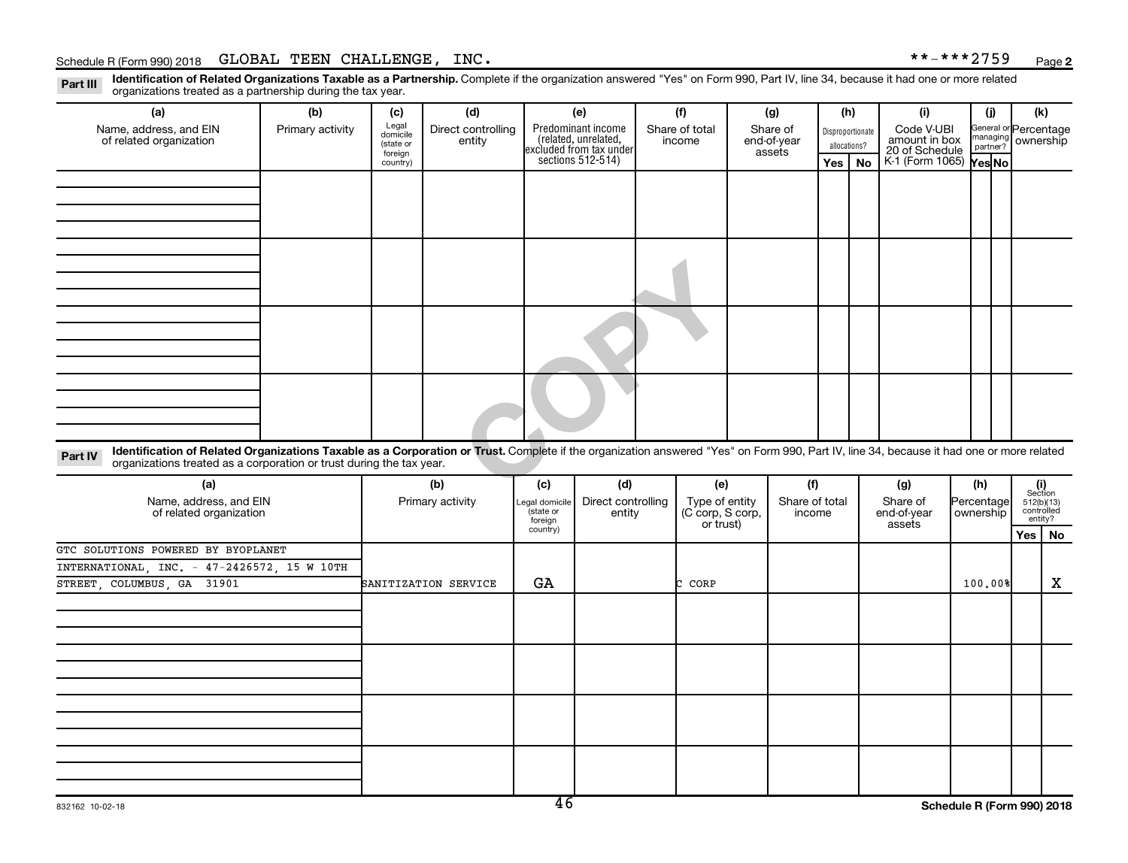**2**

Part III Identification of Related Organizations Taxable as a Partnership. Complete if the organization answered "Yes" on Form 990, Part IV, line 34, because it had one or more related<br>Read to the organizations tracted as organizations treated as a partnership during the tax year.

| (a)                                                                                                                                                                                                                                                                         | (b)              | (c)                                       | (d)                          | (e)                                                                                        |     | (f)                      | (g)                               |     | (h)                              | (i)                                           | (i) | (k)                                         |
|-----------------------------------------------------------------------------------------------------------------------------------------------------------------------------------------------------------------------------------------------------------------------------|------------------|-------------------------------------------|------------------------------|--------------------------------------------------------------------------------------------|-----|--------------------------|-----------------------------------|-----|----------------------------------|-----------------------------------------------|-----|---------------------------------------------|
| Name, address, and EIN<br>of related organization                                                                                                                                                                                                                           | Primary activity | Legal<br>domicile<br>(state or<br>foreign | Direct controlling<br>entity | Predominant income<br>(related, unrelated,<br>excluded from tax under<br>sections 512-514) |     | Share of total<br>income | Share of<br>end-of-year<br>assets |     | Disproportionate<br>allocations? | Code V-UBI<br>amount in box<br>20 of Schedule |     | General or Percentage<br>managing ownership |
|                                                                                                                                                                                                                                                                             |                  | country)                                  |                              |                                                                                            |     |                          |                                   | Yes | No                               | K-1 (Form 1065) <b>Yes No</b>                 |     |                                             |
|                                                                                                                                                                                                                                                                             |                  |                                           |                              |                                                                                            |     |                          |                                   |     |                                  |                                               |     |                                             |
|                                                                                                                                                                                                                                                                             |                  |                                           |                              |                                                                                            |     |                          |                                   |     |                                  |                                               |     |                                             |
|                                                                                                                                                                                                                                                                             |                  |                                           |                              |                                                                                            |     |                          |                                   |     |                                  |                                               |     |                                             |
|                                                                                                                                                                                                                                                                             |                  |                                           |                              |                                                                                            |     |                          |                                   |     |                                  |                                               |     |                                             |
|                                                                                                                                                                                                                                                                             |                  |                                           |                              |                                                                                            |     |                          |                                   |     |                                  |                                               |     |                                             |
|                                                                                                                                                                                                                                                                             |                  |                                           |                              |                                                                                            |     |                          |                                   |     |                                  |                                               |     |                                             |
|                                                                                                                                                                                                                                                                             |                  |                                           |                              |                                                                                            |     |                          |                                   |     |                                  |                                               |     |                                             |
|                                                                                                                                                                                                                                                                             |                  |                                           |                              |                                                                                            |     |                          |                                   |     |                                  |                                               |     |                                             |
|                                                                                                                                                                                                                                                                             |                  |                                           |                              |                                                                                            |     |                          |                                   |     |                                  |                                               |     |                                             |
|                                                                                                                                                                                                                                                                             |                  |                                           |                              |                                                                                            |     |                          |                                   |     |                                  |                                               |     |                                             |
|                                                                                                                                                                                                                                                                             |                  |                                           |                              |                                                                                            |     |                          |                                   |     |                                  |                                               |     |                                             |
|                                                                                                                                                                                                                                                                             |                  |                                           |                              |                                                                                            |     |                          |                                   |     |                                  |                                               |     |                                             |
|                                                                                                                                                                                                                                                                             |                  |                                           |                              |                                                                                            |     |                          |                                   |     |                                  |                                               |     |                                             |
|                                                                                                                                                                                                                                                                             |                  |                                           |                              |                                                                                            |     |                          |                                   |     |                                  |                                               |     |                                             |
|                                                                                                                                                                                                                                                                             |                  |                                           |                              |                                                                                            |     |                          |                                   |     |                                  |                                               |     |                                             |
|                                                                                                                                                                                                                                                                             |                  |                                           |                              |                                                                                            |     |                          |                                   |     |                                  |                                               |     |                                             |
| Identification of Related Organizations Taxable as a Corporation or Trust. Complete if the organization answered "Yes" on Form 990, Part IV, line 34, because it had one or more related<br>Part IV<br>organizations treated as a corporation or trust during the tax year. |                  |                                           |                              |                                                                                            |     |                          |                                   |     |                                  |                                               |     |                                             |
| (a)                                                                                                                                                                                                                                                                         |                  |                                           | (b)                          | (c)                                                                                        | (d) | (e)                      | (f)                               |     |                                  | (g)                                           | (h) | $\frac{1}{\sqrt{2}}$                        |

| (a)                                               | (b)                  | (c)                                    | (d)                          | (e)                                             | (f)                      | (g)                               | (h)                     | (i)<br>Section                      |
|---------------------------------------------------|----------------------|----------------------------------------|------------------------------|-------------------------------------------------|--------------------------|-----------------------------------|-------------------------|-------------------------------------|
| Name, address, and EIN<br>of related organization | Primary activity     | Legal domicile<br>(state or<br>foreign | Direct controlling<br>entity | Type of entity<br>(C corp, S corp,<br>or trust) | Share of total<br>income | Share of<br>end-of-year<br>assets | Percentage<br>ownership | 512(b)(13)<br>controlled<br>entity? |
|                                                   |                      | country)                               |                              |                                                 |                          |                                   |                         | Yes   No                            |
| GTC SOLUTIONS POWERED BY BYOPLANET                |                      |                                        |                              |                                                 |                          |                                   |                         |                                     |
| INTERNATIONAL, INC. - 47-2426572, 15 W 10TH       |                      |                                        |                              |                                                 |                          |                                   |                         |                                     |
| STREET, COLUMBUS, GA 31901                        | SANITIZATION SERVICE | GA                                     |                              | CORP                                            |                          |                                   | 100.00%                 | X                                   |
|                                                   |                      |                                        |                              |                                                 |                          |                                   |                         |                                     |
|                                                   |                      |                                        |                              |                                                 |                          |                                   |                         |                                     |
|                                                   |                      |                                        |                              |                                                 |                          |                                   |                         |                                     |
|                                                   |                      |                                        |                              |                                                 |                          |                                   |                         |                                     |
|                                                   |                      |                                        |                              |                                                 |                          |                                   |                         |                                     |
|                                                   |                      |                                        |                              |                                                 |                          |                                   |                         |                                     |
|                                                   |                      |                                        |                              |                                                 |                          |                                   |                         |                                     |
|                                                   |                      |                                        |                              |                                                 |                          |                                   |                         |                                     |
|                                                   |                      |                                        |                              |                                                 |                          |                                   |                         |                                     |
|                                                   |                      |                                        |                              |                                                 |                          |                                   |                         |                                     |
|                                                   |                      |                                        |                              |                                                 |                          |                                   |                         |                                     |
|                                                   |                      |                                        |                              |                                                 |                          |                                   |                         |                                     |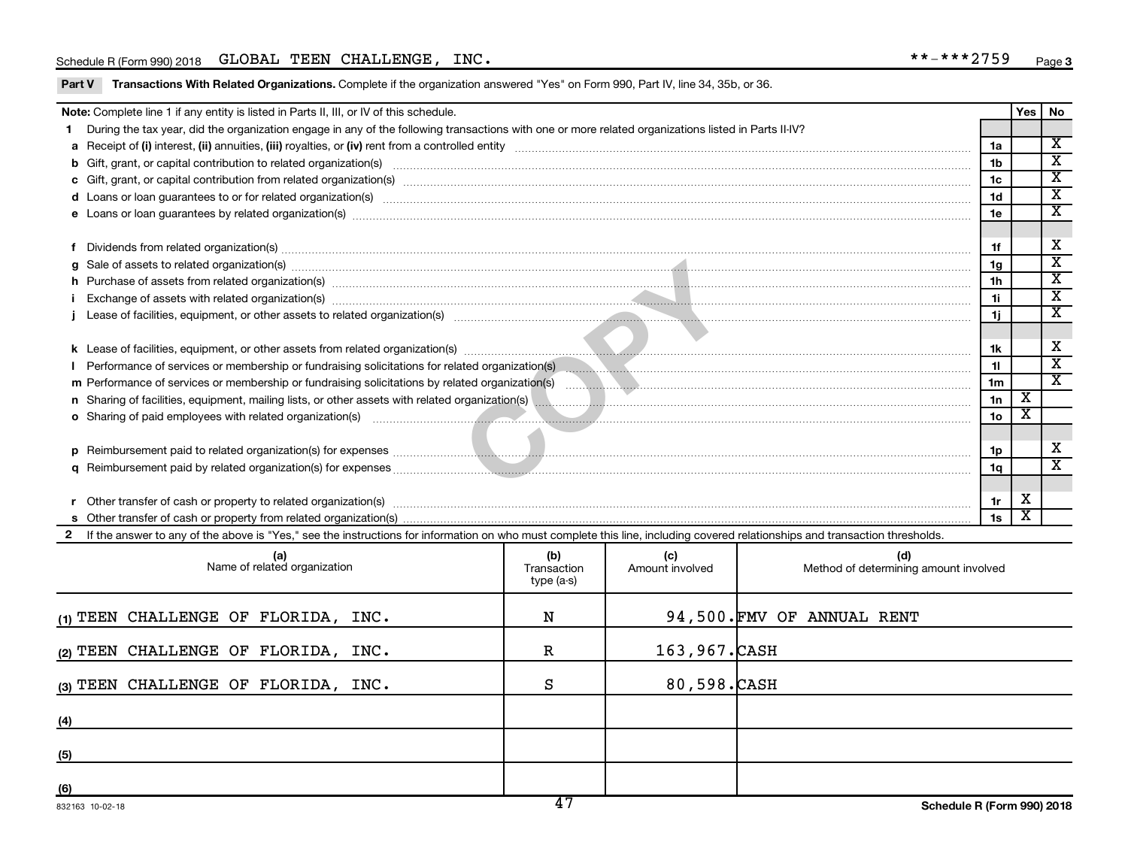Part V Transactions With Related Organizations. Complete if the organization answered "Yes" on Form 990, Part IV, line 34, 35b, or 36.

|                                                                                                                                                                                                                                | Note: Complete line 1 if any entity is listed in Parts II, III, or IV of this schedule.                                                                                                                                        |  |  |  |                | <b>Yes</b>              | No                                                     |  |  |
|--------------------------------------------------------------------------------------------------------------------------------------------------------------------------------------------------------------------------------|--------------------------------------------------------------------------------------------------------------------------------------------------------------------------------------------------------------------------------|--|--|--|----------------|-------------------------|--------------------------------------------------------|--|--|
|                                                                                                                                                                                                                                | During the tax year, did the organization engage in any of the following transactions with one or more related organizations listed in Parts II-IV?                                                                            |  |  |  |                |                         |                                                        |  |  |
|                                                                                                                                                                                                                                |                                                                                                                                                                                                                                |  |  |  | 1a             |                         | $\overline{\mathbf{x}}$                                |  |  |
| b                                                                                                                                                                                                                              | Gift, grant, or capital contribution to related organization(s) manufaction content and content and contribution to related organization(s) manufaction content and content and content and content and content and content an |  |  |  | 1 <sub>b</sub> |                         | $\overline{\texttt{x}}$                                |  |  |
|                                                                                                                                                                                                                                |                                                                                                                                                                                                                                |  |  |  | 1 <sub>c</sub> |                         | $\overline{\texttt{x}}$                                |  |  |
|                                                                                                                                                                                                                                |                                                                                                                                                                                                                                |  |  |  | 1 <sub>d</sub> |                         | $\overline{\texttt{x}}$                                |  |  |
|                                                                                                                                                                                                                                | e Loans or loan guarantees by related organization(s) material contents and content to content the content of the content of the content of the content of the content of the content of the content of the content of the con |  |  |  | 1e             |                         | $\overline{\mathbf{x}}$                                |  |  |
|                                                                                                                                                                                                                                |                                                                                                                                                                                                                                |  |  |  |                |                         |                                                        |  |  |
| f                                                                                                                                                                                                                              | Dividends from related organization(s) manufacture content to the content of the content of the content of the content of the content of the content of the content of the content of the content of the content of the conten |  |  |  | 1f             |                         | X                                                      |  |  |
| a                                                                                                                                                                                                                              | Sale of assets to related organization(s) material content and content and content and content and content and content and content and content and content and content and content and content and content and content and con |  |  |  | 1g             |                         | $\overline{\textnormal{x}}$<br>$\overline{\mathbf{x}}$ |  |  |
| h Purchase of assets from related organization(s) manufacture and content to content the content of the content of the content of the content of the content of the content of the content of the content of the content of th |                                                                                                                                                                                                                                |  |  |  |                |                         |                                                        |  |  |
|                                                                                                                                                                                                                                |                                                                                                                                                                                                                                |  |  |  |                |                         |                                                        |  |  |
| 1j                                                                                                                                                                                                                             |                                                                                                                                                                                                                                |  |  |  |                |                         |                                                        |  |  |
|                                                                                                                                                                                                                                |                                                                                                                                                                                                                                |  |  |  |                |                         |                                                        |  |  |
| 1k                                                                                                                                                                                                                             |                                                                                                                                                                                                                                |  |  |  |                |                         |                                                        |  |  |
|                                                                                                                                                                                                                                | Performance of services or membership or fundraising solicitations for related organization(s) [1999] Derformance of services or membership or fundraising solicitations for related organization(s) [1999] Derformances consu |  |  |  | 11             |                         | $\overline{\mathbf{x}}$                                |  |  |
|                                                                                                                                                                                                                                |                                                                                                                                                                                                                                |  |  |  | 1 <sub>m</sub> |                         | $\overline{\mathbf{x}}$                                |  |  |
|                                                                                                                                                                                                                                |                                                                                                                                                                                                                                |  |  |  | 1n             | $\overline{\textbf{x}}$ |                                                        |  |  |
|                                                                                                                                                                                                                                | o Sharing of paid employees with related organization(s) manufactured and content to the state of the state of the state of the state organization(s) and the state of the state of the state of the state of the state of the |  |  |  | 1 <sub>o</sub> | $\overline{\texttt{x}}$ |                                                        |  |  |
|                                                                                                                                                                                                                                |                                                                                                                                                                                                                                |  |  |  |                |                         |                                                        |  |  |
| D.                                                                                                                                                                                                                             |                                                                                                                                                                                                                                |  |  |  | 1p             |                         | х                                                      |  |  |
|                                                                                                                                                                                                                                |                                                                                                                                                                                                                                |  |  |  | 1q             |                         | $\overline{\texttt{x}}$                                |  |  |
|                                                                                                                                                                                                                                |                                                                                                                                                                                                                                |  |  |  |                |                         |                                                        |  |  |
|                                                                                                                                                                                                                                | Other transfer of cash or property to related organization(s) www.communities.com/www.communities/communities/                                                                                                                 |  |  |  | 1r             | х                       |                                                        |  |  |
|                                                                                                                                                                                                                                |                                                                                                                                                                                                                                |  |  |  | 1s             | X                       |                                                        |  |  |
| If the answer to any of the above is "Yes," see the instructions for information on who must complete this line, including covered relationships and transaction thresholds.                                                   |                                                                                                                                                                                                                                |  |  |  |                |                         |                                                        |  |  |
| (d)<br>(a)<br>Name of related organization<br>(b)<br>(c)<br>Method of determining amount involved<br>Transaction<br>Amount involved<br>type (a-s)                                                                              |                                                                                                                                                                                                                                |  |  |  |                |                         |                                                        |  |  |
|                                                                                                                                                                                                                                |                                                                                                                                                                                                                                |  |  |  |                |                         |                                                        |  |  |

| (1) TEEN CHALLENGE OF FLORIDA, INC. | N           |               | 94,500.FMV OF ANNUAL RENT |
|-------------------------------------|-------------|---------------|---------------------------|
| (2) TEEN CHALLENGE OF FLORIDA, INC. | $\mathbf R$ | 163,967. CASH |                           |
| (3) TEEN CHALLENGE OF FLORIDA, INC. | S           | 80,598.CASH   |                           |
| (4)                                 |             |               |                           |
| (5)                                 |             |               |                           |
| (6)                                 |             |               |                           |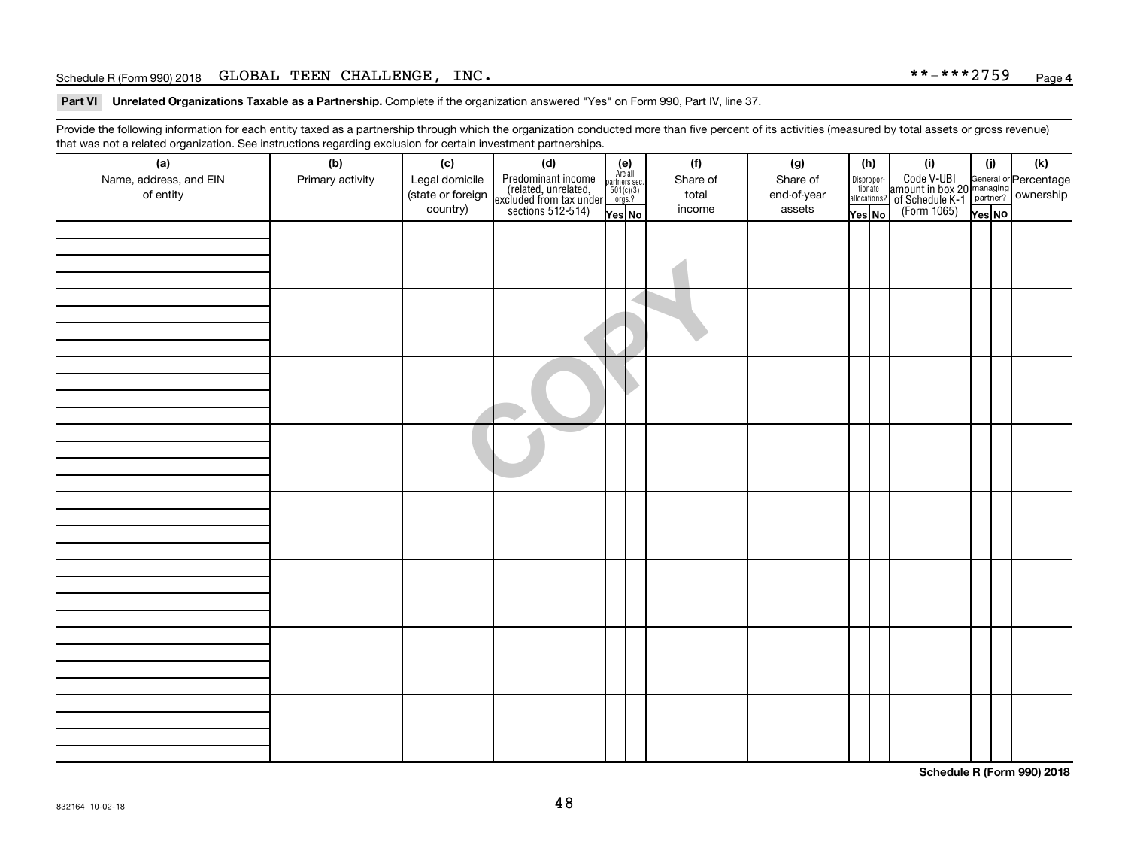Part VI Unrelated Organizations Taxable as a Partnership. Complete if the organization answered "Yes" on Form 990, Part IV, line 37.

Provide the following information for each entity taxed as a partnership through which the organization conducted more than five percent of its activities (measured by total assets or gross revenue) that was not a related organization. See instructions regarding exclusion for certain investment partnerships.

| <br>(a)                | (b)              | (c)               | .<br>. <del>.</del><br>(d)                                                                 |                                                          | (f)      | (g)         | (h)                    | (i)                                                                                              | (i)    | (k) |
|------------------------|------------------|-------------------|--------------------------------------------------------------------------------------------|----------------------------------------------------------|----------|-------------|------------------------|--------------------------------------------------------------------------------------------------|--------|-----|
| Name, address, and EIN | Primary activity | Legal domicile    |                                                                                            | (e)<br>Are all<br>partners sec.<br>$501(c)(3)$<br>orgs.? | Share of | Share of    |                        |                                                                                                  |        |     |
| of entity              |                  | (state or foreign |                                                                                            |                                                          | total    | end-of-year | Dispropor-<br>tionate  |                                                                                                  |        |     |
|                        |                  | country)          | Predominant income<br>(related, unrelated,<br>excluded from tax under<br>sections 512-514) |                                                          | income   | assets      | allocations?<br>Yes No | Code V-UBI<br>amount in box 20 managing<br>of Schedule K-1<br>(Form 1065)<br>$\overline{Yes}$ No |        |     |
|                        |                  |                   |                                                                                            | Yes No                                                   |          |             |                        |                                                                                                  | Yes NO |     |
|                        |                  |                   |                                                                                            |                                                          |          |             |                        |                                                                                                  |        |     |
|                        |                  |                   |                                                                                            |                                                          |          |             |                        |                                                                                                  |        |     |
|                        |                  |                   |                                                                                            |                                                          |          |             |                        |                                                                                                  |        |     |
|                        |                  |                   |                                                                                            |                                                          |          |             |                        |                                                                                                  |        |     |
|                        |                  |                   |                                                                                            |                                                          |          |             |                        |                                                                                                  |        |     |
|                        |                  |                   |                                                                                            |                                                          |          |             |                        |                                                                                                  |        |     |
|                        |                  |                   |                                                                                            |                                                          |          |             |                        |                                                                                                  |        |     |
|                        |                  |                   |                                                                                            |                                                          |          |             |                        |                                                                                                  |        |     |
|                        |                  |                   |                                                                                            |                                                          |          |             |                        |                                                                                                  |        |     |
|                        |                  |                   |                                                                                            |                                                          |          |             |                        |                                                                                                  |        |     |
|                        |                  |                   |                                                                                            |                                                          |          |             |                        |                                                                                                  |        |     |
|                        |                  |                   |                                                                                            |                                                          |          |             |                        |                                                                                                  |        |     |
|                        |                  |                   |                                                                                            |                                                          |          |             |                        |                                                                                                  |        |     |
|                        |                  |                   |                                                                                            |                                                          |          |             |                        |                                                                                                  |        |     |
|                        |                  |                   |                                                                                            |                                                          |          |             |                        |                                                                                                  |        |     |
|                        |                  |                   |                                                                                            |                                                          |          |             |                        |                                                                                                  |        |     |
|                        |                  |                   |                                                                                            |                                                          |          |             |                        |                                                                                                  |        |     |
|                        |                  |                   |                                                                                            |                                                          |          |             |                        |                                                                                                  |        |     |
|                        |                  |                   |                                                                                            |                                                          |          |             |                        |                                                                                                  |        |     |
|                        |                  |                   |                                                                                            |                                                          |          |             |                        |                                                                                                  |        |     |
|                        |                  |                   |                                                                                            |                                                          |          |             |                        |                                                                                                  |        |     |
|                        |                  |                   |                                                                                            |                                                          |          |             |                        |                                                                                                  |        |     |
|                        |                  |                   |                                                                                            |                                                          |          |             |                        |                                                                                                  |        |     |
|                        |                  |                   |                                                                                            |                                                          |          |             |                        |                                                                                                  |        |     |
|                        |                  |                   |                                                                                            |                                                          |          |             |                        |                                                                                                  |        |     |
|                        |                  |                   |                                                                                            |                                                          |          |             |                        |                                                                                                  |        |     |
|                        |                  |                   |                                                                                            |                                                          |          |             |                        |                                                                                                  |        |     |
|                        |                  |                   |                                                                                            |                                                          |          |             |                        |                                                                                                  |        |     |
|                        |                  |                   |                                                                                            |                                                          |          |             |                        |                                                                                                  |        |     |
|                        |                  |                   |                                                                                            |                                                          |          |             |                        |                                                                                                  |        |     |
|                        |                  |                   |                                                                                            |                                                          |          |             |                        |                                                                                                  |        |     |
|                        |                  |                   |                                                                                            |                                                          |          |             |                        |                                                                                                  |        |     |
|                        |                  |                   |                                                                                            |                                                          |          |             |                        |                                                                                                  |        |     |
|                        |                  |                   |                                                                                            |                                                          |          |             |                        |                                                                                                  |        |     |
|                        |                  |                   |                                                                                            |                                                          |          |             |                        |                                                                                                  |        |     |

**Schedule R (Form 990) 2018**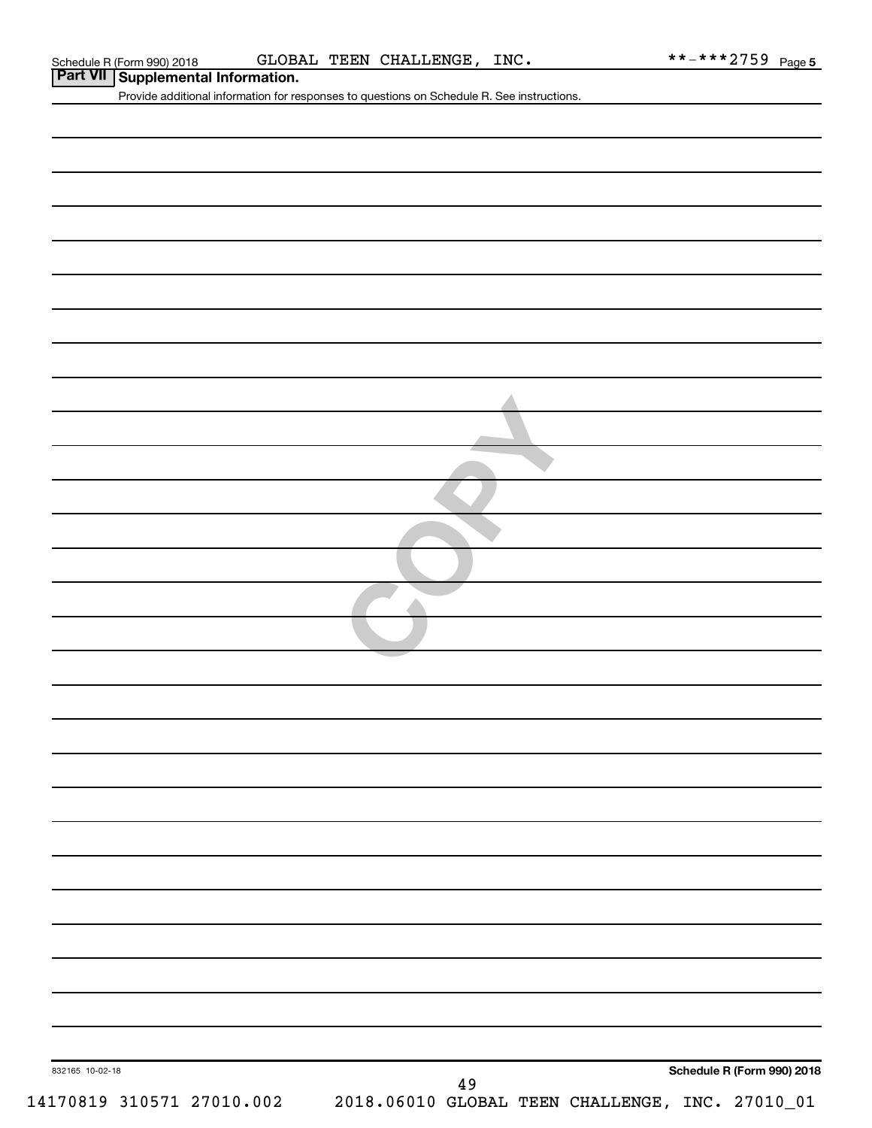| Part VII Supplemental Information. | Provide additional information for responses to questions on Schedule R. See instructions. |
|------------------------------------|--------------------------------------------------------------------------------------------|
|                                    |                                                                                            |
|                                    |                                                                                            |
|                                    |                                                                                            |
|                                    |                                                                                            |
|                                    |                                                                                            |
|                                    |                                                                                            |
|                                    |                                                                                            |
|                                    |                                                                                            |
|                                    |                                                                                            |
|                                    |                                                                                            |
|                                    |                                                                                            |
|                                    |                                                                                            |
|                                    |                                                                                            |
|                                    |                                                                                            |
|                                    |                                                                                            |
|                                    |                                                                                            |
|                                    |                                                                                            |
|                                    |                                                                                            |
|                                    |                                                                                            |
|                                    |                                                                                            |
|                                    |                                                                                            |
|                                    |                                                                                            |
|                                    |                                                                                            |
|                                    |                                                                                            |
|                                    |                                                                                            |
|                                    |                                                                                            |
|                                    |                                                                                            |
|                                    |                                                                                            |
|                                    |                                                                                            |
|                                    |                                                                                            |
| 832165 10-02-18                    | Schedule R (Form 990) 2018                                                                 |
| 14170819 310571 27010.002          | 49<br>2018.06010 GLOBAL TEEN CHALLENGE, INC. 27010_01                                      |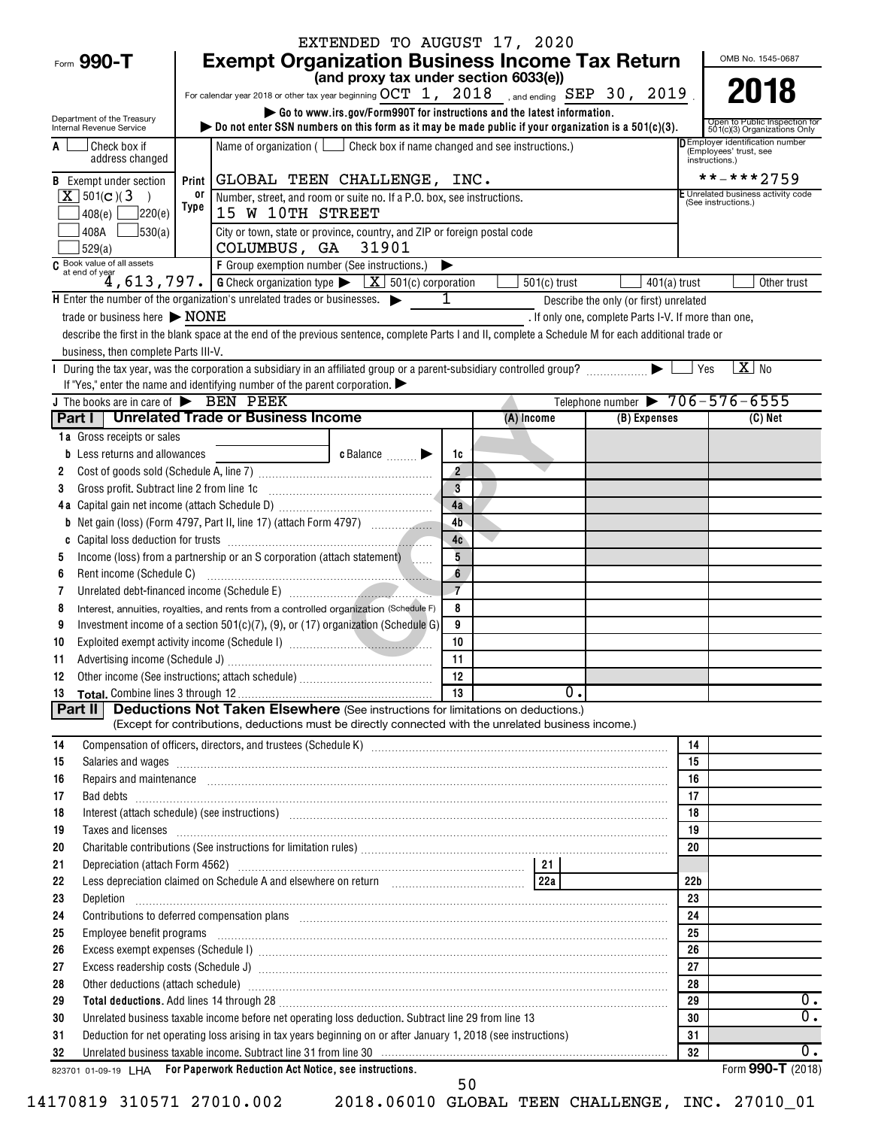|                                                                                                                                                                                                                             |       |                                                                                                                | EXTENDED TO AUGUST 17, 2020                                                                                    |                |                                                                                                                                                                                                                                     |                                                      |                 |                                                                  |
|-----------------------------------------------------------------------------------------------------------------------------------------------------------------------------------------------------------------------------|-------|----------------------------------------------------------------------------------------------------------------|----------------------------------------------------------------------------------------------------------------|----------------|-------------------------------------------------------------------------------------------------------------------------------------------------------------------------------------------------------------------------------------|------------------------------------------------------|-----------------|------------------------------------------------------------------|
| Form 990-T                                                                                                                                                                                                                  |       |                                                                                                                |                                                                                                                |                | <b>Exempt Organization Business Income Tax Return</b>                                                                                                                                                                               |                                                      |                 | OMB No. 1545-0687                                                |
|                                                                                                                                                                                                                             |       |                                                                                                                | (and proxy tax under section 6033(e))                                                                          |                |                                                                                                                                                                                                                                     |                                                      |                 |                                                                  |
|                                                                                                                                                                                                                             |       |                                                                                                                |                                                                                                                |                | For calendar year 2018 or other tax year beginning $OCT\ 1$ , $2018$ , and ending SEP 30, 2019                                                                                                                                      |                                                      |                 | 2018                                                             |
| Department of the Treasury<br>Internal Revenue Service                                                                                                                                                                      |       |                                                                                                                |                                                                                                                |                | Go to www.irs.gov/Form990T for instructions and the latest information.<br>bo not enter SSN numbers on this form as it may be made public if your organization is a $501(c)(3)$ .                                                   |                                                      |                 | Open to Public Inspection for<br>501(c)(3) Organizations Only    |
| Check box if<br>A<br>address changed                                                                                                                                                                                        |       |                                                                                                                | Name of organization ( $\Box$ Check box if name changed and see instructions.)                                 |                |                                                                                                                                                                                                                                     |                                                      | instructions.)  | <b>DEmployer identification number</b><br>(Employees' trust, see |
| <b>B</b> Exempt under section                                                                                                                                                                                               | Print |                                                                                                                | GLOBAL TEEN CHALLENGE, INC.                                                                                    |                |                                                                                                                                                                                                                                     |                                                      |                 | **-***2759                                                       |
| $X$ 501(c)(3                                                                                                                                                                                                                | 0ľ    |                                                                                                                | Number, street, and room or suite no. If a P.O. box, see instructions.                                         |                |                                                                                                                                                                                                                                     |                                                      |                 | E Unrelated business activity code<br>(See instructions.)        |
| ]220(e)<br>408(e)                                                                                                                                                                                                           | Type  | 15 W 10TH STREET                                                                                               |                                                                                                                |                |                                                                                                                                                                                                                                     |                                                      |                 |                                                                  |
| $\frac{1}{30(a)}$<br>408A L<br>529(a)                                                                                                                                                                                       |       | COLUMBUS, GA 31901                                                                                             | City or town, state or province, country, and ZIP or foreign postal code                                       |                |                                                                                                                                                                                                                                     |                                                      |                 |                                                                  |
| C Book value of all assets<br>at end of year                                                                                                                                                                                |       | F Group exemption number (See instructions.)                                                                   |                                                                                                                | ▶              |                                                                                                                                                                                                                                     |                                                      |                 |                                                                  |
|                                                                                                                                                                                                                             |       |                                                                                                                | $\overline{4}$ , 613, 797. G Check organization type $\blacktriangleright$ $\overline{X}$ 501(c) corporation   |                | $501(c)$ trust                                                                                                                                                                                                                      | $401(a)$ trust                                       |                 | Other trust                                                      |
| H Enter the number of the organization's unrelated trades or businesses.                                                                                                                                                    |       |                                                                                                                |                                                                                                                | 1              |                                                                                                                                                                                                                                     | Describe the only (or first) unrelated               |                 |                                                                  |
| trade or business here $\triangleright$ NONE                                                                                                                                                                                |       |                                                                                                                |                                                                                                                |                |                                                                                                                                                                                                                                     | . If only one, complete Parts I-V. If more than one, |                 |                                                                  |
| describe the first in the blank space at the end of the previous sentence, complete Parts I and II, complete a Schedule M for each additional trade or                                                                      |       |                                                                                                                |                                                                                                                |                |                                                                                                                                                                                                                                     |                                                      |                 |                                                                  |
| business, then complete Parts III-V.                                                                                                                                                                                        |       |                                                                                                                |                                                                                                                |                |                                                                                                                                                                                                                                     |                                                      |                 | $X$ No                                                           |
| During the tax year, was the corporation a subsidiary in an affiliated group or a parent-subsidiary controlled group? ▶<br>If "Yes," enter the name and identifying number of the parent corporation. $\blacktriangleright$ |       |                                                                                                                |                                                                                                                |                |                                                                                                                                                                                                                                     |                                                      | Yes             |                                                                  |
| J The books are in care of BEN PEEK                                                                                                                                                                                         |       |                                                                                                                |                                                                                                                |                |                                                                                                                                                                                                                                     | Telephone number $\triangleright 706 - 576 - 6555$   |                 |                                                                  |
| Part I   Unrelated Trade or Business Income                                                                                                                                                                                 |       |                                                                                                                |                                                                                                                |                | $(A)$ Income                                                                                                                                                                                                                        | (B) Expenses                                         |                 | $(C)$ Net                                                        |
| 1a Gross receipts or sales                                                                                                                                                                                                  |       |                                                                                                                |                                                                                                                |                |                                                                                                                                                                                                                                     |                                                      |                 |                                                                  |
| <b>b</b> Less returns and allowances                                                                                                                                                                                        |       |                                                                                                                | $c$ Balance $\qquad \qquad \blacktriangleright$                                                                | 1c             |                                                                                                                                                                                                                                     |                                                      |                 |                                                                  |
| 2                                                                                                                                                                                                                           |       |                                                                                                                |                                                                                                                | $\overline{2}$ |                                                                                                                                                                                                                                     |                                                      |                 |                                                                  |
| 3                                                                                                                                                                                                                           |       | Gross profit. Subtract line 2 from line 1c [11] [12] [12] [12] [13] [14] [15] [15] [15] [15] [15] [15] [15] [1 |                                                                                                                | $\overline{3}$ |                                                                                                                                                                                                                                     |                                                      |                 |                                                                  |
|                                                                                                                                                                                                                             |       |                                                                                                                |                                                                                                                | 4a             |                                                                                                                                                                                                                                     |                                                      |                 |                                                                  |
|                                                                                                                                                                                                                             |       |                                                                                                                |                                                                                                                | 4 <sub>b</sub> |                                                                                                                                                                                                                                     |                                                      |                 |                                                                  |
| C                                                                                                                                                                                                                           |       |                                                                                                                |                                                                                                                | 4c             |                                                                                                                                                                                                                                     |                                                      |                 |                                                                  |
| 5                                                                                                                                                                                                                           |       | Income (loss) from a partnership or an S corporation (attach statement) [                                      |                                                                                                                | 5<br>6         |                                                                                                                                                                                                                                     |                                                      |                 |                                                                  |
| Rent income (Schedule C)<br>6                                                                                                                                                                                               |       |                                                                                                                |                                                                                                                | $\overline{7}$ |                                                                                                                                                                                                                                     |                                                      |                 |                                                                  |
| 7<br>8                                                                                                                                                                                                                      |       | Interest, annuities, royalties, and rents from a controlled organization (Schedule F)                          |                                                                                                                | 8              |                                                                                                                                                                                                                                     |                                                      |                 |                                                                  |
| 9                                                                                                                                                                                                                           |       | Investment income of a section $501(c)(7)$ , (9), or (17) organization (Schedule G)                            |                                                                                                                | 9              |                                                                                                                                                                                                                                     |                                                      |                 |                                                                  |
| 10                                                                                                                                                                                                                          |       |                                                                                                                |                                                                                                                | 10             |                                                                                                                                                                                                                                     |                                                      |                 |                                                                  |
| 11                                                                                                                                                                                                                          |       |                                                                                                                |                                                                                                                | 11             |                                                                                                                                                                                                                                     |                                                      |                 |                                                                  |
| 12                                                                                                                                                                                                                          |       |                                                                                                                |                                                                                                                | 12             |                                                                                                                                                                                                                                     |                                                      |                 |                                                                  |
| 13                                                                                                                                                                                                                          |       |                                                                                                                |                                                                                                                |                | 0.                                                                                                                                                                                                                                  |                                                      |                 |                                                                  |
| Part II                                                                                                                                                                                                                     |       |                                                                                                                | <b>Deductions Not Taken Elsewhere</b> (See instructions for limitations on deductions.)                        |                | (Except for contributions, deductions must be directly connected with the unrelated business income.)                                                                                                                               |                                                      |                 |                                                                  |
| 14                                                                                                                                                                                                                          |       |                                                                                                                |                                                                                                                |                |                                                                                                                                                                                                                                     |                                                      | 14              |                                                                  |
| 15                                                                                                                                                                                                                          |       |                                                                                                                |                                                                                                                |                | Salaries and wages information continuous contracts and wages in the salaries and wages incommutation of the salarities and wages in the salarities of the salarities and wages in the salarities of the salarities of the sal      |                                                      | 15              |                                                                  |
| 16                                                                                                                                                                                                                          |       |                                                                                                                |                                                                                                                |                | Repairs and maintenance <i>[1] [1] [1] [1] [1] [1] [1] [1] [1] [1]</i> [1] <b>[1] [1]</b> [1] <b>[1] [1] [1] [1] [1] [1] [1] [1] [1] [1] [1] [1] [1] [1] [1] [1] [1] [1] [1] [1] [1] [1] [1]</b>                                    |                                                      | 16              |                                                                  |
| 17                                                                                                                                                                                                                          |       |                                                                                                                |                                                                                                                |                |                                                                                                                                                                                                                                     |                                                      | 17              |                                                                  |
| 18                                                                                                                                                                                                                          |       |                                                                                                                |                                                                                                                |                | Interest (attach schedule) (see instructions) www.communications.communications.communications.communications.                                                                                                                      |                                                      | 18              |                                                                  |
| 19                                                                                                                                                                                                                          |       |                                                                                                                |                                                                                                                |                | Taxes and licenses <b>construction and construction of the construction of the construction</b> of the construction of the construction of the construction of the construction of the construction of the construction of the cons |                                                      | 19              |                                                                  |
| 20                                                                                                                                                                                                                          |       |                                                                                                                |                                                                                                                |                |                                                                                                                                                                                                                                     |                                                      | 20              |                                                                  |
| 21<br>22                                                                                                                                                                                                                    |       |                                                                                                                | Less depreciation claimed on Schedule A and elsewhere on return [10] [220] [220]                               |                |                                                                                                                                                                                                                                     |                                                      | 22 <sub>b</sub> |                                                                  |
| 23                                                                                                                                                                                                                          |       |                                                                                                                |                                                                                                                |                |                                                                                                                                                                                                                                     |                                                      | 23              |                                                                  |
| 24                                                                                                                                                                                                                          |       |                                                                                                                |                                                                                                                |                | Contributions to deferred compensation plans [11] manufactured manufactured manufactured manufactured manufactured manufactured manufactured manufactured manufactured manufactured manufactured manufactured manufactured man      |                                                      | 24              |                                                                  |
| 25                                                                                                                                                                                                                          |       |                                                                                                                |                                                                                                                |                |                                                                                                                                                                                                                                     |                                                      | 25              |                                                                  |
| 26                                                                                                                                                                                                                          |       |                                                                                                                |                                                                                                                |                |                                                                                                                                                                                                                                     |                                                      | 26              |                                                                  |
| 27                                                                                                                                                                                                                          |       |                                                                                                                |                                                                                                                |                |                                                                                                                                                                                                                                     |                                                      | 27              |                                                                  |
| 28                                                                                                                                                                                                                          |       |                                                                                                                |                                                                                                                |                | Other deductions (attach schedule) www.communications.communications.communications.communications.com                                                                                                                              |                                                      | 28              |                                                                  |
| 29                                                                                                                                                                                                                          |       |                                                                                                                |                                                                                                                |                | Total deductions. Add lines 14 through 28 [[11] 20 [11] 20 [11] 20 [12] 20 [12] 20 [12] 20 [12] 20 [12] 20 [12] 20 [12] 20 [12] 20 [12] 20 [12] 20 [12] 20 [12] 20 [12] 20 [12] 20 [12] 20 [12] 20 [12] 20 [12] 20 [12] 20 [12      |                                                      | 29              | $0$ .                                                            |
| 30                                                                                                                                                                                                                          |       |                                                                                                                | Unrelated business taxable income before net operating loss deduction. Subtract line 29 from line 13           |                |                                                                                                                                                                                                                                     |                                                      | 30              | $\overline{0}$ .                                                 |
| 31                                                                                                                                                                                                                          |       |                                                                                                                | Deduction for net operating loss arising in tax years beginning on or after January 1, 2018 (see instructions) |                |                                                                                                                                                                                                                                     |                                                      | 31              |                                                                  |
| 32                                                                                                                                                                                                                          |       |                                                                                                                |                                                                                                                |                | Unrelated business taxable income. Subtract line 31 from line 30 [11] matches and the matches of the state income.                                                                                                                  |                                                      | 32              | 0.<br>Form 990-T (2018)                                          |
| 823701 01-09-19 LHA For Paperwork Reduction Act Notice, see instructions.                                                                                                                                                   |       |                                                                                                                |                                                                                                                |                |                                                                                                                                                                                                                                     |                                                      |                 |                                                                  |

14170819 310571 27010.002 2018.06010 GLOBAL TEEN CHALLENGE, INC. 27010\_01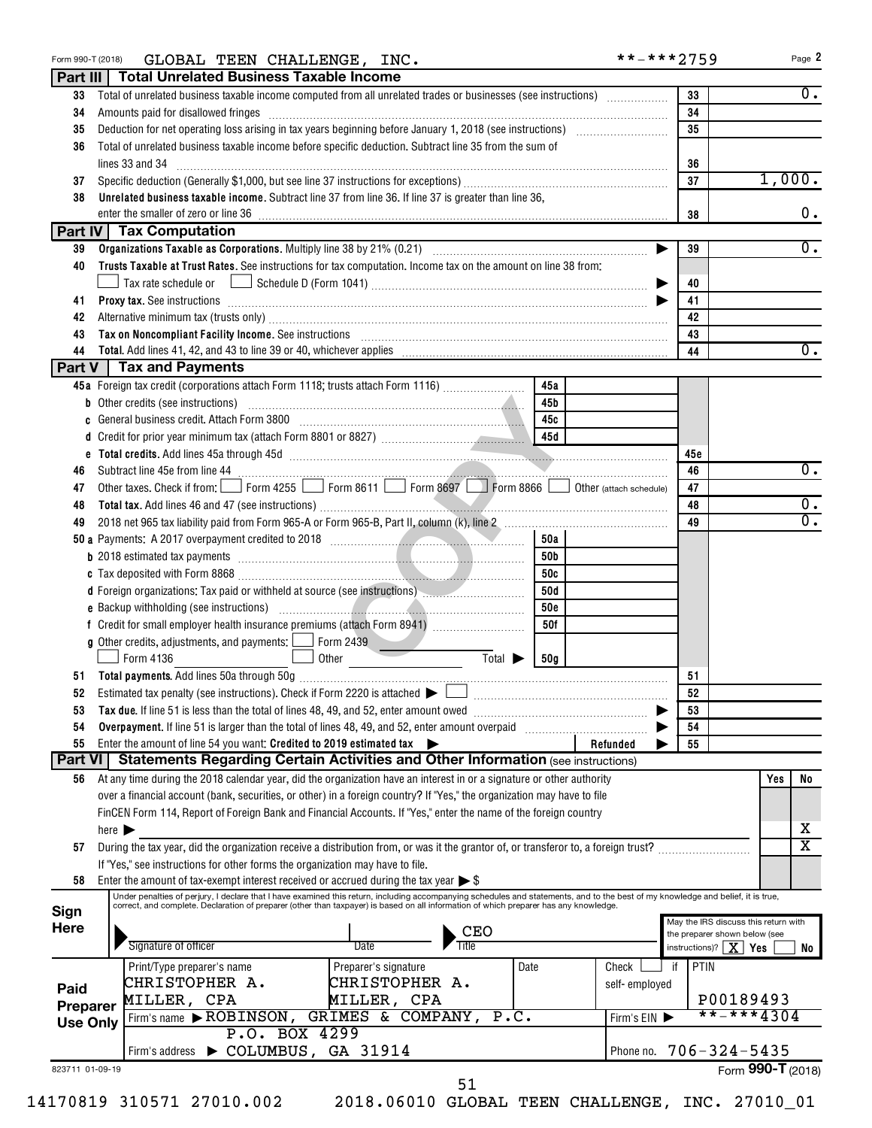| Form 990-T (2018)           | GLOBAL TEEN CHALLENGE, INC.                                                                                                                                                                                                    |            | **-***2759    |                                  | Page 2                               |
|-----------------------------|--------------------------------------------------------------------------------------------------------------------------------------------------------------------------------------------------------------------------------|------------|---------------|----------------------------------|--------------------------------------|
|                             | Part III   Total Unrelated Business Taxable Income                                                                                                                                                                             |            |               |                                  |                                      |
| 33                          | Total of unrelated business taxable income computed from all unrelated trades or businesses (see instructions)                                                                                                                 |            |               | 33                               | $0$ .                                |
| 34                          | Amounts paid for disallowed fringes [11, 12] Amounts are the state of the state of the state of the state of the state of the state of the state of the state of the state of the state of the state of the state of the state |            |               | 34                               |                                      |
| 35                          |                                                                                                                                                                                                                                |            |               | 35                               |                                      |
| 36                          | Total of unrelated business taxable income before specific deduction. Subtract line 35 from the sum of                                                                                                                         |            |               |                                  |                                      |
|                             | lines 33 and 34                                                                                                                                                                                                                |            |               | 36                               |                                      |
| 37                          |                                                                                                                                                                                                                                |            |               | 37                               | 1,000.                               |
| 38                          | Unrelated business taxable income. Subtract line 37 from line 36. If line 37 is greater than line 36,                                                                                                                          |            |               |                                  |                                      |
|                             | enter the smaller of zero or line 36                                                                                                                                                                                           |            |               | 38                               | $0$ .                                |
|                             | Part IV   Tax Computation                                                                                                                                                                                                      |            |               |                                  |                                      |
| 39                          | Organizations Taxable as Corporations. Multiply line 38 by 21% (0.21) [10] manufacture materials and the Distance of Ann and Distance of Ann and Distance of Ann and Distance of Ann and Distance of Ann and Distance of Ann a |            |               | 39                               | 0.                                   |
| 40                          | Trusts Taxable at Trust Rates. See instructions for tax computation. Income tax on the amount on line 38 from:                                                                                                                 |            |               |                                  |                                      |
|                             |                                                                                                                                                                                                                                |            |               | 40                               |                                      |
| 41                          | <b>Proxy tax.</b> See instructions <b>constructions b</b>                                                                                                                                                                      |            |               | 41                               |                                      |
| 42                          |                                                                                                                                                                                                                                |            |               | 42                               |                                      |
| 43                          | Tax on Noncompliant Facility Income. See instructions [11] The manufacture in the control of the control of the control of the control of the control of the control of the control of the control of the control of the contr |            |               | 43                               |                                      |
| 44                          | Total. Add lines 41, 42, and 43 to line 39 or 40, whichever applies [11, 12] matches and the set of the set of the set of the set of the set of the set of the set of the set of the set of the set of the set of the set of t |            |               | 44                               | $\overline{0}$ .                     |
|                             | Part V   Tax and Payments                                                                                                                                                                                                      |            |               |                                  |                                      |
|                             | 45a Foreign tax credit (corporations attach Form 1118; trusts attach Form 1116)                                                                                                                                                | 45a        |               |                                  |                                      |
|                             |                                                                                                                                                                                                                                | 45b        |               |                                  |                                      |
| c                           | General business credit. Attach Form 3800 [11] [11] Contract the Seneral business credit. Attach Form 3800                                                                                                                     | 45с        |               |                                  |                                      |
|                             |                                                                                                                                                                                                                                | 45d        |               |                                  |                                      |
|                             |                                                                                                                                                                                                                                |            |               | 45c                              |                                      |
| 46                          |                                                                                                                                                                                                                                |            |               | 46                               | $\overline{0}$ .                     |
| 47                          | Other taxes. Check if from: Form 4255 Form 8611 Form 8697 Form 8866 Obther (attach schedule)                                                                                                                                   |            |               | 47                               |                                      |
| 48                          |                                                                                                                                                                                                                                |            |               | 48                               | $\overline{0}$ .                     |
| 49                          |                                                                                                                                                                                                                                |            |               | 49                               | $\overline{0}$ .                     |
|                             |                                                                                                                                                                                                                                | 50a        |               |                                  |                                      |
|                             | <b>b</b> 2018 estimated tax payments <b>constructs</b> and the 2018 estimated tax behavior <b>constructed</b> and the 2018 estimated tax                                                                                       | 50b        |               |                                  |                                      |
|                             |                                                                                                                                                                                                                                | 50c        |               |                                  |                                      |
|                             | d Foreign organizations: Tax paid or withheld at source (see instructions) manufactured and response to the source of the source of the source of the source of the source of the source of the source of the source of the so | 50d        |               |                                  |                                      |
|                             |                                                                                                                                                                                                                                | <b>50e</b> |               |                                  |                                      |
|                             |                                                                                                                                                                                                                                | 50f        |               |                                  |                                      |
|                             | <b>g</b> Other credits, adjustments, and payments: $\boxed{\phantom{0}}$ Form 2439                                                                                                                                             |            |               |                                  |                                      |
|                             | Form 4136<br>Other<br>Total $\blacktriangleright$                                                                                                                                                                              | 50g        |               |                                  |                                      |
|                             |                                                                                                                                                                                                                                |            |               | 51                               |                                      |
| 52                          | Estimated tax penalty (see instructions). Check if Form 2220 is attached $\blacktriangleright$                                                                                                                                 |            |               | 52                               |                                      |
| 53                          |                                                                                                                                                                                                                                |            |               | 53                               |                                      |
| 54                          | Overpayment. If line 51 is larger than the total of lines 48, 49, and 52, enter amount overpaid                                                                                                                                |            |               | 54                               |                                      |
| 55                          | Enter the amount of line 54 you want: Credited to 2019 estimated tax                                                                                                                                                           |            | Refunded      | 55                               |                                      |
| <b>Part VI</b>              | <b>Statements Regarding Certain Activities and Other Information (see instructions)</b>                                                                                                                                        |            |               |                                  |                                      |
| 56                          | At any time during the 2018 calendar year, did the organization have an interest in or a signature or other authority                                                                                                          |            |               |                                  | Yes<br>No                            |
|                             | over a financial account (bank, securities, or other) in a foreign country? If "Yes," the organization may have to file                                                                                                        |            |               |                                  |                                      |
|                             | FinCEN Form 114, Report of Foreign Bank and Financial Accounts. If "Yes," enter the name of the foreign country                                                                                                                |            |               |                                  |                                      |
|                             | here $\blacktriangleright$                                                                                                                                                                                                     |            |               |                                  | х                                    |
| 57                          | During the tax year, did the organization receive a distribution from, or was it the grantor of, or transferor to, a foreign trust?                                                                                            |            |               |                                  | $\overline{\texttt{x}}$              |
|                             | If "Yes," see instructions for other forms the organization may have to file.                                                                                                                                                  |            |               |                                  |                                      |
| 58                          | Enter the amount of tax-exempt interest received or accrued during the tax year $\triangleright$ \$                                                                                                                            |            |               |                                  |                                      |
|                             | Under penalties of perjury, I declare that I have examined this return, including accompanying schedules and statements, and to the best of my knowledge and belief, it is true,                                               |            |               |                                  |                                      |
| Sign                        | correct, and complete. Declaration of preparer (other than taxpayer) is based on all information of which preparer has any knowledge.                                                                                          |            |               |                                  |                                      |
| Here                        | CEO                                                                                                                                                                                                                            |            |               | the preparer shown below (see    | May the IRS discuss this return with |
|                             | Signature of officer<br>Date<br>Title                                                                                                                                                                                          |            |               | instructions)? $\mid X \mid Yes$ | No                                   |
|                             | Date<br>Print/Type preparer's name<br>Preparer's signature                                                                                                                                                                     |            | Check<br>if   | PTIN                             |                                      |
| Paid                        | CHRISTOPHER A.<br>CHRISTOPHER A.                                                                                                                                                                                               |            | self-employed |                                  |                                      |
|                             | MILLER, CPA<br>MILLER, CPA                                                                                                                                                                                                     |            |               |                                  | P00189493                            |
| Preparer<br><b>Use Only</b> | Firm's name ROBINSON,<br>GRIMES & COMPANY,<br>P.C.                                                                                                                                                                             |            | Firm's EIN ▶  |                                  | $***$ + * * 4304                     |
|                             | P.O. BOX 4299                                                                                                                                                                                                                  |            |               |                                  |                                      |

|  | -----------                                        |  |                              |
|--|----------------------------------------------------|--|------------------------------|
|  | Firm's address $\triangleright$ COLUMBUS, GA 31914 |  | Phone no. $706 - 324 - 5435$ |
|  |                                                    |  | $\sim$ $\sim$ $\sim$         |

823711 01-09-19

51

14170819 310571 27010.002 2018.06010 GLOBAL TEEN CHALLENGE, INC. 27010\_01

Form **990-T** (2018)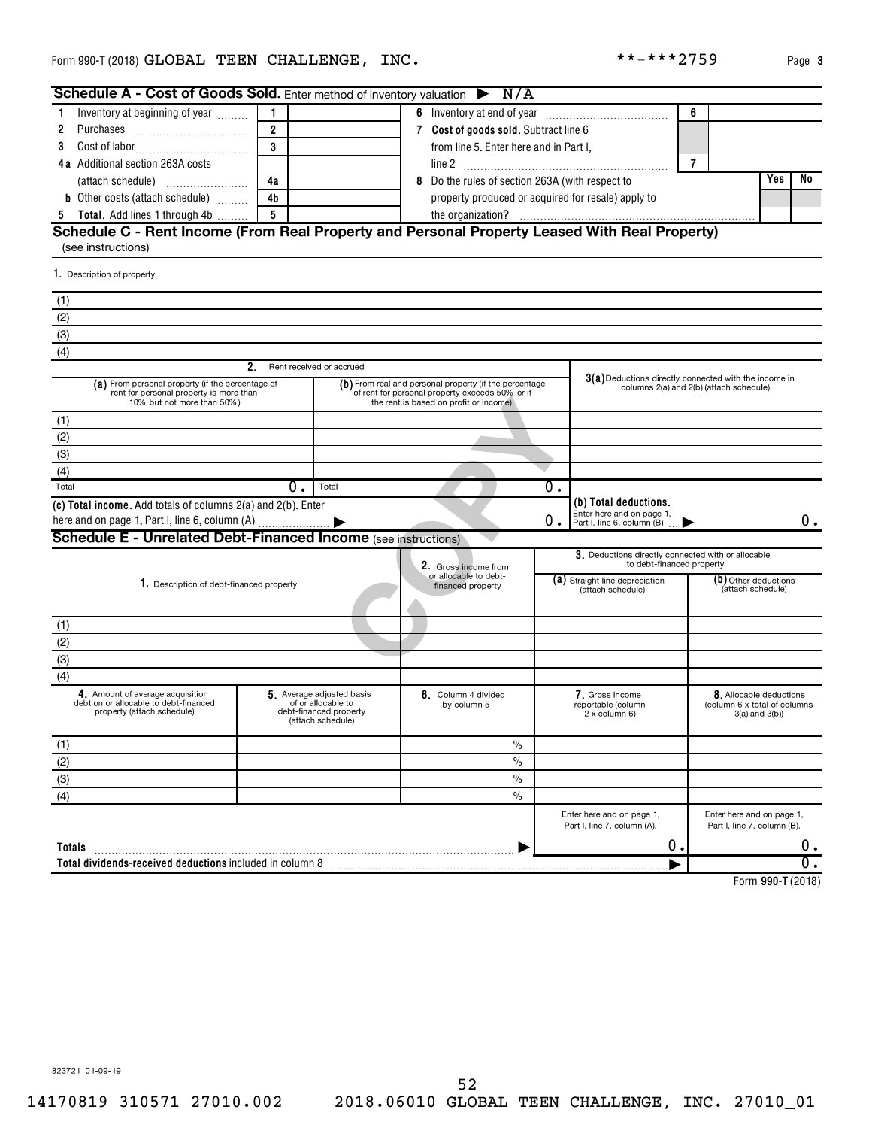| <b>Schedule A - Cost of Goods Sold.</b> Enter method of inventory valuation $\triangleright$ N/A                          |                           |                                                                                               |                                                                                                                                                     |    |                                                                                  |                |                                                                               |       |
|---------------------------------------------------------------------------------------------------------------------------|---------------------------|-----------------------------------------------------------------------------------------------|-----------------------------------------------------------------------------------------------------------------------------------------------------|----|----------------------------------------------------------------------------------|----------------|-------------------------------------------------------------------------------|-------|
| Inventory at beginning of year<br>1.                                                                                      | $\mathbf{1}$              |                                                                                               |                                                                                                                                                     |    |                                                                                  | 6              |                                                                               |       |
| 2<br>Purchases                                                                                                            | $\overline{2}$            |                                                                                               | 7 Cost of goods sold. Subtract line 6                                                                                                               |    |                                                                                  |                |                                                                               |       |
| 3                                                                                                                         | $\overline{\overline{3}}$ |                                                                                               | from line 5. Enter here and in Part I,                                                                                                              |    |                                                                                  |                |                                                                               |       |
| 4a Additional section 263A costs                                                                                          |                           |                                                                                               |                                                                                                                                                     |    |                                                                                  | $\overline{7}$ |                                                                               |       |
|                                                                                                                           | 4a                        |                                                                                               | 8 Do the rules of section 263A (with respect to                                                                                                     |    | <b>Yes</b>                                                                       | No             |                                                                               |       |
| <b>b</b> Other costs (attach schedule)                                                                                    | 4 <sub>b</sub>            |                                                                                               | property produced or acquired for resale) apply to                                                                                                  |    |                                                                                  |                |                                                                               |       |
| Total. Add lines 1 through 4b<br>5                                                                                        | $\overline{5}$            |                                                                                               |                                                                                                                                                     |    |                                                                                  |                |                                                                               |       |
| Schedule C - Rent Income (From Real Property and Personal Property Leased With Real Property)<br>(see instructions)       |                           |                                                                                               |                                                                                                                                                     |    |                                                                                  |                |                                                                               |       |
| 1. Description of property                                                                                                |                           |                                                                                               |                                                                                                                                                     |    |                                                                                  |                |                                                                               |       |
| (1)                                                                                                                       |                           |                                                                                               |                                                                                                                                                     |    |                                                                                  |                |                                                                               |       |
| (2)                                                                                                                       |                           |                                                                                               |                                                                                                                                                     |    |                                                                                  |                |                                                                               |       |
| $\overline{3}$                                                                                                            |                           |                                                                                               |                                                                                                                                                     |    |                                                                                  |                |                                                                               |       |
| (4)                                                                                                                       |                           |                                                                                               |                                                                                                                                                     |    |                                                                                  |                |                                                                               |       |
|                                                                                                                           | 2.                        | Rent received or accrued                                                                      |                                                                                                                                                     |    |                                                                                  |                |                                                                               |       |
| (a) From personal property (if the percentage of<br>rent for personal property is more than<br>10% but not more than 50%) |                           |                                                                                               | (b) From real and personal property (if the percentage<br>of rent for personal property exceeds 50% or if<br>the rent is based on profit or income) |    | 3(a) Deductions directly connected with the income in                            |                | columns 2(a) and 2(b) (attach schedule)                                       |       |
| (1)                                                                                                                       |                           |                                                                                               |                                                                                                                                                     |    |                                                                                  |                |                                                                               |       |
| (2)                                                                                                                       |                           |                                                                                               |                                                                                                                                                     |    |                                                                                  |                |                                                                               |       |
| (3)                                                                                                                       |                           |                                                                                               |                                                                                                                                                     |    |                                                                                  |                |                                                                               |       |
| (4)                                                                                                                       |                           |                                                                                               |                                                                                                                                                     |    |                                                                                  |                |                                                                               |       |
| Total                                                                                                                     | 0.                        | Total                                                                                         |                                                                                                                                                     | 0. |                                                                                  |                |                                                                               |       |
| (c) Total income. Add totals of columns 2(a) and 2(b). Enter<br>here and on page 1, Part I, line 6, column (A)            |                           |                                                                                               |                                                                                                                                                     | 0. | (b) Total deductions.<br>Enter here and on page 1,<br>Part I, line 6, column (B) |                |                                                                               | 0.    |
| <b>Schedule E - Unrelated Debt-Financed Income (see instructions)</b>                                                     |                           |                                                                                               |                                                                                                                                                     |    |                                                                                  |                |                                                                               |       |
|                                                                                                                           |                           |                                                                                               | 2. Gross income from                                                                                                                                |    | 3. Deductions directly connected with or allocable<br>to debt-financed property  |                |                                                                               |       |
| 1. Description of debt-financed property                                                                                  |                           |                                                                                               | or allocable to debt-<br>financed property                                                                                                          |    | (a) Straight line depreciation<br>(attach schedule)                              |                | (b) Other deductions<br>(attach schedule)                                     |       |
| (1)                                                                                                                       |                           |                                                                                               |                                                                                                                                                     |    |                                                                                  |                |                                                                               |       |
| (2)                                                                                                                       |                           |                                                                                               |                                                                                                                                                     |    |                                                                                  |                |                                                                               |       |
| $\overline{3}$                                                                                                            |                           |                                                                                               |                                                                                                                                                     |    |                                                                                  |                |                                                                               |       |
| (4)                                                                                                                       |                           |                                                                                               |                                                                                                                                                     |    |                                                                                  |                |                                                                               |       |
| 4. Amount of average acquisition<br>debt on or allocable to debt-financed<br>property (attach schedule)                   |                           | 5 Average adjusted basis<br>of or allocable to<br>debt-financed property<br>(attach schedule) | 6. Column 4 divided<br>by column 5                                                                                                                  |    | 7. Gross income<br>reportable (column<br>2 x column 6)                           |                | 8. Allocable deductions<br>(column 6 x total of columns)<br>$3(a)$ and $3(b)$ |       |
| (1)                                                                                                                       |                           |                                                                                               | $\%$                                                                                                                                                |    |                                                                                  |                |                                                                               |       |
| (2)                                                                                                                       |                           |                                                                                               | $\frac{0}{0}$                                                                                                                                       |    |                                                                                  |                |                                                                               |       |
| (3)                                                                                                                       |                           |                                                                                               | $\frac{0}{0}$                                                                                                                                       |    |                                                                                  |                |                                                                               |       |
| (4)                                                                                                                       |                           |                                                                                               | $\frac{0}{0}$                                                                                                                                       |    |                                                                                  |                |                                                                               |       |
|                                                                                                                           |                           |                                                                                               |                                                                                                                                                     |    | Enter here and on page 1,<br>Part I, line 7, column (A).                         |                | Enter here and on page 1,<br>Part I, line 7, column (B).                      |       |
| <b>Totals</b>                                                                                                             |                           |                                                                                               |                                                                                                                                                     |    | 0.                                                                               |                |                                                                               | $0$ . |
| Total dividends-received deductions included in column 8                                                                  |                           |                                                                                               |                                                                                                                                                     |    |                                                                                  |                |                                                                               |       |
|                                                                                                                           |                           |                                                                                               |                                                                                                                                                     |    |                                                                                  |                | $Lorm$ 000 T (9010                                                            |       |

**990-T**  Form (2018)

 $***$   $***$  2759 Page 3

823721 01-09-19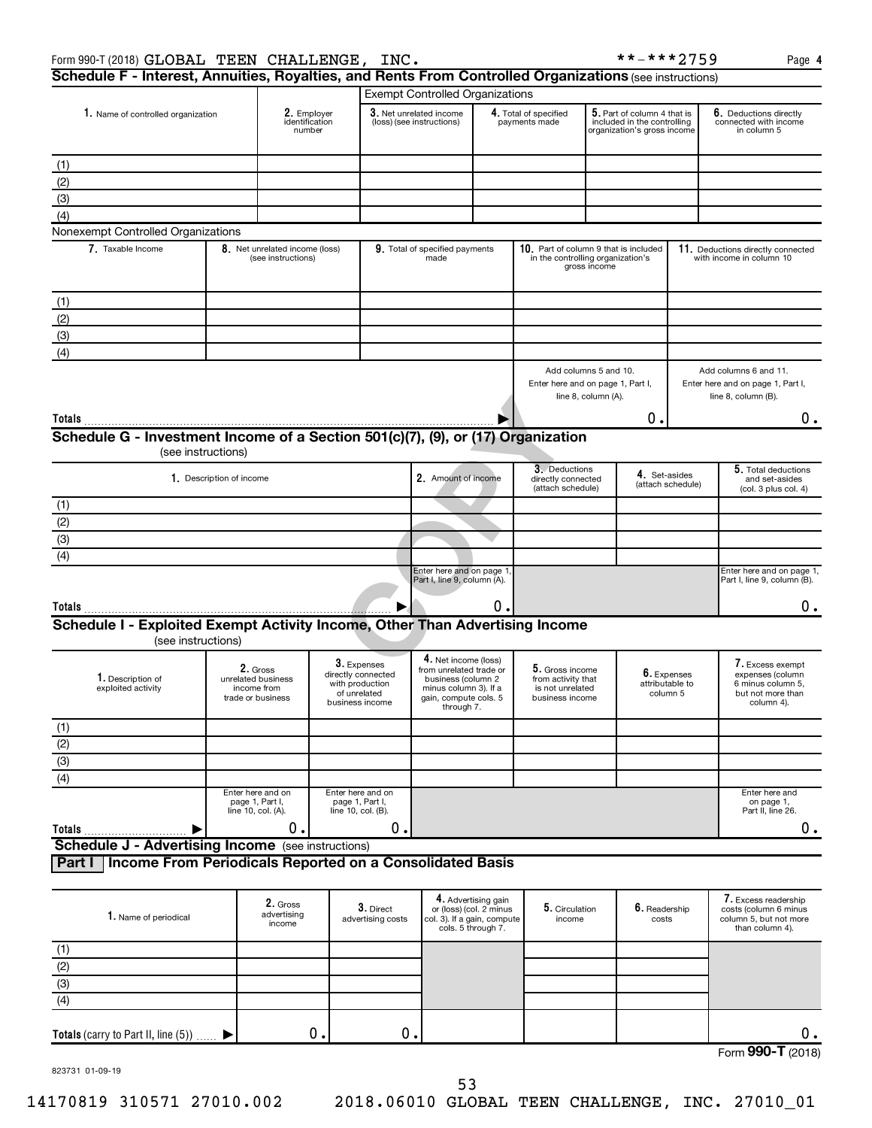| Schedule F - Interest, Annuities, Royalties, and Rents From Controlled Organizations (see instructions)<br><b>Exempt Controlled Organizations</b><br>2. Employer<br>3. Net unrelated income<br>$5.$ Part of column 4 that is<br>4. Total of specified<br>1. Name of controlled organization<br>identification<br>(loss) (see instructions)<br>payments made<br>included in the controlling<br>number<br>in column 5<br>organization's gross income<br>(1)<br>(2)<br>(3)<br>(4)<br>Nonexempt Controlled Organizations<br>7. Taxable Income<br>8. Net unrelated income (loss)<br>9. Total of specified payments<br>10. Part of column 9 that is included<br>11. Deductions directly connected<br>in the controlling organization's<br>made<br>(see instructions)<br>with income in column 10<br>gross income<br>(1)<br>(2)<br>(3)<br>(4)<br>Add columns 5 and 10.<br>Add columns 6 and 11.<br>Enter here and on page 1, Part I,<br>Enter here and on page 1, Part I,<br>line 8, column (A).<br>line 8, column (B).<br>0.<br>(see instructions)<br>3. Deductions<br>4. Set-asides<br>1. Description of income<br>2. Amount of income<br>directly connected<br>(attach schedule)<br>(attach schedule)<br>Enter here and on page 1<br>Part I, line 9, column (A).<br>о.<br>▶<br>(see instructions)<br>4. Net income (loss)<br>3. Expenses<br>2. Gross<br>5. Gross income<br>from unrelated trade or<br>6. Expenses<br>directly connected<br>1. Description of<br>unrelated business<br>business (column 2<br>from activity that<br>attributable to<br>with production<br>exploited activity<br>income from<br>minus column 3). If a<br>is not unrelated<br>of unrelated<br>column 5<br>trade or business<br>gain, compute cols. 5<br>business income<br>business income<br>column 4).<br>through 7.<br>Enter here and on<br>Enter here and on<br>page 1, Part I,<br>page 1, Part I,<br>on page 1,<br>line 10, col. (A).<br>line 10, col. (B).<br>0.<br>0.<br>▶<br>Income From Periodicals Reported on a Consolidated Basis<br>4. Advertising gain<br>2. Gross<br>3. Direct<br>5. Circulation<br>6. Readership<br>or (loss) (col. 2 minus<br>advertising<br>1. Name of periodical<br>advertising costs<br>col. 3). If a gain, compute<br>income<br>costs<br>income<br>cols. 5 through 7. |  |                                               |  |  |  | **-***2759                                      | Page 4                                                                                     |
|------------------------------------------------------------------------------------------------------------------------------------------------------------------------------------------------------------------------------------------------------------------------------------------------------------------------------------------------------------------------------------------------------------------------------------------------------------------------------------------------------------------------------------------------------------------------------------------------------------------------------------------------------------------------------------------------------------------------------------------------------------------------------------------------------------------------------------------------------------------------------------------------------------------------------------------------------------------------------------------------------------------------------------------------------------------------------------------------------------------------------------------------------------------------------------------------------------------------------------------------------------------------------------------------------------------------------------------------------------------------------------------------------------------------------------------------------------------------------------------------------------------------------------------------------------------------------------------------------------------------------------------------------------------------------------------------------------------------------------------------------------------------------------------------------------------------------------------------------------------------------------------------------------------------------------------------------------------------------------------------------------------------------------------------------------------------------------------------------------------------------------------------------------------------------------------------------------------------------------------------------------------------------------|--|-----------------------------------------------|--|--|--|-------------------------------------------------|--------------------------------------------------------------------------------------------|
|                                                                                                                                                                                                                                                                                                                                                                                                                                                                                                                                                                                                                                                                                                                                                                                                                                                                                                                                                                                                                                                                                                                                                                                                                                                                                                                                                                                                                                                                                                                                                                                                                                                                                                                                                                                                                                                                                                                                                                                                                                                                                                                                                                                                                                                                                    |  |                                               |  |  |  |                                                 |                                                                                            |
|                                                                                                                                                                                                                                                                                                                                                                                                                                                                                                                                                                                                                                                                                                                                                                                                                                                                                                                                                                                                                                                                                                                                                                                                                                                                                                                                                                                                                                                                                                                                                                                                                                                                                                                                                                                                                                                                                                                                                                                                                                                                                                                                                                                                                                                                                    |  |                                               |  |  |  |                                                 |                                                                                            |
|                                                                                                                                                                                                                                                                                                                                                                                                                                                                                                                                                                                                                                                                                                                                                                                                                                                                                                                                                                                                                                                                                                                                                                                                                                                                                                                                                                                                                                                                                                                                                                                                                                                                                                                                                                                                                                                                                                                                                                                                                                                                                                                                                                                                                                                                                    |  | Form 990-T (2018) GLOBAL TEEN CHALLENGE, INC. |  |  |  | 6. Deductions directly<br>connected with income |                                                                                            |
|                                                                                                                                                                                                                                                                                                                                                                                                                                                                                                                                                                                                                                                                                                                                                                                                                                                                                                                                                                                                                                                                                                                                                                                                                                                                                                                                                                                                                                                                                                                                                                                                                                                                                                                                                                                                                                                                                                                                                                                                                                                                                                                                                                                                                                                                                    |  |                                               |  |  |  |                                                 |                                                                                            |
|                                                                                                                                                                                                                                                                                                                                                                                                                                                                                                                                                                                                                                                                                                                                                                                                                                                                                                                                                                                                                                                                                                                                                                                                                                                                                                                                                                                                                                                                                                                                                                                                                                                                                                                                                                                                                                                                                                                                                                                                                                                                                                                                                                                                                                                                                    |  |                                               |  |  |  |                                                 |                                                                                            |
|                                                                                                                                                                                                                                                                                                                                                                                                                                                                                                                                                                                                                                                                                                                                                                                                                                                                                                                                                                                                                                                                                                                                                                                                                                                                                                                                                                                                                                                                                                                                                                                                                                                                                                                                                                                                                                                                                                                                                                                                                                                                                                                                                                                                                                                                                    |  |                                               |  |  |  |                                                 |                                                                                            |
|                                                                                                                                                                                                                                                                                                                                                                                                                                                                                                                                                                                                                                                                                                                                                                                                                                                                                                                                                                                                                                                                                                                                                                                                                                                                                                                                                                                                                                                                                                                                                                                                                                                                                                                                                                                                                                                                                                                                                                                                                                                                                                                                                                                                                                                                                    |  |                                               |  |  |  |                                                 |                                                                                            |
|                                                                                                                                                                                                                                                                                                                                                                                                                                                                                                                                                                                                                                                                                                                                                                                                                                                                                                                                                                                                                                                                                                                                                                                                                                                                                                                                                                                                                                                                                                                                                                                                                                                                                                                                                                                                                                                                                                                                                                                                                                                                                                                                                                                                                                                                                    |  |                                               |  |  |  |                                                 |                                                                                            |
|                                                                                                                                                                                                                                                                                                                                                                                                                                                                                                                                                                                                                                                                                                                                                                                                                                                                                                                                                                                                                                                                                                                                                                                                                                                                                                                                                                                                                                                                                                                                                                                                                                                                                                                                                                                                                                                                                                                                                                                                                                                                                                                                                                                                                                                                                    |  |                                               |  |  |  |                                                 |                                                                                            |
|                                                                                                                                                                                                                                                                                                                                                                                                                                                                                                                                                                                                                                                                                                                                                                                                                                                                                                                                                                                                                                                                                                                                                                                                                                                                                                                                                                                                                                                                                                                                                                                                                                                                                                                                                                                                                                                                                                                                                                                                                                                                                                                                                                                                                                                                                    |  |                                               |  |  |  |                                                 |                                                                                            |
|                                                                                                                                                                                                                                                                                                                                                                                                                                                                                                                                                                                                                                                                                                                                                                                                                                                                                                                                                                                                                                                                                                                                                                                                                                                                                                                                                                                                                                                                                                                                                                                                                                                                                                                                                                                                                                                                                                                                                                                                                                                                                                                                                                                                                                                                                    |  |                                               |  |  |  |                                                 |                                                                                            |
|                                                                                                                                                                                                                                                                                                                                                                                                                                                                                                                                                                                                                                                                                                                                                                                                                                                                                                                                                                                                                                                                                                                                                                                                                                                                                                                                                                                                                                                                                                                                                                                                                                                                                                                                                                                                                                                                                                                                                                                                                                                                                                                                                                                                                                                                                    |  |                                               |  |  |  |                                                 |                                                                                            |
| Part I                                                                                                                                                                                                                                                                                                                                                                                                                                                                                                                                                                                                                                                                                                                                                                                                                                                                                                                                                                                                                                                                                                                                                                                                                                                                                                                                                                                                                                                                                                                                                                                                                                                                                                                                                                                                                                                                                                                                                                                                                                                                                                                                                                                                                                                                             |  |                                               |  |  |  |                                                 |                                                                                            |
|                                                                                                                                                                                                                                                                                                                                                                                                                                                                                                                                                                                                                                                                                                                                                                                                                                                                                                                                                                                                                                                                                                                                                                                                                                                                                                                                                                                                                                                                                                                                                                                                                                                                                                                                                                                                                                                                                                                                                                                                                                                                                                                                                                                                                                                                                    |  |                                               |  |  |  |                                                 |                                                                                            |
|                                                                                                                                                                                                                                                                                                                                                                                                                                                                                                                                                                                                                                                                                                                                                                                                                                                                                                                                                                                                                                                                                                                                                                                                                                                                                                                                                                                                                                                                                                                                                                                                                                                                                                                                                                                                                                                                                                                                                                                                                                                                                                                                                                                                                                                                                    |  |                                               |  |  |  |                                                 |                                                                                            |
| Schedule G - Investment Income of a Section 501(c)(7), (9), or (17) Organization<br>(1)<br>$\frac{(2)}{(3)}$<br>$\overline{(4)}$<br>$\overline{(4)}$                                                                                                                                                                                                                                                                                                                                                                                                                                                                                                                                                                                                                                                                                                                                                                                                                                                                                                                                                                                                                                                                                                                                                                                                                                                                                                                                                                                                                                                                                                                                                                                                                                                                                                                                                                                                                                                                                                                                                                                                                                                                                                                               |  |                                               |  |  |  |                                                 | 0.                                                                                         |
|                                                                                                                                                                                                                                                                                                                                                                                                                                                                                                                                                                                                                                                                                                                                                                                                                                                                                                                                                                                                                                                                                                                                                                                                                                                                                                                                                                                                                                                                                                                                                                                                                                                                                                                                                                                                                                                                                                                                                                                                                                                                                                                                                                                                                                                                                    |  |                                               |  |  |  |                                                 |                                                                                            |
|                                                                                                                                                                                                                                                                                                                                                                                                                                                                                                                                                                                                                                                                                                                                                                                                                                                                                                                                                                                                                                                                                                                                                                                                                                                                                                                                                                                                                                                                                                                                                                                                                                                                                                                                                                                                                                                                                                                                                                                                                                                                                                                                                                                                                                                                                    |  |                                               |  |  |  |                                                 | 5. Total deductions<br>and set-asides<br>(col. 3 plus col. 4)                              |
|                                                                                                                                                                                                                                                                                                                                                                                                                                                                                                                                                                                                                                                                                                                                                                                                                                                                                                                                                                                                                                                                                                                                                                                                                                                                                                                                                                                                                                                                                                                                                                                                                                                                                                                                                                                                                                                                                                                                                                                                                                                                                                                                                                                                                                                                                    |  |                                               |  |  |  |                                                 |                                                                                            |
|                                                                                                                                                                                                                                                                                                                                                                                                                                                                                                                                                                                                                                                                                                                                                                                                                                                                                                                                                                                                                                                                                                                                                                                                                                                                                                                                                                                                                                                                                                                                                                                                                                                                                                                                                                                                                                                                                                                                                                                                                                                                                                                                                                                                                                                                                    |  |                                               |  |  |  |                                                 |                                                                                            |
|                                                                                                                                                                                                                                                                                                                                                                                                                                                                                                                                                                                                                                                                                                                                                                                                                                                                                                                                                                                                                                                                                                                                                                                                                                                                                                                                                                                                                                                                                                                                                                                                                                                                                                                                                                                                                                                                                                                                                                                                                                                                                                                                                                                                                                                                                    |  |                                               |  |  |  |                                                 |                                                                                            |
|                                                                                                                                                                                                                                                                                                                                                                                                                                                                                                                                                                                                                                                                                                                                                                                                                                                                                                                                                                                                                                                                                                                                                                                                                                                                                                                                                                                                                                                                                                                                                                                                                                                                                                                                                                                                                                                                                                                                                                                                                                                                                                                                                                                                                                                                                    |  |                                               |  |  |  |                                                 |                                                                                            |
| Totals<br>Schedule I - Exploited Exempt Activity Income, Other Than Advertising Income                                                                                                                                                                                                                                                                                                                                                                                                                                                                                                                                                                                                                                                                                                                                                                                                                                                                                                                                                                                                                                                                                                                                                                                                                                                                                                                                                                                                                                                                                                                                                                                                                                                                                                                                                                                                                                                                                                                                                                                                                                                                                                                                                                                             |  |                                               |  |  |  |                                                 | Enter here and on page 1,<br>Part I, line 9, column (B).                                   |
|                                                                                                                                                                                                                                                                                                                                                                                                                                                                                                                                                                                                                                                                                                                                                                                                                                                                                                                                                                                                                                                                                                                                                                                                                                                                                                                                                                                                                                                                                                                                                                                                                                                                                                                                                                                                                                                                                                                                                                                                                                                                                                                                                                                                                                                                                    |  |                                               |  |  |  |                                                 | 0.                                                                                         |
|                                                                                                                                                                                                                                                                                                                                                                                                                                                                                                                                                                                                                                                                                                                                                                                                                                                                                                                                                                                                                                                                                                                                                                                                                                                                                                                                                                                                                                                                                                                                                                                                                                                                                                                                                                                                                                                                                                                                                                                                                                                                                                                                                                                                                                                                                    |  |                                               |  |  |  |                                                 |                                                                                            |
| $rac{(1)}{(2)}$<br>(3)<br>(4)<br>Totals<br><b>Schedule J - Advertising Income</b> (see instructions)<br>$rac{(1)}{(2)}$<br>(3)                                                                                                                                                                                                                                                                                                                                                                                                                                                                                                                                                                                                                                                                                                                                                                                                                                                                                                                                                                                                                                                                                                                                                                                                                                                                                                                                                                                                                                                                                                                                                                                                                                                                                                                                                                                                                                                                                                                                                                                                                                                                                                                                                     |  |                                               |  |  |  |                                                 | 7. Excess exempt<br>expenses (column<br>6 minus column 5,<br>but not more than             |
|                                                                                                                                                                                                                                                                                                                                                                                                                                                                                                                                                                                                                                                                                                                                                                                                                                                                                                                                                                                                                                                                                                                                                                                                                                                                                                                                                                                                                                                                                                                                                                                                                                                                                                                                                                                                                                                                                                                                                                                                                                                                                                                                                                                                                                                                                    |  |                                               |  |  |  |                                                 |                                                                                            |
|                                                                                                                                                                                                                                                                                                                                                                                                                                                                                                                                                                                                                                                                                                                                                                                                                                                                                                                                                                                                                                                                                                                                                                                                                                                                                                                                                                                                                                                                                                                                                                                                                                                                                                                                                                                                                                                                                                                                                                                                                                                                                                                                                                                                                                                                                    |  |                                               |  |  |  |                                                 |                                                                                            |
|                                                                                                                                                                                                                                                                                                                                                                                                                                                                                                                                                                                                                                                                                                                                                                                                                                                                                                                                                                                                                                                                                                                                                                                                                                                                                                                                                                                                                                                                                                                                                                                                                                                                                                                                                                                                                                                                                                                                                                                                                                                                                                                                                                                                                                                                                    |  |                                               |  |  |  |                                                 |                                                                                            |
|                                                                                                                                                                                                                                                                                                                                                                                                                                                                                                                                                                                                                                                                                                                                                                                                                                                                                                                                                                                                                                                                                                                                                                                                                                                                                                                                                                                                                                                                                                                                                                                                                                                                                                                                                                                                                                                                                                                                                                                                                                                                                                                                                                                                                                                                                    |  |                                               |  |  |  |                                                 |                                                                                            |
|                                                                                                                                                                                                                                                                                                                                                                                                                                                                                                                                                                                                                                                                                                                                                                                                                                                                                                                                                                                                                                                                                                                                                                                                                                                                                                                                                                                                                                                                                                                                                                                                                                                                                                                                                                                                                                                                                                                                                                                                                                                                                                                                                                                                                                                                                    |  |                                               |  |  |  |                                                 | Enter here and<br>Part II, line 26.                                                        |
|                                                                                                                                                                                                                                                                                                                                                                                                                                                                                                                                                                                                                                                                                                                                                                                                                                                                                                                                                                                                                                                                                                                                                                                                                                                                                                                                                                                                                                                                                                                                                                                                                                                                                                                                                                                                                                                                                                                                                                                                                                                                                                                                                                                                                                                                                    |  |                                               |  |  |  |                                                 | 0.                                                                                         |
|                                                                                                                                                                                                                                                                                                                                                                                                                                                                                                                                                                                                                                                                                                                                                                                                                                                                                                                                                                                                                                                                                                                                                                                                                                                                                                                                                                                                                                                                                                                                                                                                                                                                                                                                                                                                                                                                                                                                                                                                                                                                                                                                                                                                                                                                                    |  |                                               |  |  |  |                                                 |                                                                                            |
|                                                                                                                                                                                                                                                                                                                                                                                                                                                                                                                                                                                                                                                                                                                                                                                                                                                                                                                                                                                                                                                                                                                                                                                                                                                                                                                                                                                                                                                                                                                                                                                                                                                                                                                                                                                                                                                                                                                                                                                                                                                                                                                                                                                                                                                                                    |  |                                               |  |  |  |                                                 |                                                                                            |
|                                                                                                                                                                                                                                                                                                                                                                                                                                                                                                                                                                                                                                                                                                                                                                                                                                                                                                                                                                                                                                                                                                                                                                                                                                                                                                                                                                                                                                                                                                                                                                                                                                                                                                                                                                                                                                                                                                                                                                                                                                                                                                                                                                                                                                                                                    |  |                                               |  |  |  |                                                 | 7. Excess readership<br>costs (column 6 minus<br>column 5, but not more<br>than column 4). |
|                                                                                                                                                                                                                                                                                                                                                                                                                                                                                                                                                                                                                                                                                                                                                                                                                                                                                                                                                                                                                                                                                                                                                                                                                                                                                                                                                                                                                                                                                                                                                                                                                                                                                                                                                                                                                                                                                                                                                                                                                                                                                                                                                                                                                                                                                    |  |                                               |  |  |  |                                                 |                                                                                            |
|                                                                                                                                                                                                                                                                                                                                                                                                                                                                                                                                                                                                                                                                                                                                                                                                                                                                                                                                                                                                                                                                                                                                                                                                                                                                                                                                                                                                                                                                                                                                                                                                                                                                                                                                                                                                                                                                                                                                                                                                                                                                                                                                                                                                                                                                                    |  |                                               |  |  |  |                                                 |                                                                                            |
|                                                                                                                                                                                                                                                                                                                                                                                                                                                                                                                                                                                                                                                                                                                                                                                                                                                                                                                                                                                                                                                                                                                                                                                                                                                                                                                                                                                                                                                                                                                                                                                                                                                                                                                                                                                                                                                                                                                                                                                                                                                                                                                                                                                                                                                                                    |  |                                               |  |  |  |                                                 |                                                                                            |
|                                                                                                                                                                                                                                                                                                                                                                                                                                                                                                                                                                                                                                                                                                                                                                                                                                                                                                                                                                                                                                                                                                                                                                                                                                                                                                                                                                                                                                                                                                                                                                                                                                                                                                                                                                                                                                                                                                                                                                                                                                                                                                                                                                                                                                                                                    |  |                                               |  |  |  |                                                 |                                                                                            |

| $\overline{\phantom{a}}$<br>υ |  |  |                                       |            |
|-------------------------------|--|--|---------------------------------------|------------|
|                               |  |  | $\sim$ $\sim$<br>$E_{\text{arm}}$<br> | 10)<br>$-$ |

823731 01-09-19

 $\blacktriangleright$ 

**Totals** (carry to Part II, line  $(5)$ )  $\ldots$ .